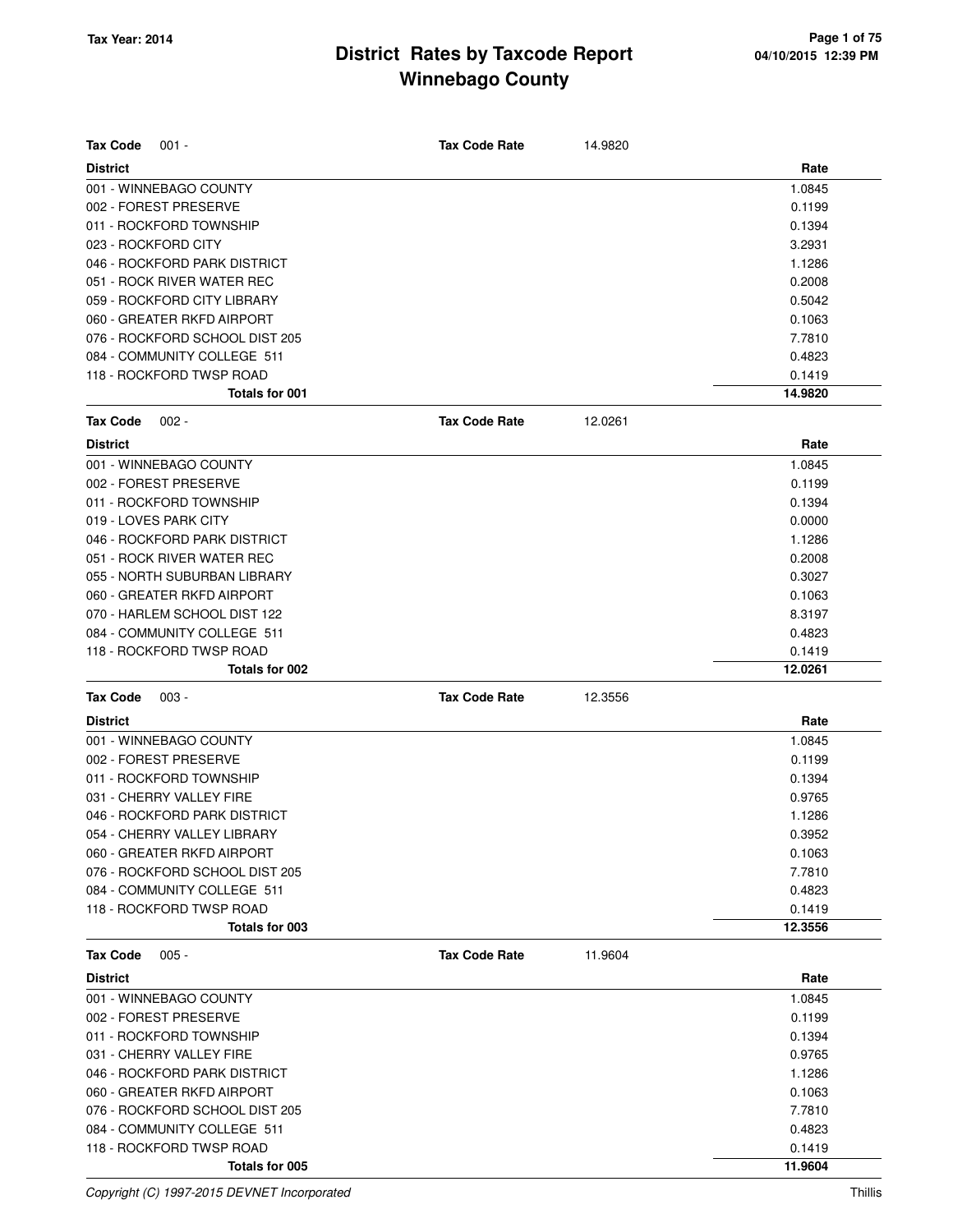| <b>Tax Code</b>                                 |                      |         |                   |
|-------------------------------------------------|----------------------|---------|-------------------|
| $001 -$                                         | <b>Tax Code Rate</b> | 14.9820 |                   |
| <b>District</b>                                 |                      |         | Rate              |
| 001 - WINNEBAGO COUNTY<br>002 - FOREST PRESERVE |                      |         | 1.0845<br>0.1199  |
| 011 - ROCKFORD TOWNSHIP                         |                      |         | 0.1394            |
| 023 - ROCKFORD CITY                             |                      |         | 3.2931            |
| 046 - ROCKFORD PARK DISTRICT                    |                      |         | 1.1286            |
| 051 - ROCK RIVER WATER REC                      |                      |         | 0.2008            |
| 059 - ROCKFORD CITY LIBRARY                     |                      |         | 0.5042            |
| 060 - GREATER RKFD AIRPORT                      |                      |         | 0.1063            |
| 076 - ROCKFORD SCHOOL DIST 205                  |                      |         | 7.7810            |
| 084 - COMMUNITY COLLEGE 511                     |                      |         | 0.4823            |
| 118 - ROCKFORD TWSP ROAD                        |                      |         | 0.1419            |
| <b>Totals for 001</b>                           |                      |         | 14.9820           |
| <b>Tax Code</b><br>$002 -$                      | <b>Tax Code Rate</b> | 12.0261 |                   |
|                                                 |                      |         |                   |
| <b>District</b>                                 |                      |         | Rate              |
| 001 - WINNEBAGO COUNTY                          |                      |         | 1.0845            |
| 002 - FOREST PRESERVE                           |                      |         | 0.1199            |
| 011 - ROCKFORD TOWNSHIP                         |                      |         | 0.1394            |
| 019 - LOVES PARK CITY                           |                      |         | 0.0000            |
| 046 - ROCKFORD PARK DISTRICT                    |                      |         | 1.1286            |
| 051 - ROCK RIVER WATER REC                      |                      |         | 0.2008            |
| 055 - NORTH SUBURBAN LIBRARY                    |                      |         | 0.3027            |
| 060 - GREATER RKFD AIRPORT                      |                      |         | 0.1063            |
| 070 - HARLEM SCHOOL DIST 122                    |                      |         | 8.3197            |
| 084 - COMMUNITY COLLEGE 511                     |                      |         | 0.4823            |
| 118 - ROCKFORD TWSP ROAD<br>Totals for 002      |                      |         | 0.1419<br>12.0261 |
|                                                 |                      |         |                   |
| <b>Tax Code</b><br>$003 -$                      | <b>Tax Code Rate</b> | 12.3556 |                   |
| <b>District</b>                                 |                      |         | Rate              |
| 001 - WINNEBAGO COUNTY                          |                      |         | 1.0845            |
| 002 - FOREST PRESERVE                           |                      |         | 0.1199            |
| 011 - ROCKFORD TOWNSHIP                         |                      |         | 0.1394            |
| 031 - CHERRY VALLEY FIRE                        |                      |         | 0.9765            |
| 046 - ROCKFORD PARK DISTRICT                    |                      |         | 1.1286            |
| 054 - CHERRY VALLEY LIBRARY                     |                      |         | 0.3952            |
| 060 - GREATER RKFD AIRPORT                      |                      |         | 0.1063            |
| 076 - ROCKFORD SCHOOL DIST 205                  |                      |         | 7.7810            |
| 084 - COMMUNITY COLLEGE 511                     |                      |         | 0.4823            |
| 118 - ROCKFORD TWSP ROAD                        |                      |         | 0.1419            |
| Totals for 003                                  |                      |         | 12.3556           |
| <b>Tax Code</b><br>$005 -$                      | <b>Tax Code Rate</b> | 11.9604 |                   |
| <b>District</b>                                 |                      |         | Rate              |
| 001 - WINNEBAGO COUNTY                          |                      |         | 1.0845            |
| 002 - FOREST PRESERVE                           |                      |         | 0.1199            |
| 011 - ROCKFORD TOWNSHIP                         |                      |         | 0.1394            |
| 031 - CHERRY VALLEY FIRE                        |                      |         | 0.9765            |
| 046 - ROCKFORD PARK DISTRICT                    |                      |         | 1.1286            |
| 060 - GREATER RKFD AIRPORT                      |                      |         | 0.1063            |
| 076 - ROCKFORD SCHOOL DIST 205                  |                      |         | 7.7810            |
| 084 - COMMUNITY COLLEGE 511                     |                      |         | 0.4823            |
| 118 - ROCKFORD TWSP ROAD                        |                      |         | 0.1419            |
| Totals for 005                                  |                      |         | 11.9604           |

Copyright (C) 1997-2015 DEVNET Incorporated Thillis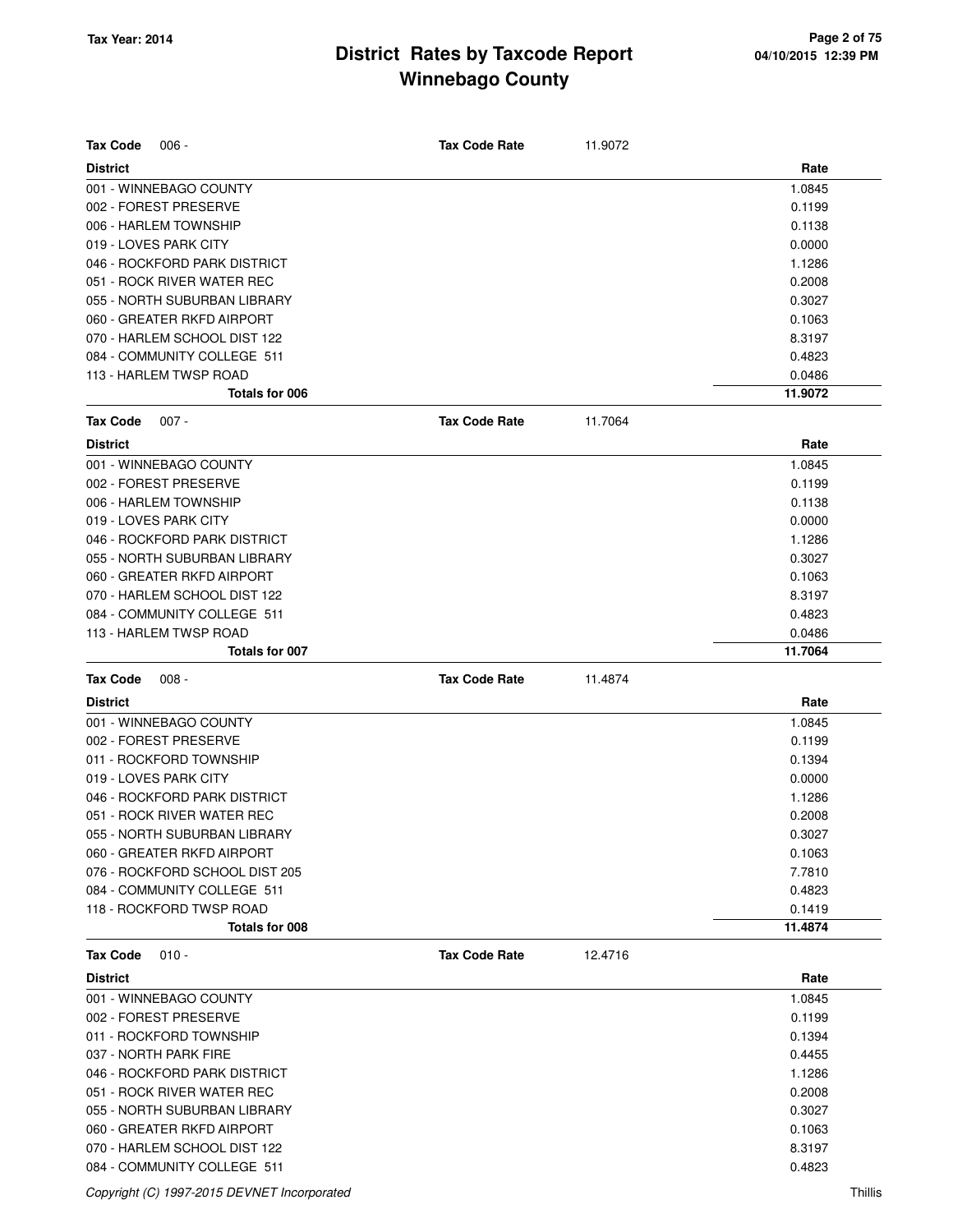| <b>Tax Code</b><br>$006 -$     | <b>Tax Code Rate</b> | 11.9072 |         |
|--------------------------------|----------------------|---------|---------|
| <b>District</b>                |                      |         | Rate    |
| 001 - WINNEBAGO COUNTY         |                      |         | 1.0845  |
| 002 - FOREST PRESERVE          |                      |         | 0.1199  |
| 006 - HARLEM TOWNSHIP          |                      |         | 0.1138  |
| 019 - LOVES PARK CITY          |                      |         | 0.0000  |
| 046 - ROCKFORD PARK DISTRICT   |                      |         | 1.1286  |
| 051 - ROCK RIVER WATER REC     |                      |         | 0.2008  |
| 055 - NORTH SUBURBAN LIBRARY   |                      |         | 0.3027  |
| 060 - GREATER RKFD AIRPORT     |                      |         | 0.1063  |
| 070 - HARLEM SCHOOL DIST 122   |                      |         | 8.3197  |
| 084 - COMMUNITY COLLEGE 511    |                      |         | 0.4823  |
| 113 - HARLEM TWSP ROAD         |                      |         | 0.0486  |
| Totals for 006                 |                      |         | 11.9072 |
| <b>Tax Code</b><br>$007 -$     | <b>Tax Code Rate</b> | 11.7064 |         |
| <b>District</b>                |                      |         | Rate    |
| 001 - WINNEBAGO COUNTY         |                      |         | 1.0845  |
| 002 - FOREST PRESERVE          |                      |         | 0.1199  |
| 006 - HARLEM TOWNSHIP          |                      |         | 0.1138  |
| 019 - LOVES PARK CITY          |                      |         | 0.0000  |
| 046 - ROCKFORD PARK DISTRICT   |                      |         | 1.1286  |
| 055 - NORTH SUBURBAN LIBRARY   |                      |         | 0.3027  |
| 060 - GREATER RKFD AIRPORT     |                      |         | 0.1063  |
| 070 - HARLEM SCHOOL DIST 122   |                      |         | 8.3197  |
| 084 - COMMUNITY COLLEGE 511    |                      |         | 0.4823  |
| 113 - HARLEM TWSP ROAD         |                      |         | 0.0486  |
| Totals for 007                 |                      |         | 11.7064 |
| <b>Tax Code</b><br>$008 -$     | <b>Tax Code Rate</b> | 11.4874 |         |
| <b>District</b>                |                      |         | Rate    |
| 001 - WINNEBAGO COUNTY         |                      |         | 1.0845  |
| 002 - FOREST PRESERVE          |                      |         | 0.1199  |
| 011 - ROCKFORD TOWNSHIP        |                      |         | 0.1394  |
| 019 - LOVES PARK CITY          |                      |         | 0.0000  |
| 046 - ROCKFORD PARK DISTRICT   |                      |         | 1.1286  |
| 051 - ROCK RIVER WATER REC     |                      |         | 0.2008  |
| 055 - NORTH SUBURBAN LIBRARY   |                      |         | 0.3027  |
| 060 - GREATER RKFD AIRPORT     |                      |         | 0.1063  |
| 076 - ROCKFORD SCHOOL DIST 205 |                      |         | 7.7810  |
| 084 - COMMUNITY COLLEGE 511    |                      |         | 0.4823  |
| 118 - ROCKFORD TWSP ROAD       |                      |         | 0.1419  |
| Totals for 008                 |                      |         | 11.4874 |
| <b>Tax Code</b><br>$010 -$     | <b>Tax Code Rate</b> | 12.4716 |         |
| <b>District</b>                |                      |         | Rate    |
| 001 - WINNEBAGO COUNTY         |                      |         | 1.0845  |
| 002 - FOREST PRESERVE          |                      |         | 0.1199  |
| 011 - ROCKFORD TOWNSHIP        |                      |         | 0.1394  |
| 037 - NORTH PARK FIRE          |                      |         | 0.4455  |
| 046 - ROCKFORD PARK DISTRICT   |                      |         |         |
|                                |                      |         | 1.1286  |
| 051 - ROCK RIVER WATER REC     |                      |         | 0.2008  |
| 055 - NORTH SUBURBAN LIBRARY   |                      |         | 0.3027  |
| 060 - GREATER RKFD AIRPORT     |                      |         | 0.1063  |

084 - COMMUNITY COLLEGE 511 **0.4823** 

Copyright (C) 1997-2015 DEVNET Incorporated Thillis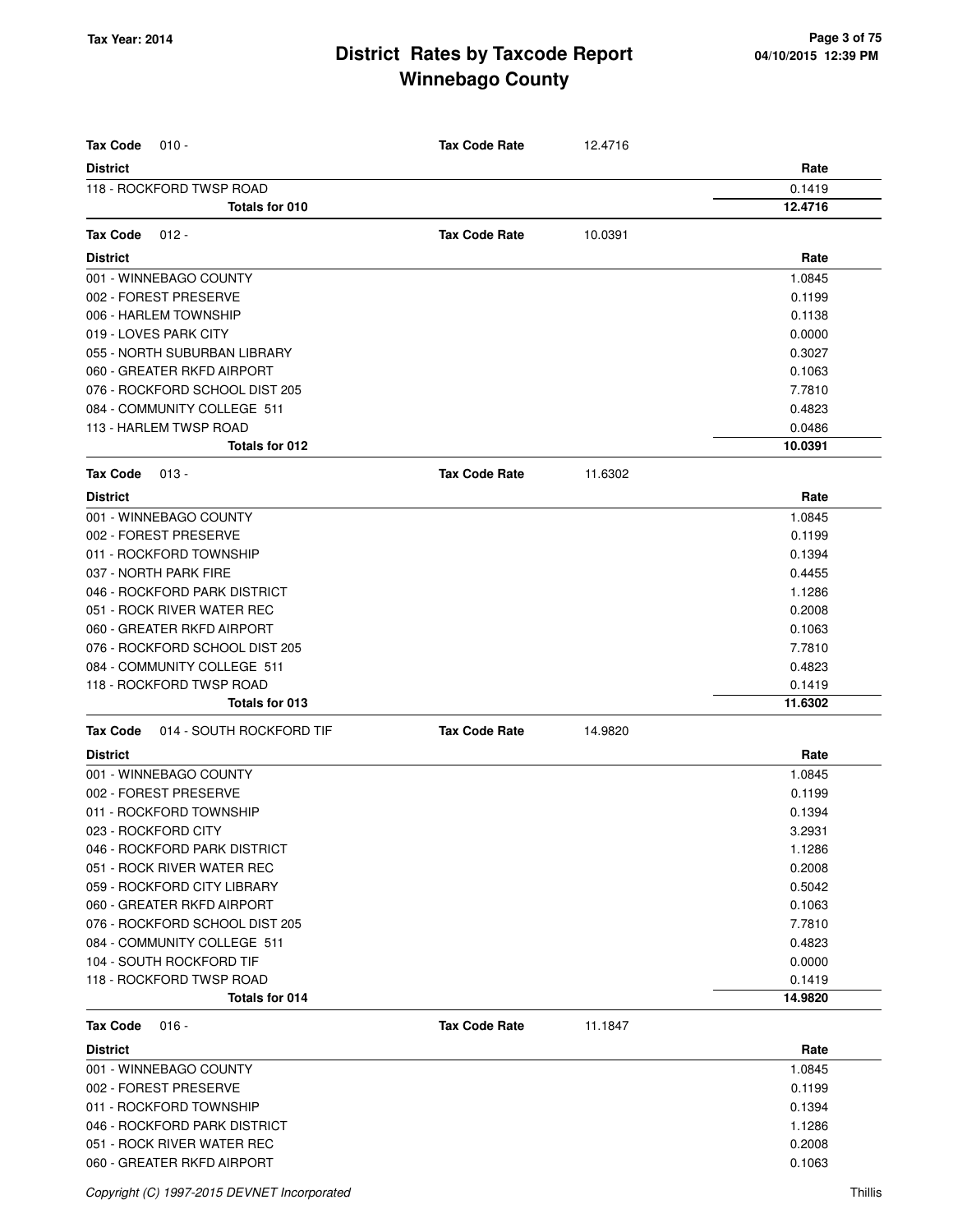| <b>Tax Code</b><br>$010 -$                  | <b>Tax Code Rate</b> | 12.4716 |         |
|---------------------------------------------|----------------------|---------|---------|
| <b>District</b>                             |                      |         | Rate    |
| 118 - ROCKFORD TWSP ROAD                    |                      |         | 0.1419  |
| Totals for 010                              |                      |         | 12.4716 |
| <b>Tax Code</b><br>$012 -$                  | <b>Tax Code Rate</b> | 10.0391 |         |
|                                             |                      |         |         |
| <b>District</b>                             |                      |         | Rate    |
| 001 - WINNEBAGO COUNTY                      |                      |         | 1.0845  |
| 002 - FOREST PRESERVE                       |                      |         | 0.1199  |
| 006 - HARLEM TOWNSHIP                       |                      |         | 0.1138  |
| 019 - LOVES PARK CITY                       |                      |         | 0.0000  |
| 055 - NORTH SUBURBAN LIBRARY                |                      |         | 0.3027  |
| 060 - GREATER RKFD AIRPORT                  |                      |         | 0.1063  |
| 076 - ROCKFORD SCHOOL DIST 205              |                      |         | 7.7810  |
| 084 - COMMUNITY COLLEGE 511                 |                      |         | 0.4823  |
| 113 - HARLEM TWSP ROAD                      |                      |         | 0.0486  |
| Totals for 012                              |                      |         | 10.0391 |
| <b>Tax Code</b><br>$013 -$                  | <b>Tax Code Rate</b> | 11.6302 |         |
| <b>District</b>                             |                      |         | Rate    |
| 001 - WINNEBAGO COUNTY                      |                      |         | 1.0845  |
| 002 - FOREST PRESERVE                       |                      |         | 0.1199  |
| 011 - ROCKFORD TOWNSHIP                     |                      |         | 0.1394  |
| 037 - NORTH PARK FIRE                       |                      |         | 0.4455  |
| 046 - ROCKFORD PARK DISTRICT                |                      |         | 1.1286  |
| 051 - ROCK RIVER WATER REC                  |                      |         | 0.2008  |
| 060 - GREATER RKFD AIRPORT                  |                      |         | 0.1063  |
| 076 - ROCKFORD SCHOOL DIST 205              |                      |         | 7.7810  |
| 084 - COMMUNITY COLLEGE 511                 |                      |         | 0.4823  |
| 118 - ROCKFORD TWSP ROAD                    |                      |         | 0.1419  |
| Totals for 013                              |                      |         | 11.6302 |
| <b>Tax Code</b><br>014 - SOUTH ROCKFORD TIF | <b>Tax Code Rate</b> | 14.9820 |         |
| <b>District</b>                             |                      |         | Rate    |
| 001 - WINNEBAGO COUNTY                      |                      |         | 1.0845  |
| 002 - FOREST PRESERVE                       |                      |         | 0.1199  |
| 011 - ROCKFORD TOWNSHIP                     |                      |         | 0.1394  |
| 023 - ROCKFORD CITY                         |                      |         | 3.2931  |
| 046 - ROCKFORD PARK DISTRICT                |                      |         | 1.1286  |
| 051 - ROCK RIVER WATER REC                  |                      |         | 0.2008  |
| 059 - ROCKFORD CITY LIBRARY                 |                      |         | 0.5042  |
| 060 - GREATER RKFD AIRPORT                  |                      |         | 0.1063  |
| 076 - ROCKFORD SCHOOL DIST 205              |                      |         | 7.7810  |
| 084 - COMMUNITY COLLEGE 511                 |                      |         | 0.4823  |
| 104 - SOUTH ROCKFORD TIF                    |                      |         | 0.0000  |
| 118 - ROCKFORD TWSP ROAD                    |                      |         | 0.1419  |
| Totals for 014                              |                      |         | 14.9820 |
| <b>Tax Code</b><br>$016 -$                  | <b>Tax Code Rate</b> | 11.1847 |         |
| <b>District</b>                             |                      |         | Rate    |
| 001 - WINNEBAGO COUNTY                      |                      |         | 1.0845  |
| 002 - FOREST PRESERVE                       |                      |         | 0.1199  |
| 011 - ROCKFORD TOWNSHIP                     |                      |         | 0.1394  |
| 046 - ROCKFORD PARK DISTRICT                |                      |         | 1.1286  |
| 051 - ROCK RIVER WATER REC                  |                      |         | 0.2008  |
| 060 - GREATER RKFD AIRPORT                  |                      |         | 0.1063  |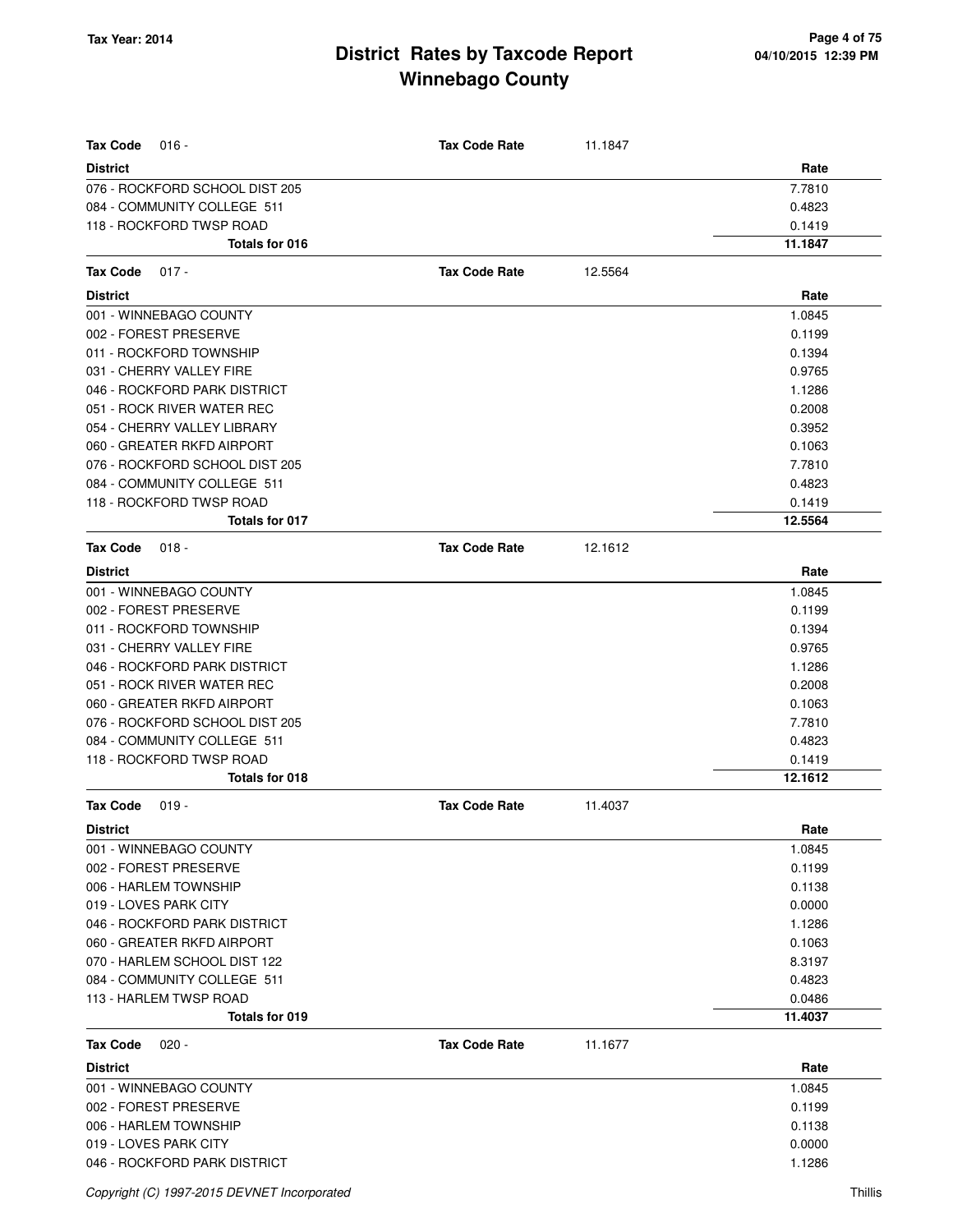| <b>Tax Code</b><br>$016 -$     | <b>Tax Code Rate</b> | 11.1847 |         |
|--------------------------------|----------------------|---------|---------|
| <b>District</b>                |                      |         | Rate    |
| 076 - ROCKFORD SCHOOL DIST 205 |                      |         | 7.7810  |
| 084 - COMMUNITY COLLEGE 511    |                      |         | 0.4823  |
| 118 - ROCKFORD TWSP ROAD       |                      |         | 0.1419  |
| <b>Totals for 016</b>          |                      |         | 11.1847 |
| Tax Code<br>$017 -$            | <b>Tax Code Rate</b> | 12.5564 |         |
| <b>District</b>                |                      |         | Rate    |
| 001 - WINNEBAGO COUNTY         |                      |         | 1.0845  |
| 002 - FOREST PRESERVE          |                      |         | 0.1199  |
| 011 - ROCKFORD TOWNSHIP        |                      |         | 0.1394  |
| 031 - CHERRY VALLEY FIRE       |                      |         | 0.9765  |
| 046 - ROCKFORD PARK DISTRICT   |                      |         | 1.1286  |
| 051 - ROCK RIVER WATER REC     |                      |         | 0.2008  |
| 054 - CHERRY VALLEY LIBRARY    |                      |         | 0.3952  |
| 060 - GREATER RKFD AIRPORT     |                      |         | 0.1063  |
| 076 - ROCKFORD SCHOOL DIST 205 |                      |         | 7.7810  |
| 084 - COMMUNITY COLLEGE 511    |                      |         | 0.4823  |
| 118 - ROCKFORD TWSP ROAD       |                      |         | 0.1419  |
| <b>Totals for 017</b>          |                      |         | 12.5564 |
| <b>Tax Code</b><br>$018 -$     | <b>Tax Code Rate</b> | 12.1612 |         |
| <b>District</b>                |                      |         | Rate    |
| 001 - WINNEBAGO COUNTY         |                      |         | 1.0845  |
| 002 - FOREST PRESERVE          |                      |         | 0.1199  |
| 011 - ROCKFORD TOWNSHIP        |                      |         | 0.1394  |
| 031 - CHERRY VALLEY FIRE       |                      |         | 0.9765  |
| 046 - ROCKFORD PARK DISTRICT   |                      |         | 1.1286  |
| 051 - ROCK RIVER WATER REC     |                      |         | 0.2008  |
| 060 - GREATER RKFD AIRPORT     |                      |         | 0.1063  |
| 076 - ROCKFORD SCHOOL DIST 205 |                      |         | 7.7810  |
| 084 - COMMUNITY COLLEGE 511    |                      |         | 0.4823  |
| 118 - ROCKFORD TWSP ROAD       |                      |         | 0.1419  |
| Totals for 018                 |                      |         | 12.1612 |
| Tax Code<br>$019 -$            | <b>Tax Code Rate</b> | 11.4037 |         |
| <b>District</b>                |                      |         | Rate    |
| 001 - WINNEBAGO COUNTY         |                      |         | 1.0845  |
| 002 - FOREST PRESERVE          |                      |         | 0.1199  |
| 006 - HARLEM TOWNSHIP          |                      |         | 0.1138  |
| 019 - LOVES PARK CITY          |                      |         | 0.0000  |
| 046 - ROCKFORD PARK DISTRICT   |                      |         | 1.1286  |
| 060 - GREATER RKFD AIRPORT     |                      |         | 0.1063  |
| 070 - HARLEM SCHOOL DIST 122   |                      |         | 8.3197  |
| 084 - COMMUNITY COLLEGE 511    |                      |         | 0.4823  |
| 113 - HARLEM TWSP ROAD         |                      |         | 0.0486  |
| Totals for 019                 |                      |         | 11.4037 |
| <b>Tax Code</b><br>$020 -$     | <b>Tax Code Rate</b> | 11.1677 |         |
| <b>District</b>                |                      |         | Rate    |
| 001 - WINNEBAGO COUNTY         |                      |         | 1.0845  |
| 002 - FOREST PRESERVE          |                      |         | 0.1199  |
| 006 - HARLEM TOWNSHIP          |                      |         | 0.1138  |
| 019 - LOVES PARK CITY          |                      |         | 0.0000  |
| 046 - ROCKFORD PARK DISTRICT   |                      |         | 1.1286  |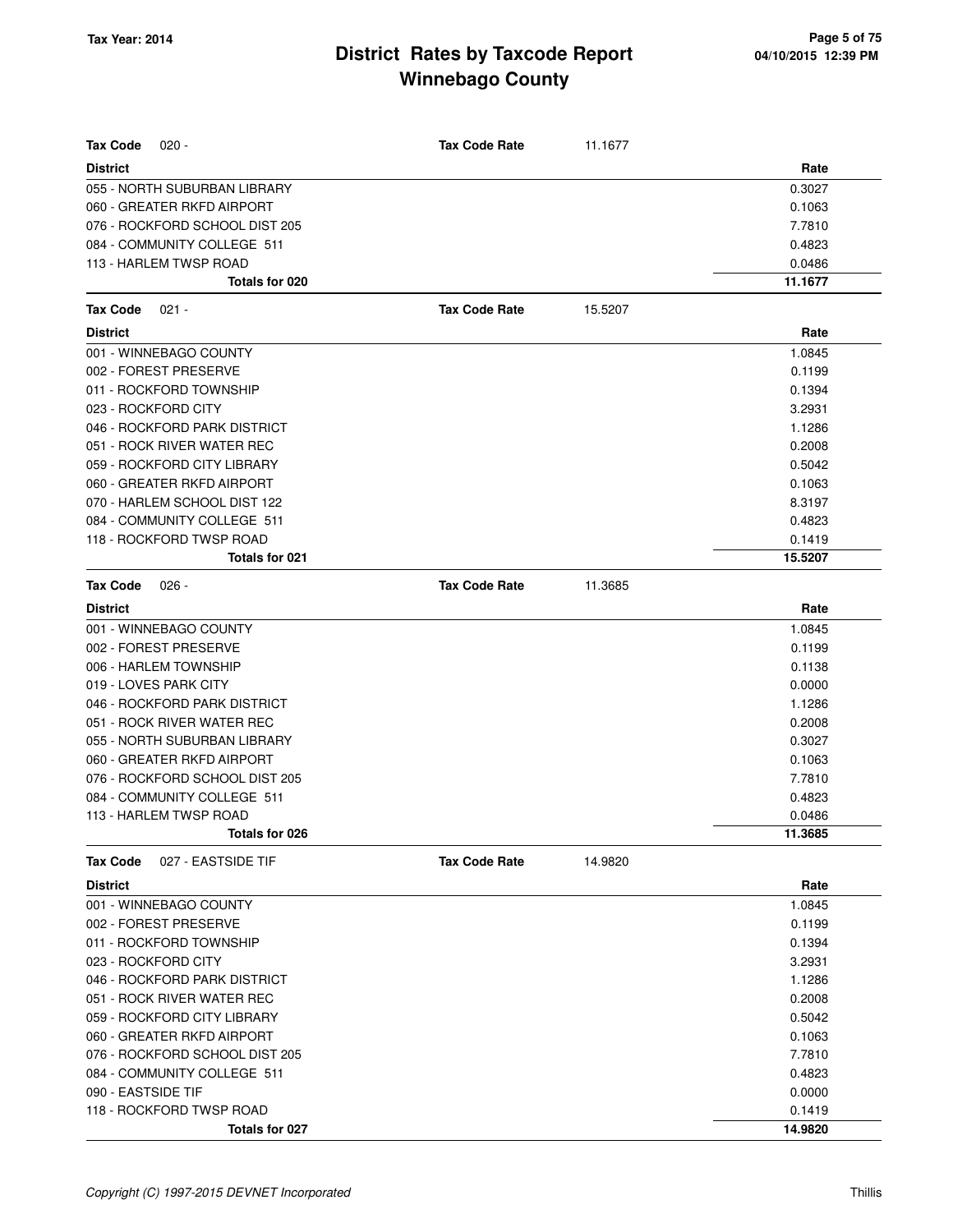| <b>Tax Code</b><br>$020 -$            | <b>Tax Code Rate</b> | 11.1677 |         |
|---------------------------------------|----------------------|---------|---------|
| <b>District</b>                       |                      |         | Rate    |
| 055 - NORTH SUBURBAN LIBRARY          |                      |         | 0.3027  |
| 060 - GREATER RKFD AIRPORT            |                      |         | 0.1063  |
| 076 - ROCKFORD SCHOOL DIST 205        |                      |         | 7.7810  |
| 084 - COMMUNITY COLLEGE 511           |                      |         | 0.4823  |
| 113 - HARLEM TWSP ROAD                |                      |         | 0.0486  |
| Totals for 020                        |                      |         | 11.1677 |
| <b>Tax Code</b><br>$021 -$            | <b>Tax Code Rate</b> | 15.5207 |         |
| <b>District</b>                       |                      |         | Rate    |
| 001 - WINNEBAGO COUNTY                |                      |         | 1.0845  |
| 002 - FOREST PRESERVE                 |                      |         | 0.1199  |
| 011 - ROCKFORD TOWNSHIP               |                      |         | 0.1394  |
| 023 - ROCKFORD CITY                   |                      |         | 3.2931  |
| 046 - ROCKFORD PARK DISTRICT          |                      |         | 1.1286  |
| 051 - ROCK RIVER WATER REC            |                      |         | 0.2008  |
| 059 - ROCKFORD CITY LIBRARY           |                      |         | 0.5042  |
| 060 - GREATER RKFD AIRPORT            |                      |         | 0.1063  |
| 070 - HARLEM SCHOOL DIST 122          |                      |         | 8.3197  |
| 084 - COMMUNITY COLLEGE 511           |                      |         | 0.4823  |
| 118 - ROCKFORD TWSP ROAD              |                      |         | 0.1419  |
| Totals for 021                        |                      |         | 15.5207 |
| <b>Tax Code</b><br>$026 -$            | <b>Tax Code Rate</b> | 11.3685 |         |
| <b>District</b>                       |                      |         | Rate    |
| 001 - WINNEBAGO COUNTY                |                      |         | 1.0845  |
| 002 - FOREST PRESERVE                 |                      |         | 0.1199  |
| 006 - HARLEM TOWNSHIP                 |                      |         | 0.1138  |
| 019 - LOVES PARK CITY                 |                      |         | 0.0000  |
| 046 - ROCKFORD PARK DISTRICT          |                      |         | 1.1286  |
| 051 - ROCK RIVER WATER REC            |                      |         | 0.2008  |
| 055 - NORTH SUBURBAN LIBRARY          |                      |         | 0.3027  |
| 060 - GREATER RKFD AIRPORT            |                      |         | 0.1063  |
| 076 - ROCKFORD SCHOOL DIST 205        |                      |         | 7.7810  |
| 084 - COMMUNITY COLLEGE 511           |                      |         | 0.4823  |
| 113 - HARLEM TWSP ROAD                |                      |         | 0.0486  |
| Totals for 026                        |                      |         | 11.3685 |
| <b>Tax Code</b><br>027 - EASTSIDE TIF | <b>Tax Code Rate</b> | 14.9820 |         |
| <b>District</b>                       |                      |         | Rate    |
| 001 - WINNEBAGO COUNTY                |                      |         | 1.0845  |
| 002 - FOREST PRESERVE                 |                      |         | 0.1199  |
| 011 - ROCKFORD TOWNSHIP               |                      |         | 0.1394  |
| 023 - ROCKFORD CITY                   |                      |         | 3.2931  |
| 046 - ROCKFORD PARK DISTRICT          |                      |         | 1.1286  |
| 051 - ROCK RIVER WATER REC            |                      |         | 0.2008  |
| 059 - ROCKFORD CITY LIBRARY           |                      |         | 0.5042  |
| 060 - GREATER RKFD AIRPORT            |                      |         | 0.1063  |
| 076 - ROCKFORD SCHOOL DIST 205        |                      |         | 7.7810  |
| 084 - COMMUNITY COLLEGE 511           |                      |         | 0.4823  |
| 090 - EASTSIDE TIF                    |                      |         | 0.0000  |
| 118 - ROCKFORD TWSP ROAD              |                      |         | 0.1419  |
| Totals for 027                        |                      |         | 14.9820 |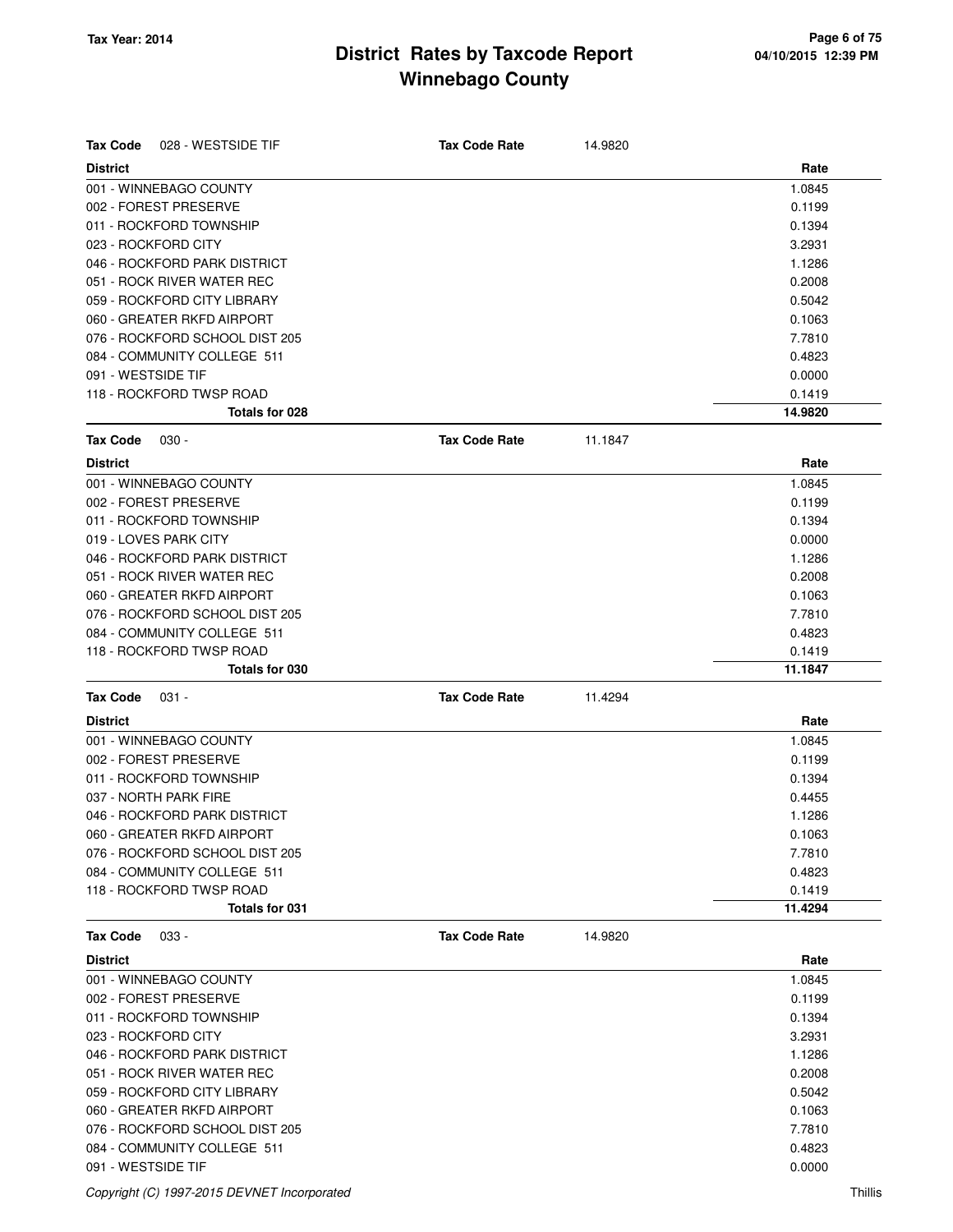| <b>Tax Code</b><br>028 - WESTSIDE TIF       | <b>Tax Code Rate</b> | 14.9820 |         |
|---------------------------------------------|----------------------|---------|---------|
| <b>District</b>                             |                      |         | Rate    |
| 001 - WINNEBAGO COUNTY                      |                      |         | 1.0845  |
| 002 - FOREST PRESERVE                       |                      |         | 0.1199  |
| 011 - ROCKFORD TOWNSHIP                     |                      |         | 0.1394  |
| 023 - ROCKFORD CITY                         |                      |         | 3.2931  |
| 046 - ROCKFORD PARK DISTRICT                |                      |         | 1.1286  |
| 051 - ROCK RIVER WATER REC                  |                      |         | 0.2008  |
| 059 - ROCKFORD CITY LIBRARY                 |                      |         | 0.5042  |
| 060 - GREATER RKFD AIRPORT                  |                      |         | 0.1063  |
| 076 - ROCKFORD SCHOOL DIST 205              |                      |         | 7.7810  |
| 084 - COMMUNITY COLLEGE 511                 |                      |         | 0.4823  |
| 091 - WESTSIDE TIF                          |                      |         | 0.0000  |
| 118 - ROCKFORD TWSP ROAD                    |                      |         | 0.1419  |
| Totals for 028                              |                      |         | 14.9820 |
| <b>Tax Code</b><br>$030 -$                  | <b>Tax Code Rate</b> | 11.1847 |         |
| <b>District</b>                             |                      |         | Rate    |
| 001 - WINNEBAGO COUNTY                      |                      |         | 1.0845  |
| 002 - FOREST PRESERVE                       |                      |         | 0.1199  |
| 011 - ROCKFORD TOWNSHIP                     |                      |         | 0.1394  |
| 019 - LOVES PARK CITY                       |                      |         | 0.0000  |
| 046 - ROCKFORD PARK DISTRICT                |                      |         | 1.1286  |
| 051 - ROCK RIVER WATER REC                  |                      |         | 0.2008  |
| 060 - GREATER RKFD AIRPORT                  |                      |         | 0.1063  |
| 076 - ROCKFORD SCHOOL DIST 205              |                      |         | 7.7810  |
| 084 - COMMUNITY COLLEGE 511                 |                      |         | 0.4823  |
| 118 - ROCKFORD TWSP ROAD                    |                      |         | 0.1419  |
| <b>Totals for 030</b>                       |                      |         | 11.1847 |
| <b>Tax Code</b><br>$031 -$                  | <b>Tax Code Rate</b> | 11.4294 |         |
| <b>District</b>                             |                      |         | Rate    |
| 001 - WINNEBAGO COUNTY                      |                      |         | 1.0845  |
| 002 - FOREST PRESERVE                       |                      |         | 0.1199  |
| 011 - ROCKFORD TOWNSHIP                     |                      |         | 0.1394  |
| 037 - NORTH PARK FIRE                       |                      |         | 0.4455  |
| 046 - ROCKFORD PARK DISTRICT                |                      |         | 1.1286  |
| 060 - GREATER RKFD AIRPORT                  |                      |         | 0.1063  |
| 076 - ROCKFORD SCHOOL DIST 205              |                      |         | 7.7810  |
| 084 - COMMUNITY COLLEGE 511                 |                      |         | 0.4823  |
| 118 - ROCKFORD TWSP ROAD                    |                      |         | 0.1419  |
| Totals for 031                              |                      |         | 11.4294 |
| <b>Tax Code</b><br>033 -                    | <b>Tax Code Rate</b> | 14.9820 |         |
| <b>District</b>                             |                      |         | Rate    |
| 001 - WINNEBAGO COUNTY                      |                      |         | 1.0845  |
| 002 - FOREST PRESERVE                       |                      |         | 0.1199  |
| 011 - ROCKFORD TOWNSHIP                     |                      |         | 0.1394  |
| 023 - ROCKFORD CITY                         |                      |         | 3.2931  |
| 046 - ROCKFORD PARK DISTRICT                |                      |         | 1.1286  |
| 051 - ROCK RIVER WATER REC                  |                      |         | 0.2008  |
| 059 - ROCKFORD CITY LIBRARY                 |                      |         | 0.5042  |
| 060 - GREATER RKFD AIRPORT                  |                      |         | 0.1063  |
| 076 - ROCKFORD SCHOOL DIST 205              |                      |         | 7.7810  |
| 084 - COMMUNITY COLLEGE 511                 |                      |         | 0.4823  |
| 091 - WESTSIDE TIF                          |                      |         | 0.0000  |
| Copyright (C) 1997-2015 DEVNET Incorporated |                      |         | Thillis |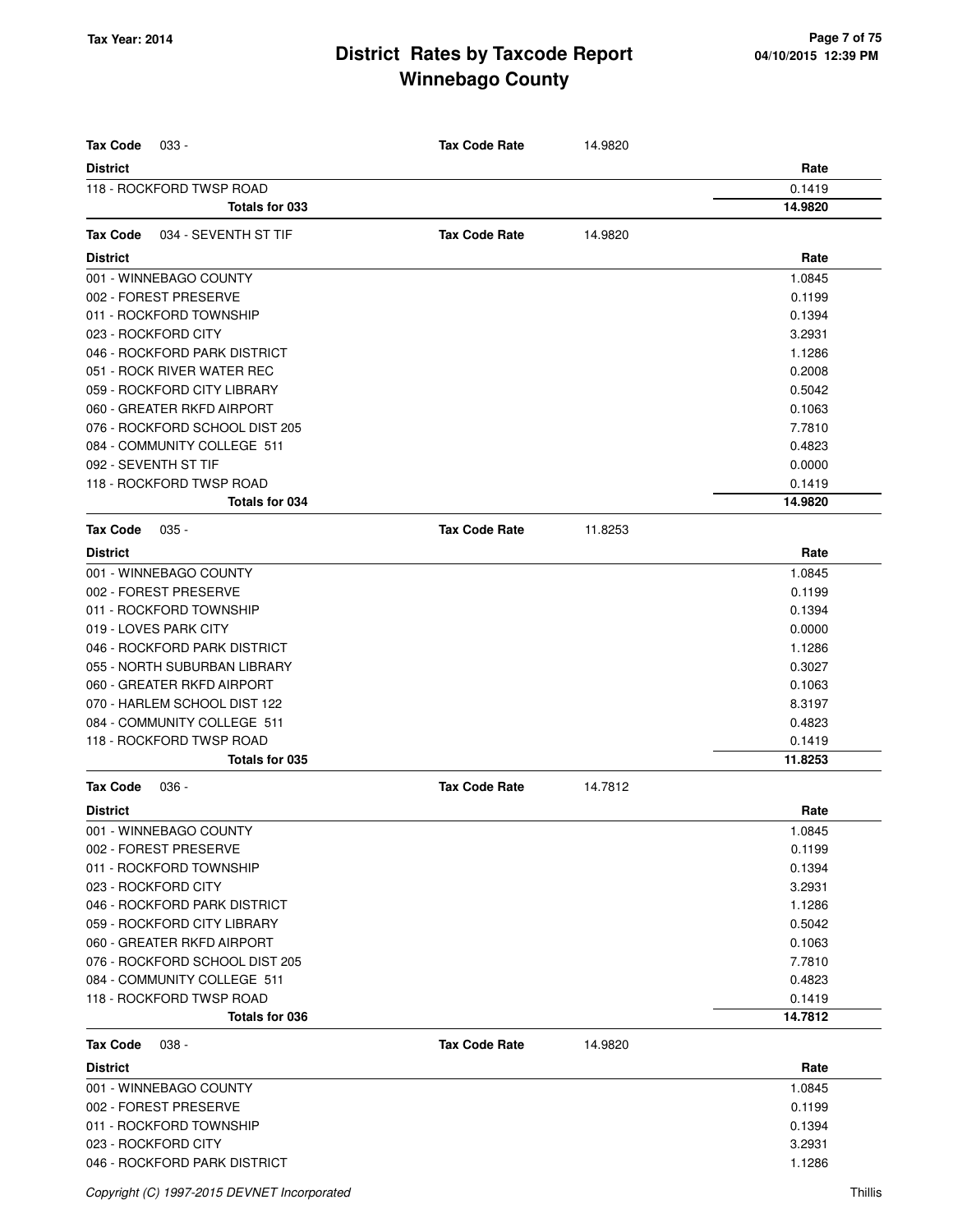| <b>Tax Code</b><br>$033 -$              | <b>Tax Code Rate</b> | 14.9820 |         |
|-----------------------------------------|----------------------|---------|---------|
| <b>District</b>                         |                      |         | Rate    |
| 118 - ROCKFORD TWSP ROAD                |                      |         | 0.1419  |
| Totals for 033                          |                      |         | 14.9820 |
|                                         |                      |         |         |
| <b>Tax Code</b><br>034 - SEVENTH ST TIF | <b>Tax Code Rate</b> | 14.9820 |         |
| <b>District</b>                         |                      |         | Rate    |
| 001 - WINNEBAGO COUNTY                  |                      |         | 1.0845  |
| 002 - FOREST PRESERVE                   |                      |         | 0.1199  |
| 011 - ROCKFORD TOWNSHIP                 |                      |         | 0.1394  |
| 023 - ROCKFORD CITY                     |                      |         | 3.2931  |
| 046 - ROCKFORD PARK DISTRICT            |                      |         | 1.1286  |
| 051 - ROCK RIVER WATER REC              |                      |         | 0.2008  |
| 059 - ROCKFORD CITY LIBRARY             |                      |         | 0.5042  |
| 060 - GREATER RKFD AIRPORT              |                      |         | 0.1063  |
| 076 - ROCKFORD SCHOOL DIST 205          |                      |         | 7.7810  |
| 084 - COMMUNITY COLLEGE 511             |                      |         | 0.4823  |
| 092 - SEVENTH ST TIF                    |                      |         | 0.0000  |
| 118 - ROCKFORD TWSP ROAD                |                      |         | 0.1419  |
| Totals for 034                          |                      |         | 14.9820 |
| <b>Tax Code</b><br>$035 -$              | <b>Tax Code Rate</b> | 11.8253 |         |
| <b>District</b>                         |                      |         | Rate    |
| 001 - WINNEBAGO COUNTY                  |                      |         | 1.0845  |
| 002 - FOREST PRESERVE                   |                      |         | 0.1199  |
| 011 - ROCKFORD TOWNSHIP                 |                      |         | 0.1394  |
| 019 - LOVES PARK CITY                   |                      |         | 0.0000  |
| 046 - ROCKFORD PARK DISTRICT            |                      |         | 1.1286  |
| 055 - NORTH SUBURBAN LIBRARY            |                      |         | 0.3027  |
| 060 - GREATER RKFD AIRPORT              |                      |         | 0.1063  |
| 070 - HARLEM SCHOOL DIST 122            |                      |         | 8.3197  |
| 084 - COMMUNITY COLLEGE 511             |                      |         | 0.4823  |
| 118 - ROCKFORD TWSP ROAD                |                      |         | 0.1419  |
| Totals for 035                          |                      |         | 11.8253 |
| <b>Tax Code</b><br>$036 -$              | <b>Tax Code Rate</b> | 14.7812 |         |
| <b>District</b>                         |                      |         | Rate    |
| 001 - WINNEBAGO COUNTY                  |                      |         | 1.0845  |
| 002 - FOREST PRESERVE                   |                      |         | 0.1199  |
| 011 - ROCKFORD TOWNSHIP                 |                      |         | 0.1394  |
| 023 - ROCKFORD CITY                     |                      |         | 3.2931  |
| 046 - ROCKFORD PARK DISTRICT            |                      |         | 1.1286  |
| 059 - ROCKFORD CITY LIBRARY             |                      |         | 0.5042  |
| 060 - GREATER RKFD AIRPORT              |                      |         | 0.1063  |
| 076 - ROCKFORD SCHOOL DIST 205          |                      |         | 7.7810  |
| 084 - COMMUNITY COLLEGE 511             |                      |         | 0.4823  |
| 118 - ROCKFORD TWSP ROAD                |                      |         | 0.1419  |
| Totals for 036                          |                      |         | 14.7812 |
| <b>Tax Code</b><br>$038 -$              | <b>Tax Code Rate</b> | 14.9820 |         |
| <b>District</b>                         |                      |         | Rate    |
| 001 - WINNEBAGO COUNTY                  |                      |         | 1.0845  |
| 002 - FOREST PRESERVE                   |                      |         | 0.1199  |
| 011 - ROCKFORD TOWNSHIP                 |                      |         | 0.1394  |
| 023 - ROCKFORD CITY                     |                      |         | 3.2931  |
| 046 - ROCKFORD PARK DISTRICT            |                      |         | 1.1286  |
|                                         |                      |         |         |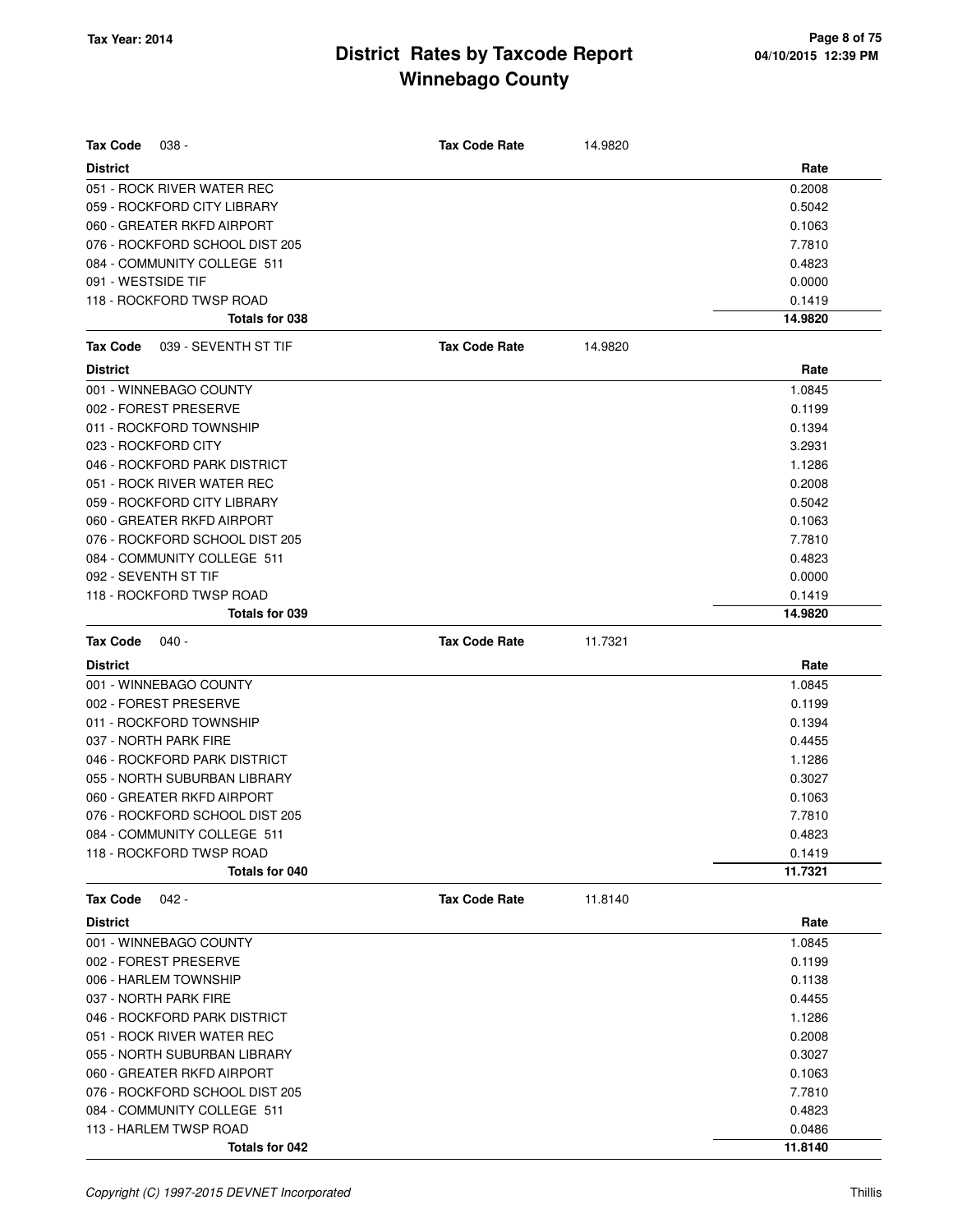| Tax Code<br>$038 -$              | <b>Tax Code Rate</b> | 14.9820 |         |
|----------------------------------|----------------------|---------|---------|
| <b>District</b>                  |                      |         | Rate    |
| 051 - ROCK RIVER WATER REC       |                      |         | 0.2008  |
| 059 - ROCKFORD CITY LIBRARY      |                      |         | 0.5042  |
| 060 - GREATER RKFD AIRPORT       |                      |         | 0.1063  |
| 076 - ROCKFORD SCHOOL DIST 205   |                      |         | 7.7810  |
| 084 - COMMUNITY COLLEGE 511      |                      |         | 0.4823  |
| 091 - WESTSIDE TIF               |                      |         | 0.0000  |
| 118 - ROCKFORD TWSP ROAD         |                      |         | 0.1419  |
| Totals for 038                   |                      |         | 14.9820 |
| Tax Code<br>039 - SEVENTH ST TIF | <b>Tax Code Rate</b> | 14.9820 |         |
| <b>District</b>                  |                      |         | Rate    |
| 001 - WINNEBAGO COUNTY           |                      |         | 1.0845  |
| 002 - FOREST PRESERVE            |                      |         | 0.1199  |
| 011 - ROCKFORD TOWNSHIP          |                      |         | 0.1394  |
| 023 - ROCKFORD CITY              |                      |         | 3.2931  |
| 046 - ROCKFORD PARK DISTRICT     |                      |         | 1.1286  |
| 051 - ROCK RIVER WATER REC       |                      |         | 0.2008  |
| 059 - ROCKFORD CITY LIBRARY      |                      |         | 0.5042  |
| 060 - GREATER RKFD AIRPORT       |                      |         | 0.1063  |
| 076 - ROCKFORD SCHOOL DIST 205   |                      |         | 7.7810  |
| 084 - COMMUNITY COLLEGE 511      |                      |         | 0.4823  |
| 092 - SEVENTH ST TIF             |                      |         | 0.0000  |
| 118 - ROCKFORD TWSP ROAD         |                      |         | 0.1419  |
| Totals for 039                   |                      |         | 14.9820 |
| <b>Tax Code</b><br>040 -         | <b>Tax Code Rate</b> | 11.7321 |         |
| <b>District</b>                  |                      |         | Rate    |
| 001 - WINNEBAGO COUNTY           |                      |         | 1.0845  |
| 002 - FOREST PRESERVE            |                      |         | 0.1199  |
| 011 - ROCKFORD TOWNSHIP          |                      |         | 0.1394  |
| 037 - NORTH PARK FIRE            |                      |         | 0.4455  |
| 046 - ROCKFORD PARK DISTRICT     |                      |         | 1.1286  |
| 055 - NORTH SUBURBAN LIBRARY     |                      |         | 0.3027  |
| 060 - GREATER RKFD AIRPORT       |                      |         | 0.1063  |
| 076 - ROCKFORD SCHOOL DIST 205   |                      |         | 7.7810  |
| 084 - COMMUNITY COLLEGE 511      |                      |         | 0.4823  |
| 118 - ROCKFORD TWSP ROAD         |                      |         | 0.1419  |
| Totals for 040                   |                      |         | 11.7321 |
| <b>Tax Code</b><br>042 -         | <b>Tax Code Rate</b> | 11.8140 |         |
| <b>District</b>                  |                      |         | Rate    |
| 001 - WINNEBAGO COUNTY           |                      |         | 1.0845  |
| 002 - FOREST PRESERVE            |                      |         | 0.1199  |
| 006 - HARLEM TOWNSHIP            |                      |         | 0.1138  |
| 037 - NORTH PARK FIRE            |                      |         | 0.4455  |
| 046 - ROCKFORD PARK DISTRICT     |                      |         | 1.1286  |
| 051 - ROCK RIVER WATER REC       |                      |         | 0.2008  |
| 055 - NORTH SUBURBAN LIBRARY     |                      |         | 0.3027  |
| 060 - GREATER RKFD AIRPORT       |                      |         | 0.1063  |
| 076 - ROCKFORD SCHOOL DIST 205   |                      |         | 7.7810  |
| 084 - COMMUNITY COLLEGE 511      |                      |         | 0.4823  |
| 113 - HARLEM TWSP ROAD           |                      |         | 0.0486  |
| Totals for 042                   |                      |         | 11.8140 |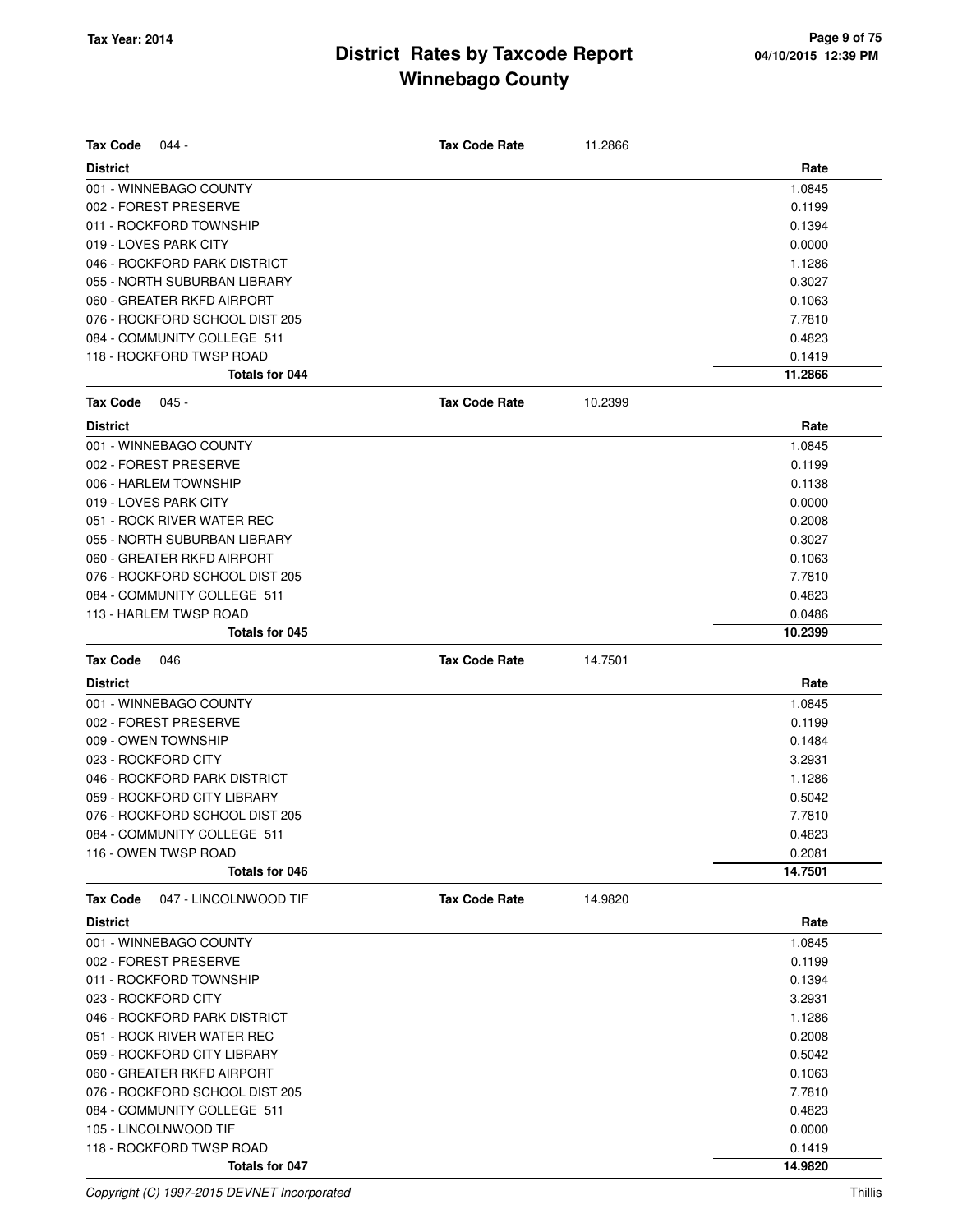| <b>Tax Code</b>       | 044 -                          | <b>Tax Code Rate</b> | 11.2866 |         |
|-----------------------|--------------------------------|----------------------|---------|---------|
| <b>District</b>       |                                |                      |         | Rate    |
|                       | 001 - WINNEBAGO COUNTY         |                      |         | 1.0845  |
| 002 - FOREST PRESERVE |                                |                      |         | 0.1199  |
|                       | 011 - ROCKFORD TOWNSHIP        |                      |         | 0.1394  |
| 019 - LOVES PARK CITY |                                |                      |         | 0.0000  |
|                       | 046 - ROCKFORD PARK DISTRICT   |                      |         | 1.1286  |
|                       | 055 - NORTH SUBURBAN LIBRARY   |                      |         | 0.3027  |
|                       | 060 - GREATER RKFD AIRPORT     |                      |         | 0.1063  |
|                       | 076 - ROCKFORD SCHOOL DIST 205 |                      |         | 7.7810  |
|                       | 084 - COMMUNITY COLLEGE 511    |                      |         | 0.4823  |
|                       | 118 - ROCKFORD TWSP ROAD       |                      |         | 0.1419  |
|                       | Totals for 044                 |                      |         | 11.2866 |
| <b>Tax Code</b>       | $045 -$                        | <b>Tax Code Rate</b> | 10.2399 |         |
| <b>District</b>       |                                |                      |         | Rate    |
|                       | 001 - WINNEBAGO COUNTY         |                      |         | 1.0845  |
| 002 - FOREST PRESERVE |                                |                      |         | 0.1199  |
| 006 - HARLEM TOWNSHIP |                                |                      |         | 0.1138  |
| 019 - LOVES PARK CITY |                                |                      |         | 0.0000  |
|                       | 051 - ROCK RIVER WATER REC     |                      |         | 0.2008  |
|                       | 055 - NORTH SUBURBAN LIBRARY   |                      |         | 0.3027  |
|                       | 060 - GREATER RKFD AIRPORT     |                      |         | 0.1063  |
|                       | 076 - ROCKFORD SCHOOL DIST 205 |                      |         | 7.7810  |
|                       | 084 - COMMUNITY COLLEGE 511    |                      |         | 0.4823  |
|                       | 113 - HARLEM TWSP ROAD         |                      |         | 0.0486  |
|                       | Totals for 045                 |                      |         | 10.2399 |
| <b>Tax Code</b>       | 046                            | <b>Tax Code Rate</b> | 14.7501 |         |
| <b>District</b>       |                                |                      |         | Rate    |
|                       | 001 - WINNEBAGO COUNTY         |                      |         | 1.0845  |
| 002 - FOREST PRESERVE |                                |                      |         | 0.1199  |
| 009 - OWEN TOWNSHIP   |                                |                      |         | 0.1484  |
| 023 - ROCKFORD CITY   |                                |                      |         | 3.2931  |
|                       | 046 - ROCKFORD PARK DISTRICT   |                      |         | 1.1286  |
|                       | 059 - ROCKFORD CITY LIBRARY    |                      |         | 0.5042  |
|                       | 076 - ROCKFORD SCHOOL DIST 205 |                      |         |         |
|                       |                                |                      |         | 7.7810  |
|                       | 084 - COMMUNITY COLLEGE 511    |                      |         | 0.4823  |
| 116 - OWEN TWSP ROAD  |                                |                      |         | 0.2081  |
|                       | Totals for 046                 |                      |         | 14.7501 |
| <b>Tax Code</b>       | 047 - LINCOLNWOOD TIF          | <b>Tax Code Rate</b> | 14.9820 |         |
| <b>District</b>       |                                |                      |         | Rate    |
|                       | 001 - WINNEBAGO COUNTY         |                      |         | 1.0845  |
| 002 - FOREST PRESERVE |                                |                      |         | 0.1199  |
|                       | 011 - ROCKFORD TOWNSHIP        |                      |         | 0.1394  |
| 023 - ROCKFORD CITY   |                                |                      |         | 3.2931  |
|                       | 046 - ROCKFORD PARK DISTRICT   |                      |         | 1.1286  |
|                       | 051 - ROCK RIVER WATER REC     |                      |         | 0.2008  |
|                       | 059 - ROCKFORD CITY LIBRARY    |                      |         | 0.5042  |
|                       | 060 - GREATER RKFD AIRPORT     |                      |         | 0.1063  |
|                       | 076 - ROCKFORD SCHOOL DIST 205 |                      |         | 7.7810  |
|                       | 084 - COMMUNITY COLLEGE 511    |                      |         | 0.4823  |
| 105 - LINCOLNWOOD TIF |                                |                      |         | 0.0000  |
|                       | 118 - ROCKFORD TWSP ROAD       |                      |         | 0.1419  |

Copyright (C) 1997-2015 DEVNET Incorporated Thillis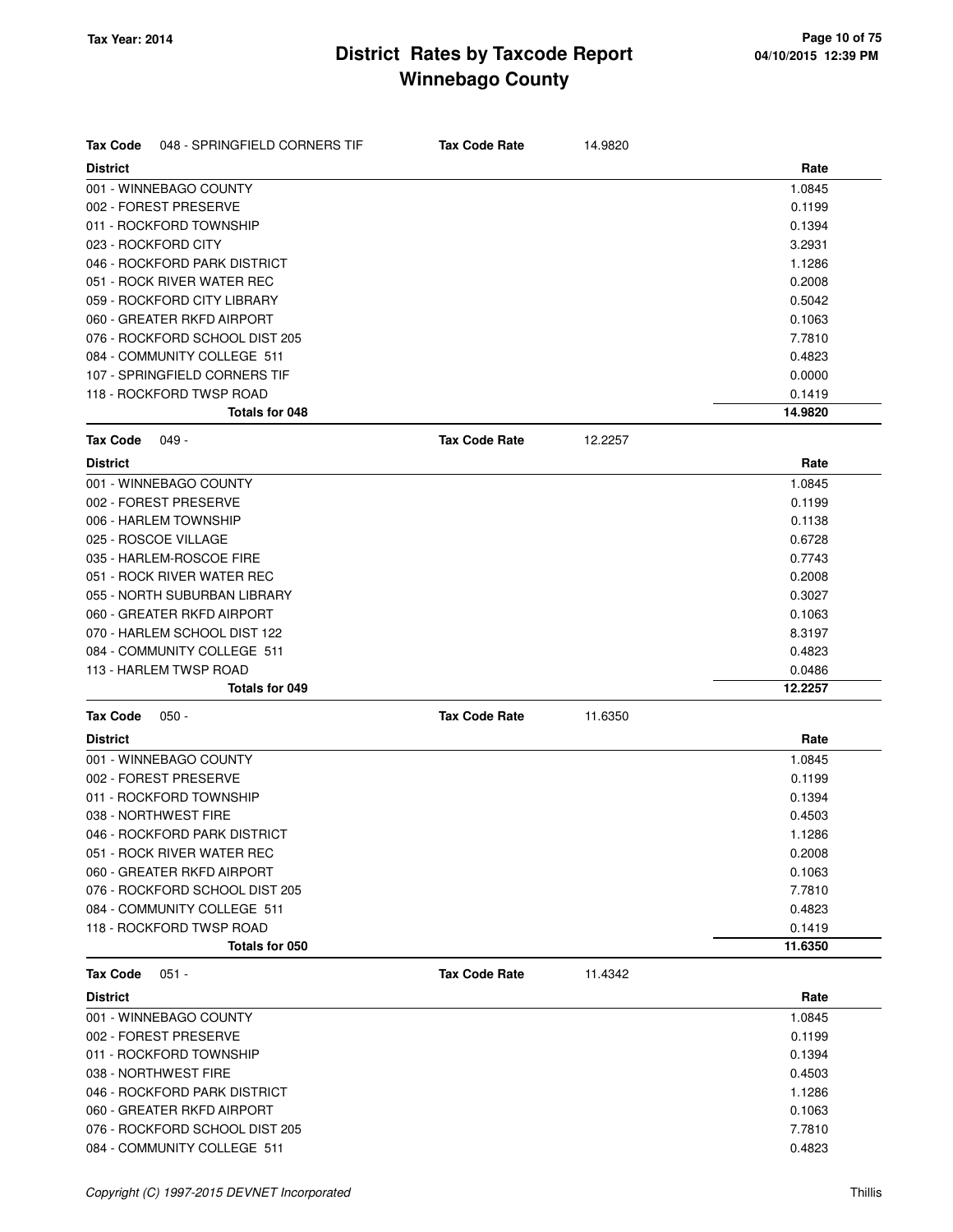| <b>Tax Code</b><br>048 - SPRINGFIELD CORNERS TIF | <b>Tax Code Rate</b> | 14.9820 |         |
|--------------------------------------------------|----------------------|---------|---------|
| <b>District</b>                                  |                      |         | Rate    |
| 001 - WINNEBAGO COUNTY                           |                      |         | 1.0845  |
| 002 - FOREST PRESERVE                            |                      |         | 0.1199  |
| 011 - ROCKFORD TOWNSHIP                          |                      |         | 0.1394  |
| 023 - ROCKFORD CITY                              |                      |         | 3.2931  |
| 046 - ROCKFORD PARK DISTRICT                     |                      |         | 1.1286  |
| 051 - ROCK RIVER WATER REC                       |                      |         | 0.2008  |
| 059 - ROCKFORD CITY LIBRARY                      |                      |         | 0.5042  |
| 060 - GREATER RKFD AIRPORT                       |                      |         | 0.1063  |
| 076 - ROCKFORD SCHOOL DIST 205                   |                      |         | 7.7810  |
| 084 - COMMUNITY COLLEGE 511                      |                      |         | 0.4823  |
| 107 - SPRINGFIELD CORNERS TIF                    |                      |         | 0.0000  |
| 118 - ROCKFORD TWSP ROAD                         |                      |         | 0.1419  |
| Totals for 048                                   |                      |         | 14.9820 |
| <b>Tax Code</b><br>049 -                         | <b>Tax Code Rate</b> | 12.2257 |         |
| <b>District</b>                                  |                      |         | Rate    |
| 001 - WINNEBAGO COUNTY                           |                      |         | 1.0845  |
| 002 - FOREST PRESERVE                            |                      |         | 0.1199  |
| 006 - HARLEM TOWNSHIP                            |                      |         | 0.1138  |
| 025 - ROSCOE VILLAGE                             |                      |         | 0.6728  |
| 035 - HARLEM-ROSCOE FIRE                         |                      |         | 0.7743  |
| 051 - ROCK RIVER WATER REC                       |                      |         | 0.2008  |
| 055 - NORTH SUBURBAN LIBRARY                     |                      |         | 0.3027  |
| 060 - GREATER RKFD AIRPORT                       |                      |         | 0.1063  |
| 070 - HARLEM SCHOOL DIST 122                     |                      |         | 8.3197  |
| 084 - COMMUNITY COLLEGE 511                      |                      |         | 0.4823  |
| 113 - HARLEM TWSP ROAD                           |                      |         | 0.0486  |
| Totals for 049                                   |                      |         | 12.2257 |
| <b>Tax Code</b><br>$050 -$                       | <b>Tax Code Rate</b> | 11.6350 |         |
| <b>District</b>                                  |                      |         | Rate    |
| 001 - WINNEBAGO COUNTY                           |                      |         | 1.0845  |
| 002 - FOREST PRESERVE                            |                      |         | 0.1199  |
| 011 - ROCKFORD TOWNSHIP                          |                      |         | 0.1394  |
| 038 - NORTHWEST FIRE                             |                      |         | 0.4503  |
| 046 - ROCKFORD PARK DISTRICT                     |                      |         | 1.1286  |
| 051 - ROCK RIVER WATER REC                       |                      |         | 0.2008  |
| 060 - GREATER RKFD AIRPORT                       |                      |         | 0.1063  |
| 076 - ROCKFORD SCHOOL DIST 205                   |                      |         | 7.7810  |
| 084 - COMMUNITY COLLEGE 511                      |                      |         | 0.4823  |
| 118 - ROCKFORD TWSP ROAD                         |                      |         | 0.1419  |
| Totals for 050                                   |                      |         | 11.6350 |
| <b>Tax Code</b><br>$051 -$                       | <b>Tax Code Rate</b> | 11.4342 |         |
| <b>District</b>                                  |                      |         | Rate    |
| 001 - WINNEBAGO COUNTY                           |                      |         | 1.0845  |
| 002 - FOREST PRESERVE                            |                      |         | 0.1199  |
| 011 - ROCKFORD TOWNSHIP                          |                      |         | 0.1394  |
| 038 - NORTHWEST FIRE                             |                      |         | 0.4503  |
| 046 - ROCKFORD PARK DISTRICT                     |                      |         | 1.1286  |
| 060 - GREATER RKFD AIRPORT                       |                      |         | 0.1063  |
| 076 - ROCKFORD SCHOOL DIST 205                   |                      |         | 7.7810  |
| 084 - COMMUNITY COLLEGE 511                      |                      |         | 0.4823  |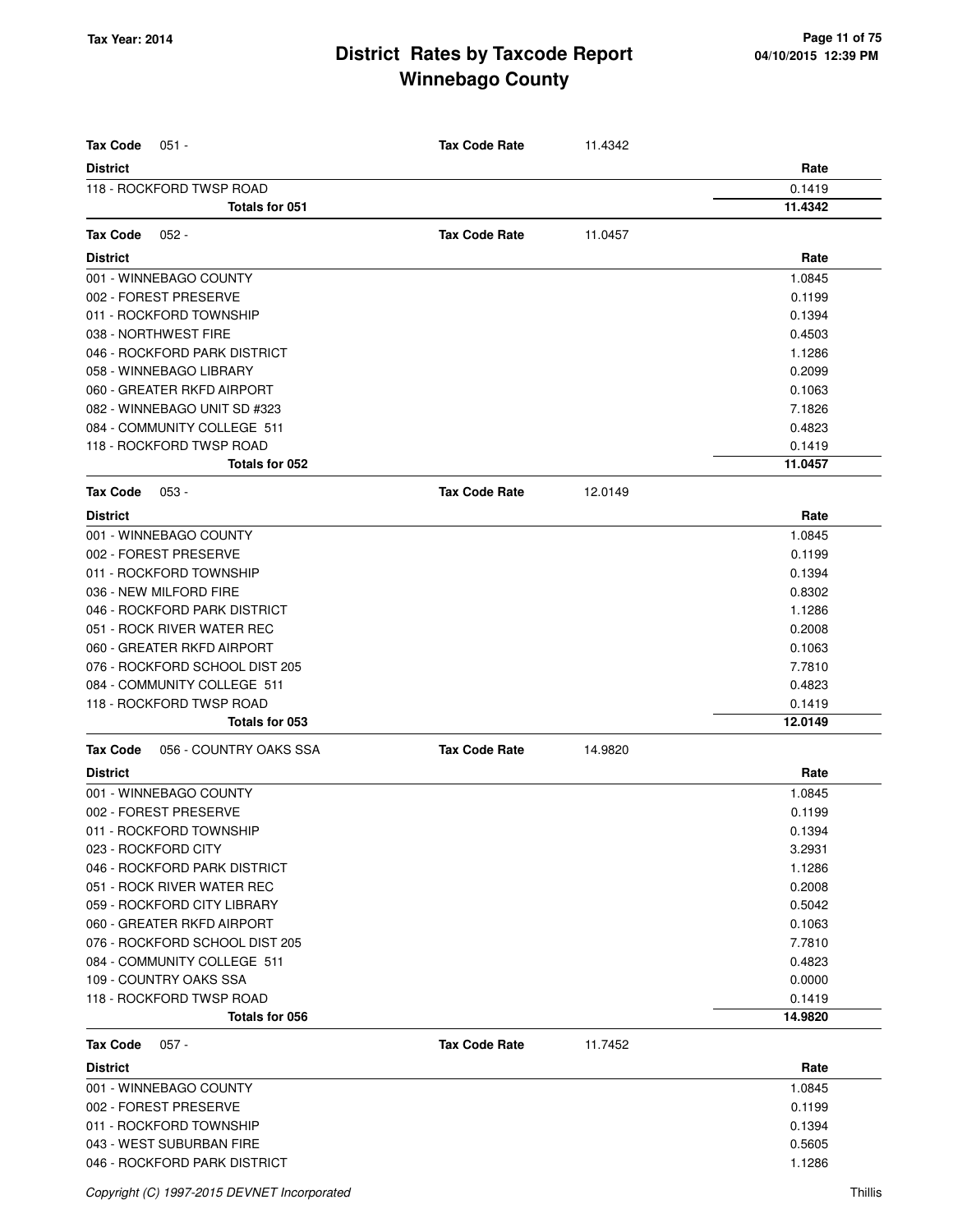| <b>Tax Code</b><br>$051 -$                | <b>Tax Code Rate</b> | 11.4342 |         |
|-------------------------------------------|----------------------|---------|---------|
| <b>District</b>                           |                      |         | Rate    |
| 118 - ROCKFORD TWSP ROAD                  |                      |         | 0.1419  |
| <b>Totals for 051</b>                     |                      |         | 11.4342 |
| <b>Tax Code</b><br>$052 -$                | <b>Tax Code Rate</b> | 11.0457 |         |
|                                           |                      |         | Rate    |
| <b>District</b><br>001 - WINNEBAGO COUNTY |                      |         | 1.0845  |
| 002 - FOREST PRESERVE                     |                      |         | 0.1199  |
| 011 - ROCKFORD TOWNSHIP                   |                      |         | 0.1394  |
| 038 - NORTHWEST FIRE                      |                      |         | 0.4503  |
| 046 - ROCKFORD PARK DISTRICT              |                      |         | 1.1286  |
| 058 - WINNEBAGO LIBRARY                   |                      |         | 0.2099  |
| 060 - GREATER RKFD AIRPORT                |                      |         | 0.1063  |
| 082 - WINNEBAGO UNIT SD #323              |                      |         | 7.1826  |
| 084 - COMMUNITY COLLEGE 511               |                      |         | 0.4823  |
| 118 - ROCKFORD TWSP ROAD                  |                      |         | 0.1419  |
| Totals for 052                            |                      |         | 11.0457 |
| <b>Tax Code</b><br>$053 -$                | <b>Tax Code Rate</b> | 12.0149 |         |
| <b>District</b>                           |                      |         | Rate    |
| 001 - WINNEBAGO COUNTY                    |                      |         | 1.0845  |
| 002 - FOREST PRESERVE                     |                      |         | 0.1199  |
| 011 - ROCKFORD TOWNSHIP                   |                      |         | 0.1394  |
| 036 - NEW MILFORD FIRE                    |                      |         | 0.8302  |
| 046 - ROCKFORD PARK DISTRICT              |                      |         | 1.1286  |
| 051 - ROCK RIVER WATER REC                |                      |         | 0.2008  |
| 060 - GREATER RKFD AIRPORT                |                      |         | 0.1063  |
| 076 - ROCKFORD SCHOOL DIST 205            |                      |         | 7.7810  |
| 084 - COMMUNITY COLLEGE 511               |                      |         | 0.4823  |
| 118 - ROCKFORD TWSP ROAD                  |                      |         | 0.1419  |
| Totals for 053                            |                      |         | 12.0149 |
| <b>Tax Code</b><br>056 - COUNTRY OAKS SSA | <b>Tax Code Rate</b> | 14.9820 |         |
| <b>District</b>                           |                      |         | Rate    |
| 001 - WINNEBAGO COUNTY                    |                      |         | 1.0845  |
| 002 - FOREST PRESERVE                     |                      |         | 0.1199  |
| 011 - ROCKFORD TOWNSHIP                   |                      |         | 0.1394  |
| 023 - ROCKFORD CITY                       |                      |         | 3.2931  |
| 046 - ROCKFORD PARK DISTRICT              |                      |         | 1.1286  |
| 051 - ROCK RIVER WATER REC                |                      |         | 0.2008  |
| 059 - ROCKFORD CITY LIBRARY               |                      |         | 0.5042  |
| 060 - GREATER RKFD AIRPORT                |                      |         | 0.1063  |
| 076 - ROCKFORD SCHOOL DIST 205            |                      |         | 7.7810  |
| 084 - COMMUNITY COLLEGE 511               |                      |         | 0.4823  |
| 109 - COUNTRY OAKS SSA                    |                      |         | 0.0000  |
| 118 - ROCKFORD TWSP ROAD                  |                      |         | 0.1419  |
| Totals for 056                            |                      |         | 14.9820 |
| <b>Tax Code</b><br>$057 -$                | <b>Tax Code Rate</b> | 11.7452 |         |
| <b>District</b>                           |                      |         | Rate    |
| 001 - WINNEBAGO COUNTY                    |                      |         | 1.0845  |
| 002 - FOREST PRESERVE                     |                      |         | 0.1199  |
| 011 - ROCKFORD TOWNSHIP                   |                      |         | 0.1394  |
| 043 - WEST SUBURBAN FIRE                  |                      |         | 0.5605  |
| 046 - ROCKFORD PARK DISTRICT              |                      |         | 1.1286  |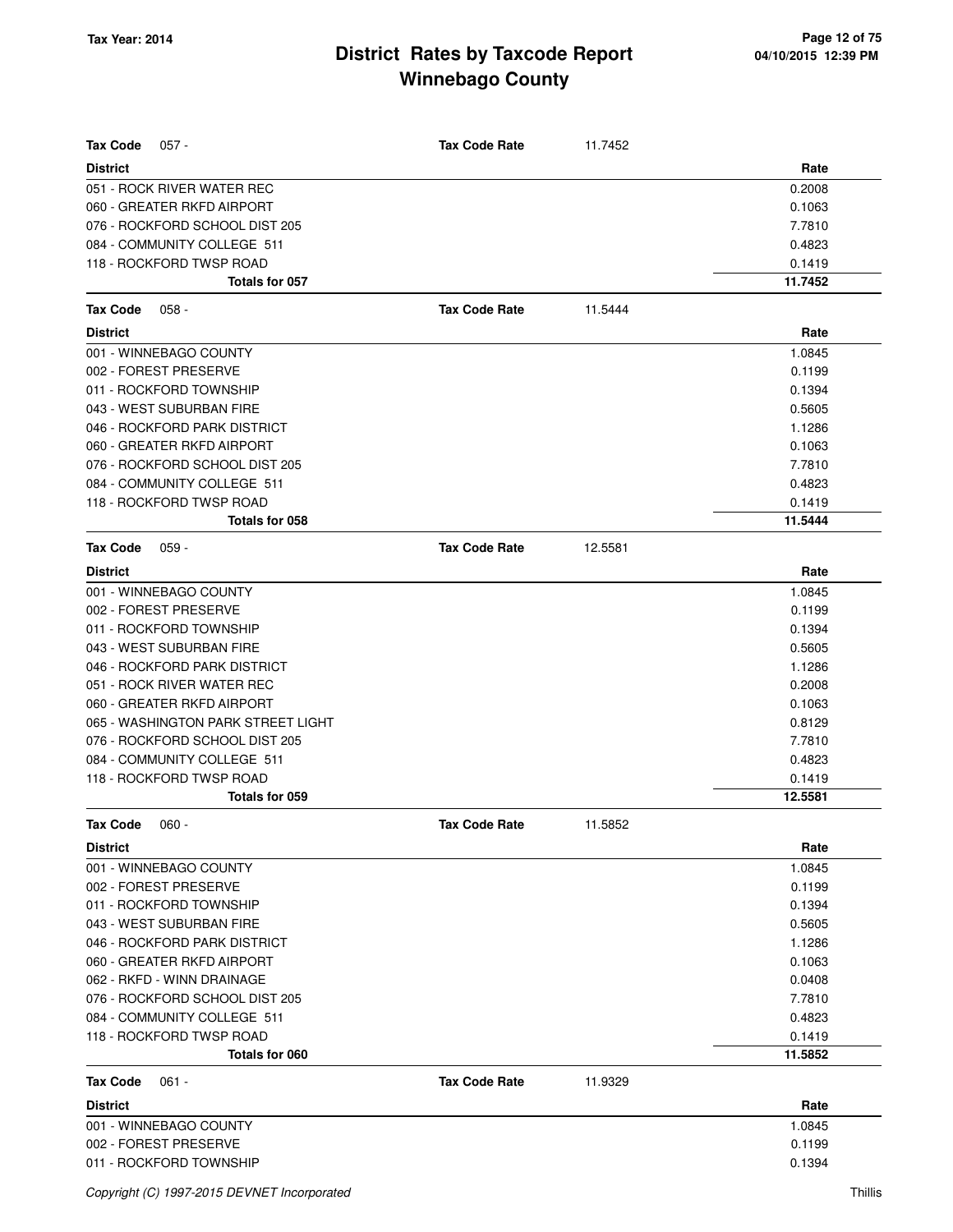| Rate<br><b>District</b><br>0.2008<br>051 - ROCK RIVER WATER REC<br>060 - GREATER RKFD AIRPORT<br>0.1063<br>076 - ROCKFORD SCHOOL DIST 205<br>7.7810<br>084 - COMMUNITY COLLEGE 511<br>0.4823<br>118 - ROCKFORD TWSP ROAD<br>0.1419<br>Totals for 057<br>11.7452<br><b>Tax Code</b><br>$058 -$<br><b>Tax Code Rate</b><br>11.5444<br><b>District</b><br>Rate<br>001 - WINNEBAGO COUNTY<br>1.0845<br>002 - FOREST PRESERVE<br>0.1199<br>011 - ROCKFORD TOWNSHIP<br>0.1394<br>043 - WEST SUBURBAN FIRE<br>0.5605<br>046 - ROCKFORD PARK DISTRICT<br>1.1286<br>060 - GREATER RKFD AIRPORT<br>0.1063<br>076 - ROCKFORD SCHOOL DIST 205<br>7.7810<br>084 - COMMUNITY COLLEGE 511<br>0.4823<br>118 - ROCKFORD TWSP ROAD<br>0.1419<br>11.5444<br>Totals for 058<br><b>Tax Code Rate</b><br>12.5581<br>Tax Code<br>059 -<br>Rate<br><b>District</b><br>001 - WINNEBAGO COUNTY<br>1.0845<br>002 - FOREST PRESERVE<br>0.1199<br>011 - ROCKFORD TOWNSHIP<br>0.1394<br>043 - WEST SUBURBAN FIRE<br>0.5605<br>046 - ROCKFORD PARK DISTRICT<br>1.1286<br>051 - ROCK RIVER WATER REC<br>0.2008<br>060 - GREATER RKFD AIRPORT<br>0.1063<br>065 - WASHINGTON PARK STREET LIGHT<br>0.8129<br>076 - ROCKFORD SCHOOL DIST 205<br>7.7810<br>084 - COMMUNITY COLLEGE 511<br>0.4823<br>118 - ROCKFORD TWSP ROAD<br>0.1419<br><b>Totals for 059</b><br>12.5581<br>Tax Code<br>060 -<br><b>Tax Code Rate</b><br>11.5852<br>Rate<br><b>District</b><br>1.0845<br>001 - WINNEBAGO COUNTY<br>0.1199<br>002 - FOREST PRESERVE<br>011 - ROCKFORD TOWNSHIP<br>0.1394<br>043 - WEST SUBURBAN FIRE<br>0.5605<br>046 - ROCKFORD PARK DISTRICT<br>1.1286<br>060 - GREATER RKFD AIRPORT<br>0.1063<br>062 - RKFD - WINN DRAINAGE<br>0.0408<br>076 - ROCKFORD SCHOOL DIST 205<br>7.7810<br>084 - COMMUNITY COLLEGE 511<br>0.4823<br>118 - ROCKFORD TWSP ROAD<br>0.1419<br>11.5852<br>Totals for 060<br><b>Tax Code</b><br><b>Tax Code Rate</b><br>11.9329<br>$061 -$<br>Rate<br><b>District</b><br>001 - WINNEBAGO COUNTY<br>1.0845<br>002 - FOREST PRESERVE<br>0.1199<br>011 - ROCKFORD TOWNSHIP<br>0.1394 | <b>Tax Code</b><br>$057 -$ | <b>Tax Code Rate</b> | 11.7452 |  |
|----------------------------------------------------------------------------------------------------------------------------------------------------------------------------------------------------------------------------------------------------------------------------------------------------------------------------------------------------------------------------------------------------------------------------------------------------------------------------------------------------------------------------------------------------------------------------------------------------------------------------------------------------------------------------------------------------------------------------------------------------------------------------------------------------------------------------------------------------------------------------------------------------------------------------------------------------------------------------------------------------------------------------------------------------------------------------------------------------------------------------------------------------------------------------------------------------------------------------------------------------------------------------------------------------------------------------------------------------------------------------------------------------------------------------------------------------------------------------------------------------------------------------------------------------------------------------------------------------------------------------------------------------------------------------------------------------------------------------------------------------------------------------------------------------------------------------------------------------------------------------------------------------------------------------------------------------------------------------------------------------------------------------------------------------------------------|----------------------------|----------------------|---------|--|
|                                                                                                                                                                                                                                                                                                                                                                                                                                                                                                                                                                                                                                                                                                                                                                                                                                                                                                                                                                                                                                                                                                                                                                                                                                                                                                                                                                                                                                                                                                                                                                                                                                                                                                                                                                                                                                                                                                                                                                                                                                                                      |                            |                      |         |  |
|                                                                                                                                                                                                                                                                                                                                                                                                                                                                                                                                                                                                                                                                                                                                                                                                                                                                                                                                                                                                                                                                                                                                                                                                                                                                                                                                                                                                                                                                                                                                                                                                                                                                                                                                                                                                                                                                                                                                                                                                                                                                      |                            |                      |         |  |
|                                                                                                                                                                                                                                                                                                                                                                                                                                                                                                                                                                                                                                                                                                                                                                                                                                                                                                                                                                                                                                                                                                                                                                                                                                                                                                                                                                                                                                                                                                                                                                                                                                                                                                                                                                                                                                                                                                                                                                                                                                                                      |                            |                      |         |  |
|                                                                                                                                                                                                                                                                                                                                                                                                                                                                                                                                                                                                                                                                                                                                                                                                                                                                                                                                                                                                                                                                                                                                                                                                                                                                                                                                                                                                                                                                                                                                                                                                                                                                                                                                                                                                                                                                                                                                                                                                                                                                      |                            |                      |         |  |
|                                                                                                                                                                                                                                                                                                                                                                                                                                                                                                                                                                                                                                                                                                                                                                                                                                                                                                                                                                                                                                                                                                                                                                                                                                                                                                                                                                                                                                                                                                                                                                                                                                                                                                                                                                                                                                                                                                                                                                                                                                                                      |                            |                      |         |  |
|                                                                                                                                                                                                                                                                                                                                                                                                                                                                                                                                                                                                                                                                                                                                                                                                                                                                                                                                                                                                                                                                                                                                                                                                                                                                                                                                                                                                                                                                                                                                                                                                                                                                                                                                                                                                                                                                                                                                                                                                                                                                      |                            |                      |         |  |
|                                                                                                                                                                                                                                                                                                                                                                                                                                                                                                                                                                                                                                                                                                                                                                                                                                                                                                                                                                                                                                                                                                                                                                                                                                                                                                                                                                                                                                                                                                                                                                                                                                                                                                                                                                                                                                                                                                                                                                                                                                                                      |                            |                      |         |  |
|                                                                                                                                                                                                                                                                                                                                                                                                                                                                                                                                                                                                                                                                                                                                                                                                                                                                                                                                                                                                                                                                                                                                                                                                                                                                                                                                                                                                                                                                                                                                                                                                                                                                                                                                                                                                                                                                                                                                                                                                                                                                      |                            |                      |         |  |
|                                                                                                                                                                                                                                                                                                                                                                                                                                                                                                                                                                                                                                                                                                                                                                                                                                                                                                                                                                                                                                                                                                                                                                                                                                                                                                                                                                                                                                                                                                                                                                                                                                                                                                                                                                                                                                                                                                                                                                                                                                                                      |                            |                      |         |  |
|                                                                                                                                                                                                                                                                                                                                                                                                                                                                                                                                                                                                                                                                                                                                                                                                                                                                                                                                                                                                                                                                                                                                                                                                                                                                                                                                                                                                                                                                                                                                                                                                                                                                                                                                                                                                                                                                                                                                                                                                                                                                      |                            |                      |         |  |
|                                                                                                                                                                                                                                                                                                                                                                                                                                                                                                                                                                                                                                                                                                                                                                                                                                                                                                                                                                                                                                                                                                                                                                                                                                                                                                                                                                                                                                                                                                                                                                                                                                                                                                                                                                                                                                                                                                                                                                                                                                                                      |                            |                      |         |  |
|                                                                                                                                                                                                                                                                                                                                                                                                                                                                                                                                                                                                                                                                                                                                                                                                                                                                                                                                                                                                                                                                                                                                                                                                                                                                                                                                                                                                                                                                                                                                                                                                                                                                                                                                                                                                                                                                                                                                                                                                                                                                      |                            |                      |         |  |
|                                                                                                                                                                                                                                                                                                                                                                                                                                                                                                                                                                                                                                                                                                                                                                                                                                                                                                                                                                                                                                                                                                                                                                                                                                                                                                                                                                                                                                                                                                                                                                                                                                                                                                                                                                                                                                                                                                                                                                                                                                                                      |                            |                      |         |  |
|                                                                                                                                                                                                                                                                                                                                                                                                                                                                                                                                                                                                                                                                                                                                                                                                                                                                                                                                                                                                                                                                                                                                                                                                                                                                                                                                                                                                                                                                                                                                                                                                                                                                                                                                                                                                                                                                                                                                                                                                                                                                      |                            |                      |         |  |
|                                                                                                                                                                                                                                                                                                                                                                                                                                                                                                                                                                                                                                                                                                                                                                                                                                                                                                                                                                                                                                                                                                                                                                                                                                                                                                                                                                                                                                                                                                                                                                                                                                                                                                                                                                                                                                                                                                                                                                                                                                                                      |                            |                      |         |  |
|                                                                                                                                                                                                                                                                                                                                                                                                                                                                                                                                                                                                                                                                                                                                                                                                                                                                                                                                                                                                                                                                                                                                                                                                                                                                                                                                                                                                                                                                                                                                                                                                                                                                                                                                                                                                                                                                                                                                                                                                                                                                      |                            |                      |         |  |
|                                                                                                                                                                                                                                                                                                                                                                                                                                                                                                                                                                                                                                                                                                                                                                                                                                                                                                                                                                                                                                                                                                                                                                                                                                                                                                                                                                                                                                                                                                                                                                                                                                                                                                                                                                                                                                                                                                                                                                                                                                                                      |                            |                      |         |  |
|                                                                                                                                                                                                                                                                                                                                                                                                                                                                                                                                                                                                                                                                                                                                                                                                                                                                                                                                                                                                                                                                                                                                                                                                                                                                                                                                                                                                                                                                                                                                                                                                                                                                                                                                                                                                                                                                                                                                                                                                                                                                      |                            |                      |         |  |
|                                                                                                                                                                                                                                                                                                                                                                                                                                                                                                                                                                                                                                                                                                                                                                                                                                                                                                                                                                                                                                                                                                                                                                                                                                                                                                                                                                                                                                                                                                                                                                                                                                                                                                                                                                                                                                                                                                                                                                                                                                                                      |                            |                      |         |  |
|                                                                                                                                                                                                                                                                                                                                                                                                                                                                                                                                                                                                                                                                                                                                                                                                                                                                                                                                                                                                                                                                                                                                                                                                                                                                                                                                                                                                                                                                                                                                                                                                                                                                                                                                                                                                                                                                                                                                                                                                                                                                      |                            |                      |         |  |
|                                                                                                                                                                                                                                                                                                                                                                                                                                                                                                                                                                                                                                                                                                                                                                                                                                                                                                                                                                                                                                                                                                                                                                                                                                                                                                                                                                                                                                                                                                                                                                                                                                                                                                                                                                                                                                                                                                                                                                                                                                                                      |                            |                      |         |  |
|                                                                                                                                                                                                                                                                                                                                                                                                                                                                                                                                                                                                                                                                                                                                                                                                                                                                                                                                                                                                                                                                                                                                                                                                                                                                                                                                                                                                                                                                                                                                                                                                                                                                                                                                                                                                                                                                                                                                                                                                                                                                      |                            |                      |         |  |
|                                                                                                                                                                                                                                                                                                                                                                                                                                                                                                                                                                                                                                                                                                                                                                                                                                                                                                                                                                                                                                                                                                                                                                                                                                                                                                                                                                                                                                                                                                                                                                                                                                                                                                                                                                                                                                                                                                                                                                                                                                                                      |                            |                      |         |  |
|                                                                                                                                                                                                                                                                                                                                                                                                                                                                                                                                                                                                                                                                                                                                                                                                                                                                                                                                                                                                                                                                                                                                                                                                                                                                                                                                                                                                                                                                                                                                                                                                                                                                                                                                                                                                                                                                                                                                                                                                                                                                      |                            |                      |         |  |
|                                                                                                                                                                                                                                                                                                                                                                                                                                                                                                                                                                                                                                                                                                                                                                                                                                                                                                                                                                                                                                                                                                                                                                                                                                                                                                                                                                                                                                                                                                                                                                                                                                                                                                                                                                                                                                                                                                                                                                                                                                                                      |                            |                      |         |  |
|                                                                                                                                                                                                                                                                                                                                                                                                                                                                                                                                                                                                                                                                                                                                                                                                                                                                                                                                                                                                                                                                                                                                                                                                                                                                                                                                                                                                                                                                                                                                                                                                                                                                                                                                                                                                                                                                                                                                                                                                                                                                      |                            |                      |         |  |
|                                                                                                                                                                                                                                                                                                                                                                                                                                                                                                                                                                                                                                                                                                                                                                                                                                                                                                                                                                                                                                                                                                                                                                                                                                                                                                                                                                                                                                                                                                                                                                                                                                                                                                                                                                                                                                                                                                                                                                                                                                                                      |                            |                      |         |  |
|                                                                                                                                                                                                                                                                                                                                                                                                                                                                                                                                                                                                                                                                                                                                                                                                                                                                                                                                                                                                                                                                                                                                                                                                                                                                                                                                                                                                                                                                                                                                                                                                                                                                                                                                                                                                                                                                                                                                                                                                                                                                      |                            |                      |         |  |
|                                                                                                                                                                                                                                                                                                                                                                                                                                                                                                                                                                                                                                                                                                                                                                                                                                                                                                                                                                                                                                                                                                                                                                                                                                                                                                                                                                                                                                                                                                                                                                                                                                                                                                                                                                                                                                                                                                                                                                                                                                                                      |                            |                      |         |  |
|                                                                                                                                                                                                                                                                                                                                                                                                                                                                                                                                                                                                                                                                                                                                                                                                                                                                                                                                                                                                                                                                                                                                                                                                                                                                                                                                                                                                                                                                                                                                                                                                                                                                                                                                                                                                                                                                                                                                                                                                                                                                      |                            |                      |         |  |
|                                                                                                                                                                                                                                                                                                                                                                                                                                                                                                                                                                                                                                                                                                                                                                                                                                                                                                                                                                                                                                                                                                                                                                                                                                                                                                                                                                                                                                                                                                                                                                                                                                                                                                                                                                                                                                                                                                                                                                                                                                                                      |                            |                      |         |  |
|                                                                                                                                                                                                                                                                                                                                                                                                                                                                                                                                                                                                                                                                                                                                                                                                                                                                                                                                                                                                                                                                                                                                                                                                                                                                                                                                                                                                                                                                                                                                                                                                                                                                                                                                                                                                                                                                                                                                                                                                                                                                      |                            |                      |         |  |
|                                                                                                                                                                                                                                                                                                                                                                                                                                                                                                                                                                                                                                                                                                                                                                                                                                                                                                                                                                                                                                                                                                                                                                                                                                                                                                                                                                                                                                                                                                                                                                                                                                                                                                                                                                                                                                                                                                                                                                                                                                                                      |                            |                      |         |  |
|                                                                                                                                                                                                                                                                                                                                                                                                                                                                                                                                                                                                                                                                                                                                                                                                                                                                                                                                                                                                                                                                                                                                                                                                                                                                                                                                                                                                                                                                                                                                                                                                                                                                                                                                                                                                                                                                                                                                                                                                                                                                      |                            |                      |         |  |
|                                                                                                                                                                                                                                                                                                                                                                                                                                                                                                                                                                                                                                                                                                                                                                                                                                                                                                                                                                                                                                                                                                                                                                                                                                                                                                                                                                                                                                                                                                                                                                                                                                                                                                                                                                                                                                                                                                                                                                                                                                                                      |                            |                      |         |  |
|                                                                                                                                                                                                                                                                                                                                                                                                                                                                                                                                                                                                                                                                                                                                                                                                                                                                                                                                                                                                                                                                                                                                                                                                                                                                                                                                                                                                                                                                                                                                                                                                                                                                                                                                                                                                                                                                                                                                                                                                                                                                      |                            |                      |         |  |
|                                                                                                                                                                                                                                                                                                                                                                                                                                                                                                                                                                                                                                                                                                                                                                                                                                                                                                                                                                                                                                                                                                                                                                                                                                                                                                                                                                                                                                                                                                                                                                                                                                                                                                                                                                                                                                                                                                                                                                                                                                                                      |                            |                      |         |  |
|                                                                                                                                                                                                                                                                                                                                                                                                                                                                                                                                                                                                                                                                                                                                                                                                                                                                                                                                                                                                                                                                                                                                                                                                                                                                                                                                                                                                                                                                                                                                                                                                                                                                                                                                                                                                                                                                                                                                                                                                                                                                      |                            |                      |         |  |
|                                                                                                                                                                                                                                                                                                                                                                                                                                                                                                                                                                                                                                                                                                                                                                                                                                                                                                                                                                                                                                                                                                                                                                                                                                                                                                                                                                                                                                                                                                                                                                                                                                                                                                                                                                                                                                                                                                                                                                                                                                                                      |                            |                      |         |  |
|                                                                                                                                                                                                                                                                                                                                                                                                                                                                                                                                                                                                                                                                                                                                                                                                                                                                                                                                                                                                                                                                                                                                                                                                                                                                                                                                                                                                                                                                                                                                                                                                                                                                                                                                                                                                                                                                                                                                                                                                                                                                      |                            |                      |         |  |
|                                                                                                                                                                                                                                                                                                                                                                                                                                                                                                                                                                                                                                                                                                                                                                                                                                                                                                                                                                                                                                                                                                                                                                                                                                                                                                                                                                                                                                                                                                                                                                                                                                                                                                                                                                                                                                                                                                                                                                                                                                                                      |                            |                      |         |  |
|                                                                                                                                                                                                                                                                                                                                                                                                                                                                                                                                                                                                                                                                                                                                                                                                                                                                                                                                                                                                                                                                                                                                                                                                                                                                                                                                                                                                                                                                                                                                                                                                                                                                                                                                                                                                                                                                                                                                                                                                                                                                      |                            |                      |         |  |
|                                                                                                                                                                                                                                                                                                                                                                                                                                                                                                                                                                                                                                                                                                                                                                                                                                                                                                                                                                                                                                                                                                                                                                                                                                                                                                                                                                                                                                                                                                                                                                                                                                                                                                                                                                                                                                                                                                                                                                                                                                                                      |                            |                      |         |  |
|                                                                                                                                                                                                                                                                                                                                                                                                                                                                                                                                                                                                                                                                                                                                                                                                                                                                                                                                                                                                                                                                                                                                                                                                                                                                                                                                                                                                                                                                                                                                                                                                                                                                                                                                                                                                                                                                                                                                                                                                                                                                      |                            |                      |         |  |
|                                                                                                                                                                                                                                                                                                                                                                                                                                                                                                                                                                                                                                                                                                                                                                                                                                                                                                                                                                                                                                                                                                                                                                                                                                                                                                                                                                                                                                                                                                                                                                                                                                                                                                                                                                                                                                                                                                                                                                                                                                                                      |                            |                      |         |  |
|                                                                                                                                                                                                                                                                                                                                                                                                                                                                                                                                                                                                                                                                                                                                                                                                                                                                                                                                                                                                                                                                                                                                                                                                                                                                                                                                                                                                                                                                                                                                                                                                                                                                                                                                                                                                                                                                                                                                                                                                                                                                      |                            |                      |         |  |
|                                                                                                                                                                                                                                                                                                                                                                                                                                                                                                                                                                                                                                                                                                                                                                                                                                                                                                                                                                                                                                                                                                                                                                                                                                                                                                                                                                                                                                                                                                                                                                                                                                                                                                                                                                                                                                                                                                                                                                                                                                                                      |                            |                      |         |  |
|                                                                                                                                                                                                                                                                                                                                                                                                                                                                                                                                                                                                                                                                                                                                                                                                                                                                                                                                                                                                                                                                                                                                                                                                                                                                                                                                                                                                                                                                                                                                                                                                                                                                                                                                                                                                                                                                                                                                                                                                                                                                      |                            |                      |         |  |
|                                                                                                                                                                                                                                                                                                                                                                                                                                                                                                                                                                                                                                                                                                                                                                                                                                                                                                                                                                                                                                                                                                                                                                                                                                                                                                                                                                                                                                                                                                                                                                                                                                                                                                                                                                                                                                                                                                                                                                                                                                                                      |                            |                      |         |  |
|                                                                                                                                                                                                                                                                                                                                                                                                                                                                                                                                                                                                                                                                                                                                                                                                                                                                                                                                                                                                                                                                                                                                                                                                                                                                                                                                                                                                                                                                                                                                                                                                                                                                                                                                                                                                                                                                                                                                                                                                                                                                      |                            |                      |         |  |
|                                                                                                                                                                                                                                                                                                                                                                                                                                                                                                                                                                                                                                                                                                                                                                                                                                                                                                                                                                                                                                                                                                                                                                                                                                                                                                                                                                                                                                                                                                                                                                                                                                                                                                                                                                                                                                                                                                                                                                                                                                                                      |                            |                      |         |  |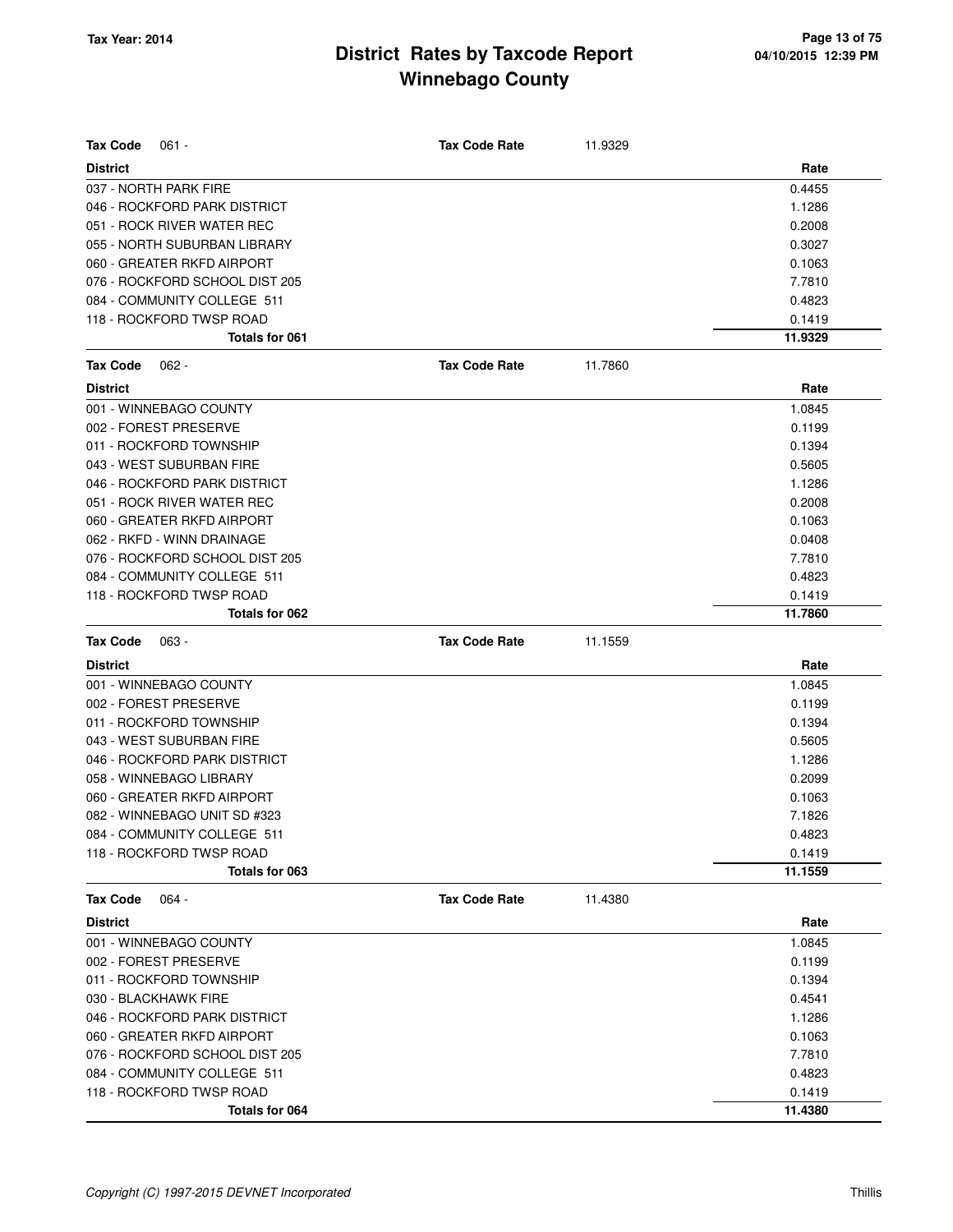| Tax Code<br>$061 -$            | <b>Tax Code Rate</b> | 11.9329 |         |
|--------------------------------|----------------------|---------|---------|
| <b>District</b>                |                      |         | Rate    |
| 037 - NORTH PARK FIRE          |                      |         | 0.4455  |
| 046 - ROCKFORD PARK DISTRICT   |                      |         | 1.1286  |
| 051 - ROCK RIVER WATER REC     |                      |         | 0.2008  |
| 055 - NORTH SUBURBAN LIBRARY   |                      |         | 0.3027  |
| 060 - GREATER RKFD AIRPORT     |                      |         | 0.1063  |
| 076 - ROCKFORD SCHOOL DIST 205 |                      |         | 7.7810  |
| 084 - COMMUNITY COLLEGE 511    |                      |         | 0.4823  |
| 118 - ROCKFORD TWSP ROAD       |                      |         | 0.1419  |
| <b>Totals for 061</b>          |                      |         | 11.9329 |
| <b>Tax Code</b><br>$062 -$     | <b>Tax Code Rate</b> | 11.7860 |         |
| <b>District</b>                |                      |         | Rate    |
| 001 - WINNEBAGO COUNTY         |                      |         | 1.0845  |
| 002 - FOREST PRESERVE          |                      |         | 0.1199  |
| 011 - ROCKFORD TOWNSHIP        |                      |         | 0.1394  |
| 043 - WEST SUBURBAN FIRE       |                      |         | 0.5605  |
| 046 - ROCKFORD PARK DISTRICT   |                      |         | 1.1286  |
| 051 - ROCK RIVER WATER REC     |                      |         | 0.2008  |
| 060 - GREATER RKFD AIRPORT     |                      |         | 0.1063  |
| 062 - RKFD - WINN DRAINAGE     |                      |         | 0.0408  |
| 076 - ROCKFORD SCHOOL DIST 205 |                      |         | 7.7810  |
| 084 - COMMUNITY COLLEGE 511    |                      |         | 0.4823  |
| 118 - ROCKFORD TWSP ROAD       |                      |         | 0.1419  |
| Totals for 062                 |                      |         | 11.7860 |
|                                |                      |         |         |
| <b>Tax Code</b><br>$063 -$     | <b>Tax Code Rate</b> | 11.1559 |         |
| <b>District</b>                |                      |         | Rate    |
| 001 - WINNEBAGO COUNTY         |                      |         | 1.0845  |
| 002 - FOREST PRESERVE          |                      |         | 0.1199  |
| 011 - ROCKFORD TOWNSHIP        |                      |         | 0.1394  |
| 043 - WEST SUBURBAN FIRE       |                      |         | 0.5605  |
| 046 - ROCKFORD PARK DISTRICT   |                      |         | 1.1286  |
| 058 - WINNEBAGO LIBRARY        |                      |         | 0.2099  |
| 060 - GREATER RKFD AIRPORT     |                      |         | 0.1063  |
| 082 - WINNEBAGO UNIT SD #323   |                      |         | 7.1826  |
| 084 - COMMUNITY COLLEGE 511    |                      |         | 0.4823  |
| 118 - ROCKFORD TWSP ROAD       |                      |         | 0.1419  |
| Totals for 063                 |                      |         | 11.1559 |
| <b>Tax Code</b><br>$064 -$     | <b>Tax Code Rate</b> | 11.4380 |         |
| <b>District</b>                |                      |         | Rate    |
| 001 - WINNEBAGO COUNTY         |                      |         | 1.0845  |
| 002 - FOREST PRESERVE          |                      |         | 0.1199  |
| 011 - ROCKFORD TOWNSHIP        |                      |         | 0.1394  |
| 030 - BLACKHAWK FIRE           |                      |         | 0.4541  |
| 046 - ROCKFORD PARK DISTRICT   |                      |         | 1.1286  |
| 060 - GREATER RKFD AIRPORT     |                      |         | 0.1063  |
| 076 - ROCKFORD SCHOOL DIST 205 |                      |         | 7.7810  |
| 084 - COMMUNITY COLLEGE 511    |                      |         | 0.4823  |
| 118 - ROCKFORD TWSP ROAD       |                      |         | 0.1419  |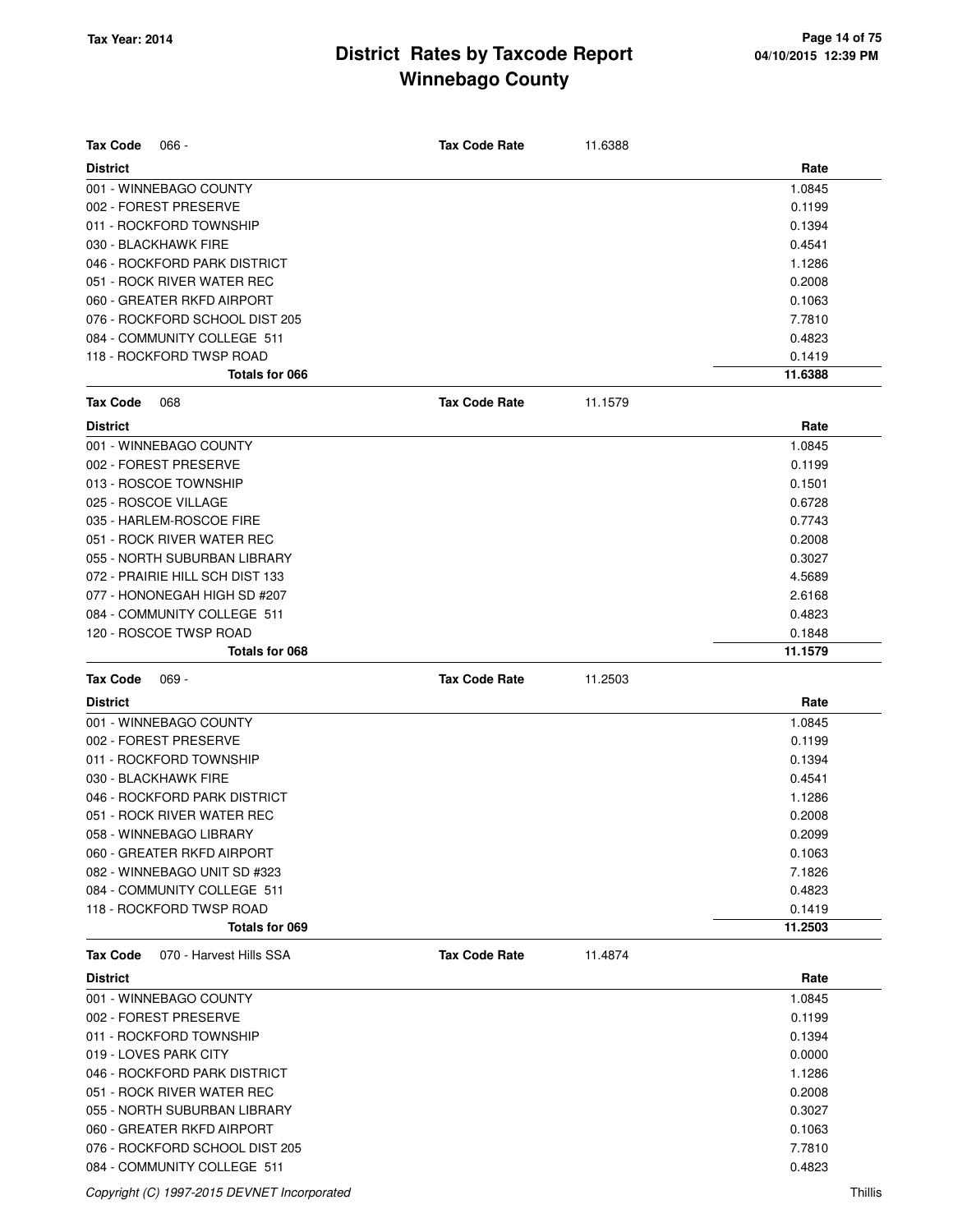| <b>Tax Code</b><br>$066 -$                            |                                 | <b>Tax Code Rate</b> | 11.6388 |                  |
|-------------------------------------------------------|---------------------------------|----------------------|---------|------------------|
| <b>District</b>                                       |                                 |                      |         | Rate             |
| 001 - WINNEBAGO COUNTY                                |                                 |                      |         | 1.0845           |
| 002 - FOREST PRESERVE                                 |                                 |                      |         | 0.1199           |
| 011 - ROCKFORD TOWNSHIP                               |                                 |                      |         | 0.1394           |
| 030 - BLACKHAWK FIRE                                  |                                 |                      |         | 0.4541           |
|                                                       | 046 - ROCKFORD PARK DISTRICT    |                      |         | 1.1286           |
| 051 - ROCK RIVER WATER REC                            |                                 |                      |         | 0.2008           |
| 060 - GREATER RKFD AIRPORT                            |                                 |                      |         | 0.1063           |
|                                                       | 076 - ROCKFORD SCHOOL DIST 205  |                      |         | 7.7810           |
| 084 - COMMUNITY COLLEGE 511                           |                                 |                      |         | 0.4823           |
| 118 - ROCKFORD TWSP ROAD                              |                                 |                      |         | 0.1419           |
|                                                       | Totals for 066                  |                      |         | 11.6388          |
| <b>Tax Code</b><br>068                                |                                 | <b>Tax Code Rate</b> | 11.1579 |                  |
| <b>District</b>                                       |                                 |                      |         | Rate             |
| 001 - WINNEBAGO COUNTY                                |                                 |                      |         | 1.0845           |
| 002 - FOREST PRESERVE                                 |                                 |                      |         | 0.1199           |
| 013 - ROSCOE TOWNSHIP                                 |                                 |                      |         | 0.1501           |
| 025 - ROSCOE VILLAGE                                  |                                 |                      |         | 0.6728           |
| 035 - HARLEM-ROSCOE FIRE                              |                                 |                      |         | 0.7743           |
| 051 - ROCK RIVER WATER REC                            |                                 |                      |         | 0.2008           |
|                                                       | 055 - NORTH SUBURBAN LIBRARY    |                      |         | 0.3027           |
|                                                       | 072 - PRAIRIE HILL SCH DIST 133 |                      |         | 4.5689           |
|                                                       | 077 - HONONEGAH HIGH SD #207    |                      |         | 2.6168           |
| 084 - COMMUNITY COLLEGE 511                           |                                 |                      |         | 0.4823           |
| 120 - ROSCOE TWSP ROAD                                |                                 |                      |         | 0.1848           |
|                                                       | Totals for 068                  |                      |         | 11.1579          |
|                                                       |                                 | <b>Tax Code Rate</b> | 11.2503 |                  |
| <b>Tax Code</b><br>$069 -$                            |                                 |                      |         |                  |
| <b>District</b>                                       |                                 |                      |         | Rate             |
| 001 - WINNEBAGO COUNTY                                |                                 |                      |         | 1.0845           |
| 002 - FOREST PRESERVE                                 |                                 |                      |         | 0.1199           |
| 011 - ROCKFORD TOWNSHIP                               |                                 |                      |         | 0.1394           |
| 030 - BLACKHAWK FIRE                                  |                                 |                      |         | 0.4541           |
|                                                       | 046 - ROCKFORD PARK DISTRICT    |                      |         | 1.1286           |
| 051 - ROCK RIVER WATER REC                            |                                 |                      |         | 0.2008           |
|                                                       |                                 |                      |         |                  |
| 058 - WINNEBAGO LIBRARY<br>060 - GREATER RKFD AIRPORT |                                 |                      |         | 0.2099           |
| 082 - WINNEBAGO UNIT SD #323                          |                                 |                      |         | 0.1063           |
| 084 - COMMUNITY COLLEGE 511                           |                                 |                      |         | 7.1826           |
| 118 - ROCKFORD TWSP ROAD                              |                                 |                      |         | 0.4823<br>0.1419 |
|                                                       | Totals for 069                  |                      |         | 11.2503          |
| <b>Tax Code</b>                                       | 070 - Harvest Hills SSA         | <b>Tax Code Rate</b> | 11.4874 |                  |
| <b>District</b>                                       |                                 |                      |         | Rate             |
| 001 - WINNEBAGO COUNTY                                |                                 |                      |         | 1.0845           |
| 002 - FOREST PRESERVE                                 |                                 |                      |         | 0.1199           |
| 011 - ROCKFORD TOWNSHIP                               |                                 |                      |         | 0.1394           |
| 019 - LOVES PARK CITY                                 |                                 |                      |         | 0.0000           |
|                                                       | 046 - ROCKFORD PARK DISTRICT    |                      |         | 1.1286           |
| 051 - ROCK RIVER WATER REC                            |                                 |                      |         | 0.2008           |
|                                                       | 055 - NORTH SUBURBAN LIBRARY    |                      |         | 0.3027           |
| 060 - GREATER RKFD AIRPORT                            |                                 |                      |         | 0.1063           |
|                                                       | 076 - ROCKFORD SCHOOL DIST 205  |                      |         | 7.7810           |

Copyright (C) 1997-2015 DEVNET Incorporated Thillis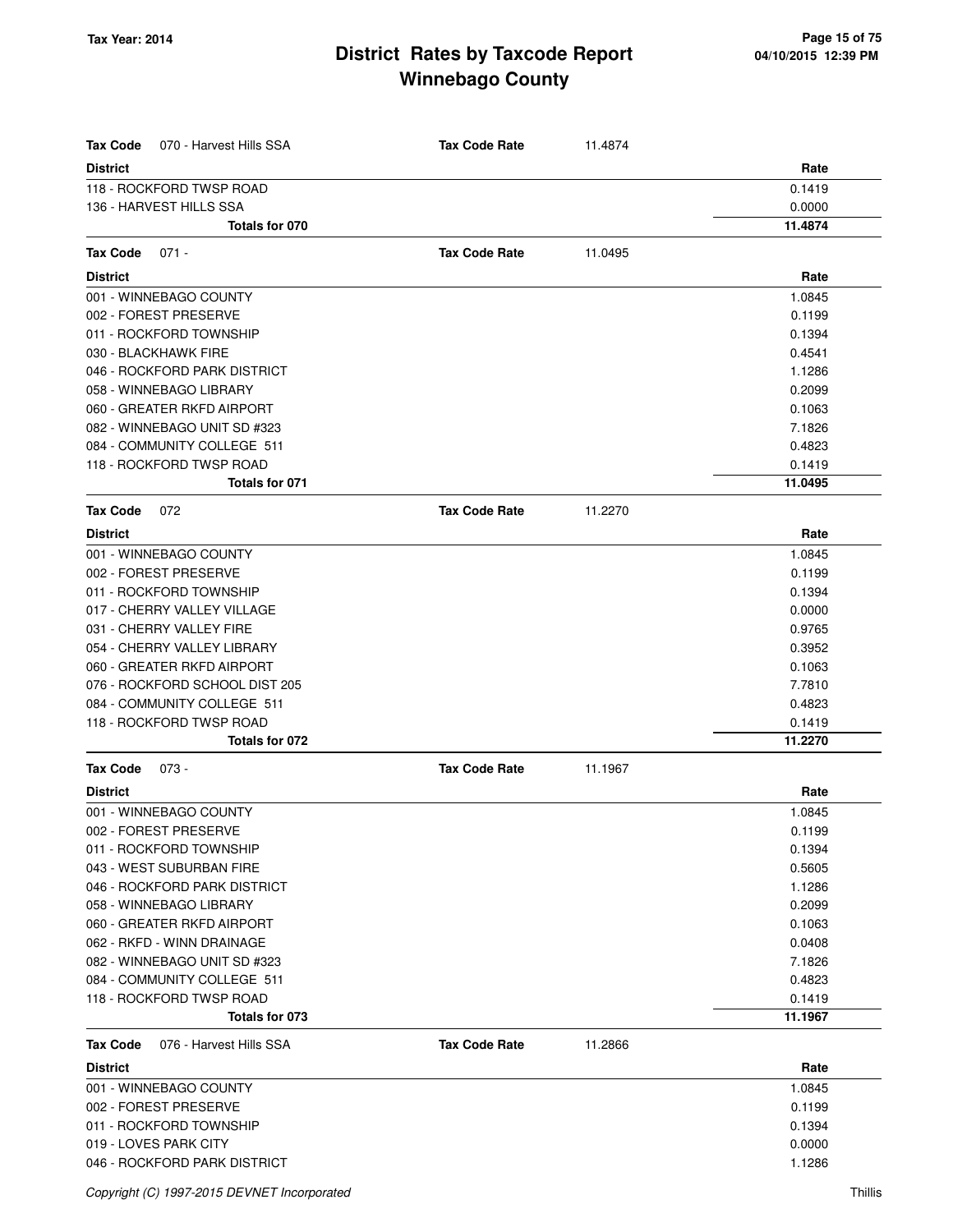| <b>Tax Code</b><br>070 - Harvest Hills SSA              | <b>Tax Code Rate</b> | 11.4874 |                  |
|---------------------------------------------------------|----------------------|---------|------------------|
| <b>District</b>                                         |                      |         | Rate             |
| 118 - ROCKFORD TWSP ROAD                                |                      |         | 0.1419           |
| 136 - HARVEST HILLS SSA                                 |                      |         | 0.0000           |
| Totals for 070                                          |                      |         | 11.4874          |
| Tax Code<br>$071 -$                                     | <b>Tax Code Rate</b> | 11.0495 |                  |
| <b>District</b>                                         |                      |         | Rate             |
| 001 - WINNEBAGO COUNTY                                  |                      |         | 1.0845           |
| 002 - FOREST PRESERVE                                   |                      |         | 0.1199           |
| 011 - ROCKFORD TOWNSHIP                                 |                      |         | 0.1394           |
| 030 - BLACKHAWK FIRE                                    |                      |         | 0.4541           |
| 046 - ROCKFORD PARK DISTRICT                            |                      |         | 1.1286           |
| 058 - WINNEBAGO LIBRARY                                 |                      |         | 0.2099           |
| 060 - GREATER RKFD AIRPORT                              |                      |         | 0.1063           |
| 082 - WINNEBAGO UNIT SD #323                            |                      |         | 7.1826           |
| 084 - COMMUNITY COLLEGE 511                             |                      |         | 0.4823           |
| 118 - ROCKFORD TWSP ROAD                                |                      |         | 0.1419           |
| Totals for 071                                          |                      |         | 11.0495          |
| <b>Tax Code</b><br>072                                  | <b>Tax Code Rate</b> | 11.2270 |                  |
| <b>District</b>                                         |                      |         | Rate             |
| 001 - WINNEBAGO COUNTY                                  |                      |         | 1.0845           |
| 002 - FOREST PRESERVE                                   |                      |         | 0.1199           |
| 011 - ROCKFORD TOWNSHIP                                 |                      |         | 0.1394           |
| 017 - CHERRY VALLEY VILLAGE                             |                      |         | 0.0000           |
| 031 - CHERRY VALLEY FIRE                                |                      |         | 0.9765           |
| 054 - CHERRY VALLEY LIBRARY                             |                      |         | 0.3952           |
| 060 - GREATER RKFD AIRPORT                              |                      |         | 0.1063           |
| 076 - ROCKFORD SCHOOL DIST 205                          |                      |         | 7.7810           |
| 084 - COMMUNITY COLLEGE 511                             |                      |         | 0.4823           |
| 118 - ROCKFORD TWSP ROAD                                |                      |         | 0.1419           |
| Totals for 072                                          |                      |         | 11.2270          |
| <b>Tax Code</b><br>073 -                                | <b>Tax Code Rate</b> | 11.1967 |                  |
| <b>District</b>                                         |                      |         | Rate             |
| 001 - WINNEBAGO COUNTY                                  |                      |         | 1.0845           |
| 002 - FOREST PRESERVE                                   |                      |         | 0.1199           |
| 011 - ROCKFORD TOWNSHIP                                 |                      |         | 0.1394           |
| 043 - WEST SUBURBAN FIRE                                |                      |         | 0.5605           |
| 046 - ROCKFORD PARK DISTRICT<br>058 - WINNEBAGO LIBRARY |                      |         | 1.1286<br>0.2099 |
| 060 - GREATER RKFD AIRPORT                              |                      |         | 0.1063           |
| 062 - RKFD - WINN DRAINAGE                              |                      |         | 0.0408           |
| 082 - WINNEBAGO UNIT SD #323                            |                      |         | 7.1826           |
| 084 - COMMUNITY COLLEGE 511                             |                      |         | 0.4823           |
| 118 - ROCKFORD TWSP ROAD                                |                      |         | 0.1419           |
| Totals for 073                                          |                      |         | 11.1967          |
| <b>Tax Code</b><br>076 - Harvest Hills SSA              | <b>Tax Code Rate</b> | 11.2866 |                  |
| <b>District</b>                                         |                      |         | Rate             |
| 001 - WINNEBAGO COUNTY                                  |                      |         | 1.0845           |
| 002 - FOREST PRESERVE                                   |                      |         | 0.1199           |
| 011 - ROCKFORD TOWNSHIP                                 |                      |         | 0.1394           |
| 019 - LOVES PARK CITY                                   |                      |         | 0.0000           |
| 046 - ROCKFORD PARK DISTRICT                            |                      |         | 1.1286           |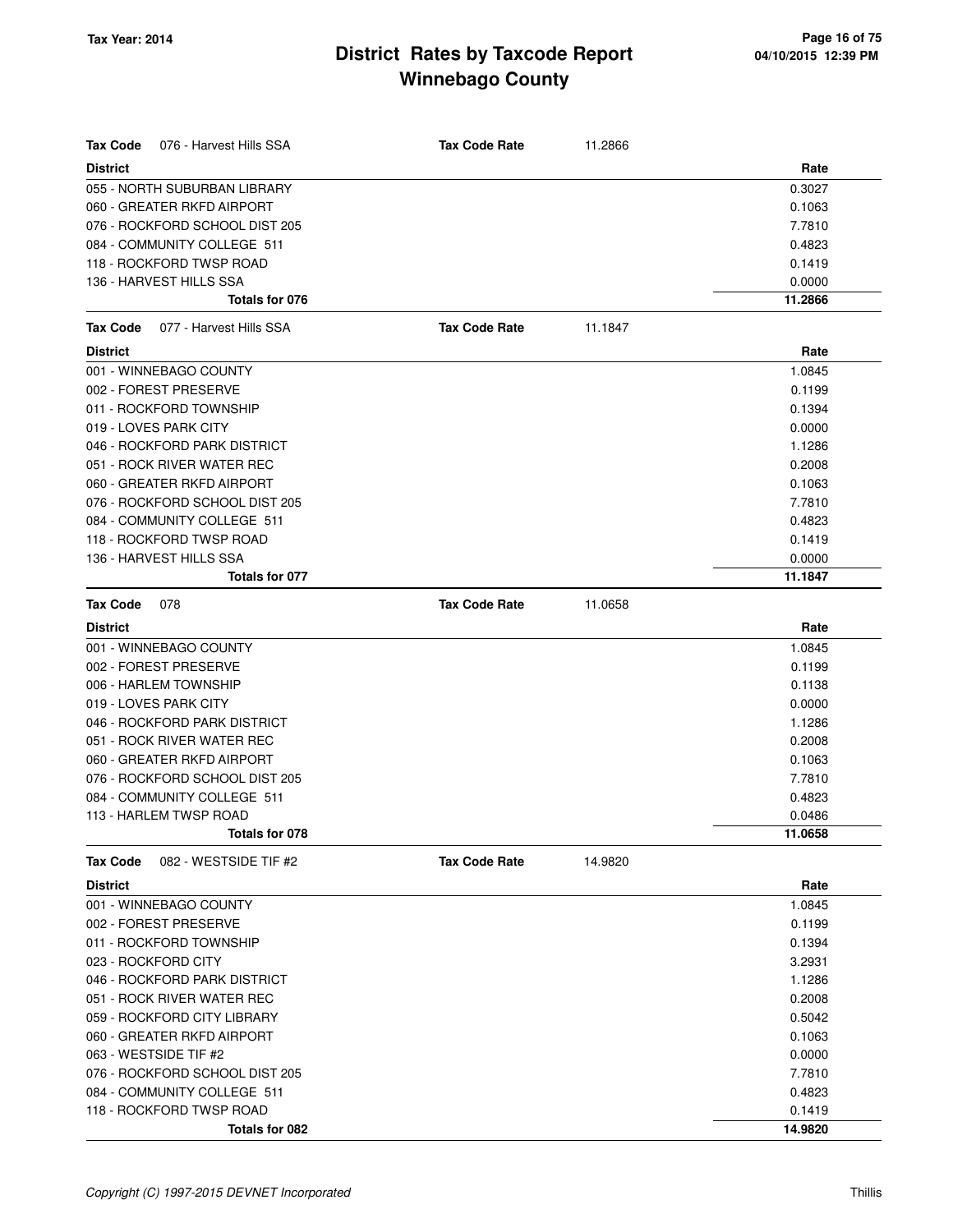| <b>Tax Code</b><br>076 - Harvest Hills SSA | <b>Tax Code Rate</b> | 11.2866 |         |
|--------------------------------------------|----------------------|---------|---------|
| <b>District</b>                            |                      |         | Rate    |
| 055 - NORTH SUBURBAN LIBRARY               |                      |         | 0.3027  |
| 060 - GREATER RKFD AIRPORT                 |                      |         | 0.1063  |
| 076 - ROCKFORD SCHOOL DIST 205             |                      |         | 7.7810  |
| 084 - COMMUNITY COLLEGE 511                |                      |         | 0.4823  |
| 118 - ROCKFORD TWSP ROAD                   |                      |         | 0.1419  |
| 136 - HARVEST HILLS SSA                    |                      |         | 0.0000  |
| Totals for 076                             |                      |         | 11.2866 |
| Tax Code<br>077 - Harvest Hills SSA        | <b>Tax Code Rate</b> | 11.1847 |         |
| <b>District</b>                            |                      |         | Rate    |
| 001 - WINNEBAGO COUNTY                     |                      |         | 1.0845  |
| 002 - FOREST PRESERVE                      |                      |         | 0.1199  |
| 011 - ROCKFORD TOWNSHIP                    |                      |         | 0.1394  |
| 019 - LOVES PARK CITY                      |                      |         | 0.0000  |
| 046 - ROCKFORD PARK DISTRICT               |                      |         | 1.1286  |
| 051 - ROCK RIVER WATER REC                 |                      |         | 0.2008  |
| 060 - GREATER RKFD AIRPORT                 |                      |         | 0.1063  |
| 076 - ROCKFORD SCHOOL DIST 205             |                      |         | 7.7810  |
| 084 - COMMUNITY COLLEGE 511                |                      |         | 0.4823  |
| 118 - ROCKFORD TWSP ROAD                   |                      |         | 0.1419  |
| 136 - HARVEST HILLS SSA                    |                      |         | 0.0000  |
| Totals for 077                             |                      |         | 11.1847 |
| <b>Tax Code</b><br>078                     | <b>Tax Code Rate</b> | 11.0658 |         |
| <b>District</b>                            |                      |         | Rate    |
| 001 - WINNEBAGO COUNTY                     |                      |         | 1.0845  |
| 002 - FOREST PRESERVE                      |                      |         | 0.1199  |
| 006 - HARLEM TOWNSHIP                      |                      |         | 0.1138  |
| 019 - LOVES PARK CITY                      |                      |         | 0.0000  |
| 046 - ROCKFORD PARK DISTRICT               |                      |         | 1.1286  |
| 051 - ROCK RIVER WATER REC                 |                      |         | 0.2008  |
| 060 - GREATER RKFD AIRPORT                 |                      |         | 0.1063  |
| 076 - ROCKFORD SCHOOL DIST 205             |                      |         | 7.7810  |
| 084 - COMMUNITY COLLEGE 511                |                      |         | 0.4823  |
| 113 - HARLEM TWSP ROAD                     |                      |         | 0.0486  |
| Totals for 078                             |                      |         | 11.0658 |
| <b>Tax Code</b><br>082 - WESTSIDE TIF #2   | <b>Tax Code Rate</b> | 14.9820 |         |
| <b>District</b>                            |                      |         | Rate    |
| 001 - WINNEBAGO COUNTY                     |                      |         | 1.0845  |
| 002 - FOREST PRESERVE                      |                      |         | 0.1199  |
| 011 - ROCKFORD TOWNSHIP                    |                      |         | 0.1394  |
| 023 - ROCKFORD CITY                        |                      |         | 3.2931  |
| 046 - ROCKFORD PARK DISTRICT               |                      |         | 1.1286  |
| 051 - ROCK RIVER WATER REC                 |                      |         | 0.2008  |
| 059 - ROCKFORD CITY LIBRARY                |                      |         | 0.5042  |
| 060 - GREATER RKFD AIRPORT                 |                      |         | 0.1063  |
| 063 - WESTSIDE TIF #2                      |                      |         | 0.0000  |
| 076 - ROCKFORD SCHOOL DIST 205             |                      |         | 7.7810  |
| 084 - COMMUNITY COLLEGE 511                |                      |         | 0.4823  |
| 118 - ROCKFORD TWSP ROAD                   |                      |         | 0.1419  |
| Totals for 082                             |                      |         | 14.9820 |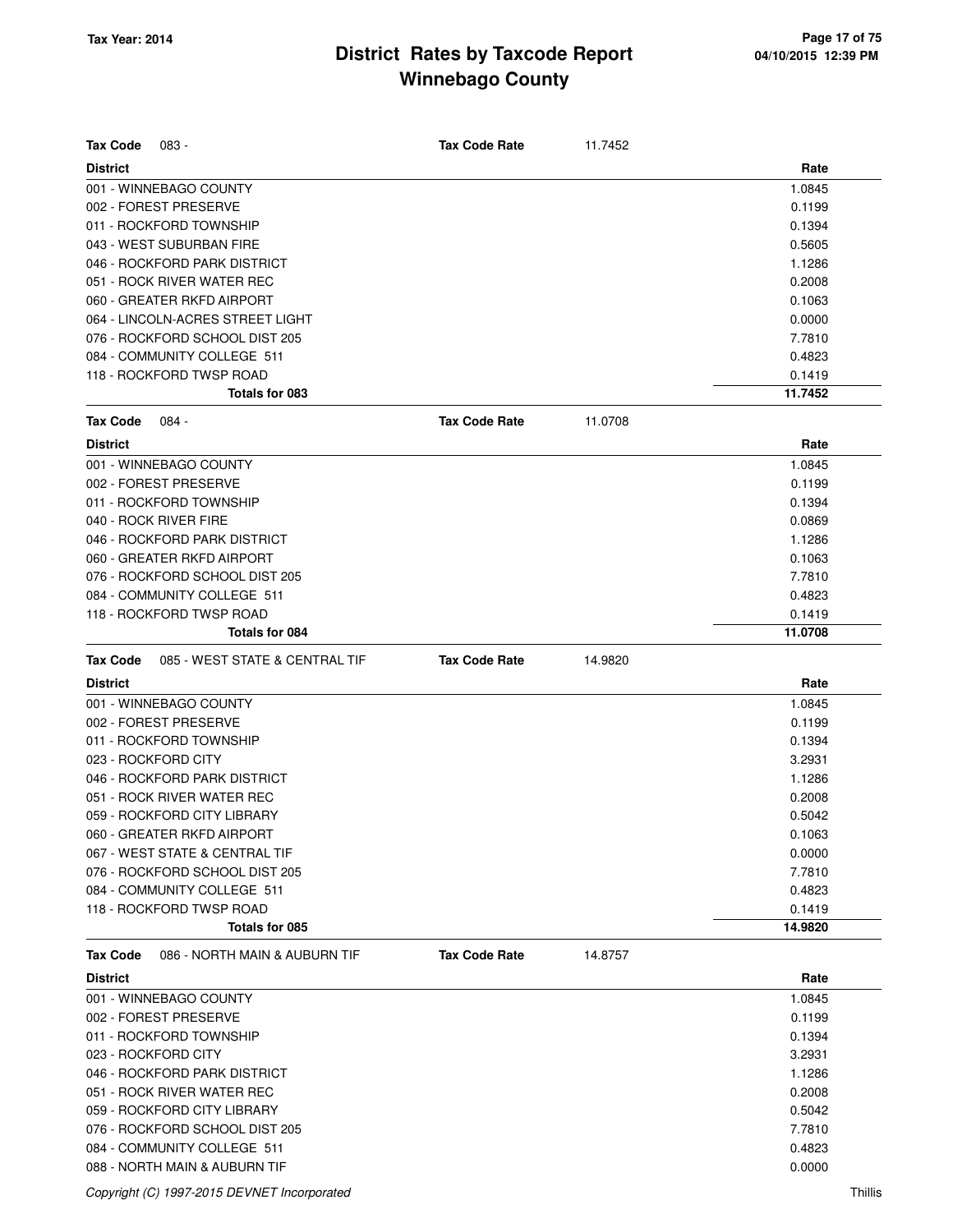| <b>Tax Code</b><br>083 -                          | <b>Tax Code Rate</b> | 11.7452 |         |
|---------------------------------------------------|----------------------|---------|---------|
| <b>District</b>                                   |                      |         | Rate    |
| 001 - WINNEBAGO COUNTY                            |                      |         | 1.0845  |
| 002 - FOREST PRESERVE                             |                      |         | 0.1199  |
| 011 - ROCKFORD TOWNSHIP                           |                      |         | 0.1394  |
| 043 - WEST SUBURBAN FIRE                          |                      |         | 0.5605  |
| 046 - ROCKFORD PARK DISTRICT                      |                      |         | 1.1286  |
| 051 - ROCK RIVER WATER REC                        |                      |         | 0.2008  |
| 060 - GREATER RKFD AIRPORT                        |                      |         | 0.1063  |
| 064 - LINCOLN-ACRES STREET LIGHT                  |                      |         | 0.0000  |
| 076 - ROCKFORD SCHOOL DIST 205                    |                      |         | 7.7810  |
| 084 - COMMUNITY COLLEGE 511                       |                      |         | 0.4823  |
| 118 - ROCKFORD TWSP ROAD                          |                      |         | 0.1419  |
| Totals for 083                                    |                      |         | 11.7452 |
| <b>Tax Code</b><br>084 -                          | <b>Tax Code Rate</b> | 11.0708 |         |
| <b>District</b>                                   |                      |         | Rate    |
| 001 - WINNEBAGO COUNTY                            |                      |         | 1.0845  |
| 002 - FOREST PRESERVE                             |                      |         | 0.1199  |
| 011 - ROCKFORD TOWNSHIP                           |                      |         | 0.1394  |
| 040 - ROCK RIVER FIRE                             |                      |         | 0.0869  |
| 046 - ROCKFORD PARK DISTRICT                      |                      |         | 1.1286  |
| 060 - GREATER RKFD AIRPORT                        |                      |         | 0.1063  |
| 076 - ROCKFORD SCHOOL DIST 205                    |                      |         | 7.7810  |
| 084 - COMMUNITY COLLEGE 511                       |                      |         | 0.4823  |
| 118 - ROCKFORD TWSP ROAD                          |                      |         | 0.1419  |
| Totals for 084                                    |                      |         | 11.0708 |
| 085 - WEST STATE & CENTRAL TIF<br><b>Tax Code</b> | <b>Tax Code Rate</b> | 14.9820 |         |
| <b>District</b>                                   |                      |         | Rate    |
| 001 - WINNEBAGO COUNTY                            |                      |         | 1.0845  |
| 002 - FOREST PRESERVE                             |                      |         | 0.1199  |
| 011 - ROCKFORD TOWNSHIP                           |                      |         | 0.1394  |
| 023 - ROCKFORD CITY                               |                      |         | 3.2931  |
| 046 - ROCKFORD PARK DISTRICT                      |                      |         | 1.1286  |
| 051 - ROCK RIVER WATER REC                        |                      |         | 0.2008  |
| 059 - ROCKFORD CITY LIBRARY                       |                      |         | 0.5042  |
| 060 - GREATER RKFD AIRPORT                        |                      |         | 0.1063  |
| 067 - WEST STATE & CENTRAL TIF                    |                      |         | 0.0000  |
| 076 - ROCKFORD SCHOOL DIST 205                    |                      |         | 7.7810  |
| 084 - COMMUNITY COLLEGE 511                       |                      |         | 0.4823  |
| 118 - ROCKFORD TWSP ROAD                          |                      |         | 0.1419  |
| Totals for 085                                    |                      |         | 14.9820 |
| <b>Tax Code</b><br>086 - NORTH MAIN & AUBURN TIF  | <b>Tax Code Rate</b> | 14.8757 |         |
| <b>District</b>                                   |                      |         | Rate    |
| 001 - WINNEBAGO COUNTY                            |                      |         | 1.0845  |
| 002 - FOREST PRESERVE                             |                      |         | 0.1199  |
| 011 - ROCKFORD TOWNSHIP                           |                      |         | 0.1394  |
| 023 - ROCKFORD CITY                               |                      |         | 3.2931  |
| 046 - ROCKFORD PARK DISTRICT                      |                      |         | 1.1286  |
| 051 - ROCK RIVER WATER REC                        |                      |         | 0.2008  |
| 059 - ROCKFORD CITY LIBRARY                       |                      |         | 0.5042  |
| 076 - ROCKFORD SCHOOL DIST 205                    |                      |         | 7.7810  |
| 084 - COMMUNITY COLLEGE 511                       |                      |         | 0.4823  |
| 088 - NORTH MAIN & AUBURN TIF                     |                      |         | 0.0000  |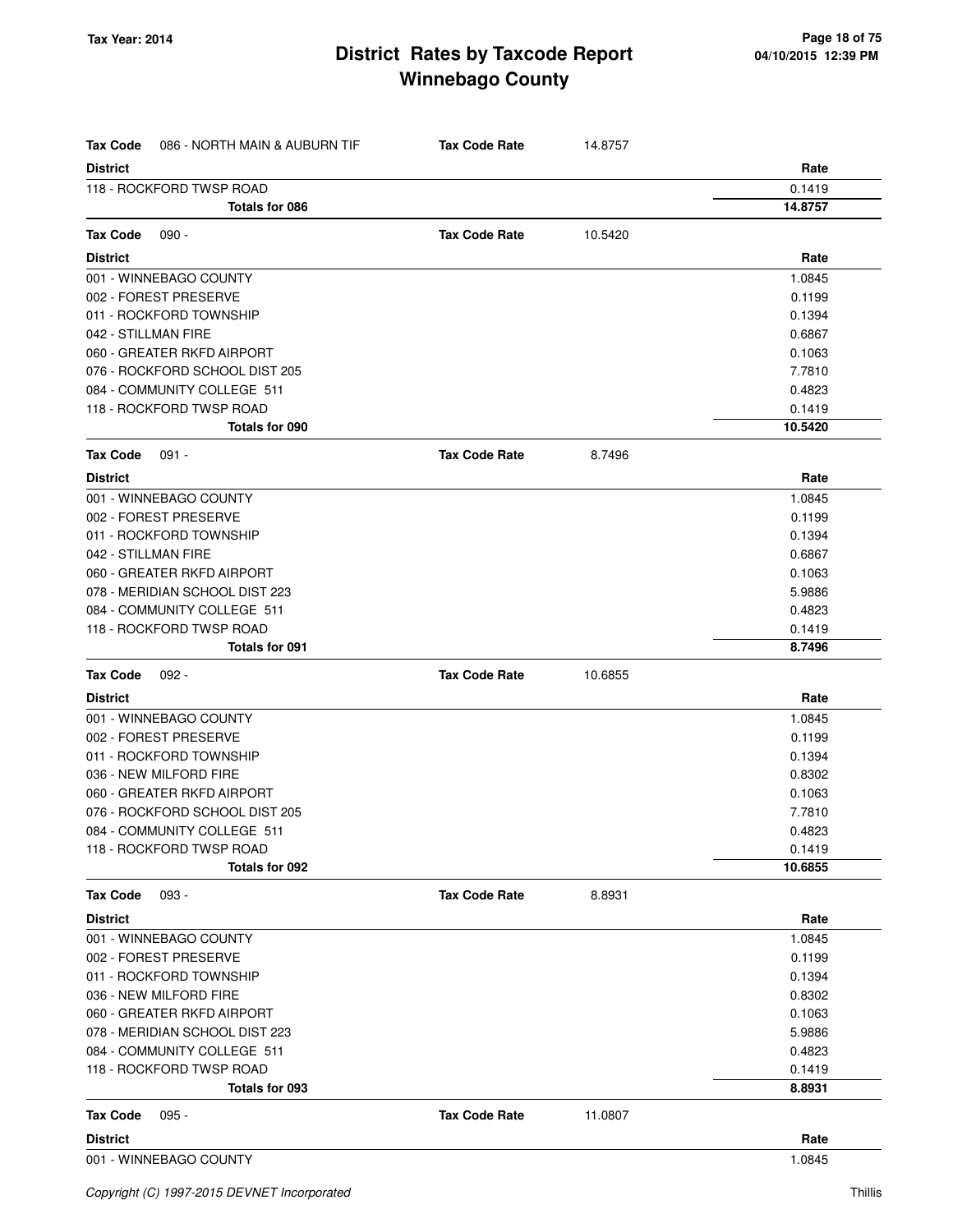| <b>Tax Code</b><br>086 - NORTH MAIN & AUBURN TIF | <b>Tax Code Rate</b> | 14.8757 |         |
|--------------------------------------------------|----------------------|---------|---------|
| <b>District</b>                                  |                      |         | Rate    |
| 118 - ROCKFORD TWSP ROAD                         |                      |         | 0.1419  |
| Totals for 086                                   |                      |         | 14.8757 |
| <b>Tax Code</b><br>$090 -$                       | <b>Tax Code Rate</b> | 10.5420 |         |
| <b>District</b>                                  |                      |         | Rate    |
| 001 - WINNEBAGO COUNTY                           |                      |         | 1.0845  |
| 002 - FOREST PRESERVE                            |                      |         | 0.1199  |
| 011 - ROCKFORD TOWNSHIP                          |                      |         | 0.1394  |
| 042 - STILLMAN FIRE                              |                      |         | 0.6867  |
| 060 - GREATER RKFD AIRPORT                       |                      |         | 0.1063  |
| 076 - ROCKFORD SCHOOL DIST 205                   |                      |         | 7.7810  |
| 084 - COMMUNITY COLLEGE 511                      |                      |         | 0.4823  |
| 118 - ROCKFORD TWSP ROAD                         |                      |         | 0.1419  |
| Totals for 090                                   |                      |         | 10.5420 |
| Tax Code<br>$091 -$                              | <b>Tax Code Rate</b> | 8.7496  |         |
| <b>District</b>                                  |                      |         | Rate    |
| 001 - WINNEBAGO COUNTY                           |                      |         | 1.0845  |
| 002 - FOREST PRESERVE                            |                      |         | 0.1199  |
| 011 - ROCKFORD TOWNSHIP                          |                      |         | 0.1394  |
| 042 - STILLMAN FIRE                              |                      |         | 0.6867  |
| 060 - GREATER RKFD AIRPORT                       |                      |         | 0.1063  |
| 078 - MERIDIAN SCHOOL DIST 223                   |                      |         | 5.9886  |
| 084 - COMMUNITY COLLEGE 511                      |                      |         | 0.4823  |
| 118 - ROCKFORD TWSP ROAD                         |                      |         | 0.1419  |
| <b>Totals for 091</b>                            |                      |         | 8.7496  |
| <b>Tax Code</b><br>$092 -$                       | <b>Tax Code Rate</b> | 10.6855 |         |
| <b>District</b>                                  |                      |         | Rate    |
| 001 - WINNEBAGO COUNTY                           |                      |         | 1.0845  |
| 002 - FOREST PRESERVE                            |                      |         | 0.1199  |
| 011 - ROCKFORD TOWNSHIP                          |                      |         | 0.1394  |
| 036 - NEW MILFORD FIRE                           |                      |         | 0.8302  |
| 060 - GREATER RKFD AIRPORT                       |                      |         | 0.1063  |
| 076 - ROCKFORD SCHOOL DIST 205                   |                      |         | 7.7810  |
| 084 - COMMUNITY COLLEGE 511                      |                      |         | 0.4823  |
| 118 - ROCKFORD TWSP ROAD                         |                      |         | 0.1419  |
| Totals for 092                                   |                      |         | 10.6855 |
| Tax Code<br>093 -                                | <b>Tax Code Rate</b> | 8.8931  |         |
| <b>District</b>                                  |                      |         | Rate    |
| 001 - WINNEBAGO COUNTY                           |                      |         | 1.0845  |
| 002 - FOREST PRESERVE                            |                      |         | 0.1199  |
| 011 - ROCKFORD TOWNSHIP                          |                      |         | 0.1394  |
| 036 - NEW MILFORD FIRE                           |                      |         | 0.8302  |
| 060 - GREATER RKFD AIRPORT                       |                      |         | 0.1063  |
| 078 - MERIDIAN SCHOOL DIST 223                   |                      |         | 5.9886  |
| 084 - COMMUNITY COLLEGE 511                      |                      |         | 0.4823  |
| 118 - ROCKFORD TWSP ROAD                         |                      |         | 0.1419  |
| Totals for 093                                   |                      |         | 8.8931  |
| Tax Code<br>$095 -$                              | <b>Tax Code Rate</b> | 11.0807 |         |
| <b>District</b>                                  |                      |         | Rate    |
| 001 - WINNEBAGO COUNTY                           |                      |         | 1.0845  |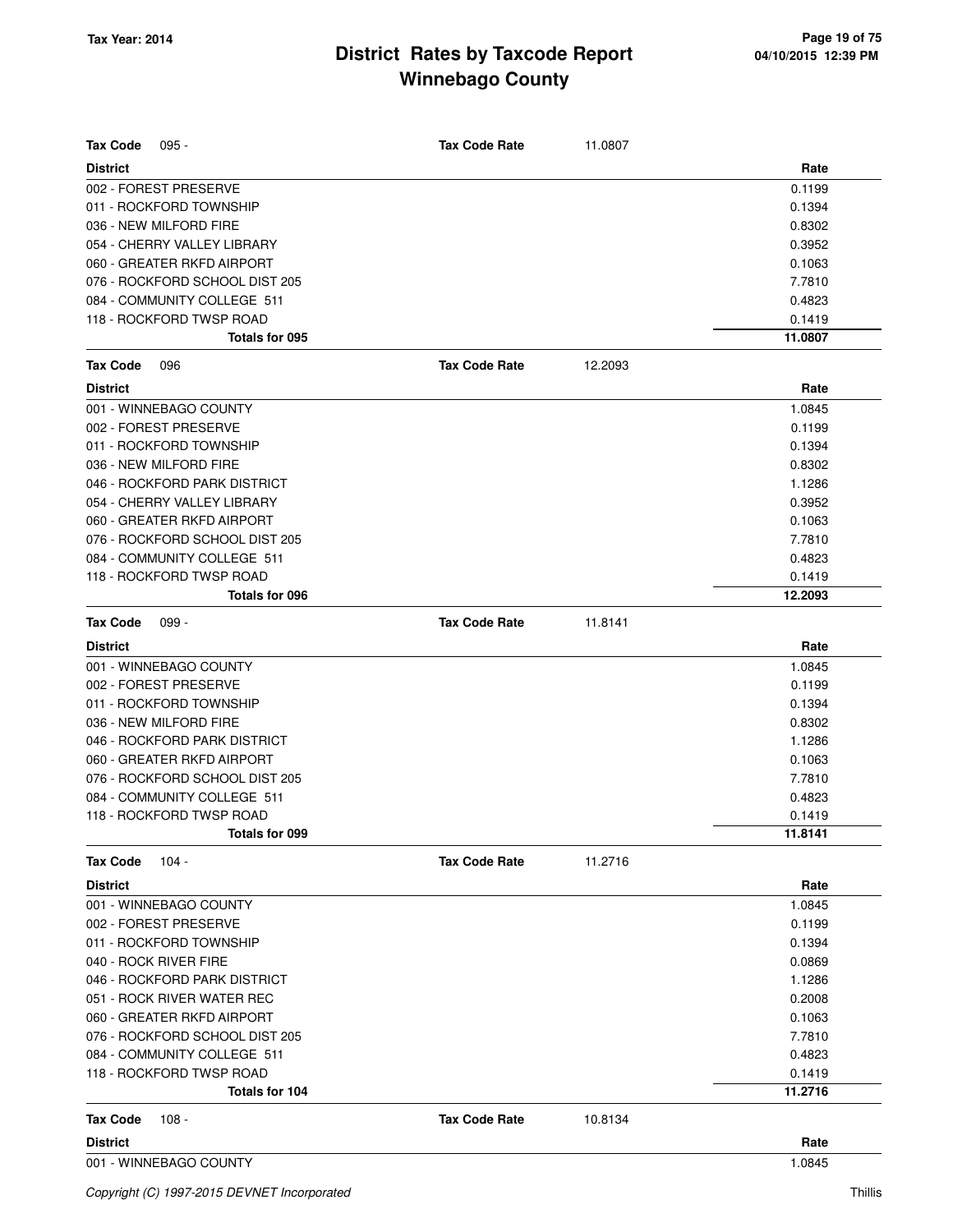| <b>Tax Code</b><br>$095 -$     | <b>Tax Code Rate</b> | 11.0807 |         |
|--------------------------------|----------------------|---------|---------|
| <b>District</b>                |                      |         | Rate    |
| 002 - FOREST PRESERVE          |                      |         | 0.1199  |
| 011 - ROCKFORD TOWNSHIP        |                      |         | 0.1394  |
| 036 - NEW MILFORD FIRE         |                      |         | 0.8302  |
| 054 - CHERRY VALLEY LIBRARY    |                      |         | 0.3952  |
| 060 - GREATER RKFD AIRPORT     |                      |         | 0.1063  |
| 076 - ROCKFORD SCHOOL DIST 205 |                      |         | 7.7810  |
| 084 - COMMUNITY COLLEGE 511    |                      |         | 0.4823  |
| 118 - ROCKFORD TWSP ROAD       |                      |         | 0.1419  |
| Totals for 095                 |                      |         | 11.0807 |
| <b>Tax Code</b><br>096         | <b>Tax Code Rate</b> | 12.2093 |         |
| <b>District</b>                |                      |         | Rate    |
| 001 - WINNEBAGO COUNTY         |                      |         | 1.0845  |
| 002 - FOREST PRESERVE          |                      |         | 0.1199  |
| 011 - ROCKFORD TOWNSHIP        |                      |         | 0.1394  |
| 036 - NEW MILFORD FIRE         |                      |         | 0.8302  |
| 046 - ROCKFORD PARK DISTRICT   |                      |         | 1.1286  |
| 054 - CHERRY VALLEY LIBRARY    |                      |         | 0.3952  |
| 060 - GREATER RKFD AIRPORT     |                      |         | 0.1063  |
| 076 - ROCKFORD SCHOOL DIST 205 |                      |         | 7.7810  |
| 084 - COMMUNITY COLLEGE 511    |                      |         | 0.4823  |
| 118 - ROCKFORD TWSP ROAD       |                      |         | 0.1419  |
| Totals for 096                 |                      |         | 12.2093 |
| <b>Tax Code</b><br>$099 -$     | <b>Tax Code Rate</b> | 11.8141 |         |
| <b>District</b>                |                      |         | Rate    |
| 001 - WINNEBAGO COUNTY         |                      |         | 1.0845  |
| 002 - FOREST PRESERVE          |                      |         | 0.1199  |
| 011 - ROCKFORD TOWNSHIP        |                      |         | 0.1394  |
| 036 - NEW MILFORD FIRE         |                      |         | 0.8302  |
| 046 - ROCKFORD PARK DISTRICT   |                      |         | 1.1286  |
| 060 - GREATER RKFD AIRPORT     |                      |         | 0.1063  |
| 076 - ROCKFORD SCHOOL DIST 205 |                      |         | 7.7810  |
| 084 - COMMUNITY COLLEGE 511    |                      |         | 0.4823  |
| 118 - ROCKFORD TWSP ROAD       |                      |         | 0.1419  |
| Totals for 099                 |                      |         | 11.8141 |
| $104 -$<br><b>Tax Code</b>     | <b>Tax Code Rate</b> | 11.2716 |         |
| <b>District</b>                |                      |         | Rate    |
| 001 - WINNEBAGO COUNTY         |                      |         | 1.0845  |
| 002 - FOREST PRESERVE          |                      |         | 0.1199  |
| 011 - ROCKFORD TOWNSHIP        |                      |         | 0.1394  |
| 040 - ROCK RIVER FIRE          |                      |         | 0.0869  |
| 046 - ROCKFORD PARK DISTRICT   |                      |         | 1.1286  |
| 051 - ROCK RIVER WATER REC     |                      |         | 0.2008  |
| 060 - GREATER RKFD AIRPORT     |                      |         | 0.1063  |
| 076 - ROCKFORD SCHOOL DIST 205 |                      |         | 7.7810  |
| 084 - COMMUNITY COLLEGE 511    |                      |         | 0.4823  |
| 118 - ROCKFORD TWSP ROAD       |                      |         | 0.1419  |
| Totals for 104                 |                      |         | 11.2716 |
| <b>Tax Code</b><br>108 -       | <b>Tax Code Rate</b> | 10.8134 |         |
| <b>District</b>                |                      |         | Rate    |
| 001 - WINNEBAGO COUNTY         |                      |         | 1.0845  |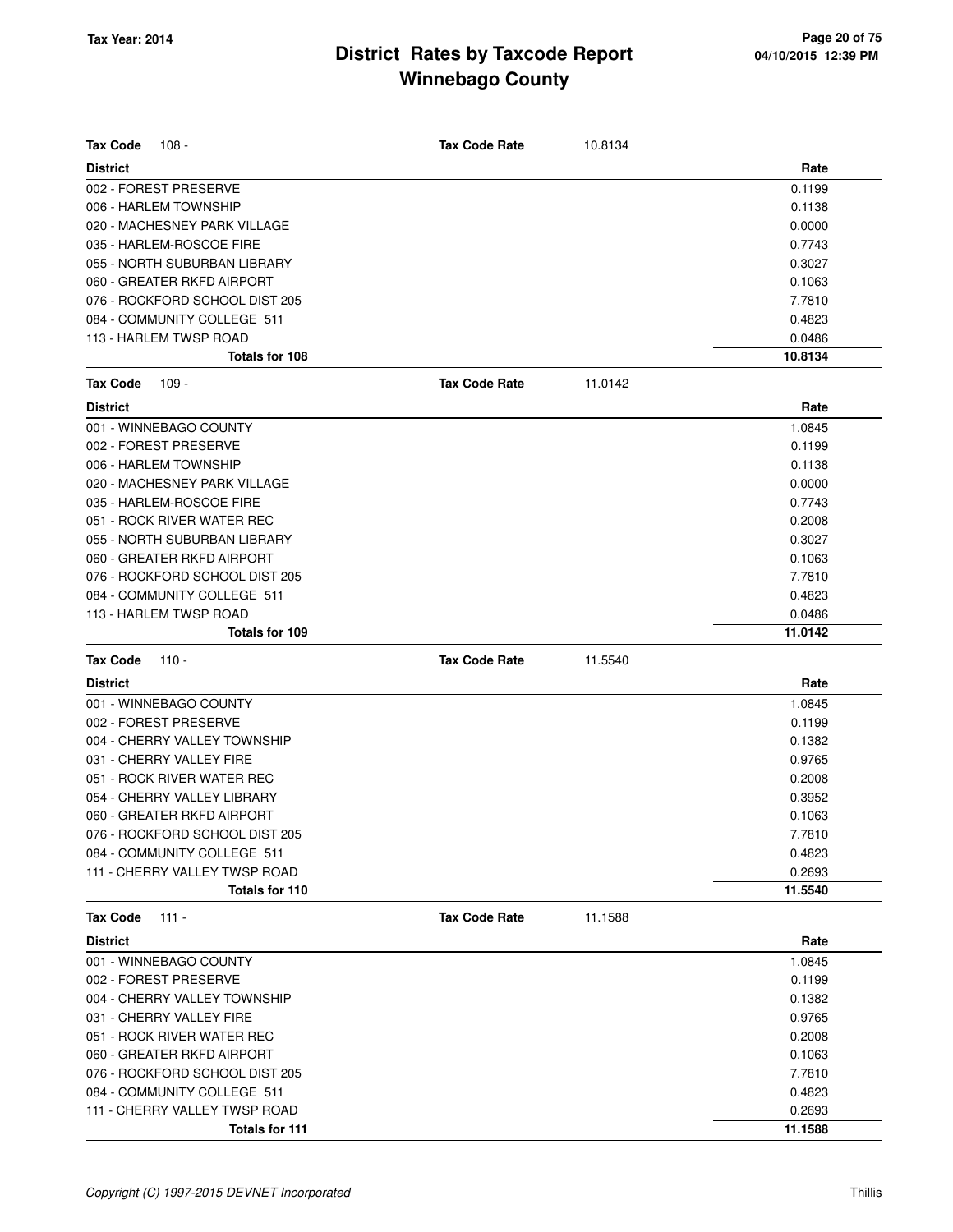| <b>Tax Code</b><br>$108 -$     | <b>Tax Code Rate</b> | 10.8134 |         |
|--------------------------------|----------------------|---------|---------|
| <b>District</b>                |                      |         | Rate    |
| 002 - FOREST PRESERVE          |                      |         | 0.1199  |
| 006 - HARLEM TOWNSHIP          |                      |         | 0.1138  |
| 020 - MACHESNEY PARK VILLAGE   |                      |         | 0.0000  |
| 035 - HARLEM-ROSCOE FIRE       |                      |         | 0.7743  |
| 055 - NORTH SUBURBAN LIBRARY   |                      |         | 0.3027  |
| 060 - GREATER RKFD AIRPORT     |                      |         | 0.1063  |
| 076 - ROCKFORD SCHOOL DIST 205 |                      |         | 7.7810  |
| 084 - COMMUNITY COLLEGE 511    |                      |         | 0.4823  |
| 113 - HARLEM TWSP ROAD         |                      |         | 0.0486  |
| <b>Totals for 108</b>          |                      |         | 10.8134 |
| <b>Tax Code</b><br>109 -       | <b>Tax Code Rate</b> | 11.0142 |         |
| <b>District</b>                |                      |         | Rate    |
| 001 - WINNEBAGO COUNTY         |                      |         | 1.0845  |
| 002 - FOREST PRESERVE          |                      |         | 0.1199  |
| 006 - HARLEM TOWNSHIP          |                      |         | 0.1138  |
| 020 - MACHESNEY PARK VILLAGE   |                      |         | 0.0000  |
| 035 - HARLEM-ROSCOE FIRE       |                      |         | 0.7743  |
| 051 - ROCK RIVER WATER REC     |                      |         | 0.2008  |
| 055 - NORTH SUBURBAN LIBRARY   |                      |         | 0.3027  |
| 060 - GREATER RKFD AIRPORT     |                      |         | 0.1063  |
| 076 - ROCKFORD SCHOOL DIST 205 |                      |         | 7.7810  |
| 084 - COMMUNITY COLLEGE 511    |                      |         | 0.4823  |
| 113 - HARLEM TWSP ROAD         |                      |         | 0.0486  |
| <b>Totals for 109</b>          |                      |         | 11.0142 |
| <b>Tax Code</b><br>$110 -$     | <b>Tax Code Rate</b> | 11.5540 |         |
| <b>District</b>                |                      |         | Rate    |
| 001 - WINNEBAGO COUNTY         |                      |         | 1.0845  |
| 002 - FOREST PRESERVE          |                      |         | 0.1199  |
| 004 - CHERRY VALLEY TOWNSHIP   |                      |         | 0.1382  |
| 031 - CHERRY VALLEY FIRE       |                      |         | 0.9765  |
| 051 - ROCK RIVER WATER REC     |                      |         | 0.2008  |
| 054 - CHERRY VALLEY LIBRARY    |                      |         | 0.3952  |
| 060 - GREATER RKFD AIRPORT     |                      |         | 0.1063  |
| 076 - ROCKFORD SCHOOL DIST 205 |                      |         | 7.7810  |
| 084 - COMMUNITY COLLEGE 511    |                      |         | 0.4823  |
| 111 - CHERRY VALLEY TWSP ROAD  |                      |         | 0.2693  |
| Totals for 110                 |                      |         | 11.5540 |
| <b>Tax Code</b><br>$111 -$     | <b>Tax Code Rate</b> | 11.1588 |         |
| <b>District</b>                |                      |         | Rate    |
| 001 - WINNEBAGO COUNTY         |                      |         | 1.0845  |
| 002 - FOREST PRESERVE          |                      |         | 0.1199  |
| 004 - CHERRY VALLEY TOWNSHIP   |                      |         | 0.1382  |
| 031 - CHERRY VALLEY FIRE       |                      |         | 0.9765  |
| 051 - ROCK RIVER WATER REC     |                      |         | 0.2008  |
| 060 - GREATER RKFD AIRPORT     |                      |         | 0.1063  |
| 076 - ROCKFORD SCHOOL DIST 205 |                      |         | 7.7810  |
| 084 - COMMUNITY COLLEGE 511    |                      |         | 0.4823  |
| 111 - CHERRY VALLEY TWSP ROAD  |                      |         | 0.2693  |
| Totals for 111                 |                      |         | 11.1588 |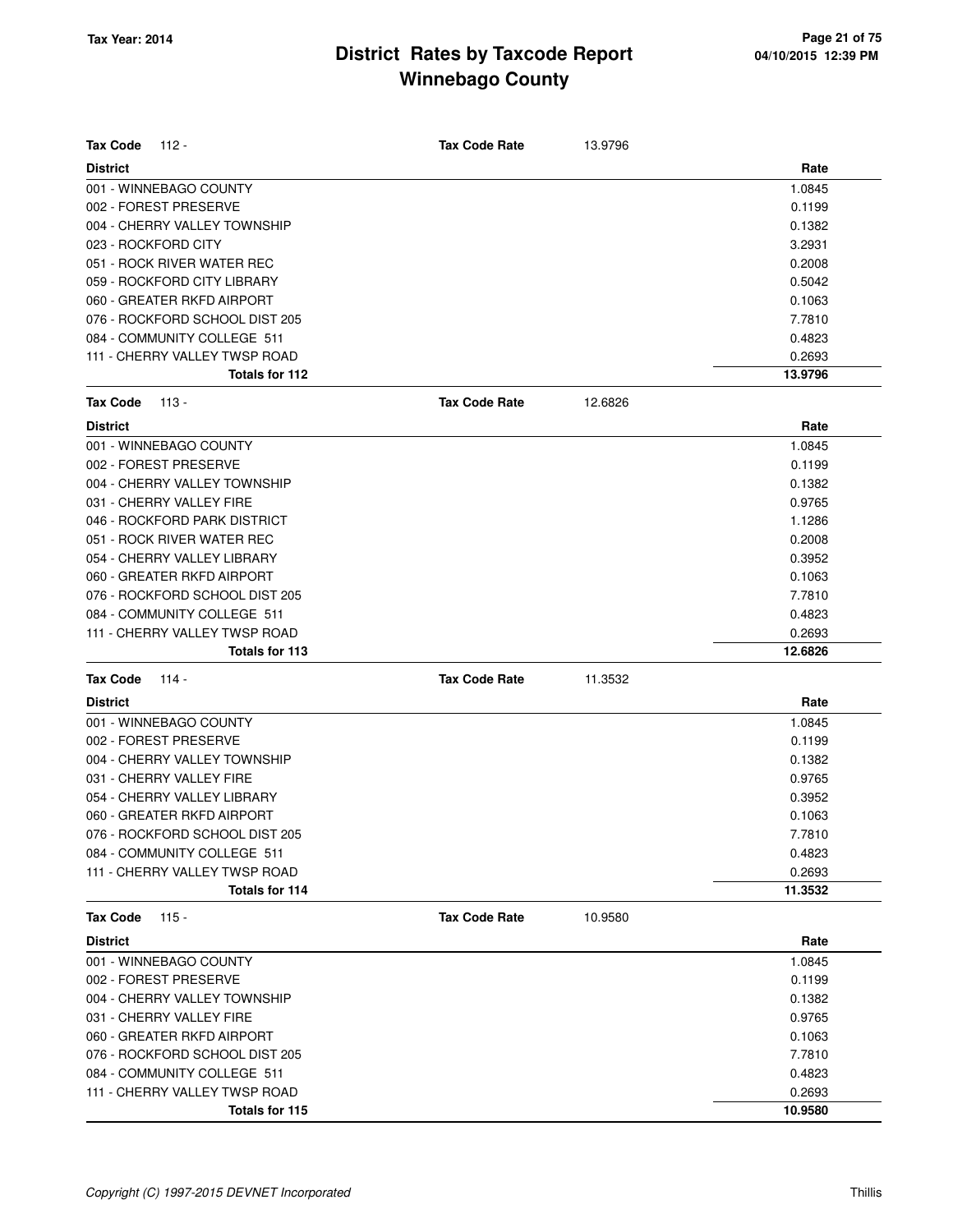| <b>Tax Code</b><br>112 -       | <b>Tax Code Rate</b> | 13.9796 |         |
|--------------------------------|----------------------|---------|---------|
| <b>District</b>                |                      |         | Rate    |
| 001 - WINNEBAGO COUNTY         |                      |         | 1.0845  |
| 002 - FOREST PRESERVE          |                      |         | 0.1199  |
| 004 - CHERRY VALLEY TOWNSHIP   |                      |         | 0.1382  |
| 023 - ROCKFORD CITY            |                      |         | 3.2931  |
| 051 - ROCK RIVER WATER REC     |                      |         | 0.2008  |
| 059 - ROCKFORD CITY LIBRARY    |                      |         | 0.5042  |
| 060 - GREATER RKFD AIRPORT     |                      |         | 0.1063  |
| 076 - ROCKFORD SCHOOL DIST 205 |                      |         | 7.7810  |
| 084 - COMMUNITY COLLEGE 511    |                      |         | 0.4823  |
| 111 - CHERRY VALLEY TWSP ROAD  |                      |         | 0.2693  |
| Totals for 112                 |                      |         | 13.9796 |
| <b>Tax Code</b><br>$113 -$     | <b>Tax Code Rate</b> | 12.6826 |         |
| <b>District</b>                |                      |         | Rate    |
| 001 - WINNEBAGO COUNTY         |                      |         | 1.0845  |
| 002 - FOREST PRESERVE          |                      |         | 0.1199  |
| 004 - CHERRY VALLEY TOWNSHIP   |                      |         | 0.1382  |
| 031 - CHERRY VALLEY FIRE       |                      |         | 0.9765  |
| 046 - ROCKFORD PARK DISTRICT   |                      |         | 1.1286  |
| 051 - ROCK RIVER WATER REC     |                      |         | 0.2008  |
| 054 - CHERRY VALLEY LIBRARY    |                      |         | 0.3952  |
| 060 - GREATER RKFD AIRPORT     |                      |         | 0.1063  |
| 076 - ROCKFORD SCHOOL DIST 205 |                      |         | 7.7810  |
| 084 - COMMUNITY COLLEGE 511    |                      |         | 0.4823  |
| 111 - CHERRY VALLEY TWSP ROAD  |                      |         | 0.2693  |
| Totals for 113                 |                      |         | 12.6826 |
| <b>Tax Code</b><br>114 -       | <b>Tax Code Rate</b> | 11.3532 |         |
| <b>District</b>                |                      |         | Rate    |
| 001 - WINNEBAGO COUNTY         |                      |         | 1.0845  |
| 002 - FOREST PRESERVE          |                      |         | 0.1199  |
| 004 - CHERRY VALLEY TOWNSHIP   |                      |         | 0.1382  |
| 031 - CHERRY VALLEY FIRE       |                      |         | 0.9765  |
| 054 - CHERRY VALLEY LIBRARY    |                      |         | 0.3952  |
| 060 - GREATER RKFD AIRPORT     |                      |         | 0.1063  |
| 076 - ROCKFORD SCHOOL DIST 205 |                      |         | 7.7810  |
| 084 - COMMUNITY COLLEGE 511    |                      |         | 0.4823  |
| 111 - CHERRY VALLEY TWSP ROAD  |                      |         | 0.2693  |
| Totals for 114                 |                      |         | 11.3532 |
| <b>Tax Code</b><br>$115 -$     | <b>Tax Code Rate</b> | 10.9580 |         |
| <b>District</b>                |                      |         | Rate    |
| 001 - WINNEBAGO COUNTY         |                      |         | 1.0845  |
| 002 - FOREST PRESERVE          |                      |         | 0.1199  |
| 004 - CHERRY VALLEY TOWNSHIP   |                      |         | 0.1382  |
| 031 - CHERRY VALLEY FIRE       |                      |         | 0.9765  |
| 060 - GREATER RKFD AIRPORT     |                      |         | 0.1063  |
| 076 - ROCKFORD SCHOOL DIST 205 |                      |         | 7.7810  |
| 084 - COMMUNITY COLLEGE 511    |                      |         | 0.4823  |
| 111 - CHERRY VALLEY TWSP ROAD  |                      |         | 0.2693  |
| Totals for 115                 |                      |         | 10.9580 |
|                                |                      |         |         |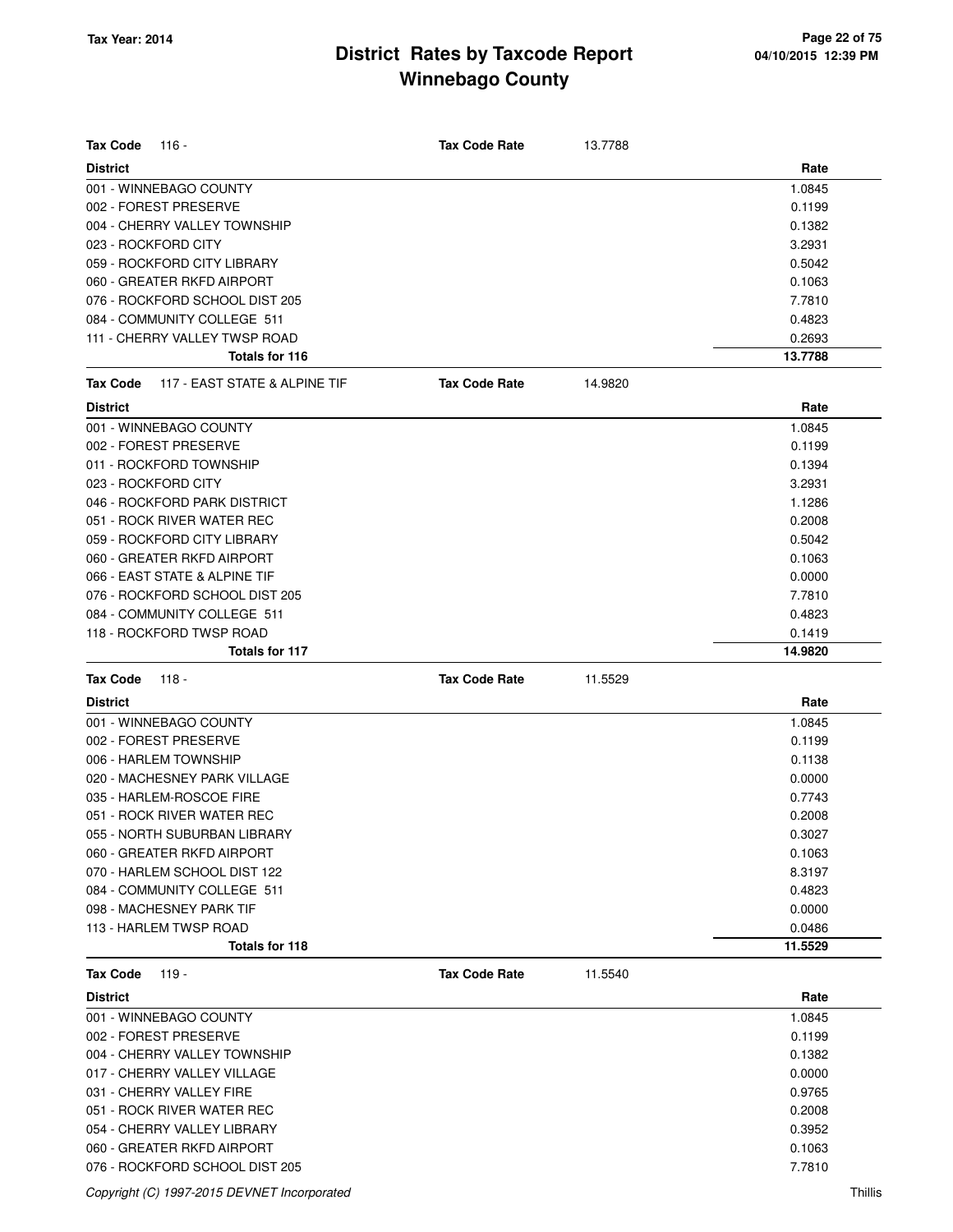| <b>Tax Code</b><br>116 -                         | <b>Tax Code Rate</b> | 13.7788 |         |
|--------------------------------------------------|----------------------|---------|---------|
| <b>District</b>                                  |                      |         | Rate    |
| 001 - WINNEBAGO COUNTY                           |                      |         | 1.0845  |
| 002 - FOREST PRESERVE                            |                      |         | 0.1199  |
| 004 - CHERRY VALLEY TOWNSHIP                     |                      |         | 0.1382  |
| 023 - ROCKFORD CITY                              |                      |         | 3.2931  |
| 059 - ROCKFORD CITY LIBRARY                      |                      |         | 0.5042  |
| 060 - GREATER RKFD AIRPORT                       |                      |         | 0.1063  |
| 076 - ROCKFORD SCHOOL DIST 205                   |                      |         | 7.7810  |
| 084 - COMMUNITY COLLEGE 511                      |                      |         | 0.4823  |
| 111 - CHERRY VALLEY TWSP ROAD                    |                      |         | 0.2693  |
| Totals for 116                                   |                      |         | 13.7788 |
| 117 - EAST STATE & ALPINE TIF<br><b>Tax Code</b> | <b>Tax Code Rate</b> | 14.9820 |         |
| <b>District</b>                                  |                      |         | Rate    |
| 001 - WINNEBAGO COUNTY                           |                      |         | 1.0845  |
| 002 - FOREST PRESERVE                            |                      |         | 0.1199  |
| 011 - ROCKFORD TOWNSHIP                          |                      |         | 0.1394  |
| 023 - ROCKFORD CITY                              |                      |         | 3.2931  |
| 046 - ROCKFORD PARK DISTRICT                     |                      |         | 1.1286  |
| 051 - ROCK RIVER WATER REC                       |                      |         | 0.2008  |
| 059 - ROCKFORD CITY LIBRARY                      |                      |         | 0.5042  |
| 060 - GREATER RKFD AIRPORT                       |                      |         | 0.1063  |
| 066 - EAST STATE & ALPINE TIF                    |                      |         | 0.0000  |
| 076 - ROCKFORD SCHOOL DIST 205                   |                      |         | 7.7810  |
| 084 - COMMUNITY COLLEGE 511                      |                      |         | 0.4823  |
| 118 - ROCKFORD TWSP ROAD                         |                      |         | 0.1419  |
| Totals for 117                                   |                      |         | 14.9820 |
| <b>Tax Code</b><br>118 -                         | <b>Tax Code Rate</b> | 11.5529 |         |
| <b>District</b>                                  |                      |         | Rate    |
| 001 - WINNEBAGO COUNTY                           |                      |         | 1.0845  |
| 002 - FOREST PRESERVE                            |                      |         | 0.1199  |
| 006 - HARLEM TOWNSHIP                            |                      |         | 0.1138  |
| 020 - MACHESNEY PARK VILLAGE                     |                      |         | 0.0000  |
| 035 - HARLEM-ROSCOE FIRE                         |                      |         | 0.7743  |
| 051 - ROCK RIVER WATER REC                       |                      |         | 0.2008  |
| 055 - NORTH SUBURBAN LIBRARY                     |                      |         | 0.3027  |
| 060 - GREATER RKFD AIRPORT                       |                      |         | 0.1063  |
| 070 - HARLEM SCHOOL DIST 122                     |                      |         | 8.3197  |
| 084 - COMMUNITY COLLEGE 511                      |                      |         | 0.4823  |
| 098 - MACHESNEY PARK TIF                         |                      |         | 0.0000  |
| 113 - HARLEM TWSP ROAD                           |                      |         | 0.0486  |
| Totals for 118                                   |                      |         | 11.5529 |
| <b>Tax Code</b><br>$119 -$                       | <b>Tax Code Rate</b> | 11.5540 |         |
| <b>District</b>                                  |                      |         | Rate    |
| 001 - WINNEBAGO COUNTY                           |                      |         | 1.0845  |
| 002 - FOREST PRESERVE                            |                      |         | 0.1199  |
| 004 - CHERRY VALLEY TOWNSHIP                     |                      |         | 0.1382  |
| 017 - CHERRY VALLEY VILLAGE                      |                      |         | 0.0000  |
| 031 - CHERRY VALLEY FIRE                         |                      |         | 0.9765  |
| 051 - ROCK RIVER WATER REC                       |                      |         | 0.2008  |
| 054 - CHERRY VALLEY LIBRARY                      |                      |         | 0.3952  |
| 060 - GREATER RKFD AIRPORT                       |                      |         | 0.1063  |
|                                                  |                      |         | 7.7810  |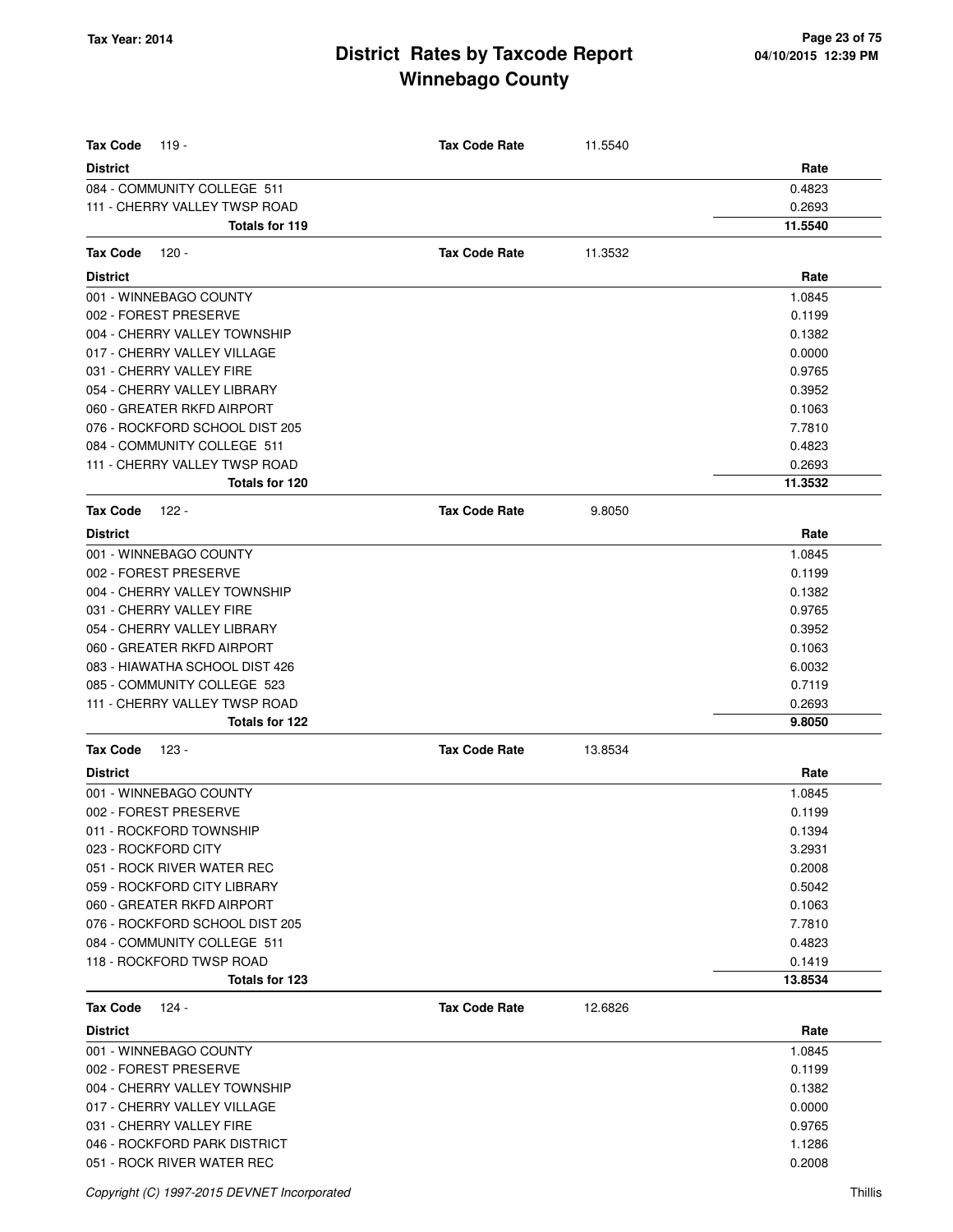| <b>Tax Code</b><br>119 -                  | <b>Tax Code Rate</b> | 11.5540 |                |
|-------------------------------------------|----------------------|---------|----------------|
| <b>District</b>                           |                      |         | Rate           |
| 084 - COMMUNITY COLLEGE 511               |                      |         | 0.4823         |
| 111 - CHERRY VALLEY TWSP ROAD             |                      |         | 0.2693         |
| Totals for 119                            |                      |         | 11.5540        |
| <b>Tax Code</b><br>$120 -$                | <b>Tax Code Rate</b> | 11.3532 |                |
| <b>District</b>                           |                      |         | Rate           |
| 001 - WINNEBAGO COUNTY                    |                      |         | 1.0845         |
| 002 - FOREST PRESERVE                     |                      |         | 0.1199         |
| 004 - CHERRY VALLEY TOWNSHIP              |                      |         | 0.1382         |
| 017 - CHERRY VALLEY VILLAGE               |                      |         | 0.0000         |
| 031 - CHERRY VALLEY FIRE                  |                      |         | 0.9765         |
| 054 - CHERRY VALLEY LIBRARY               |                      |         | 0.3952         |
| 060 - GREATER RKFD AIRPORT                |                      |         | 0.1063         |
| 076 - ROCKFORD SCHOOL DIST 205            |                      |         | 7.7810         |
| 084 - COMMUNITY COLLEGE 511               |                      |         | 0.4823         |
| 111 - CHERRY VALLEY TWSP ROAD             |                      |         | 0.2693         |
| Totals for 120                            |                      |         | 11.3532        |
| <b>Tax Code</b><br>122 -                  | <b>Tax Code Rate</b> | 9.8050  |                |
|                                           |                      |         |                |
| <b>District</b><br>001 - WINNEBAGO COUNTY |                      |         | Rate<br>1.0845 |
| 002 - FOREST PRESERVE                     |                      |         | 0.1199         |
| 004 - CHERRY VALLEY TOWNSHIP              |                      |         | 0.1382         |
| 031 - CHERRY VALLEY FIRE                  |                      |         | 0.9765         |
| 054 - CHERRY VALLEY LIBRARY               |                      |         | 0.3952         |
| 060 - GREATER RKFD AIRPORT                |                      |         | 0.1063         |
| 083 - HIAWATHA SCHOOL DIST 426            |                      |         | 6.0032         |
| 085 - COMMUNITY COLLEGE 523               |                      |         | 0.7119         |
| 111 - CHERRY VALLEY TWSP ROAD             |                      |         | 0.2693         |
| <b>Totals for 122</b>                     |                      |         | 9.8050         |
| <b>Tax Code</b><br>123 -                  | <b>Tax Code Rate</b> | 13.8534 |                |
| <b>District</b>                           |                      |         | Rate           |
| 001 - WINNEBAGO COUNTY                    |                      |         | 1.0845         |
| 002 - FOREST PRESERVE                     |                      |         | 0.1199         |
| 011 - ROCKFORD TOWNSHIP                   |                      |         | 0.1394         |
| 023 - ROCKFORD CITY                       |                      |         | 3.2931         |
| 051 - ROCK RIVER WATER REC                |                      |         | 0.2008         |
| 059 - ROCKFORD CITY LIBRARY               |                      |         | 0.5042         |
| 060 - GREATER RKFD AIRPORT                |                      |         | 0.1063         |
| 076 - ROCKFORD SCHOOL DIST 205            |                      |         | 7.7810         |
| 084 - COMMUNITY COLLEGE 511               |                      |         | 0.4823         |
| 118 - ROCKFORD TWSP ROAD                  |                      |         | 0.1419         |
| Totals for 123                            |                      |         | 13.8534        |
| <b>Tax Code</b><br>124 -                  | <b>Tax Code Rate</b> | 12.6826 |                |
| <b>District</b>                           |                      |         | Rate           |
| 001 - WINNEBAGO COUNTY                    |                      |         | 1.0845         |
| 002 - FOREST PRESERVE                     |                      |         | 0.1199         |
| 004 - CHERRY VALLEY TOWNSHIP              |                      |         | 0.1382         |
| 017 - CHERRY VALLEY VILLAGE               |                      |         | 0.0000         |
| 031 - CHERRY VALLEY FIRE                  |                      |         | 0.9765         |
| 046 - ROCKFORD PARK DISTRICT              |                      |         | 1.1286         |
| 051 - ROCK RIVER WATER REC                |                      |         | 0.2008         |
|                                           |                      |         |                |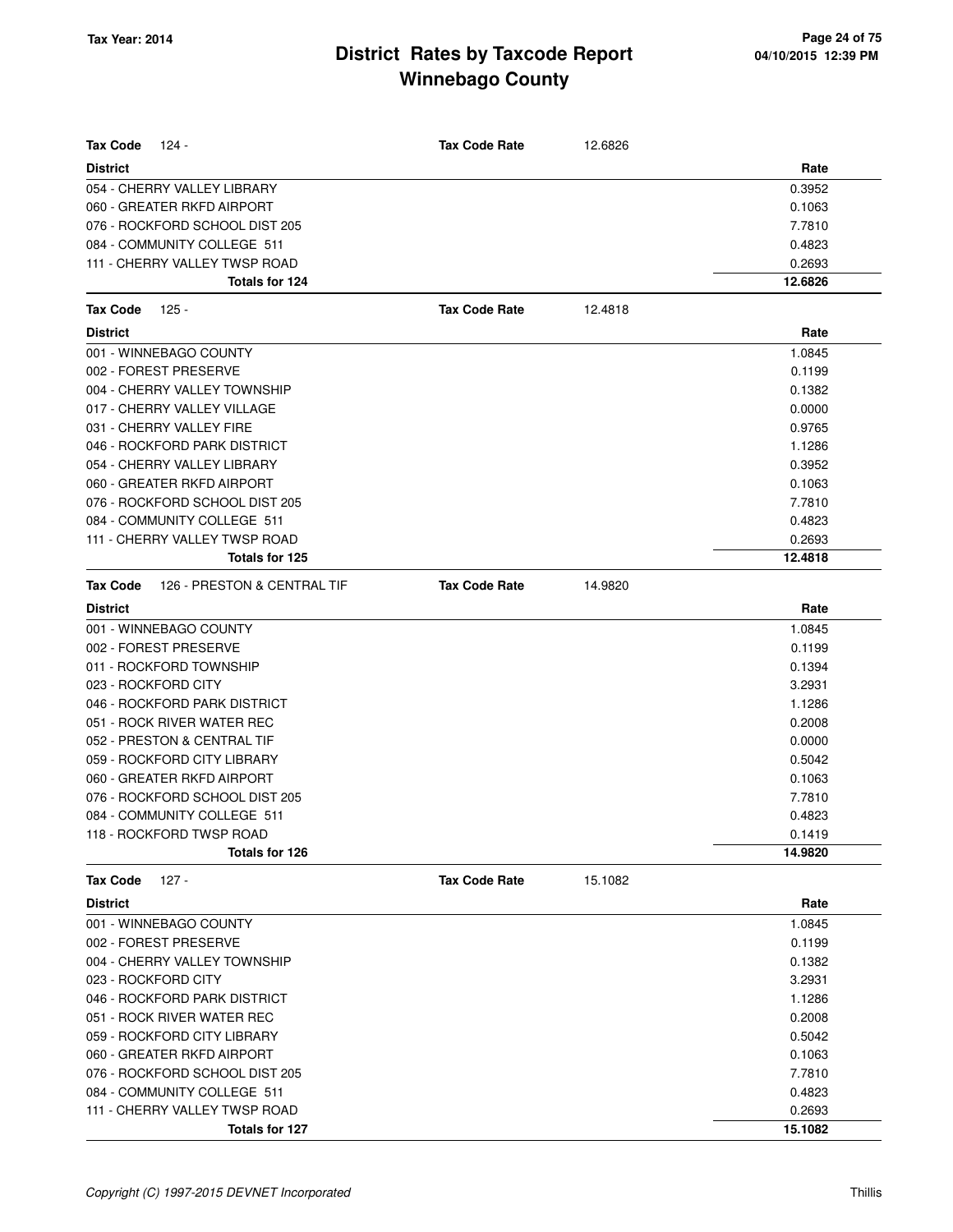| <b>Tax Code</b><br>124 -                       | <b>Tax Code Rate</b> | 12.6826 |         |
|------------------------------------------------|----------------------|---------|---------|
| <b>District</b>                                |                      |         | Rate    |
| 054 - CHERRY VALLEY LIBRARY                    |                      |         | 0.3952  |
| 060 - GREATER RKFD AIRPORT                     |                      |         | 0.1063  |
| 076 - ROCKFORD SCHOOL DIST 205                 |                      |         | 7.7810  |
| 084 - COMMUNITY COLLEGE 511                    |                      |         | 0.4823  |
| 111 - CHERRY VALLEY TWSP ROAD                  |                      |         | 0.2693  |
| Totals for 124                                 |                      |         | 12.6826 |
| <b>Tax Code</b><br>125 -                       | <b>Tax Code Rate</b> | 12.4818 |         |
| <b>District</b>                                |                      |         | Rate    |
| 001 - WINNEBAGO COUNTY                         |                      |         | 1.0845  |
| 002 - FOREST PRESERVE                          |                      |         | 0.1199  |
| 004 - CHERRY VALLEY TOWNSHIP                   |                      |         | 0.1382  |
| 017 - CHERRY VALLEY VILLAGE                    |                      |         | 0.0000  |
| 031 - CHERRY VALLEY FIRE                       |                      |         | 0.9765  |
| 046 - ROCKFORD PARK DISTRICT                   |                      |         | 1.1286  |
| 054 - CHERRY VALLEY LIBRARY                    |                      |         | 0.3952  |
| 060 - GREATER RKFD AIRPORT                     |                      |         | 0.1063  |
| 076 - ROCKFORD SCHOOL DIST 205                 |                      |         | 7.7810  |
| 084 - COMMUNITY COLLEGE 511                    |                      |         | 0.4823  |
| 111 - CHERRY VALLEY TWSP ROAD                  |                      |         | 0.2693  |
| Totals for 125                                 |                      |         | 12.4818 |
| 126 - PRESTON & CENTRAL TIF<br><b>Tax Code</b> | <b>Tax Code Rate</b> | 14.9820 |         |
| <b>District</b>                                |                      |         | Rate    |
| 001 - WINNEBAGO COUNTY                         |                      |         | 1.0845  |
| 002 - FOREST PRESERVE                          |                      |         | 0.1199  |
| 011 - ROCKFORD TOWNSHIP                        |                      |         | 0.1394  |
| 023 - ROCKFORD CITY                            |                      |         | 3.2931  |
| 046 - ROCKFORD PARK DISTRICT                   |                      |         | 1.1286  |
| 051 - ROCK RIVER WATER REC                     |                      |         | 0.2008  |
| 052 - PRESTON & CENTRAL TIF                    |                      |         | 0.0000  |
| 059 - ROCKFORD CITY LIBRARY                    |                      |         | 0.5042  |
| 060 - GREATER RKFD AIRPORT                     |                      |         | 0.1063  |
| 076 - ROCKFORD SCHOOL DIST 205                 |                      |         | 7.7810  |
| 084 - COMMUNITY COLLEGE 511                    |                      |         | 0.4823  |
| 118 - ROCKFORD TWSP ROAD                       |                      |         | 0.1419  |
| Totals for 126                                 |                      |         | 14.9820 |
| <b>Tax Code</b><br>127 -                       | <b>Tax Code Rate</b> | 15.1082 |         |
| <b>District</b>                                |                      |         | Rate    |
| 001 - WINNEBAGO COUNTY                         |                      |         | 1.0845  |
| 002 - FOREST PRESERVE                          |                      |         | 0.1199  |
| 004 - CHERRY VALLEY TOWNSHIP                   |                      |         | 0.1382  |
| 023 - ROCKFORD CITY                            |                      |         | 3.2931  |
| 046 - ROCKFORD PARK DISTRICT                   |                      |         | 1.1286  |
| 051 - ROCK RIVER WATER REC                     |                      |         | 0.2008  |
| 059 - ROCKFORD CITY LIBRARY                    |                      |         | 0.5042  |
| 060 - GREATER RKFD AIRPORT                     |                      |         | 0.1063  |
| 076 - ROCKFORD SCHOOL DIST 205                 |                      |         | 7.7810  |
| 084 - COMMUNITY COLLEGE 511                    |                      |         | 0.4823  |
| 111 - CHERRY VALLEY TWSP ROAD                  |                      |         | 0.2693  |
| Totals for 127                                 |                      |         | 15.1082 |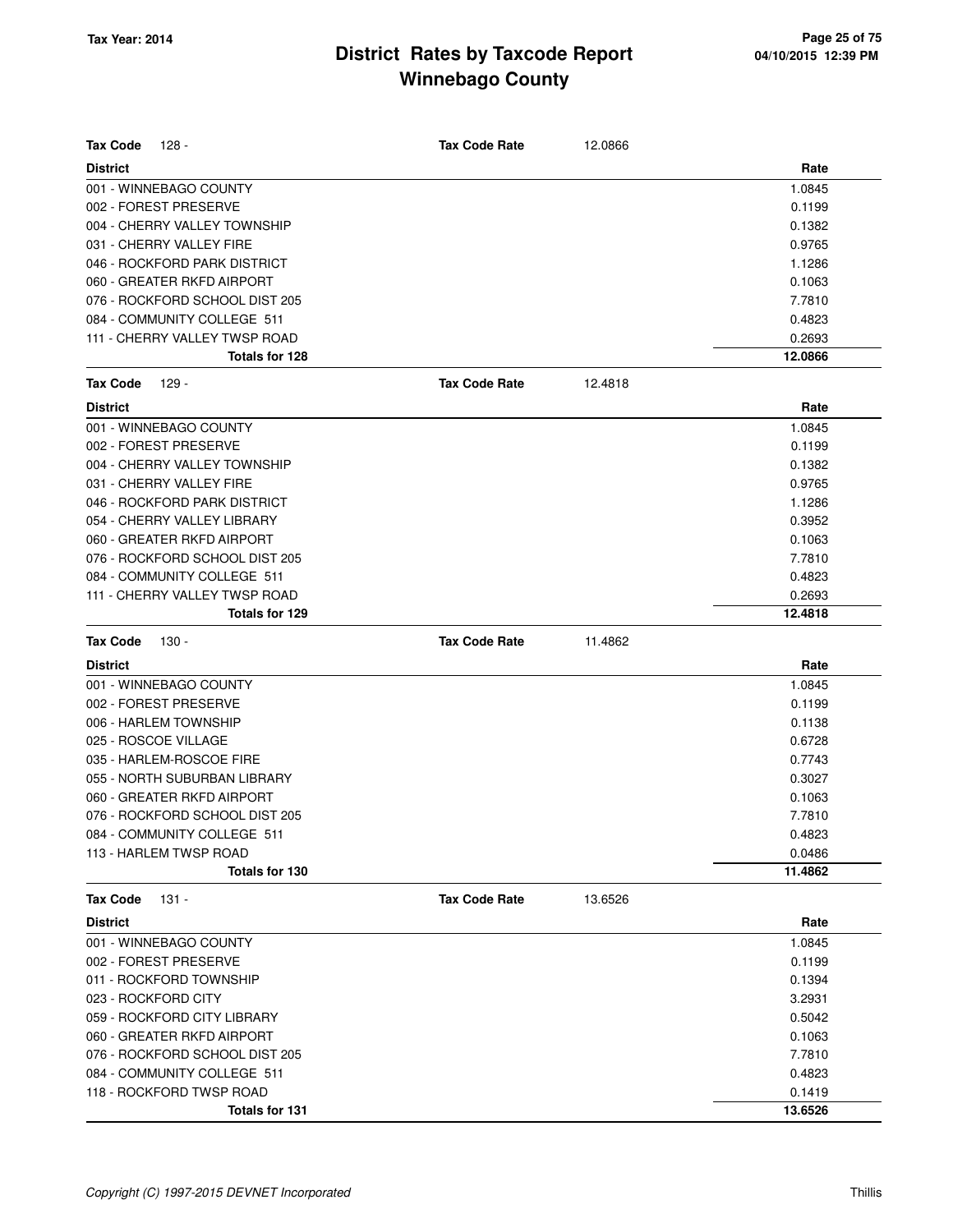| <b>Tax Code</b><br>128 -       | <b>Tax Code Rate</b> | 12.0866 |         |
|--------------------------------|----------------------|---------|---------|
| <b>District</b>                |                      |         | Rate    |
| 001 - WINNEBAGO COUNTY         |                      |         | 1.0845  |
| 002 - FOREST PRESERVE          |                      |         | 0.1199  |
| 004 - CHERRY VALLEY TOWNSHIP   |                      |         | 0.1382  |
| 031 - CHERRY VALLEY FIRE       |                      |         | 0.9765  |
| 046 - ROCKFORD PARK DISTRICT   |                      |         | 1.1286  |
| 060 - GREATER RKFD AIRPORT     |                      |         | 0.1063  |
| 076 - ROCKFORD SCHOOL DIST 205 |                      |         | 7.7810  |
| 084 - COMMUNITY COLLEGE 511    |                      |         | 0.4823  |
| 111 - CHERRY VALLEY TWSP ROAD  |                      |         | 0.2693  |
| Totals for 128                 |                      |         | 12.0866 |
| <b>Tax Code</b><br>129 -       | <b>Tax Code Rate</b> | 12.4818 |         |
| <b>District</b>                |                      |         | Rate    |
| 001 - WINNEBAGO COUNTY         |                      |         | 1.0845  |
| 002 - FOREST PRESERVE          |                      |         | 0.1199  |
| 004 - CHERRY VALLEY TOWNSHIP   |                      |         | 0.1382  |
| 031 - CHERRY VALLEY FIRE       |                      |         | 0.9765  |
| 046 - ROCKFORD PARK DISTRICT   |                      |         | 1.1286  |
| 054 - CHERRY VALLEY LIBRARY    |                      |         | 0.3952  |
| 060 - GREATER RKFD AIRPORT     |                      |         | 0.1063  |
| 076 - ROCKFORD SCHOOL DIST 205 |                      |         | 7.7810  |
| 084 - COMMUNITY COLLEGE 511    |                      |         | 0.4823  |
| 111 - CHERRY VALLEY TWSP ROAD  |                      |         | 0.2693  |
| Totals for 129                 |                      |         | 12.4818 |
|                                |                      |         |         |
| <b>Tax Code</b><br>130 -       | <b>Tax Code Rate</b> | 11.4862 |         |
| <b>District</b>                |                      |         | Rate    |
| 001 - WINNEBAGO COUNTY         |                      |         | 1.0845  |
| 002 - FOREST PRESERVE          |                      |         | 0.1199  |
| 006 - HARLEM TOWNSHIP          |                      |         | 0.1138  |
| 025 - ROSCOE VILLAGE           |                      |         | 0.6728  |
| 035 - HARLEM-ROSCOE FIRE       |                      |         | 0.7743  |
| 055 - NORTH SUBURBAN LIBRARY   |                      |         | 0.3027  |
| 060 - GREATER RKFD AIRPORT     |                      |         | 0.1063  |
| 076 - ROCKFORD SCHOOL DIST 205 |                      |         | 7.7810  |
| 084 - COMMUNITY COLLEGE 511    |                      |         | 0.4823  |
| 113 - HARLEM TWSP ROAD         |                      |         | 0.0486  |
| Totals for 130                 |                      |         | 11.4862 |
| <b>Tax Code</b><br>131 -       | <b>Tax Code Rate</b> | 13.6526 |         |
| <b>District</b>                |                      |         | Rate    |
| 001 - WINNEBAGO COUNTY         |                      |         | 1.0845  |
| 002 - FOREST PRESERVE          |                      |         | 0.1199  |
| 011 - ROCKFORD TOWNSHIP        |                      |         | 0.1394  |
| 023 - ROCKFORD CITY            |                      |         | 3.2931  |
| 059 - ROCKFORD CITY LIBRARY    |                      |         | 0.5042  |
| 060 - GREATER RKFD AIRPORT     |                      |         | 0.1063  |
| 076 - ROCKFORD SCHOOL DIST 205 |                      |         | 7.7810  |
| 084 - COMMUNITY COLLEGE 511    |                      |         | 0.4823  |
| 118 - ROCKFORD TWSP ROAD       |                      |         | 0.1419  |
| Totals for 131                 |                      |         | 13.6526 |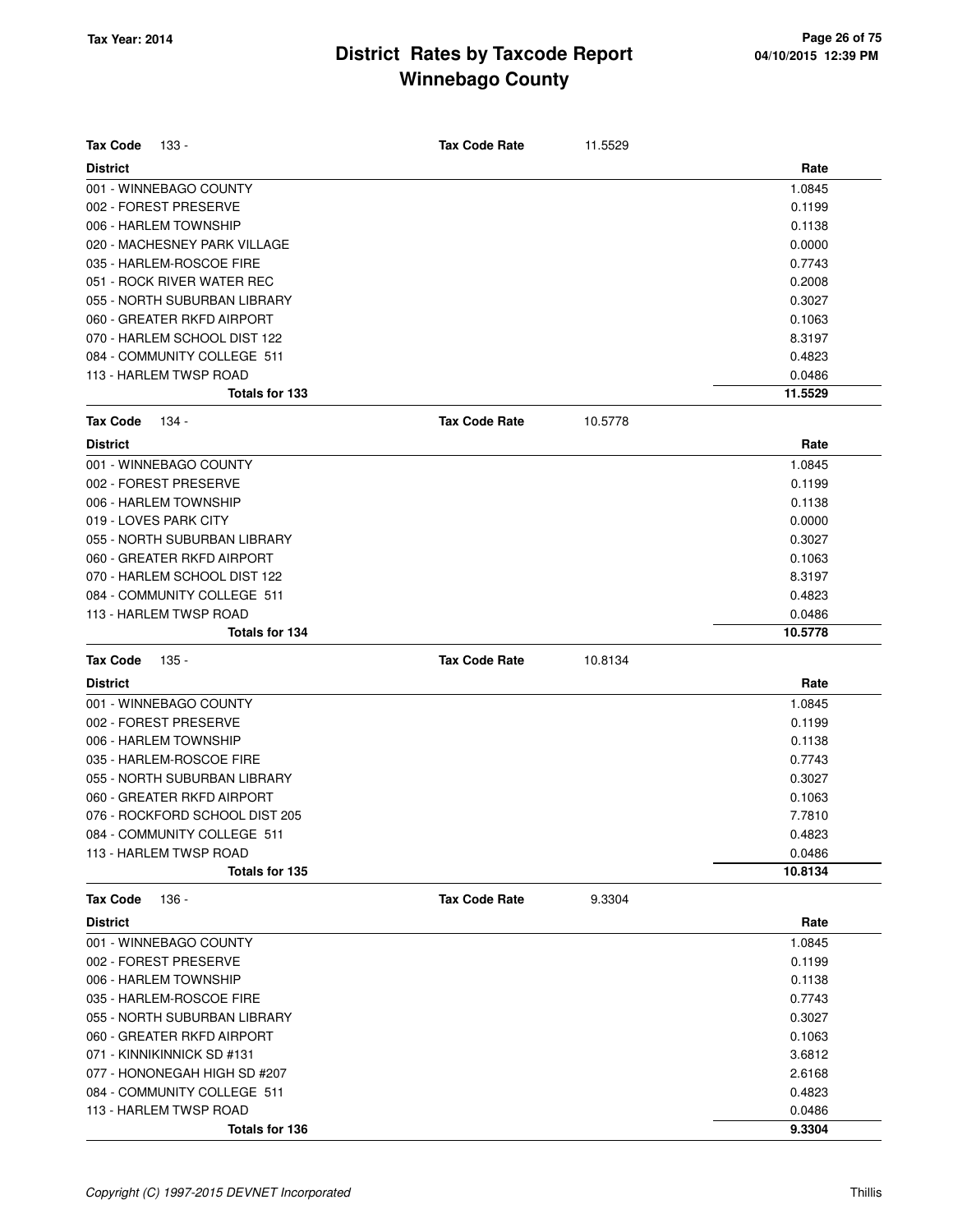| <b>District</b><br>Rate<br>001 - WINNEBAGO COUNTY<br>1.0845<br>002 - FOREST PRESERVE<br>0.1199<br>006 - HARLEM TOWNSHIP<br>0.1138<br>020 - MACHESNEY PARK VILLAGE<br>0.0000<br>035 - HARLEM-ROSCOE FIRE<br>0.7743<br>051 - ROCK RIVER WATER REC<br>0.2008<br>055 - NORTH SUBURBAN LIBRARY<br>0.3027<br>060 - GREATER RKFD AIRPORT<br>0.1063<br>070 - HARLEM SCHOOL DIST 122<br>8.3197<br>084 - COMMUNITY COLLEGE 511<br>0.4823<br>113 - HARLEM TWSP ROAD<br>0.0486<br>Totals for 133<br>11.5529<br><b>Tax Code Rate</b><br><b>Tax Code</b><br>134 -<br>10.5778<br><b>District</b><br>Rate<br>001 - WINNEBAGO COUNTY<br>1.0845<br>002 - FOREST PRESERVE<br>0.1199<br>006 - HARLEM TOWNSHIP<br>0.1138<br>019 - LOVES PARK CITY<br>0.0000<br>055 - NORTH SUBURBAN LIBRARY<br>0.3027<br>060 - GREATER RKFD AIRPORT<br>0.1063<br>070 - HARLEM SCHOOL DIST 122<br>8.3197<br>084 - COMMUNITY COLLEGE 511<br>0.4823<br>113 - HARLEM TWSP ROAD<br>0.0486<br>Totals for 134<br>10.5778<br><b>Tax Code</b><br><b>Tax Code Rate</b><br>10.8134<br>135 -<br><b>District</b><br>Rate<br>001 - WINNEBAGO COUNTY<br>1.0845<br>002 - FOREST PRESERVE<br>0.1199<br>006 - HARLEM TOWNSHIP<br>0.1138<br>035 - HARLEM-ROSCOE FIRE<br>0.7743<br>055 - NORTH SUBURBAN LIBRARY<br>0.3027<br>060 - GREATER RKFD AIRPORT<br>0.1063<br>076 - ROCKFORD SCHOOL DIST 205<br>7.7810<br>084 - COMMUNITY COLLEGE 511<br>0.4823<br>113 - HARLEM TWSP ROAD<br>0.0486<br>Totals for 135<br>10.8134<br><b>Tax Code Rate</b><br><b>Tax Code</b><br>136 -<br>9.3304<br>Rate<br><b>District</b> |
|---------------------------------------------------------------------------------------------------------------------------------------------------------------------------------------------------------------------------------------------------------------------------------------------------------------------------------------------------------------------------------------------------------------------------------------------------------------------------------------------------------------------------------------------------------------------------------------------------------------------------------------------------------------------------------------------------------------------------------------------------------------------------------------------------------------------------------------------------------------------------------------------------------------------------------------------------------------------------------------------------------------------------------------------------------------------------------------------------------------------------------------------------------------------------------------------------------------------------------------------------------------------------------------------------------------------------------------------------------------------------------------------------------------------------------------------------------------------------------------------------------------------------------------------------------|
|                                                                                                                                                                                                                                                                                                                                                                                                                                                                                                                                                                                                                                                                                                                                                                                                                                                                                                                                                                                                                                                                                                                                                                                                                                                                                                                                                                                                                                                                                                                                                         |
|                                                                                                                                                                                                                                                                                                                                                                                                                                                                                                                                                                                                                                                                                                                                                                                                                                                                                                                                                                                                                                                                                                                                                                                                                                                                                                                                                                                                                                                                                                                                                         |
|                                                                                                                                                                                                                                                                                                                                                                                                                                                                                                                                                                                                                                                                                                                                                                                                                                                                                                                                                                                                                                                                                                                                                                                                                                                                                                                                                                                                                                                                                                                                                         |
|                                                                                                                                                                                                                                                                                                                                                                                                                                                                                                                                                                                                                                                                                                                                                                                                                                                                                                                                                                                                                                                                                                                                                                                                                                                                                                                                                                                                                                                                                                                                                         |
|                                                                                                                                                                                                                                                                                                                                                                                                                                                                                                                                                                                                                                                                                                                                                                                                                                                                                                                                                                                                                                                                                                                                                                                                                                                                                                                                                                                                                                                                                                                                                         |
|                                                                                                                                                                                                                                                                                                                                                                                                                                                                                                                                                                                                                                                                                                                                                                                                                                                                                                                                                                                                                                                                                                                                                                                                                                                                                                                                                                                                                                                                                                                                                         |
|                                                                                                                                                                                                                                                                                                                                                                                                                                                                                                                                                                                                                                                                                                                                                                                                                                                                                                                                                                                                                                                                                                                                                                                                                                                                                                                                                                                                                                                                                                                                                         |
|                                                                                                                                                                                                                                                                                                                                                                                                                                                                                                                                                                                                                                                                                                                                                                                                                                                                                                                                                                                                                                                                                                                                                                                                                                                                                                                                                                                                                                                                                                                                                         |
|                                                                                                                                                                                                                                                                                                                                                                                                                                                                                                                                                                                                                                                                                                                                                                                                                                                                                                                                                                                                                                                                                                                                                                                                                                                                                                                                                                                                                                                                                                                                                         |
|                                                                                                                                                                                                                                                                                                                                                                                                                                                                                                                                                                                                                                                                                                                                                                                                                                                                                                                                                                                                                                                                                                                                                                                                                                                                                                                                                                                                                                                                                                                                                         |
|                                                                                                                                                                                                                                                                                                                                                                                                                                                                                                                                                                                                                                                                                                                                                                                                                                                                                                                                                                                                                                                                                                                                                                                                                                                                                                                                                                                                                                                                                                                                                         |
|                                                                                                                                                                                                                                                                                                                                                                                                                                                                                                                                                                                                                                                                                                                                                                                                                                                                                                                                                                                                                                                                                                                                                                                                                                                                                                                                                                                                                                                                                                                                                         |
|                                                                                                                                                                                                                                                                                                                                                                                                                                                                                                                                                                                                                                                                                                                                                                                                                                                                                                                                                                                                                                                                                                                                                                                                                                                                                                                                                                                                                                                                                                                                                         |
|                                                                                                                                                                                                                                                                                                                                                                                                                                                                                                                                                                                                                                                                                                                                                                                                                                                                                                                                                                                                                                                                                                                                                                                                                                                                                                                                                                                                                                                                                                                                                         |
|                                                                                                                                                                                                                                                                                                                                                                                                                                                                                                                                                                                                                                                                                                                                                                                                                                                                                                                                                                                                                                                                                                                                                                                                                                                                                                                                                                                                                                                                                                                                                         |
|                                                                                                                                                                                                                                                                                                                                                                                                                                                                                                                                                                                                                                                                                                                                                                                                                                                                                                                                                                                                                                                                                                                                                                                                                                                                                                                                                                                                                                                                                                                                                         |
|                                                                                                                                                                                                                                                                                                                                                                                                                                                                                                                                                                                                                                                                                                                                                                                                                                                                                                                                                                                                                                                                                                                                                                                                                                                                                                                                                                                                                                                                                                                                                         |
|                                                                                                                                                                                                                                                                                                                                                                                                                                                                                                                                                                                                                                                                                                                                                                                                                                                                                                                                                                                                                                                                                                                                                                                                                                                                                                                                                                                                                                                                                                                                                         |
|                                                                                                                                                                                                                                                                                                                                                                                                                                                                                                                                                                                                                                                                                                                                                                                                                                                                                                                                                                                                                                                                                                                                                                                                                                                                                                                                                                                                                                                                                                                                                         |
|                                                                                                                                                                                                                                                                                                                                                                                                                                                                                                                                                                                                                                                                                                                                                                                                                                                                                                                                                                                                                                                                                                                                                                                                                                                                                                                                                                                                                                                                                                                                                         |
|                                                                                                                                                                                                                                                                                                                                                                                                                                                                                                                                                                                                                                                                                                                                                                                                                                                                                                                                                                                                                                                                                                                                                                                                                                                                                                                                                                                                                                                                                                                                                         |
|                                                                                                                                                                                                                                                                                                                                                                                                                                                                                                                                                                                                                                                                                                                                                                                                                                                                                                                                                                                                                                                                                                                                                                                                                                                                                                                                                                                                                                                                                                                                                         |
|                                                                                                                                                                                                                                                                                                                                                                                                                                                                                                                                                                                                                                                                                                                                                                                                                                                                                                                                                                                                                                                                                                                                                                                                                                                                                                                                                                                                                                                                                                                                                         |
|                                                                                                                                                                                                                                                                                                                                                                                                                                                                                                                                                                                                                                                                                                                                                                                                                                                                                                                                                                                                                                                                                                                                                                                                                                                                                                                                                                                                                                                                                                                                                         |
|                                                                                                                                                                                                                                                                                                                                                                                                                                                                                                                                                                                                                                                                                                                                                                                                                                                                                                                                                                                                                                                                                                                                                                                                                                                                                                                                                                                                                                                                                                                                                         |
|                                                                                                                                                                                                                                                                                                                                                                                                                                                                                                                                                                                                                                                                                                                                                                                                                                                                                                                                                                                                                                                                                                                                                                                                                                                                                                                                                                                                                                                                                                                                                         |
|                                                                                                                                                                                                                                                                                                                                                                                                                                                                                                                                                                                                                                                                                                                                                                                                                                                                                                                                                                                                                                                                                                                                                                                                                                                                                                                                                                                                                                                                                                                                                         |
|                                                                                                                                                                                                                                                                                                                                                                                                                                                                                                                                                                                                                                                                                                                                                                                                                                                                                                                                                                                                                                                                                                                                                                                                                                                                                                                                                                                                                                                                                                                                                         |
|                                                                                                                                                                                                                                                                                                                                                                                                                                                                                                                                                                                                                                                                                                                                                                                                                                                                                                                                                                                                                                                                                                                                                                                                                                                                                                                                                                                                                                                                                                                                                         |
|                                                                                                                                                                                                                                                                                                                                                                                                                                                                                                                                                                                                                                                                                                                                                                                                                                                                                                                                                                                                                                                                                                                                                                                                                                                                                                                                                                                                                                                                                                                                                         |
|                                                                                                                                                                                                                                                                                                                                                                                                                                                                                                                                                                                                                                                                                                                                                                                                                                                                                                                                                                                                                                                                                                                                                                                                                                                                                                                                                                                                                                                                                                                                                         |
|                                                                                                                                                                                                                                                                                                                                                                                                                                                                                                                                                                                                                                                                                                                                                                                                                                                                                                                                                                                                                                                                                                                                                                                                                                                                                                                                                                                                                                                                                                                                                         |
|                                                                                                                                                                                                                                                                                                                                                                                                                                                                                                                                                                                                                                                                                                                                                                                                                                                                                                                                                                                                                                                                                                                                                                                                                                                                                                                                                                                                                                                                                                                                                         |
|                                                                                                                                                                                                                                                                                                                                                                                                                                                                                                                                                                                                                                                                                                                                                                                                                                                                                                                                                                                                                                                                                                                                                                                                                                                                                                                                                                                                                                                                                                                                                         |
|                                                                                                                                                                                                                                                                                                                                                                                                                                                                                                                                                                                                                                                                                                                                                                                                                                                                                                                                                                                                                                                                                                                                                                                                                                                                                                                                                                                                                                                                                                                                                         |
|                                                                                                                                                                                                                                                                                                                                                                                                                                                                                                                                                                                                                                                                                                                                                                                                                                                                                                                                                                                                                                                                                                                                                                                                                                                                                                                                                                                                                                                                                                                                                         |
|                                                                                                                                                                                                                                                                                                                                                                                                                                                                                                                                                                                                                                                                                                                                                                                                                                                                                                                                                                                                                                                                                                                                                                                                                                                                                                                                                                                                                                                                                                                                                         |
|                                                                                                                                                                                                                                                                                                                                                                                                                                                                                                                                                                                                                                                                                                                                                                                                                                                                                                                                                                                                                                                                                                                                                                                                                                                                                                                                                                                                                                                                                                                                                         |
|                                                                                                                                                                                                                                                                                                                                                                                                                                                                                                                                                                                                                                                                                                                                                                                                                                                                                                                                                                                                                                                                                                                                                                                                                                                                                                                                                                                                                                                                                                                                                         |
| 001 - WINNEBAGO COUNTY<br>1.0845                                                                                                                                                                                                                                                                                                                                                                                                                                                                                                                                                                                                                                                                                                                                                                                                                                                                                                                                                                                                                                                                                                                                                                                                                                                                                                                                                                                                                                                                                                                        |
| 002 - FOREST PRESERVE<br>0.1199                                                                                                                                                                                                                                                                                                                                                                                                                                                                                                                                                                                                                                                                                                                                                                                                                                                                                                                                                                                                                                                                                                                                                                                                                                                                                                                                                                                                                                                                                                                         |
| 006 - HARLEM TOWNSHIP<br>0.1138                                                                                                                                                                                                                                                                                                                                                                                                                                                                                                                                                                                                                                                                                                                                                                                                                                                                                                                                                                                                                                                                                                                                                                                                                                                                                                                                                                                                                                                                                                                         |
| 035 - HARLEM-ROSCOE FIRE<br>0.7743                                                                                                                                                                                                                                                                                                                                                                                                                                                                                                                                                                                                                                                                                                                                                                                                                                                                                                                                                                                                                                                                                                                                                                                                                                                                                                                                                                                                                                                                                                                      |
| 055 - NORTH SUBURBAN LIBRARY<br>0.3027                                                                                                                                                                                                                                                                                                                                                                                                                                                                                                                                                                                                                                                                                                                                                                                                                                                                                                                                                                                                                                                                                                                                                                                                                                                                                                                                                                                                                                                                                                                  |
| 060 - GREATER RKFD AIRPORT<br>0.1063                                                                                                                                                                                                                                                                                                                                                                                                                                                                                                                                                                                                                                                                                                                                                                                                                                                                                                                                                                                                                                                                                                                                                                                                                                                                                                                                                                                                                                                                                                                    |
| 071 - KINNIKINNICK SD #131<br>3.6812                                                                                                                                                                                                                                                                                                                                                                                                                                                                                                                                                                                                                                                                                                                                                                                                                                                                                                                                                                                                                                                                                                                                                                                                                                                                                                                                                                                                                                                                                                                    |
| 077 - HONONEGAH HIGH SD #207<br>2.6168                                                                                                                                                                                                                                                                                                                                                                                                                                                                                                                                                                                                                                                                                                                                                                                                                                                                                                                                                                                                                                                                                                                                                                                                                                                                                                                                                                                                                                                                                                                  |
| 084 - COMMUNITY COLLEGE 511<br>0.4823                                                                                                                                                                                                                                                                                                                                                                                                                                                                                                                                                                                                                                                                                                                                                                                                                                                                                                                                                                                                                                                                                                                                                                                                                                                                                                                                                                                                                                                                                                                   |
| 113 - HARLEM TWSP ROAD<br>0.0486                                                                                                                                                                                                                                                                                                                                                                                                                                                                                                                                                                                                                                                                                                                                                                                                                                                                                                                                                                                                                                                                                                                                                                                                                                                                                                                                                                                                                                                                                                                        |
| Totals for 136<br>9.3304                                                                                                                                                                                                                                                                                                                                                                                                                                                                                                                                                                                                                                                                                                                                                                                                                                                                                                                                                                                                                                                                                                                                                                                                                                                                                                                                                                                                                                                                                                                                |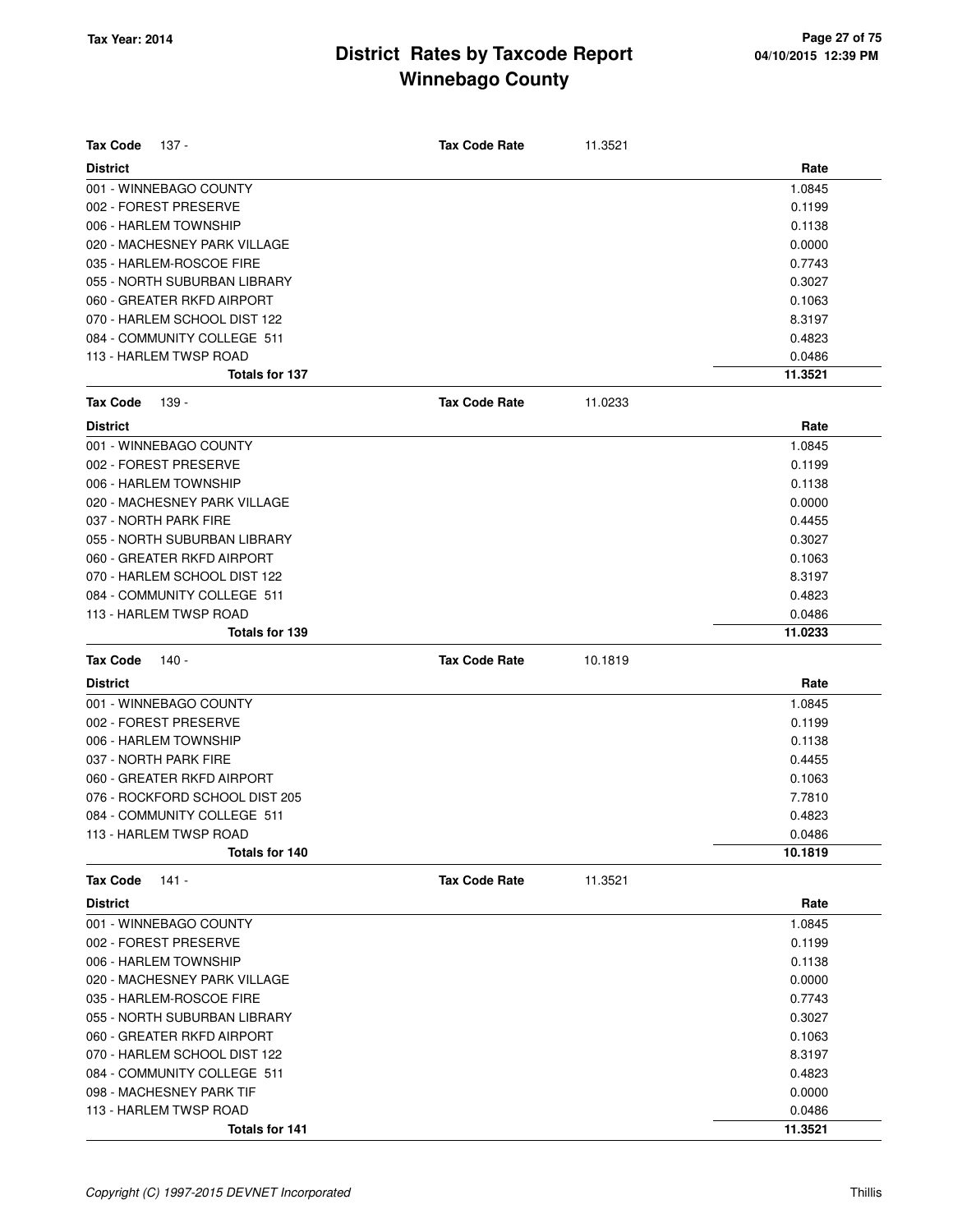| <b>Tax Code</b><br>137 -       | <b>Tax Code Rate</b> | 11.3521 |         |
|--------------------------------|----------------------|---------|---------|
| <b>District</b>                |                      |         | Rate    |
| 001 - WINNEBAGO COUNTY         |                      |         | 1.0845  |
| 002 - FOREST PRESERVE          |                      |         | 0.1199  |
| 006 - HARLEM TOWNSHIP          |                      |         | 0.1138  |
| 020 - MACHESNEY PARK VILLAGE   |                      |         | 0.0000  |
| 035 - HARLEM-ROSCOE FIRE       |                      |         | 0.7743  |
| 055 - NORTH SUBURBAN LIBRARY   |                      |         | 0.3027  |
| 060 - GREATER RKFD AIRPORT     |                      |         | 0.1063  |
| 070 - HARLEM SCHOOL DIST 122   |                      |         | 8.3197  |
| 084 - COMMUNITY COLLEGE 511    |                      |         | 0.4823  |
| 113 - HARLEM TWSP ROAD         |                      |         | 0.0486  |
| <b>Totals for 137</b>          |                      |         | 11.3521 |
| <b>Tax Code</b><br>139 -       | <b>Tax Code Rate</b> | 11.0233 |         |
| <b>District</b>                |                      |         | Rate    |
| 001 - WINNEBAGO COUNTY         |                      |         | 1.0845  |
| 002 - FOREST PRESERVE          |                      |         | 0.1199  |
| 006 - HARLEM TOWNSHIP          |                      |         | 0.1138  |
| 020 - MACHESNEY PARK VILLAGE   |                      |         | 0.0000  |
| 037 - NORTH PARK FIRE          |                      |         | 0.4455  |
| 055 - NORTH SUBURBAN LIBRARY   |                      |         | 0.3027  |
| 060 - GREATER RKFD AIRPORT     |                      |         | 0.1063  |
| 070 - HARLEM SCHOOL DIST 122   |                      |         | 8.3197  |
| 084 - COMMUNITY COLLEGE 511    |                      |         | 0.4823  |
| 113 - HARLEM TWSP ROAD         |                      |         | 0.0486  |
| <b>Totals for 139</b>          |                      |         | 11.0233 |
| <b>Tax Code</b><br>140 -       | <b>Tax Code Rate</b> | 10.1819 |         |
| <b>District</b>                |                      |         | Rate    |
| 001 - WINNEBAGO COUNTY         |                      |         | 1.0845  |
| 002 - FOREST PRESERVE          |                      |         | 0.1199  |
| 006 - HARLEM TOWNSHIP          |                      |         | 0.1138  |
| 037 - NORTH PARK FIRE          |                      |         | 0.4455  |
| 060 - GREATER RKFD AIRPORT     |                      |         | 0.1063  |
| 076 - ROCKFORD SCHOOL DIST 205 |                      |         | 7.7810  |
| 084 - COMMUNITY COLLEGE 511    |                      |         | 0.4823  |
| 113 - HARLEM TWSP ROAD         |                      |         | 0.0486  |
| Totals for 140                 |                      |         | 10.1819 |
| <b>Tax Code</b><br>$141 -$     | <b>Tax Code Rate</b> | 11.3521 |         |
| <b>District</b>                |                      |         | Rate    |
| 001 - WINNEBAGO COUNTY         |                      |         | 1.0845  |
| 002 - FOREST PRESERVE          |                      |         | 0.1199  |
| 006 - HARLEM TOWNSHIP          |                      |         | 0.1138  |
| 020 - MACHESNEY PARK VILLAGE   |                      |         | 0.0000  |
| 035 - HARLEM-ROSCOE FIRE       |                      |         | 0.7743  |
| 055 - NORTH SUBURBAN LIBRARY   |                      |         |         |
|                                |                      |         | 0.3027  |
| 060 - GREATER RKFD AIRPORT     |                      |         | 0.1063  |
| 070 - HARLEM SCHOOL DIST 122   |                      |         | 8.3197  |
| 084 - COMMUNITY COLLEGE 511    |                      |         | 0.4823  |
| 098 - MACHESNEY PARK TIF       |                      |         | 0.0000  |
| 113 - HARLEM TWSP ROAD         |                      |         | 0.0486  |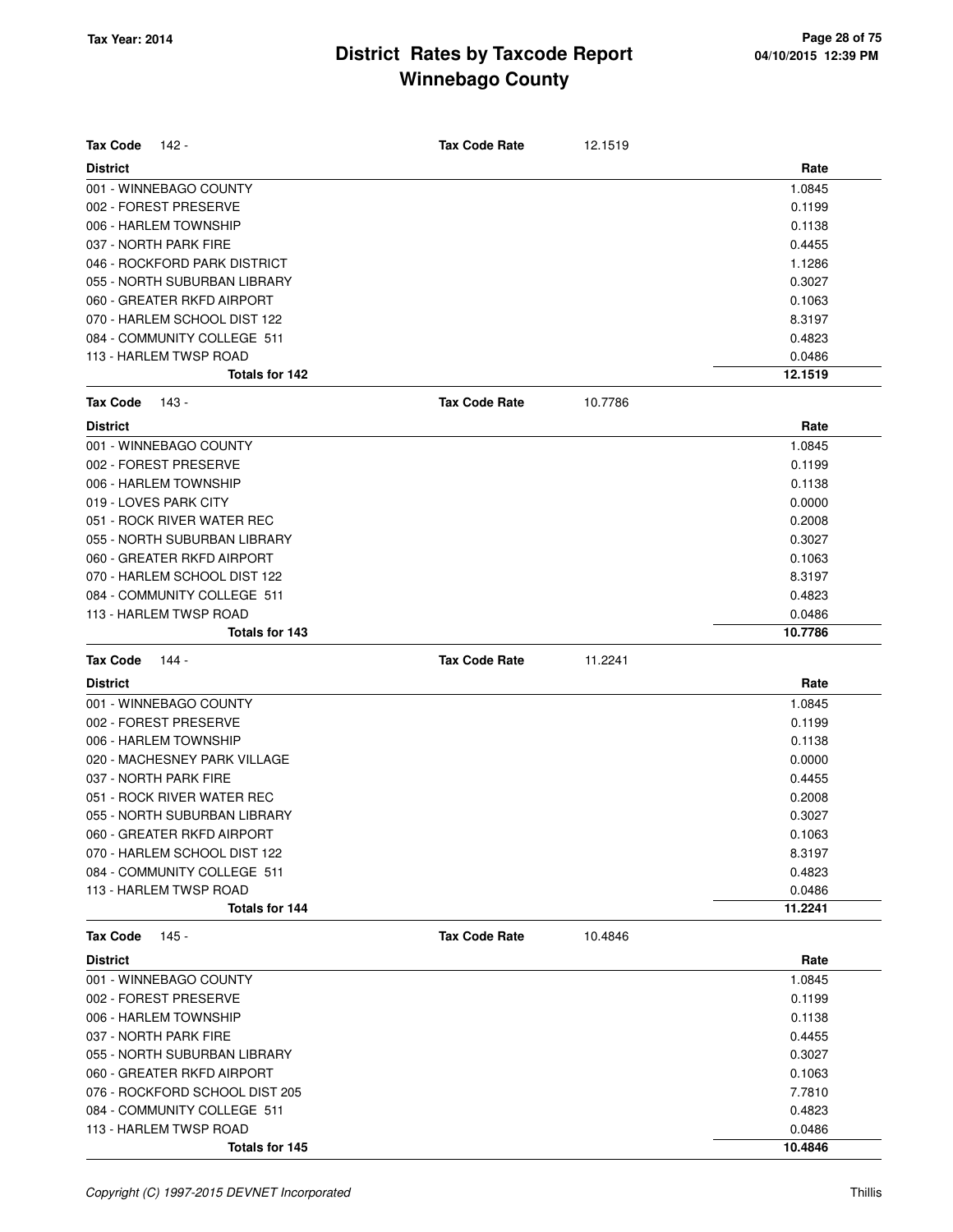| <b>Tax Code</b> | 142 -                                    | <b>Tax Code Rate</b> | 12.1519 |         |
|-----------------|------------------------------------------|----------------------|---------|---------|
| <b>District</b> |                                          |                      |         | Rate    |
|                 | 001 - WINNEBAGO COUNTY                   |                      |         | 1.0845  |
|                 | 002 - FOREST PRESERVE                    |                      |         | 0.1199  |
|                 | 006 - HARLEM TOWNSHIP                    |                      |         | 0.1138  |
|                 | 037 - NORTH PARK FIRE                    |                      |         | 0.4455  |
|                 | 046 - ROCKFORD PARK DISTRICT             |                      |         | 1.1286  |
|                 | 055 - NORTH SUBURBAN LIBRARY             |                      |         | 0.3027  |
|                 | 060 - GREATER RKFD AIRPORT               |                      |         | 0.1063  |
|                 | 070 - HARLEM SCHOOL DIST 122             |                      |         | 8.3197  |
|                 | 084 - COMMUNITY COLLEGE 511              |                      |         | 0.4823  |
|                 | 113 - HARLEM TWSP ROAD                   |                      |         | 0.0486  |
|                 | Totals for 142                           |                      |         | 12.1519 |
| <b>Tax Code</b> | 143 -                                    | <b>Tax Code Rate</b> | 10.7786 |         |
| <b>District</b> |                                          |                      |         | Rate    |
|                 | 001 - WINNEBAGO COUNTY                   |                      |         | 1.0845  |
|                 | 002 - FOREST PRESERVE                    |                      |         | 0.1199  |
|                 | 006 - HARLEM TOWNSHIP                    |                      |         | 0.1138  |
|                 | 019 - LOVES PARK CITY                    |                      |         | 0.0000  |
|                 | 051 - ROCK RIVER WATER REC               |                      |         | 0.2008  |
|                 | 055 - NORTH SUBURBAN LIBRARY             |                      |         | 0.3027  |
|                 | 060 - GREATER RKFD AIRPORT               |                      |         | 0.1063  |
|                 | 070 - HARLEM SCHOOL DIST 122             |                      |         | 8.3197  |
|                 | 084 - COMMUNITY COLLEGE 511              |                      |         | 0.4823  |
|                 | 113 - HARLEM TWSP ROAD                   |                      |         | 0.0486  |
|                 | Totals for 143                           |                      |         | 10.7786 |
|                 |                                          |                      |         |         |
| <b>Tax Code</b> | 144 -                                    | <b>Tax Code Rate</b> | 11.2241 |         |
| <b>District</b> |                                          |                      |         | Rate    |
|                 | 001 - WINNEBAGO COUNTY                   |                      |         | 1.0845  |
|                 | 002 - FOREST PRESERVE                    |                      |         | 0.1199  |
|                 | 006 - HARLEM TOWNSHIP                    |                      |         | 0.1138  |
|                 | 020 - MACHESNEY PARK VILLAGE             |                      |         | 0.0000  |
|                 | 037 - NORTH PARK FIRE                    |                      |         | 0.4455  |
|                 | 051 - ROCK RIVER WATER REC               |                      |         | 0.2008  |
|                 | 055 - NORTH SUBURBAN LIBRARY             |                      |         | 0.3027  |
|                 | 060 - GREATER RKFD AIRPORT               |                      |         | 0.1063  |
|                 | 070 - HARLEM SCHOOL DIST 122             |                      |         | 8.3197  |
|                 | 084 - COMMUNITY COLLEGE 511              |                      |         | 0.4823  |
|                 | 113 - HARLEM TWSP ROAD                   |                      |         | 0.0486  |
|                 | Totals for 144                           |                      |         | 11.2241 |
| <b>Tax Code</b> | 145 -                                    | <b>Tax Code Rate</b> | 10.4846 |         |
| <b>District</b> |                                          |                      |         | Rate    |
|                 | 001 - WINNEBAGO COUNTY                   |                      |         | 1.0845  |
|                 | 002 - FOREST PRESERVE                    |                      |         | 0.1199  |
|                 | 006 - HARLEM TOWNSHIP                    |                      |         | 0.1138  |
|                 | 037 - NORTH PARK FIRE                    |                      |         | 0.4455  |
|                 | 055 - NORTH SUBURBAN LIBRARY             |                      |         | 0.3027  |
|                 | 060 - GREATER RKFD AIRPORT               |                      |         | 0.1063  |
|                 | 076 - ROCKFORD SCHOOL DIST 205           |                      |         | 7.7810  |
|                 | 084 - COMMUNITY COLLEGE 511              |                      |         | 0.4823  |
|                 | 113 - HARLEM TWSP ROAD<br>Totals for 145 |                      |         | 0.0486  |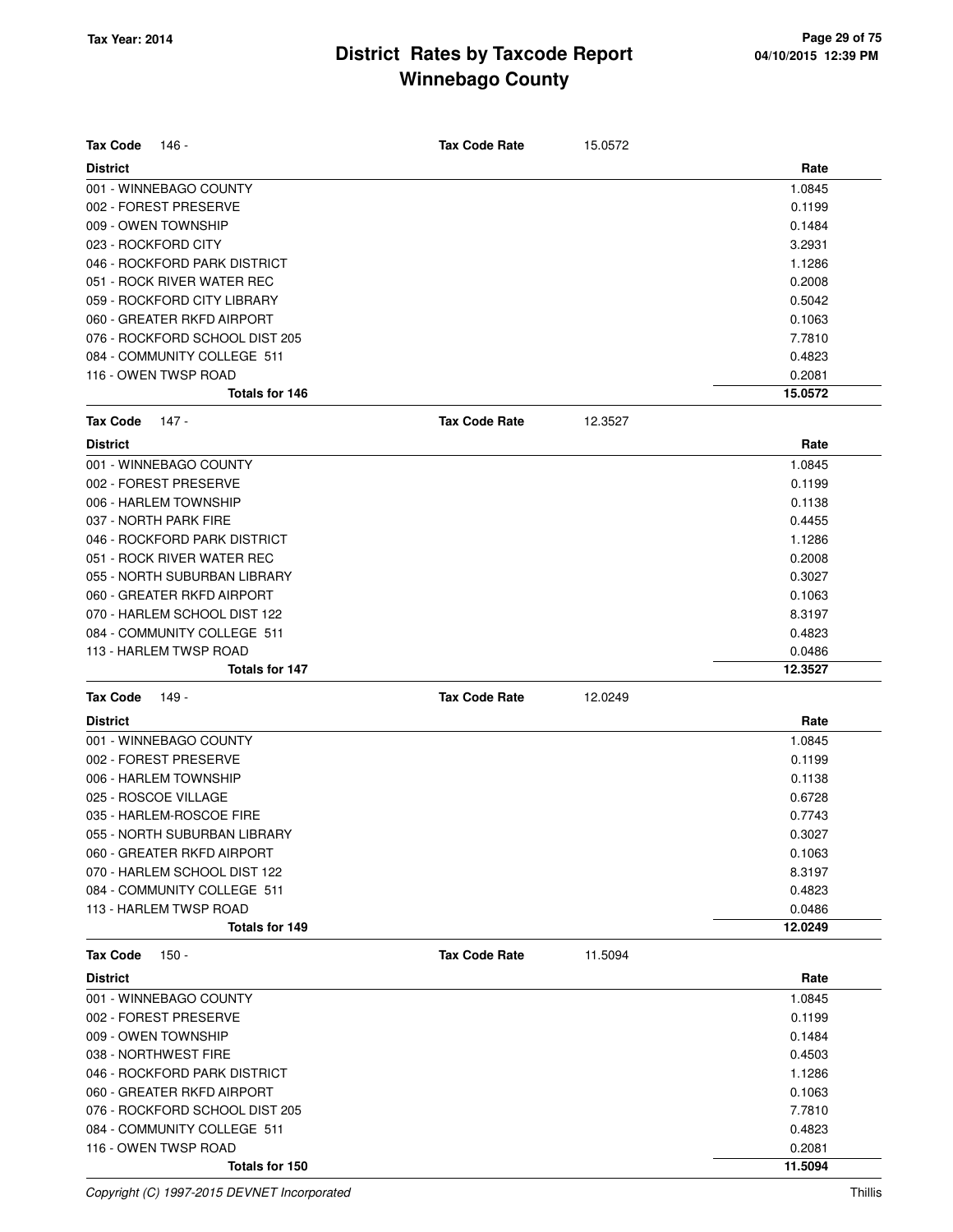| <b>Tax Code</b> | 146 -                                           | <b>Tax Code Rate</b> | 15.0572 |                   |
|-----------------|-------------------------------------------------|----------------------|---------|-------------------|
| <b>District</b> |                                                 |                      |         | Rate              |
|                 | 001 - WINNEBAGO COUNTY<br>002 - FOREST PRESERVE |                      |         | 1.0845<br>0.1199  |
|                 | 009 - OWEN TOWNSHIP                             |                      |         |                   |
|                 | 023 - ROCKFORD CITY                             |                      |         | 0.1484<br>3.2931  |
|                 | 046 - ROCKFORD PARK DISTRICT                    |                      |         | 1.1286            |
|                 | 051 - ROCK RIVER WATER REC                      |                      |         | 0.2008            |
|                 | 059 - ROCKFORD CITY LIBRARY                     |                      |         | 0.5042            |
|                 | 060 - GREATER RKFD AIRPORT                      |                      |         | 0.1063            |
|                 | 076 - ROCKFORD SCHOOL DIST 205                  |                      |         | 7.7810            |
|                 | 084 - COMMUNITY COLLEGE 511                     |                      |         | 0.4823            |
|                 | 116 - OWEN TWSP ROAD                            |                      |         | 0.2081            |
|                 | Totals for 146                                  |                      |         | 15.0572           |
| <b>Tax Code</b> | 147 -                                           | <b>Tax Code Rate</b> | 12.3527 |                   |
|                 |                                                 |                      |         |                   |
| <b>District</b> |                                                 |                      |         | Rate              |
|                 | 001 - WINNEBAGO COUNTY                          |                      |         | 1.0845            |
|                 | 002 - FOREST PRESERVE                           |                      |         | 0.1199            |
|                 | 006 - HARLEM TOWNSHIP                           |                      |         | 0.1138            |
|                 | 037 - NORTH PARK FIRE                           |                      |         | 0.4455            |
|                 | 046 - ROCKFORD PARK DISTRICT                    |                      |         | 1.1286            |
|                 | 051 - ROCK RIVER WATER REC                      |                      |         | 0.2008            |
|                 | 055 - NORTH SUBURBAN LIBRARY                    |                      |         | 0.3027            |
|                 | 060 - GREATER RKFD AIRPORT                      |                      |         | 0.1063            |
|                 | 070 - HARLEM SCHOOL DIST 122                    |                      |         | 8.3197            |
|                 | 084 - COMMUNITY COLLEGE 511                     |                      |         | 0.4823            |
|                 | 113 - HARLEM TWSP ROAD<br>Totals for 147        |                      |         | 0.0486<br>12.3527 |
|                 |                                                 |                      |         |                   |
| <b>Tax Code</b> | 149 -                                           | <b>Tax Code Rate</b> | 12.0249 |                   |
| <b>District</b> |                                                 |                      |         | Rate              |
|                 | 001 - WINNEBAGO COUNTY                          |                      |         | 1.0845            |
|                 | 002 - FOREST PRESERVE                           |                      |         | 0.1199            |
|                 | 006 - HARLEM TOWNSHIP                           |                      |         | 0.1138            |
|                 | 025 - ROSCOE VILLAGE                            |                      |         | 0.6728            |
|                 | 035 - HARLEM-ROSCOE FIRE                        |                      |         | 0.7743            |
|                 | 055 - NORTH SUBURBAN LIBRARY                    |                      |         | 0.3027            |
|                 | 060 - GREATER RKFD AIRPORT                      |                      |         | 0.1063            |
|                 | 070 - HARLEM SCHOOL DIST 122                    |                      |         | 8.3197            |
|                 | 084 - COMMUNITY COLLEGE 511                     |                      |         | 0.4823            |
|                 | 113 - HARLEM TWSP ROAD                          |                      |         | 0.0486            |
|                 | Totals for 149                                  |                      |         | 12.0249           |
| <b>Tax Code</b> | $150 -$                                         | <b>Tax Code Rate</b> | 11.5094 |                   |
| <b>District</b> |                                                 |                      |         | Rate              |
|                 | 001 - WINNEBAGO COUNTY                          |                      |         | 1.0845            |
|                 | 002 - FOREST PRESERVE                           |                      |         | 0.1199            |
|                 | 009 - OWEN TOWNSHIP                             |                      |         | 0.1484            |
|                 | 038 - NORTHWEST FIRE                            |                      |         | 0.4503            |
|                 | 046 - ROCKFORD PARK DISTRICT                    |                      |         | 1.1286            |
|                 | 060 - GREATER RKFD AIRPORT                      |                      |         | 0.1063            |
|                 | 076 - ROCKFORD SCHOOL DIST 205                  |                      |         | 7.7810            |
|                 | 084 - COMMUNITY COLLEGE 511                     |                      |         | 0.4823            |
|                 | 116 - OWEN TWSP ROAD                            |                      |         | 0.2081            |
|                 | Totals for 150                                  |                      |         | 11.5094           |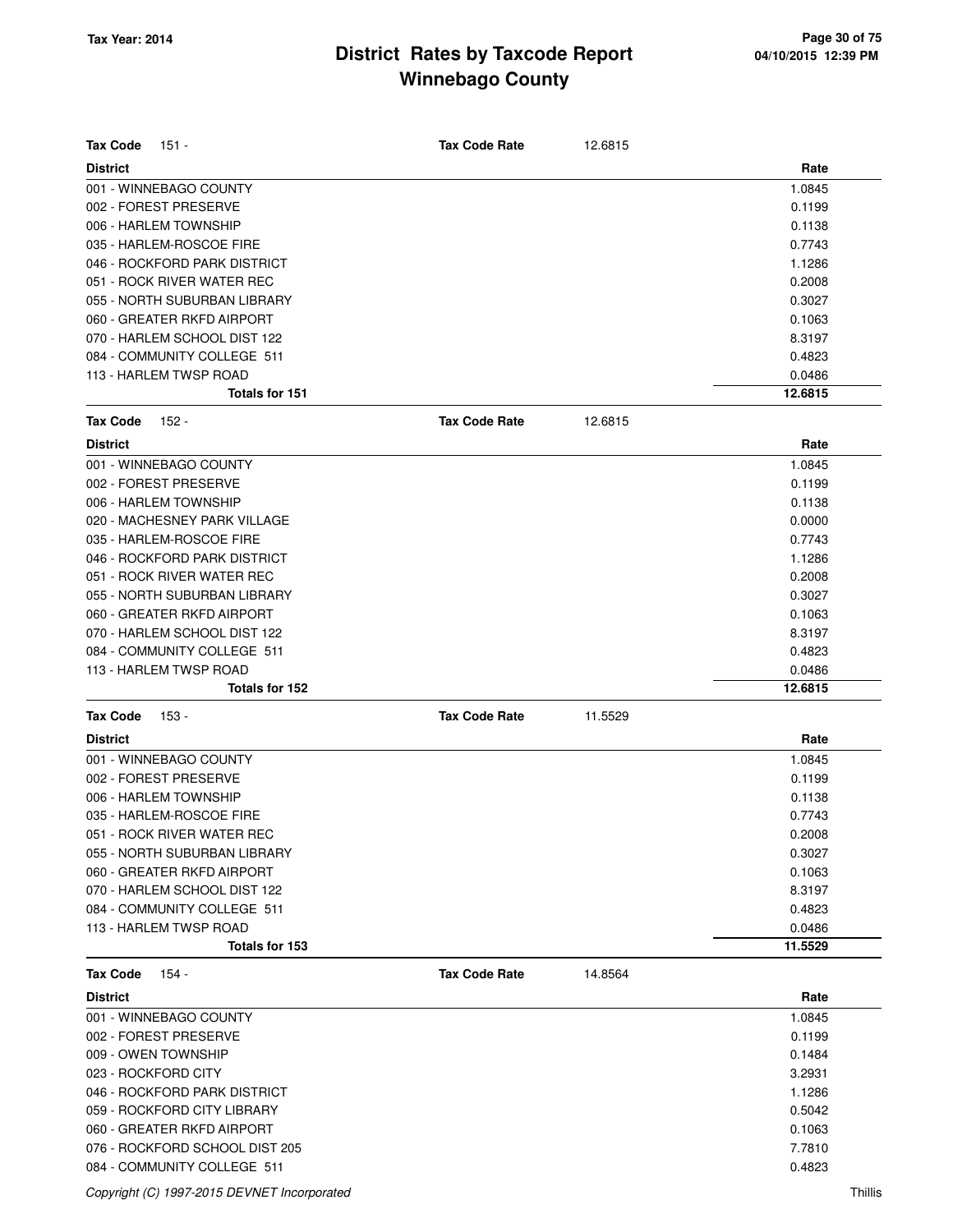| <b>Tax Code</b><br>151 -       | <b>Tax Code Rate</b> | 12.6815 |         |
|--------------------------------|----------------------|---------|---------|
| <b>District</b>                |                      |         | Rate    |
| 001 - WINNEBAGO COUNTY         |                      |         | 1.0845  |
| 002 - FOREST PRESERVE          |                      |         | 0.1199  |
| 006 - HARLEM TOWNSHIP          |                      |         | 0.1138  |
| 035 - HARLEM-ROSCOE FIRE       |                      |         | 0.7743  |
| 046 - ROCKFORD PARK DISTRICT   |                      |         | 1.1286  |
| 051 - ROCK RIVER WATER REC     |                      |         | 0.2008  |
| 055 - NORTH SUBURBAN LIBRARY   |                      |         | 0.3027  |
| 060 - GREATER RKFD AIRPORT     |                      |         | 0.1063  |
| 070 - HARLEM SCHOOL DIST 122   |                      |         | 8.3197  |
| 084 - COMMUNITY COLLEGE 511    |                      |         | 0.4823  |
| 113 - HARLEM TWSP ROAD         |                      |         | 0.0486  |
| <b>Totals for 151</b>          |                      |         | 12.6815 |
| <b>Tax Code</b><br>152 -       | <b>Tax Code Rate</b> | 12.6815 |         |
| <b>District</b>                |                      |         | Rate    |
| 001 - WINNEBAGO COUNTY         |                      |         | 1.0845  |
| 002 - FOREST PRESERVE          |                      |         | 0.1199  |
| 006 - HARLEM TOWNSHIP          |                      |         | 0.1138  |
| 020 - MACHESNEY PARK VILLAGE   |                      |         | 0.0000  |
| 035 - HARLEM-ROSCOE FIRE       |                      |         | 0.7743  |
| 046 - ROCKFORD PARK DISTRICT   |                      |         | 1.1286  |
| 051 - ROCK RIVER WATER REC     |                      |         | 0.2008  |
| 055 - NORTH SUBURBAN LIBRARY   |                      |         | 0.3027  |
| 060 - GREATER RKFD AIRPORT     |                      |         | 0.1063  |
| 070 - HARLEM SCHOOL DIST 122   |                      |         | 8.3197  |
| 084 - COMMUNITY COLLEGE 511    |                      |         | 0.4823  |
| 113 - HARLEM TWSP ROAD         |                      |         | 0.0486  |
| Totals for 152                 |                      |         | 12.6815 |
| <b>Tax Code</b><br>153 -       | <b>Tax Code Rate</b> | 11.5529 |         |
| <b>District</b>                |                      |         | Rate    |
| 001 - WINNEBAGO COUNTY         |                      |         | 1.0845  |
| 002 - FOREST PRESERVE          |                      |         | 0.1199  |
| 006 - HARLEM TOWNSHIP          |                      |         | 0.1138  |
| 035 - HARLEM-ROSCOE FIRE       |                      |         | 0.7743  |
| 051 - ROCK RIVER WATER REC     |                      |         | 0.2008  |
| 055 - NORTH SUBURBAN LIBRARY   |                      |         | 0.3027  |
| 060 - GREATER RKFD AIRPORT     |                      |         | 0.1063  |
| 070 - HARLEM SCHOOL DIST 122   |                      |         | 8.3197  |
| 084 - COMMUNITY COLLEGE 511    |                      |         | 0.4823  |
| 113 - HARLEM TWSP ROAD         |                      |         | 0.0486  |
| Totals for 153                 |                      |         | 11.5529 |
| <b>Tax Code</b><br>154 -       | <b>Tax Code Rate</b> | 14.8564 |         |
| <b>District</b>                |                      |         | Rate    |
| 001 - WINNEBAGO COUNTY         |                      |         | 1.0845  |
| 002 - FOREST PRESERVE          |                      |         | 0.1199  |
| 009 - OWEN TOWNSHIP            |                      |         | 0.1484  |
| 023 - ROCKFORD CITY            |                      |         | 3.2931  |
| 046 - ROCKFORD PARK DISTRICT   |                      |         | 1.1286  |
| 059 - ROCKFORD CITY LIBRARY    |                      |         | 0.5042  |
| 060 - GREATER RKFD AIRPORT     |                      |         | 0.1063  |
| 076 - ROCKFORD SCHOOL DIST 205 |                      |         | 7.7810  |
| 084 - COMMUNITY COLLEGE 511    |                      |         | 0.4823  |

Copyright (C) 1997-2015 DEVNET Incorporated Thillis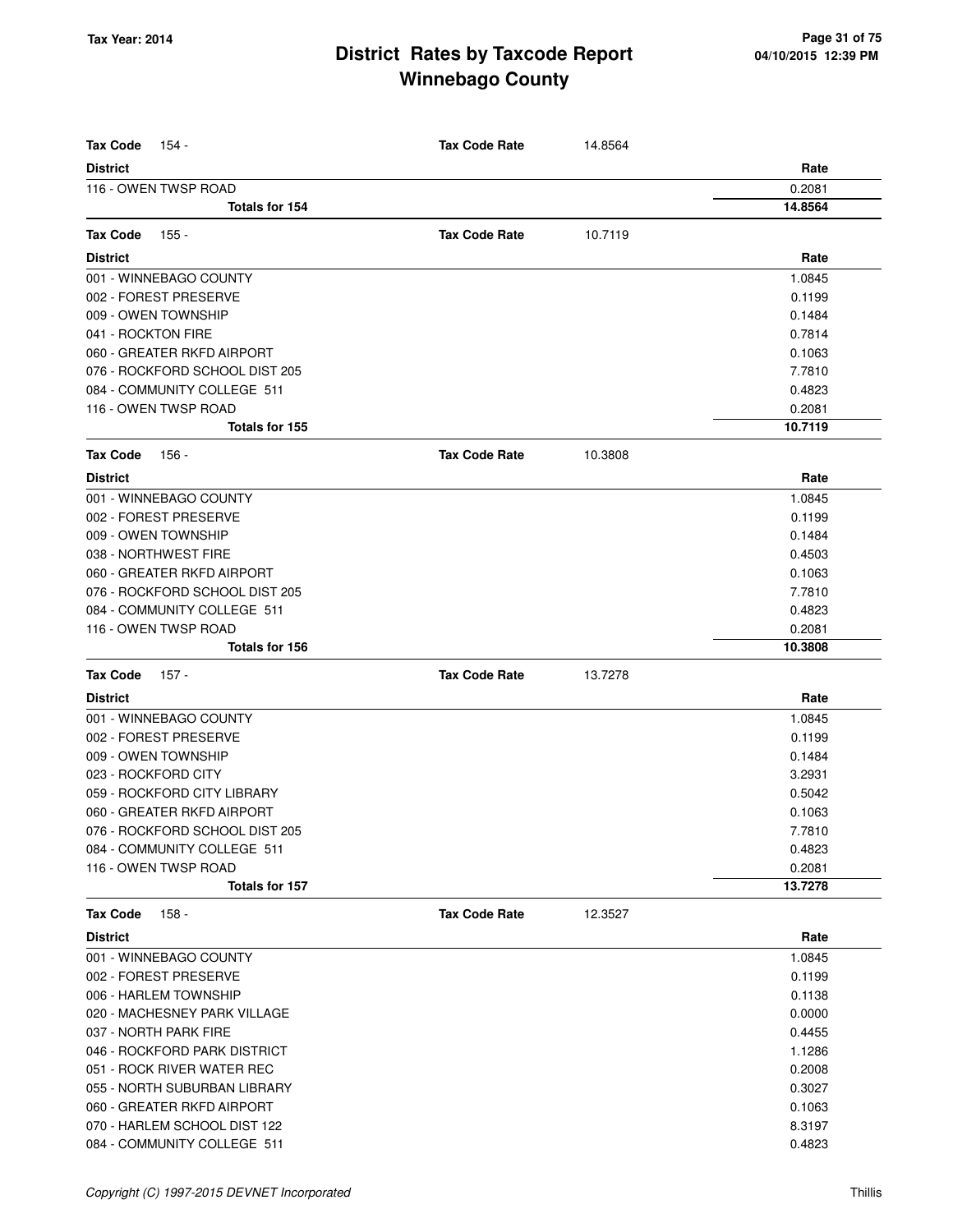| <b>Tax Code</b><br>154 -       | <b>Tax Code Rate</b> | 14.8564 |         |
|--------------------------------|----------------------|---------|---------|
| <b>District</b>                |                      |         | Rate    |
| 116 - OWEN TWSP ROAD           |                      |         | 0.2081  |
| Totals for 154                 |                      |         | 14.8564 |
| <b>Tax Code</b><br>155 -       | <b>Tax Code Rate</b> | 10.7119 |         |
| <b>District</b>                |                      |         | Rate    |
| 001 - WINNEBAGO COUNTY         |                      |         | 1.0845  |
| 002 - FOREST PRESERVE          |                      |         | 0.1199  |
| 009 - OWEN TOWNSHIP            |                      |         | 0.1484  |
| 041 - ROCKTON FIRE             |                      |         | 0.7814  |
| 060 - GREATER RKFD AIRPORT     |                      |         | 0.1063  |
| 076 - ROCKFORD SCHOOL DIST 205 |                      |         | 7.7810  |
| 084 - COMMUNITY COLLEGE 511    |                      |         | 0.4823  |
| 116 - OWEN TWSP ROAD           |                      |         | 0.2081  |
| <b>Totals for 155</b>          |                      |         | 10.7119 |
| <b>Tax Code</b><br>156 -       | <b>Tax Code Rate</b> | 10.3808 |         |
| <b>District</b>                |                      |         | Rate    |
| 001 - WINNEBAGO COUNTY         |                      |         | 1.0845  |
| 002 - FOREST PRESERVE          |                      |         | 0.1199  |
| 009 - OWEN TOWNSHIP            |                      |         | 0.1484  |
| 038 - NORTHWEST FIRE           |                      |         | 0.4503  |
| 060 - GREATER RKFD AIRPORT     |                      |         | 0.1063  |
| 076 - ROCKFORD SCHOOL DIST 205 |                      |         | 7.7810  |
| 084 - COMMUNITY COLLEGE 511    |                      |         | 0.4823  |
| 116 - OWEN TWSP ROAD           |                      |         | 0.2081  |
| Totals for 156                 |                      |         | 10.3808 |
| <b>Tax Code</b><br>157 -       | <b>Tax Code Rate</b> | 13.7278 |         |
| <b>District</b>                |                      |         | Rate    |
| 001 - WINNEBAGO COUNTY         |                      |         | 1.0845  |
| 002 - FOREST PRESERVE          |                      |         | 0.1199  |
| 009 - OWEN TOWNSHIP            |                      |         | 0.1484  |
| 023 - ROCKFORD CITY            |                      |         | 3.2931  |
| 059 - ROCKFORD CITY LIBRARY    |                      |         | 0.5042  |
| 060 - GREATER RKFD AIRPORT     |                      |         | 0.1063  |
| 076 - ROCKFORD SCHOOL DIST 205 |                      |         | 7.7810  |
| 084 - COMMUNITY COLLEGE 511    |                      |         | 0.4823  |
| 116 - OWEN TWSP ROAD           |                      |         | 0.2081  |
| Totals for 157                 |                      |         | 13.7278 |
| <b>Tax Code</b><br>158 -       | <b>Tax Code Rate</b> | 12.3527 |         |
| <b>District</b>                |                      |         | Rate    |
| 001 - WINNEBAGO COUNTY         |                      |         | 1.0845  |
| 002 - FOREST PRESERVE          |                      |         | 0.1199  |
| 006 - HARLEM TOWNSHIP          |                      |         | 0.1138  |
| 020 - MACHESNEY PARK VILLAGE   |                      |         | 0.0000  |
| 037 - NORTH PARK FIRE          |                      |         | 0.4455  |
| 046 - ROCKFORD PARK DISTRICT   |                      |         | 1.1286  |
| 051 - ROCK RIVER WATER REC     |                      |         | 0.2008  |
| 055 - NORTH SUBURBAN LIBRARY   |                      |         | 0.3027  |
| 060 - GREATER RKFD AIRPORT     |                      |         | 0.1063  |
| 070 - HARLEM SCHOOL DIST 122   |                      |         | 8.3197  |
| 084 - COMMUNITY COLLEGE 511    |                      |         | 0.4823  |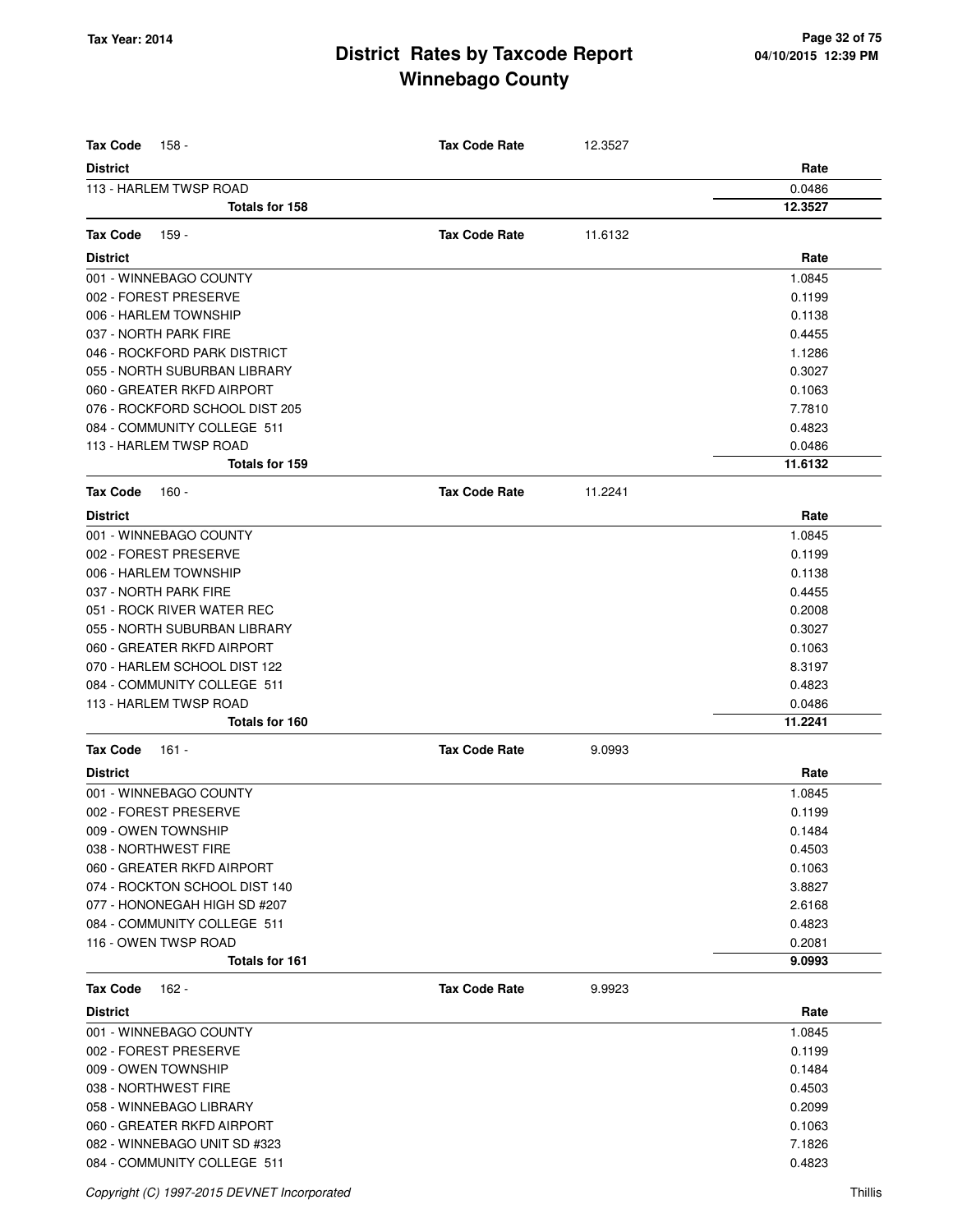| <b>Tax Code</b><br>158 -       | <b>Tax Code Rate</b> | 12.3527 |         |
|--------------------------------|----------------------|---------|---------|
| <b>District</b>                |                      |         | Rate    |
| 113 - HARLEM TWSP ROAD         |                      |         | 0.0486  |
| Totals for 158                 |                      |         | 12.3527 |
| <b>Tax Code</b><br>159 -       | <b>Tax Code Rate</b> | 11.6132 |         |
| <b>District</b>                |                      |         | Rate    |
| 001 - WINNEBAGO COUNTY         |                      |         | 1.0845  |
| 002 - FOREST PRESERVE          |                      |         | 0.1199  |
| 006 - HARLEM TOWNSHIP          |                      |         | 0.1138  |
| 037 - NORTH PARK FIRE          |                      |         | 0.4455  |
| 046 - ROCKFORD PARK DISTRICT   |                      |         | 1.1286  |
| 055 - NORTH SUBURBAN LIBRARY   |                      |         | 0.3027  |
| 060 - GREATER RKFD AIRPORT     |                      |         | 0.1063  |
| 076 - ROCKFORD SCHOOL DIST 205 |                      |         | 7.7810  |
| 084 - COMMUNITY COLLEGE 511    |                      |         | 0.4823  |
| 113 - HARLEM TWSP ROAD         |                      |         | 0.0486  |
| <b>Totals for 159</b>          |                      |         | 11.6132 |
|                                |                      |         |         |
| <b>Tax Code</b><br>$160 -$     | <b>Tax Code Rate</b> | 11.2241 |         |
| <b>District</b>                |                      |         | Rate    |
| 001 - WINNEBAGO COUNTY         |                      |         | 1.0845  |
| 002 - FOREST PRESERVE          |                      |         | 0.1199  |
| 006 - HARLEM TOWNSHIP          |                      |         | 0.1138  |
| 037 - NORTH PARK FIRE          |                      |         | 0.4455  |
| 051 - ROCK RIVER WATER REC     |                      |         | 0.2008  |
| 055 - NORTH SUBURBAN LIBRARY   |                      |         | 0.3027  |
| 060 - GREATER RKFD AIRPORT     |                      |         | 0.1063  |
| 070 - HARLEM SCHOOL DIST 122   |                      |         | 8.3197  |
| 084 - COMMUNITY COLLEGE 511    |                      |         | 0.4823  |
| 113 - HARLEM TWSP ROAD         |                      |         | 0.0486  |
| Totals for 160                 |                      |         | 11.2241 |
| <b>Tax Code</b><br>161 -       | <b>Tax Code Rate</b> | 9.0993  |         |
| <b>District</b>                |                      |         | Rate    |
| 001 - WINNEBAGO COUNTY         |                      |         | 1.0845  |
| 002 - FOREST PRESERVE          |                      |         | 0.1199  |
| 009 - OWEN TOWNSHIP            |                      |         | 0.1484  |
| 038 - NORTHWEST FIRE           |                      |         | 0.4503  |
| 060 - GREATER RKFD AIRPORT     |                      |         | 0.1063  |
| 074 - ROCKTON SCHOOL DIST 140  |                      |         | 3.8827  |
| 077 - HONONEGAH HIGH SD #207   |                      |         | 2.6168  |
| 084 - COMMUNITY COLLEGE 511    |                      |         | 0.4823  |
| 116 - OWEN TWSP ROAD           |                      |         | 0.2081  |
| <b>Totals for 161</b>          |                      |         | 9.0993  |
| <b>Tax Code</b><br>162 -       | <b>Tax Code Rate</b> | 9.9923  |         |
| <b>District</b>                |                      |         | Rate    |
| 001 - WINNEBAGO COUNTY         |                      |         | 1.0845  |
| 002 - FOREST PRESERVE          |                      |         | 0.1199  |
| 009 - OWEN TOWNSHIP            |                      |         | 0.1484  |
| 038 - NORTHWEST FIRE           |                      |         | 0.4503  |
| 058 - WINNEBAGO LIBRARY        |                      |         | 0.2099  |
| 060 - GREATER RKFD AIRPORT     |                      |         | 0.1063  |
| 082 - WINNEBAGO UNIT SD #323   |                      |         | 7.1826  |
| 084 - COMMUNITY COLLEGE 511    |                      |         | 0.4823  |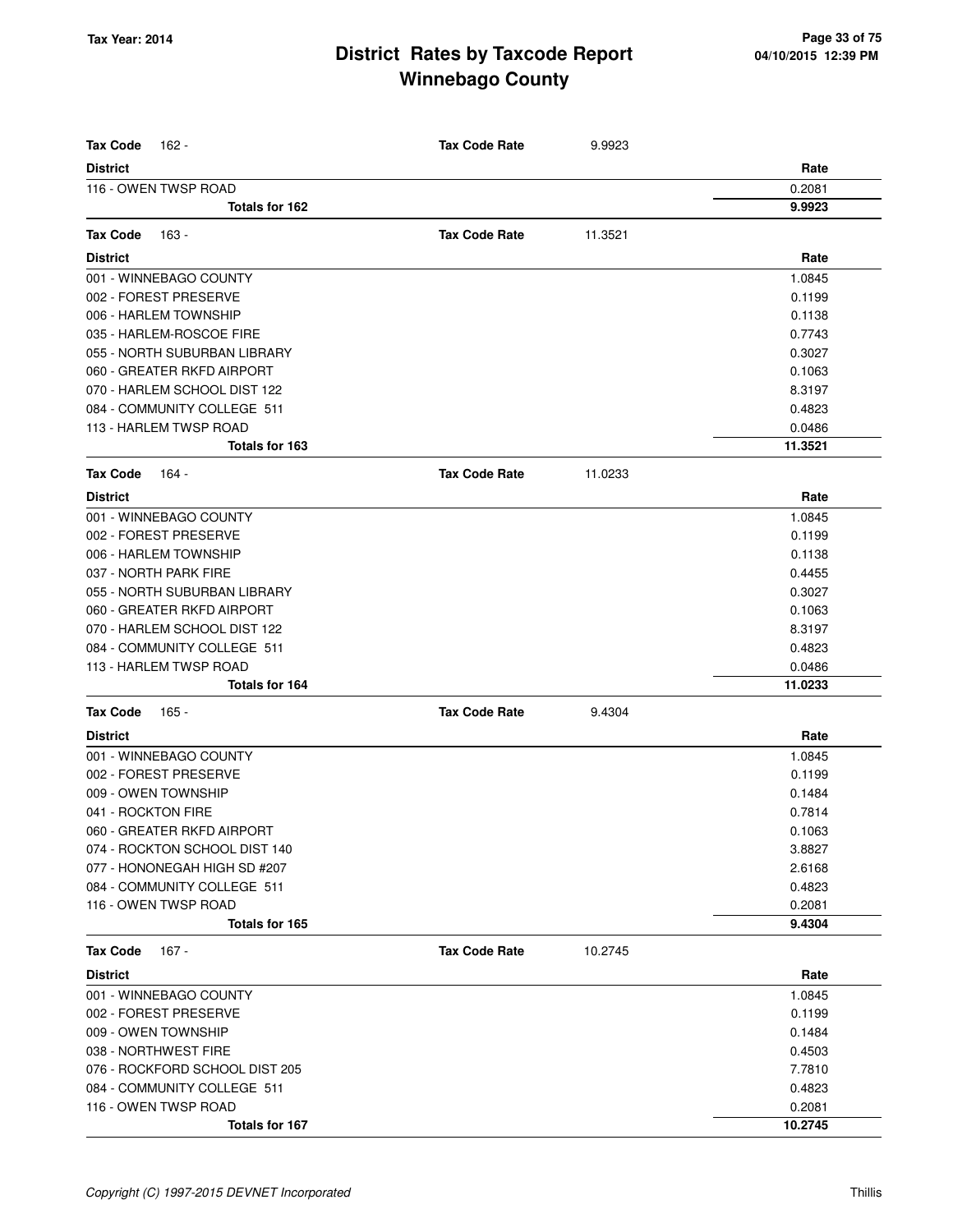| <b>Tax Code</b><br>162 -                              | <b>Tax Code Rate</b> | 9.9923  |                  |
|-------------------------------------------------------|----------------------|---------|------------------|
| <b>District</b>                                       |                      |         | Rate             |
| 116 - OWEN TWSP ROAD                                  |                      |         | 0.2081           |
| Totals for 162                                        |                      |         | 9.9923           |
| <b>Tax Code</b><br>163 -                              | <b>Tax Code Rate</b> | 11.3521 |                  |
| <b>District</b>                                       |                      |         | Rate             |
| 001 - WINNEBAGO COUNTY                                |                      |         | 1.0845           |
| 002 - FOREST PRESERVE                                 |                      |         | 0.1199           |
| 006 - HARLEM TOWNSHIP                                 |                      |         | 0.1138           |
| 035 - HARLEM-ROSCOE FIRE                              |                      |         | 0.7743           |
| 055 - NORTH SUBURBAN LIBRARY                          |                      |         | 0.3027           |
| 060 - GREATER RKFD AIRPORT                            |                      |         | 0.1063           |
| 070 - HARLEM SCHOOL DIST 122                          |                      |         | 8.3197           |
| 084 - COMMUNITY COLLEGE 511                           |                      |         | 0.4823           |
| 113 - HARLEM TWSP ROAD                                |                      |         | 0.0486           |
| Totals for 163                                        |                      |         | 11.3521          |
| <b>Tax Code</b><br>164 -                              | <b>Tax Code Rate</b> | 11.0233 |                  |
| <b>District</b>                                       |                      |         |                  |
|                                                       |                      |         | Rate             |
| 001 - WINNEBAGO COUNTY                                |                      |         | 1.0845           |
| 002 - FOREST PRESERVE                                 |                      |         | 0.1199           |
| 006 - HARLEM TOWNSHIP                                 |                      |         | 0.1138           |
| 037 - NORTH PARK FIRE<br>055 - NORTH SUBURBAN LIBRARY |                      |         | 0.4455<br>0.3027 |
| 060 - GREATER RKFD AIRPORT                            |                      |         | 0.1063           |
| 070 - HARLEM SCHOOL DIST 122                          |                      |         | 8.3197           |
| 084 - COMMUNITY COLLEGE 511                           |                      |         | 0.4823           |
| 113 - HARLEM TWSP ROAD                                |                      |         | 0.0486           |
| Totals for 164                                        |                      |         | 11.0233          |
| <b>Tax Code</b><br>165 -                              | <b>Tax Code Rate</b> | 9.4304  |                  |
| <b>District</b>                                       |                      |         | Rate             |
| 001 - WINNEBAGO COUNTY                                |                      |         | 1.0845           |
| 002 - FOREST PRESERVE                                 |                      |         | 0.1199           |
| 009 - OWEN TOWNSHIP                                   |                      |         | 0.1484           |
| 041 - ROCKTON FIRE                                    |                      |         | 0.7814           |
| 060 - GREATER RKFD AIRPORT                            |                      |         | 0.1063           |
| 074 - ROCKTON SCHOOL DIST 140                         |                      |         | 3.8827           |
| 077 - HONONEGAH HIGH SD #207                          |                      |         | 2.6168           |
| 084 - COMMUNITY COLLEGE 511                           |                      |         | 0.4823           |
| 116 - OWEN TWSP ROAD                                  |                      |         | 0.2081           |
| Totals for 165                                        |                      |         | 9.4304           |
| $167 -$<br><b>Tax Code</b>                            | <b>Tax Code Rate</b> | 10.2745 |                  |
| <b>District</b>                                       |                      |         | Rate             |
| 001 - WINNEBAGO COUNTY                                |                      |         | 1.0845           |
| 002 - FOREST PRESERVE                                 |                      |         | 0.1199           |
| 009 - OWEN TOWNSHIP                                   |                      |         | 0.1484           |
| 038 - NORTHWEST FIRE                                  |                      |         | 0.4503           |
| 076 - ROCKFORD SCHOOL DIST 205                        |                      |         | 7.7810           |
| 084 - COMMUNITY COLLEGE 511                           |                      |         | 0.4823           |
| 116 - OWEN TWSP ROAD                                  |                      |         | 0.2081           |
| Totals for 167                                        |                      |         | 10.2745          |
|                                                       |                      |         |                  |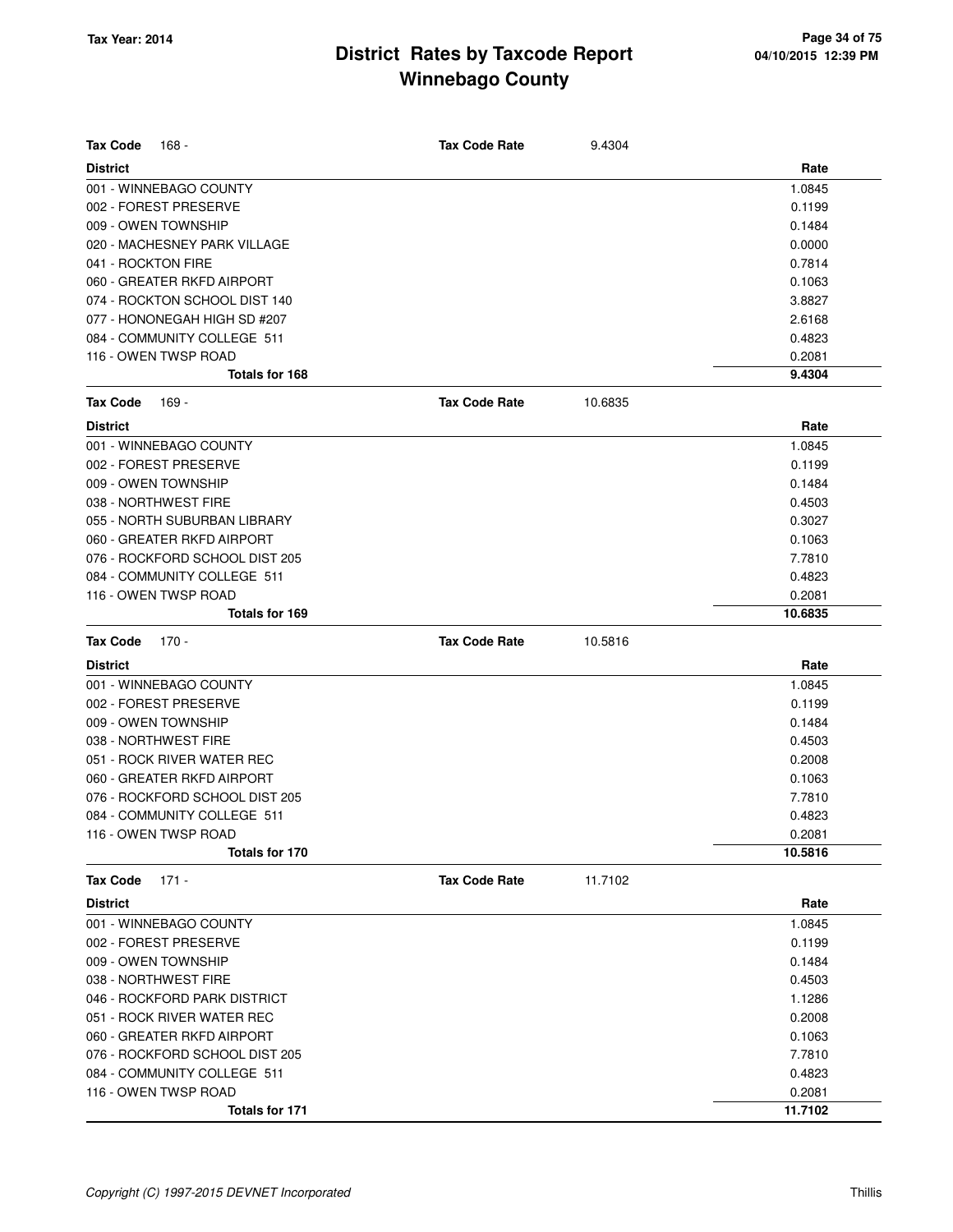| <b>Tax Code</b><br>168 -       | <b>Tax Code Rate</b> | 9.4304  |         |
|--------------------------------|----------------------|---------|---------|
| <b>District</b>                |                      |         | Rate    |
| 001 - WINNEBAGO COUNTY         |                      |         | 1.0845  |
| 002 - FOREST PRESERVE          |                      |         | 0.1199  |
| 009 - OWEN TOWNSHIP            |                      |         | 0.1484  |
| 020 - MACHESNEY PARK VILLAGE   |                      |         | 0.0000  |
| 041 - ROCKTON FIRE             |                      |         | 0.7814  |
| 060 - GREATER RKFD AIRPORT     |                      |         | 0.1063  |
| 074 - ROCKTON SCHOOL DIST 140  |                      |         | 3.8827  |
| 077 - HONONEGAH HIGH SD #207   |                      |         | 2.6168  |
| 084 - COMMUNITY COLLEGE 511    |                      |         | 0.4823  |
| 116 - OWEN TWSP ROAD           |                      |         | 0.2081  |
| Totals for 168                 |                      |         | 9.4304  |
| <b>Tax Code</b><br>169 -       | <b>Tax Code Rate</b> | 10.6835 |         |
| <b>District</b>                |                      |         | Rate    |
| 001 - WINNEBAGO COUNTY         |                      |         | 1.0845  |
| 002 - FOREST PRESERVE          |                      |         | 0.1199  |
| 009 - OWEN TOWNSHIP            |                      |         | 0.1484  |
| 038 - NORTHWEST FIRE           |                      |         | 0.4503  |
| 055 - NORTH SUBURBAN LIBRARY   |                      |         | 0.3027  |
| 060 - GREATER RKFD AIRPORT     |                      |         | 0.1063  |
| 076 - ROCKFORD SCHOOL DIST 205 |                      |         | 7.7810  |
| 084 - COMMUNITY COLLEGE 511    |                      |         | 0.4823  |
| 116 - OWEN TWSP ROAD           |                      |         | 0.2081  |
| Totals for 169                 |                      |         | 10.6835 |
| <b>Tax Code</b><br>$170 -$     | <b>Tax Code Rate</b> | 10.5816 |         |
| <b>District</b>                |                      |         | Rate    |
| 001 - WINNEBAGO COUNTY         |                      |         | 1.0845  |
| 002 - FOREST PRESERVE          |                      |         | 0.1199  |
| 009 - OWEN TOWNSHIP            |                      |         | 0.1484  |
| 038 - NORTHWEST FIRE           |                      |         | 0.4503  |
| 051 - ROCK RIVER WATER REC     |                      |         | 0.2008  |
| 060 - GREATER RKFD AIRPORT     |                      |         | 0.1063  |
| 076 - ROCKFORD SCHOOL DIST 205 |                      |         | 7.7810  |
| 084 - COMMUNITY COLLEGE 511    |                      |         | 0.4823  |
| 116 - OWEN TWSP ROAD           |                      |         | 0.2081  |
| Totals for 170                 |                      |         | 10.5816 |
| <b>Tax Code</b><br>$171 -$     | <b>Tax Code Rate</b> | 11.7102 |         |
| <b>District</b>                |                      |         | Rate    |
| 001 - WINNEBAGO COUNTY         |                      |         | 1.0845  |
| 002 - FOREST PRESERVE          |                      |         | 0.1199  |
| 009 - OWEN TOWNSHIP            |                      |         | 0.1484  |
| 038 - NORTHWEST FIRE           |                      |         | 0.4503  |
| 046 - ROCKFORD PARK DISTRICT   |                      |         | 1.1286  |
| 051 - ROCK RIVER WATER REC     |                      |         | 0.2008  |
| 060 - GREATER RKFD AIRPORT     |                      |         | 0.1063  |
| 076 - ROCKFORD SCHOOL DIST 205 |                      |         | 7.7810  |
| 084 - COMMUNITY COLLEGE 511    |                      |         | 0.4823  |
| 116 - OWEN TWSP ROAD           |                      |         | 0.2081  |
| Totals for 171                 |                      |         | 11.7102 |
|                                |                      |         |         |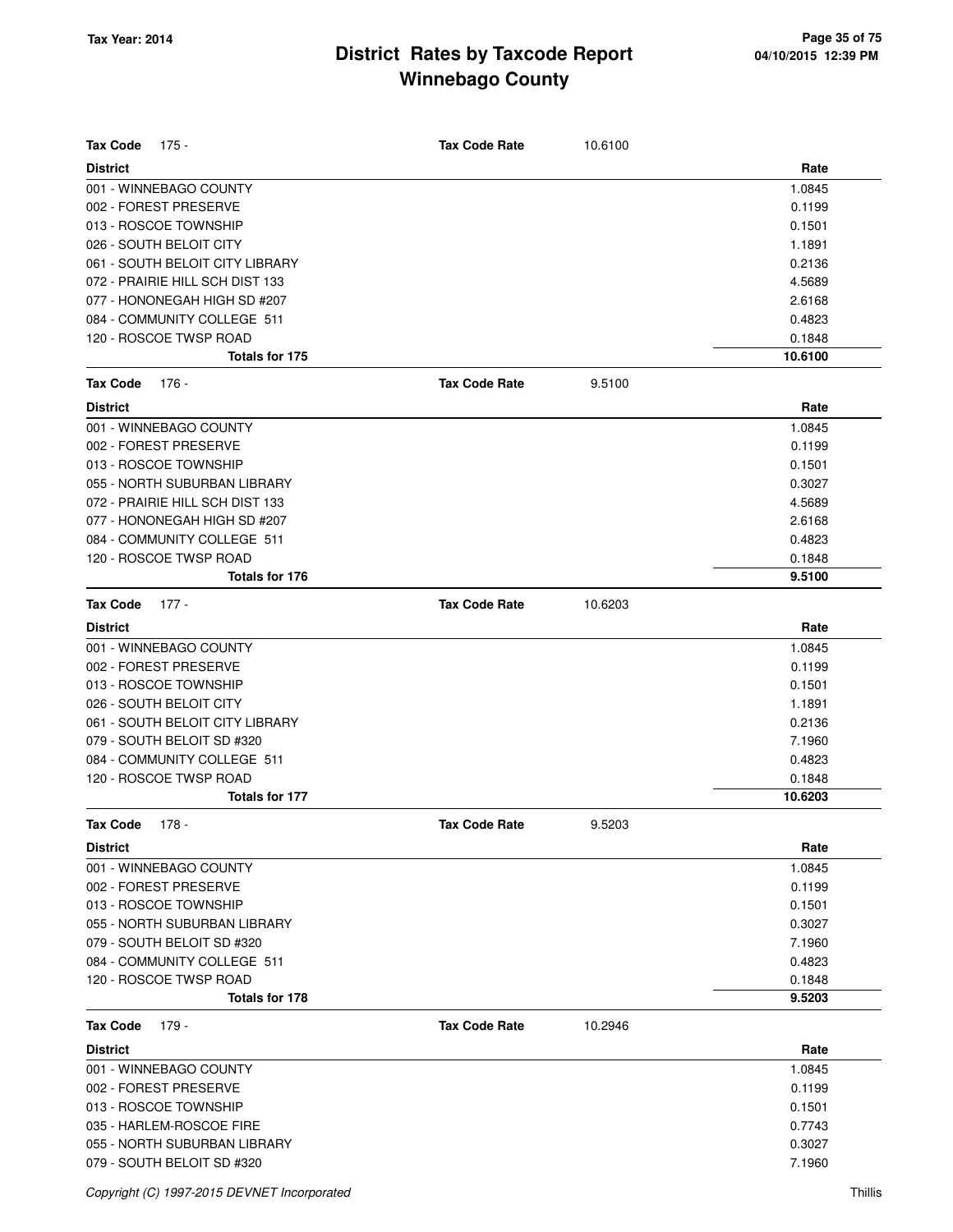| <b>Tax Code</b><br>175 -                  | <b>Tax Code Rate</b> | 10.6100 |                  |
|-------------------------------------------|----------------------|---------|------------------|
|                                           |                      |         | Rate             |
| <b>District</b><br>001 - WINNEBAGO COUNTY |                      |         | 1.0845           |
| 002 - FOREST PRESERVE                     |                      |         | 0.1199           |
| 013 - ROSCOE TOWNSHIP                     |                      |         | 0.1501           |
| 026 - SOUTH BELOIT CITY                   |                      |         | 1.1891           |
| 061 - SOUTH BELOIT CITY LIBRARY           |                      |         | 0.2136           |
| 072 - PRAIRIE HILL SCH DIST 133           |                      |         | 4.5689           |
| 077 - HONONEGAH HIGH SD #207              |                      |         | 2.6168           |
| 084 - COMMUNITY COLLEGE 511               |                      |         | 0.4823           |
| 120 - ROSCOE TWSP ROAD                    |                      |         | 0.1848           |
| Totals for 175                            |                      |         | 10.6100          |
| <b>Tax Code</b><br>176 -                  | <b>Tax Code Rate</b> | 9.5100  |                  |
| <b>District</b>                           |                      |         | Rate             |
| 001 - WINNEBAGO COUNTY                    |                      |         | 1.0845           |
| 002 - FOREST PRESERVE                     |                      |         | 0.1199           |
| 013 - ROSCOE TOWNSHIP                     |                      |         |                  |
|                                           |                      |         | 0.1501           |
| 055 - NORTH SUBURBAN LIBRARY              |                      |         | 0.3027           |
| 072 - PRAIRIE HILL SCH DIST 133           |                      |         | 4.5689           |
| 077 - HONONEGAH HIGH SD #207              |                      |         | 2.6168           |
| 084 - COMMUNITY COLLEGE 511               |                      |         | 0.4823           |
| 120 - ROSCOE TWSP ROAD<br>Totals for 176  |                      |         | 0.1848<br>9.5100 |
|                                           |                      |         |                  |
| <b>Tax Code</b><br>$177 -$                | <b>Tax Code Rate</b> | 10.6203 |                  |
| <b>District</b>                           |                      |         | Rate             |
| 001 - WINNEBAGO COUNTY                    |                      |         | 1.0845           |
| 002 - FOREST PRESERVE                     |                      |         | 0.1199           |
| 013 - ROSCOE TOWNSHIP                     |                      |         | 0.1501           |
| 026 - SOUTH BELOIT CITY                   |                      |         | 1.1891           |
| 061 - SOUTH BELOIT CITY LIBRARY           |                      |         | 0.2136           |
| 079 - SOUTH BELOIT SD #320                |                      |         | 7.1960           |
| 084 - COMMUNITY COLLEGE 511               |                      |         | 0.4823           |
| 120 - ROSCOE TWSP ROAD                    |                      |         | 0.1848           |
| Totals for 177                            |                      |         | 10.6203          |
| <b>Tax Code</b><br>$178 -$                | <b>Tax Code Rate</b> | 9.5203  |                  |
| <b>District</b>                           |                      |         | Rate             |
| 001 - WINNEBAGO COUNTY                    |                      |         | 1.0845           |
| 002 - FOREST PRESERVE                     |                      |         | 0.1199           |
| 013 - ROSCOE TOWNSHIP                     |                      |         | 0.1501           |
| 055 - NORTH SUBURBAN LIBRARY              |                      |         | 0.3027           |
| 079 - SOUTH BELOIT SD #320                |                      |         | 7.1960           |
| 084 - COMMUNITY COLLEGE 511               |                      |         | 0.4823           |
| 120 - ROSCOE TWSP ROAD                    |                      |         | 0.1848           |
| Totals for 178                            |                      |         | 9.5203           |
| <b>Tax Code</b><br>179 -                  | <b>Tax Code Rate</b> | 10.2946 |                  |
| <b>District</b>                           |                      |         | Rate             |
| 001 - WINNEBAGO COUNTY                    |                      |         | 1.0845           |
| 002 - FOREST PRESERVE                     |                      |         | 0.1199           |
| 013 - ROSCOE TOWNSHIP                     |                      |         | 0.1501           |
| 035 - HARLEM-ROSCOE FIRE                  |                      |         | 0.7743           |
| 055 - NORTH SUBURBAN LIBRARY              |                      |         | 0.3027           |
| 079 - SOUTH BELOIT SD #320                |                      |         | 7.1960           |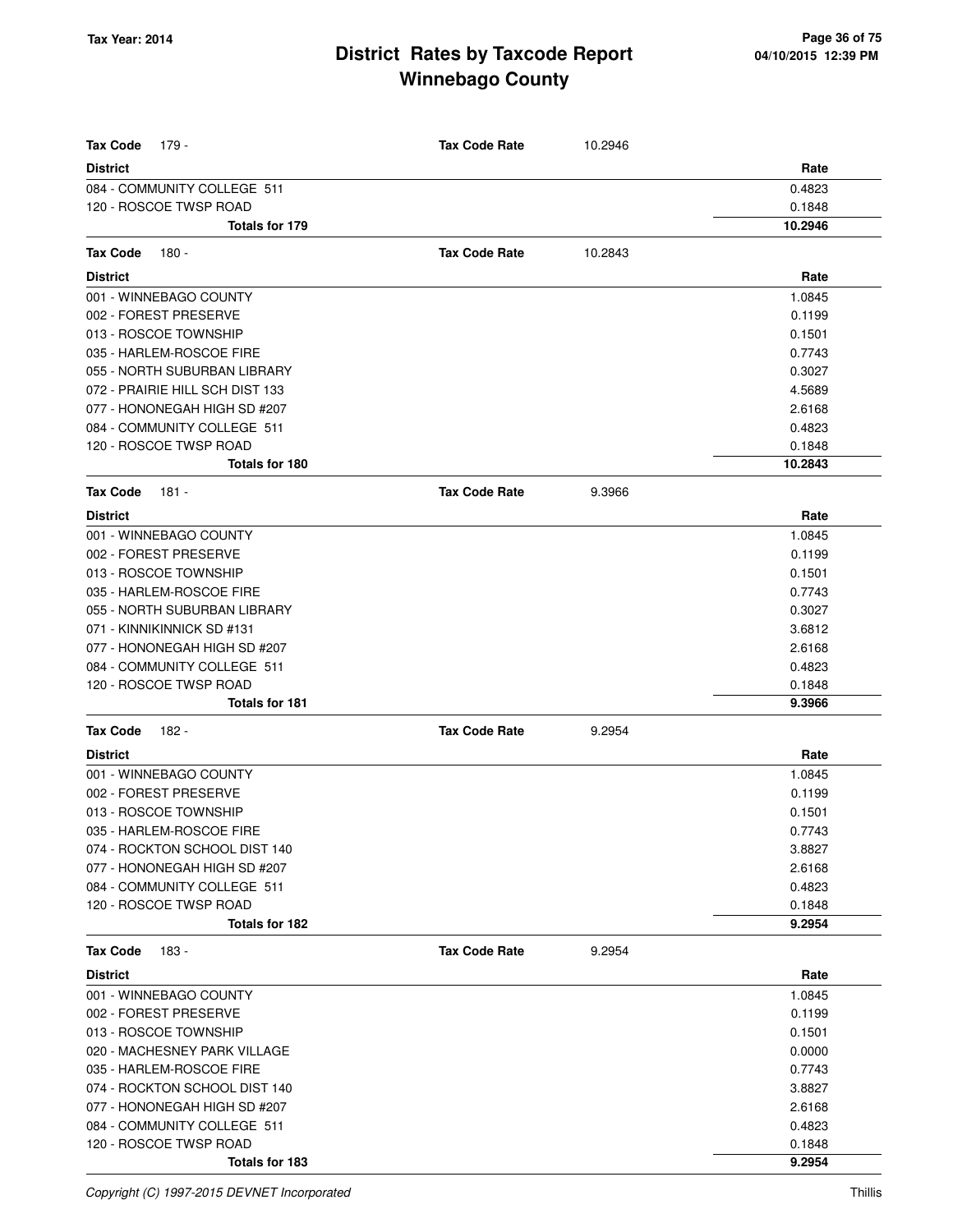| <b>Tax Code</b><br>179 -                 | <b>Tax Code Rate</b> | 10.2946 |                  |
|------------------------------------------|----------------------|---------|------------------|
| <b>District</b>                          |                      |         | Rate             |
| 084 - COMMUNITY COLLEGE 511              |                      |         | 0.4823           |
| 120 - ROSCOE TWSP ROAD                   |                      |         | 0.1848           |
| Totals for 179                           |                      |         | 10.2946          |
| <b>Tax Code</b><br>180 -                 | <b>Tax Code Rate</b> | 10.2843 |                  |
| <b>District</b>                          |                      |         | Rate             |
| 001 - WINNEBAGO COUNTY                   |                      |         | 1.0845           |
| 002 - FOREST PRESERVE                    |                      |         | 0.1199           |
| 013 - ROSCOE TOWNSHIP                    |                      |         | 0.1501           |
| 035 - HARLEM-ROSCOE FIRE                 |                      |         | 0.7743           |
| 055 - NORTH SUBURBAN LIBRARY             |                      |         | 0.3027           |
| 072 - PRAIRIE HILL SCH DIST 133          |                      |         | 4.5689           |
| 077 - HONONEGAH HIGH SD #207             |                      |         | 2.6168           |
| 084 - COMMUNITY COLLEGE 511              |                      |         | 0.4823           |
| 120 - ROSCOE TWSP ROAD                   |                      |         | 0.1848           |
| Totals for 180                           |                      |         | 10.2843          |
| <b>Tax Code</b><br>$181 -$               | <b>Tax Code Rate</b> | 9.3966  |                  |
| <b>District</b>                          |                      |         | Rate             |
| 001 - WINNEBAGO COUNTY                   |                      |         | 1.0845           |
| 002 - FOREST PRESERVE                    |                      |         | 0.1199           |
| 013 - ROSCOE TOWNSHIP                    |                      |         | 0.1501           |
| 035 - HARLEM-ROSCOE FIRE                 |                      |         | 0.7743           |
| 055 - NORTH SUBURBAN LIBRARY             |                      |         | 0.3027           |
| 071 - KINNIKINNICK SD #131               |                      |         | 3.6812           |
| 077 - HONONEGAH HIGH SD #207             |                      |         | 2.6168           |
| 084 - COMMUNITY COLLEGE 511              |                      |         | 0.4823           |
| 120 - ROSCOE TWSP ROAD                   |                      |         | 0.1848           |
| Totals for 181                           |                      |         | 9.3966           |
| <b>Tax Code</b><br>182 -                 | <b>Tax Code Rate</b> | 9.2954  |                  |
| <b>District</b>                          |                      |         | Rate             |
| 001 - WINNEBAGO COUNTY                   |                      |         | 1.0845           |
| 002 - FOREST PRESERVE                    |                      |         | 0.1199           |
| 013 - ROSCOE TOWNSHIP                    |                      |         | 0.1501           |
| 035 - HARLEM-ROSCOE FIRE                 |                      |         | 0.7743           |
| 074 - ROCKTON SCHOOL DIST 140            |                      |         | 3.8827           |
| 077 - HONONEGAH HIGH SD #207             |                      |         | 2.6168           |
| 084 - COMMUNITY COLLEGE 511              |                      |         | 0.4823           |
| 120 - ROSCOE TWSP ROAD                   |                      |         | 0.1848           |
| Totals for 182                           |                      |         | 9.2954           |
| <b>Tax Code</b><br>183 -                 | <b>Tax Code Rate</b> | 9.2954  |                  |
| <b>District</b>                          |                      |         | Rate             |
| 001 - WINNEBAGO COUNTY                   |                      |         | 1.0845           |
| 002 - FOREST PRESERVE                    |                      |         | 0.1199           |
| 013 - ROSCOE TOWNSHIP                    |                      |         | 0.1501           |
| 020 - MACHESNEY PARK VILLAGE             |                      |         | 0.0000           |
| 035 - HARLEM-ROSCOE FIRE                 |                      |         | 0.7743           |
| 074 - ROCKTON SCHOOL DIST 140            |                      |         | 3.8827           |
| 077 - HONONEGAH HIGH SD #207             |                      |         | 2.6168           |
| 084 - COMMUNITY COLLEGE 511              |                      |         | 0.4823           |
| 120 - ROSCOE TWSP ROAD<br>Totals for 183 |                      |         | 0.1848<br>9.2954 |
|                                          |                      |         |                  |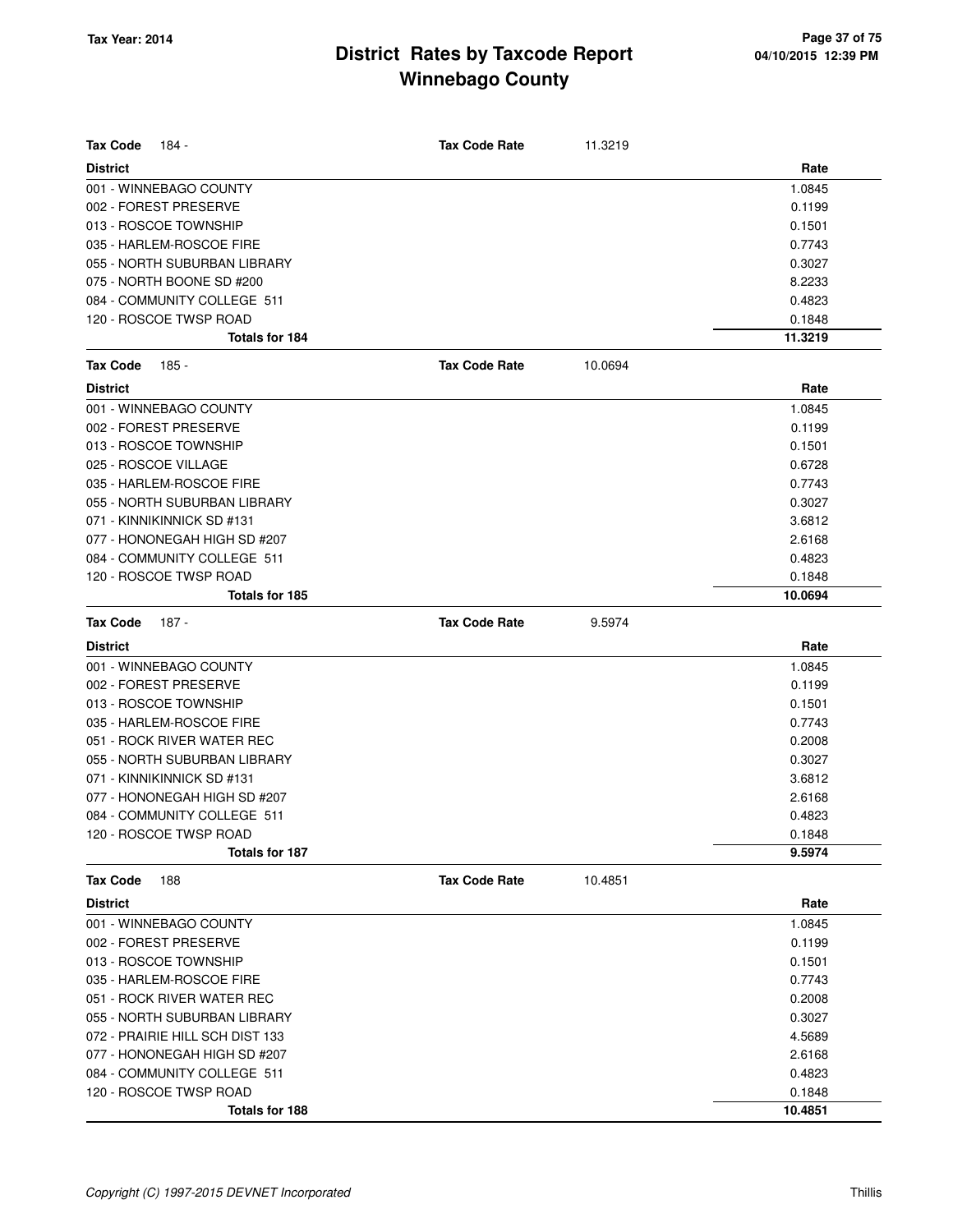| <b>Tax Code</b><br>184 -        | <b>Tax Code Rate</b> | 11.3219 |         |
|---------------------------------|----------------------|---------|---------|
| <b>District</b>                 |                      |         | Rate    |
| 001 - WINNEBAGO COUNTY          |                      |         | 1.0845  |
| 002 - FOREST PRESERVE           |                      |         | 0.1199  |
| 013 - ROSCOE TOWNSHIP           |                      |         | 0.1501  |
| 035 - HARLEM-ROSCOE FIRE        |                      |         | 0.7743  |
| 055 - NORTH SUBURBAN LIBRARY    |                      |         | 0.3027  |
| 075 - NORTH BOONE SD #200       |                      |         | 8.2233  |
| 084 - COMMUNITY COLLEGE 511     |                      |         | 0.4823  |
| 120 - ROSCOE TWSP ROAD          |                      |         | 0.1848  |
| Totals for 184                  |                      |         | 11.3219 |
| <b>Tax Code</b><br>185 -        | <b>Tax Code Rate</b> | 10.0694 |         |
| <b>District</b>                 |                      |         | Rate    |
| 001 - WINNEBAGO COUNTY          |                      |         | 1.0845  |
| 002 - FOREST PRESERVE           |                      |         | 0.1199  |
| 013 - ROSCOE TOWNSHIP           |                      |         | 0.1501  |
| 025 - ROSCOE VILLAGE            |                      |         | 0.6728  |
| 035 - HARLEM-ROSCOE FIRE        |                      |         | 0.7743  |
| 055 - NORTH SUBURBAN LIBRARY    |                      |         | 0.3027  |
| 071 - KINNIKINNICK SD #131      |                      |         | 3.6812  |
| 077 - HONONEGAH HIGH SD #207    |                      |         | 2.6168  |
| 084 - COMMUNITY COLLEGE 511     |                      |         | 0.4823  |
| 120 - ROSCOE TWSP ROAD          |                      |         | 0.1848  |
| Totals for 185                  |                      |         | 10.0694 |
| <b>Tax Code</b><br>187 -        | <b>Tax Code Rate</b> | 9.5974  |         |
| <b>District</b>                 |                      |         | Rate    |
| 001 - WINNEBAGO COUNTY          |                      |         | 1.0845  |
| 002 - FOREST PRESERVE           |                      |         | 0.1199  |
| 013 - ROSCOE TOWNSHIP           |                      |         | 0.1501  |
| 035 - HARLEM-ROSCOE FIRE        |                      |         | 0.7743  |
| 051 - ROCK RIVER WATER REC      |                      |         | 0.2008  |
| 055 - NORTH SUBURBAN LIBRARY    |                      |         | 0.3027  |
| 071 - KINNIKINNICK SD #131      |                      |         | 3.6812  |
| 077 - HONONEGAH HIGH SD #207    |                      |         | 2.6168  |
| 084 - COMMUNITY COLLEGE 511     |                      |         | 0.4823  |
| 120 - ROSCOE TWSP ROAD          |                      |         | 0.1848  |
| Totals for 187                  |                      |         | 9.5974  |
| <b>Tax Code</b><br>188          | <b>Tax Code Rate</b> | 10.4851 |         |
| <b>District</b>                 |                      |         | Rate    |
| 001 - WINNEBAGO COUNTY          |                      |         | 1.0845  |
| 002 - FOREST PRESERVE           |                      |         | 0.1199  |
| 013 - ROSCOE TOWNSHIP           |                      |         | 0.1501  |
| 035 - HARLEM-ROSCOE FIRE        |                      |         | 0.7743  |
| 051 - ROCK RIVER WATER REC      |                      |         | 0.2008  |
| 055 - NORTH SUBURBAN LIBRARY    |                      |         | 0.3027  |
| 072 - PRAIRIE HILL SCH DIST 133 |                      |         | 4.5689  |
| 077 - HONONEGAH HIGH SD #207    |                      |         | 2.6168  |
| 084 - COMMUNITY COLLEGE 511     |                      |         | 0.4823  |
| 120 - ROSCOE TWSP ROAD          |                      |         | 0.1848  |
| Totals for 188                  |                      |         | 10.4851 |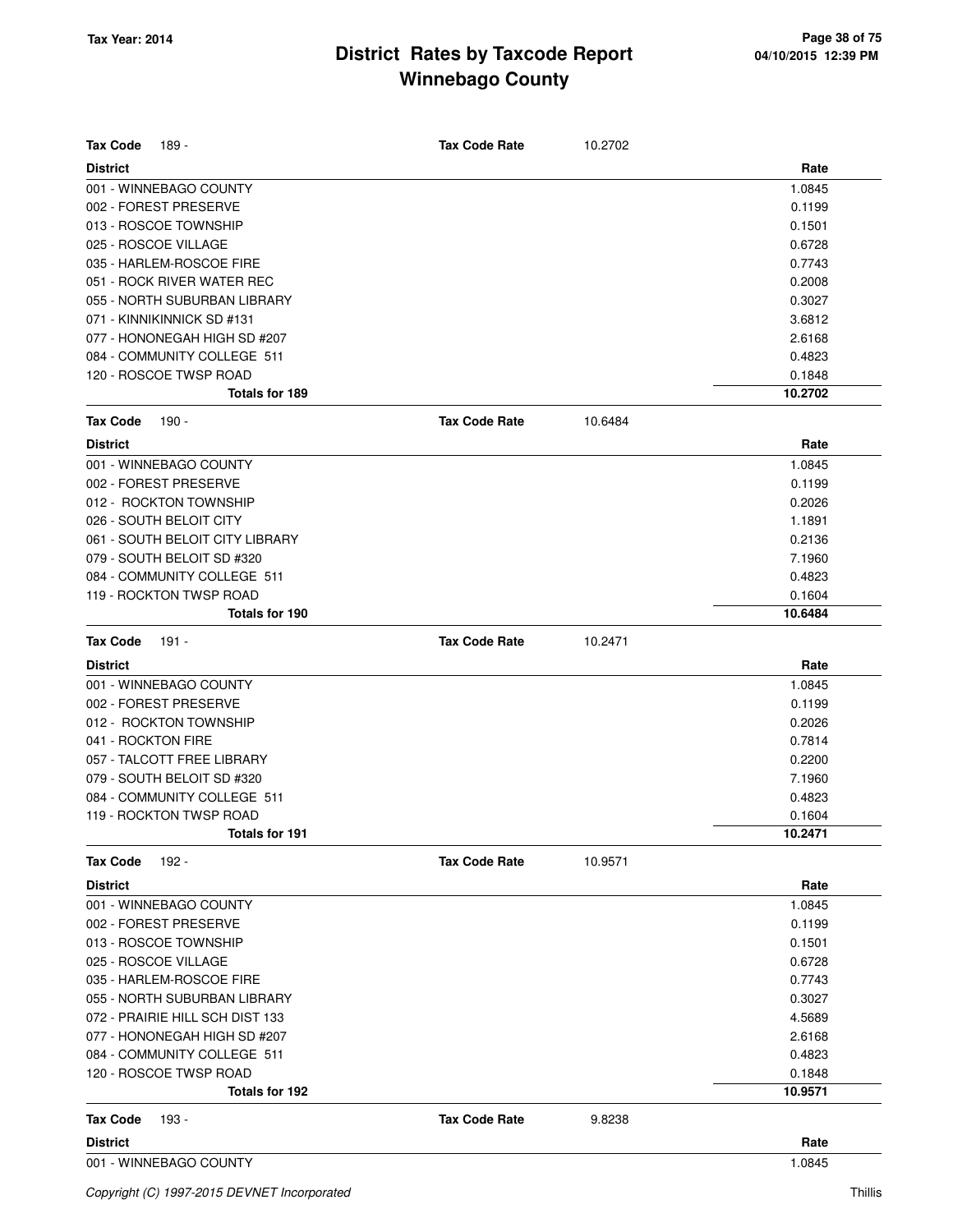| <b>Tax Code</b><br>189 -                                    | <b>Tax Code Rate</b> | 10.2702 |                  |
|-------------------------------------------------------------|----------------------|---------|------------------|
|                                                             |                      |         |                  |
| <b>District</b>                                             |                      |         | Rate             |
| 001 - WINNEBAGO COUNTY                                      |                      |         | 1.0845           |
| 002 - FOREST PRESERVE                                       |                      |         | 0.1199           |
| 013 - ROSCOE TOWNSHIP<br>025 - ROSCOE VILLAGE               |                      |         | 0.1501<br>0.6728 |
| 035 - HARLEM-ROSCOE FIRE                                    |                      |         | 0.7743           |
| 051 - ROCK RIVER WATER REC                                  |                      |         | 0.2008           |
| 055 - NORTH SUBURBAN LIBRARY                                |                      |         | 0.3027           |
| 071 - KINNIKINNICK SD #131                                  |                      |         |                  |
|                                                             |                      |         | 3.6812           |
| 077 - HONONEGAH HIGH SD #207<br>084 - COMMUNITY COLLEGE 511 |                      |         | 2.6168<br>0.4823 |
| 120 - ROSCOE TWSP ROAD                                      |                      |         | 0.1848           |
| Totals for 189                                              |                      |         | 10.2702          |
|                                                             |                      |         |                  |
| <b>Tax Code</b><br>190 -                                    | <b>Tax Code Rate</b> | 10.6484 |                  |
| <b>District</b>                                             |                      |         | Rate             |
| 001 - WINNEBAGO COUNTY                                      |                      |         | 1.0845           |
| 002 - FOREST PRESERVE                                       |                      |         | 0.1199           |
| 012 - ROCKTON TOWNSHIP                                      |                      |         | 0.2026           |
| 026 - SOUTH BELOIT CITY                                     |                      |         | 1.1891           |
| 061 - SOUTH BELOIT CITY LIBRARY                             |                      |         | 0.2136           |
| 079 - SOUTH BELOIT SD #320                                  |                      |         | 7.1960           |
| 084 - COMMUNITY COLLEGE 511                                 |                      |         | 0.4823           |
| 119 - ROCKTON TWSP ROAD                                     |                      |         | 0.1604           |
| Totals for 190                                              |                      |         | 10.6484          |
| <b>Tax Code</b><br>191 -                                    | <b>Tax Code Rate</b> | 10.2471 |                  |
| <b>District</b>                                             |                      |         | Rate             |
| 001 - WINNEBAGO COUNTY                                      |                      |         | 1.0845           |
| 002 - FOREST PRESERVE                                       |                      |         | 0.1199           |
| 012 - ROCKTON TOWNSHIP                                      |                      |         | 0.2026           |
| 041 - ROCKTON FIRE                                          |                      |         | 0.7814           |
| 057 - TALCOTT FREE LIBRARY                                  |                      |         | 0.2200           |
| 079 - SOUTH BELOIT SD #320                                  |                      |         | 7.1960           |
| 084 - COMMUNITY COLLEGE 511                                 |                      |         | 0.4823           |
| 119 - ROCKTON TWSP ROAD                                     |                      |         | 0.1604           |
| Totals for 191                                              |                      |         | 10.2471          |
| <b>Tax Code</b><br>192 -                                    | <b>Tax Code Rate</b> | 10.9571 |                  |
| <b>District</b>                                             |                      |         | Rate             |
| 001 - WINNEBAGO COUNTY                                      |                      |         | 1.0845           |
| 002 - FOREST PRESERVE                                       |                      |         | 0.1199           |
| 013 - ROSCOE TOWNSHIP                                       |                      |         | 0.1501           |
| 025 - ROSCOE VILLAGE                                        |                      |         | 0.6728           |
| 035 - HARLEM-ROSCOE FIRE                                    |                      |         | 0.7743           |
| 055 - NORTH SUBURBAN LIBRARY                                |                      |         | 0.3027           |
| 072 - PRAIRIE HILL SCH DIST 133                             |                      |         | 4.5689           |
| 077 - HONONEGAH HIGH SD #207                                |                      |         | 2.6168           |
| 084 - COMMUNITY COLLEGE 511                                 |                      |         | 0.4823           |
| 120 - ROSCOE TWSP ROAD                                      |                      |         | 0.1848           |
| Totals for 192                                              |                      |         | 10.9571          |
| <b>Tax Code</b><br>193 -                                    | <b>Tax Code Rate</b> | 9.8238  |                  |
| <b>District</b>                                             |                      |         | Rate             |
| 001 - WINNEBAGO COUNTY                                      |                      |         | 1.0845           |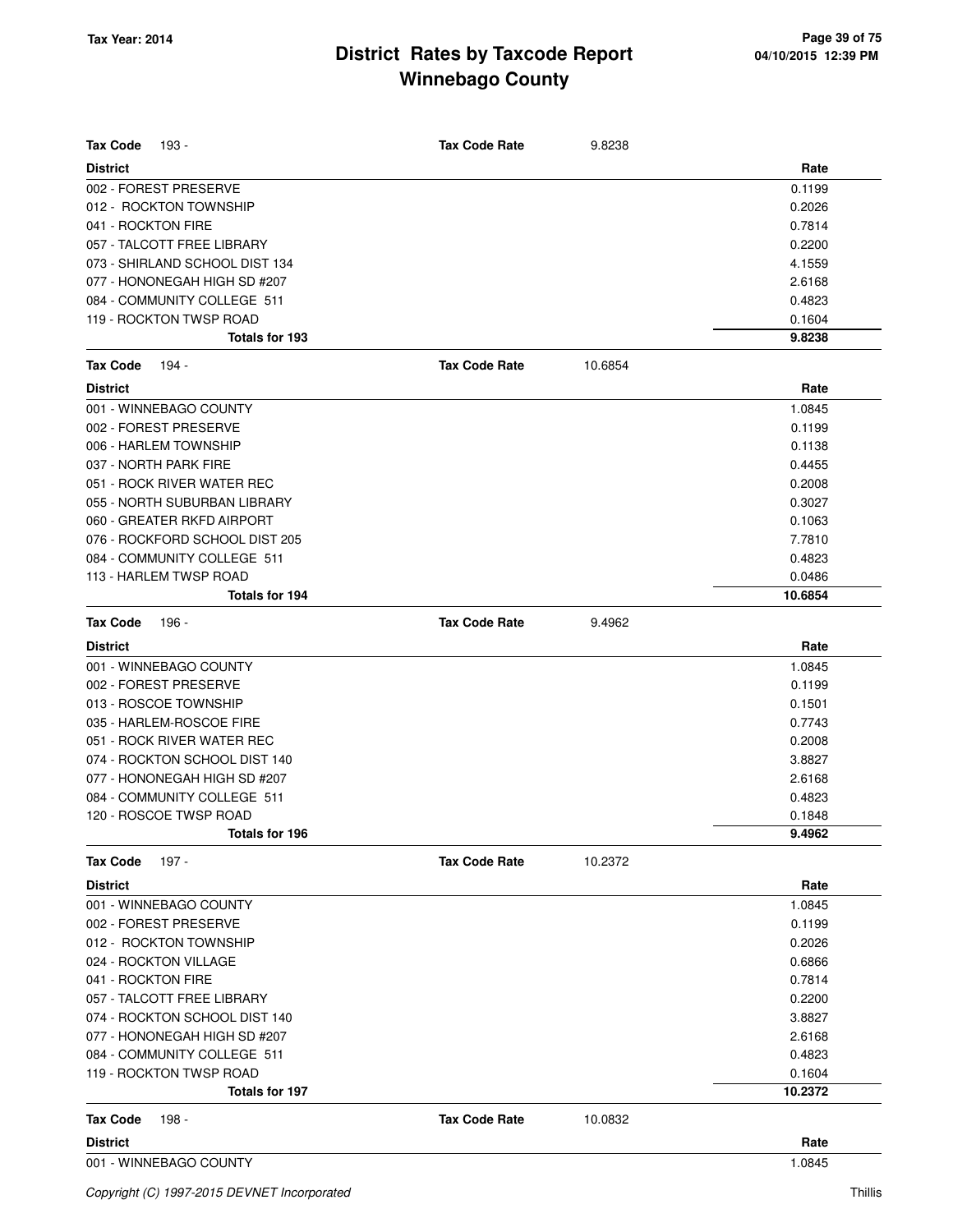| <b>Tax Code</b><br>193 -       | <b>Tax Code Rate</b> | 9.8238  |         |
|--------------------------------|----------------------|---------|---------|
| <b>District</b>                |                      |         | Rate    |
| 002 - FOREST PRESERVE          |                      |         | 0.1199  |
| 012 - ROCKTON TOWNSHIP         |                      |         | 0.2026  |
| 041 - ROCKTON FIRE             |                      |         | 0.7814  |
| 057 - TALCOTT FREE LIBRARY     |                      |         | 0.2200  |
| 073 - SHIRLAND SCHOOL DIST 134 |                      |         | 4.1559  |
| 077 - HONONEGAH HIGH SD #207   |                      |         | 2.6168  |
| 084 - COMMUNITY COLLEGE 511    |                      |         | 0.4823  |
| 119 - ROCKTON TWSP ROAD        |                      |         | 0.1604  |
| Totals for 193                 |                      |         | 9.8238  |
| <b>Tax Code</b><br>194 -       | <b>Tax Code Rate</b> | 10.6854 |         |
| <b>District</b>                |                      |         | Rate    |
| 001 - WINNEBAGO COUNTY         |                      |         | 1.0845  |
| 002 - FOREST PRESERVE          |                      |         | 0.1199  |
| 006 - HARLEM TOWNSHIP          |                      |         | 0.1138  |
| 037 - NORTH PARK FIRE          |                      |         | 0.4455  |
| 051 - ROCK RIVER WATER REC     |                      |         | 0.2008  |
| 055 - NORTH SUBURBAN LIBRARY   |                      |         | 0.3027  |
| 060 - GREATER RKFD AIRPORT     |                      |         | 0.1063  |
| 076 - ROCKFORD SCHOOL DIST 205 |                      |         | 7.7810  |
| 084 - COMMUNITY COLLEGE 511    |                      |         | 0.4823  |
| 113 - HARLEM TWSP ROAD         |                      |         | 0.0486  |
| Totals for 194                 |                      |         | 10.6854 |
| <b>Tax Code</b><br>196 -       | <b>Tax Code Rate</b> | 9.4962  |         |
| <b>District</b>                |                      |         | Rate    |
| 001 - WINNEBAGO COUNTY         |                      |         | 1.0845  |
| 002 - FOREST PRESERVE          |                      |         | 0.1199  |
| 013 - ROSCOE TOWNSHIP          |                      |         | 0.1501  |
| 035 - HARLEM-ROSCOE FIRE       |                      |         | 0.7743  |
| 051 - ROCK RIVER WATER REC     |                      |         | 0.2008  |
| 074 - ROCKTON SCHOOL DIST 140  |                      |         | 3.8827  |
| 077 - HONONEGAH HIGH SD #207   |                      |         | 2.6168  |
| 084 - COMMUNITY COLLEGE 511    |                      |         | 0.4823  |
| 120 - ROSCOE TWSP ROAD         |                      |         | 0.1848  |
| Totals for 196                 |                      |         | 9.4962  |
| 197 -<br><b>Tax Code</b>       | <b>Tax Code Rate</b> | 10.2372 |         |
| <b>District</b>                |                      |         | Rate    |
| 001 - WINNEBAGO COUNTY         |                      |         | 1.0845  |
| 002 - FOREST PRESERVE          |                      |         | 0.1199  |
| 012 - ROCKTON TOWNSHIP         |                      |         | 0.2026  |
| 024 - ROCKTON VILLAGE          |                      |         | 0.6866  |
| 041 - ROCKTON FIRE             |                      |         | 0.7814  |
| 057 - TALCOTT FREE LIBRARY     |                      |         | 0.2200  |
| 074 - ROCKTON SCHOOL DIST 140  |                      |         | 3.8827  |
| 077 - HONONEGAH HIGH SD #207   |                      |         | 2.6168  |
| 084 - COMMUNITY COLLEGE 511    |                      |         | 0.4823  |
| 119 - ROCKTON TWSP ROAD        |                      |         | 0.1604  |
| Totals for 197                 |                      |         | 10.2372 |
| <b>Tax Code</b><br>198 -       | <b>Tax Code Rate</b> | 10.0832 |         |
| <b>District</b>                |                      |         | Rate    |
| 001 - WINNEBAGO COUNTY         |                      |         | 1.0845  |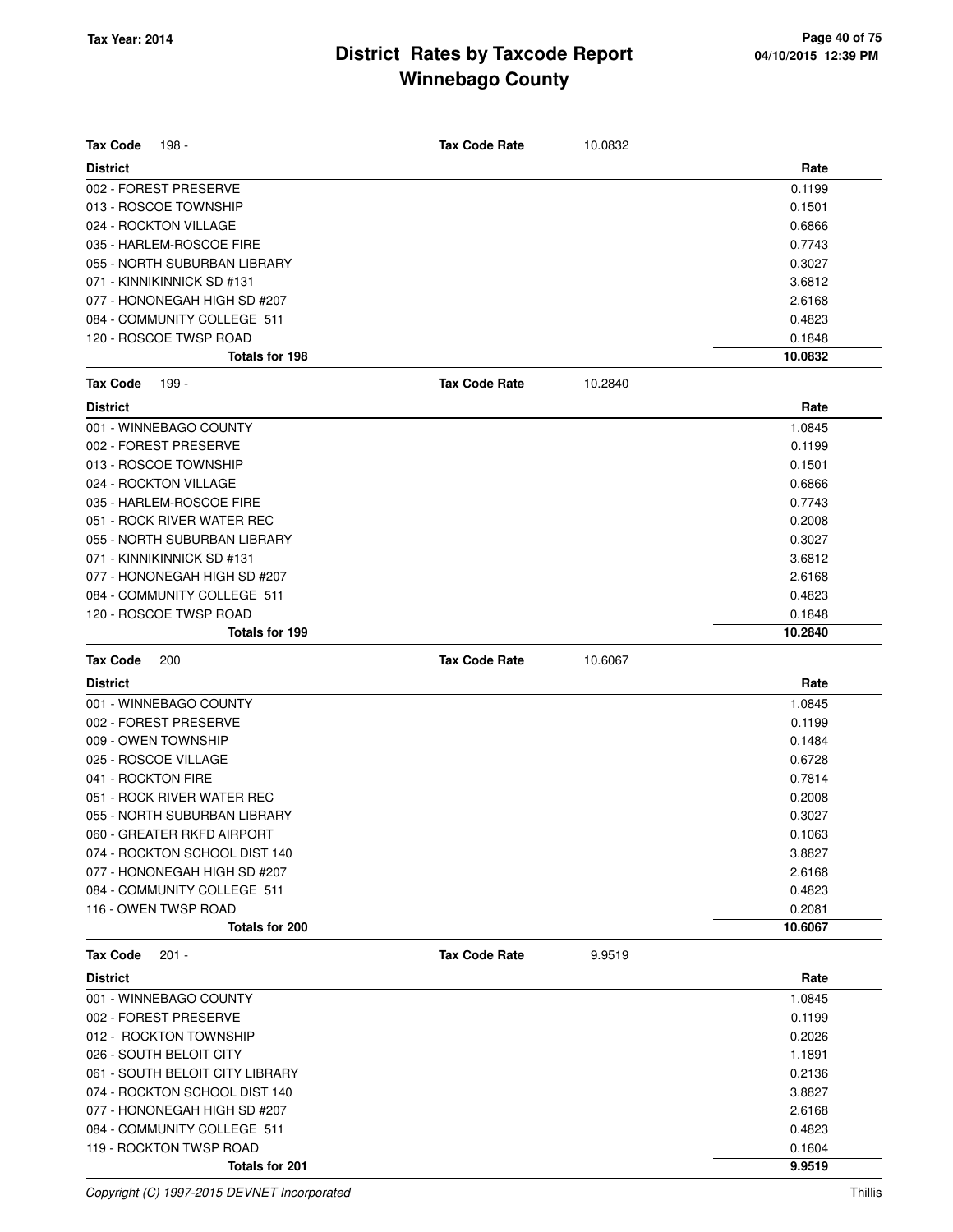| <b>Tax Code</b><br>198 -        | <b>Tax Code Rate</b> | 10.0832 |         |
|---------------------------------|----------------------|---------|---------|
| <b>District</b>                 |                      |         | Rate    |
| 002 - FOREST PRESERVE           |                      |         | 0.1199  |
| 013 - ROSCOE TOWNSHIP           |                      |         | 0.1501  |
| 024 - ROCKTON VILLAGE           |                      |         | 0.6866  |
| 035 - HARLEM-ROSCOE FIRE        |                      |         | 0.7743  |
| 055 - NORTH SUBURBAN LIBRARY    |                      |         | 0.3027  |
| 071 - KINNIKINNICK SD #131      |                      |         | 3.6812  |
| 077 - HONONEGAH HIGH SD #207    |                      |         | 2.6168  |
| 084 - COMMUNITY COLLEGE 511     |                      |         | 0.4823  |
| 120 - ROSCOE TWSP ROAD          |                      |         | 0.1848  |
| Totals for 198                  |                      |         | 10.0832 |
| <b>Tax Code</b><br>199 -        | <b>Tax Code Rate</b> | 10.2840 |         |
| <b>District</b>                 |                      |         | Rate    |
| 001 - WINNEBAGO COUNTY          |                      |         | 1.0845  |
| 002 - FOREST PRESERVE           |                      |         | 0.1199  |
| 013 - ROSCOE TOWNSHIP           |                      |         | 0.1501  |
| 024 - ROCKTON VILLAGE           |                      |         | 0.6866  |
| 035 - HARLEM-ROSCOE FIRE        |                      |         | 0.7743  |
| 051 - ROCK RIVER WATER REC      |                      |         | 0.2008  |
| 055 - NORTH SUBURBAN LIBRARY    |                      |         | 0.3027  |
| 071 - KINNIKINNICK SD #131      |                      |         | 3.6812  |
| 077 - HONONEGAH HIGH SD #207    |                      |         | 2.6168  |
| 084 - COMMUNITY COLLEGE 511     |                      |         | 0.4823  |
| 120 - ROSCOE TWSP ROAD          |                      |         | 0.1848  |
| Totals for 199                  |                      |         | 10.2840 |
|                                 |                      |         |         |
| <b>Tax Code</b><br>200          | <b>Tax Code Rate</b> | 10.6067 |         |
| <b>District</b>                 |                      |         | Rate    |
| 001 - WINNEBAGO COUNTY          |                      |         | 1.0845  |
| 002 - FOREST PRESERVE           |                      |         | 0.1199  |
| 009 - OWEN TOWNSHIP             |                      |         | 0.1484  |
| 025 - ROSCOE VILLAGE            |                      |         | 0.6728  |
| 041 - ROCKTON FIRE              |                      |         | 0.7814  |
| 051 - ROCK RIVER WATER REC      |                      |         | 0.2008  |
| 055 - NORTH SUBURBAN LIBRARY    |                      |         | 0.3027  |
| 060 - GREATER RKFD AIRPORT      |                      |         | 0.1063  |
| 074 - ROCKTON SCHOOL DIST 140   |                      |         | 3.8827  |
| 077 - HONONEGAH HIGH SD #207    |                      |         | 2.6168  |
| 084 - COMMUNITY COLLEGE 511     |                      |         | 0.4823  |
| 116 - OWEN TWSP ROAD            |                      |         | 0.2081  |
| Totals for 200                  |                      |         | 10.6067 |
| <b>Tax Code</b><br>$201 -$      | <b>Tax Code Rate</b> | 9.9519  |         |
| <b>District</b>                 |                      |         | Rate    |
| 001 - WINNEBAGO COUNTY          |                      |         | 1.0845  |
| 002 - FOREST PRESERVE           |                      |         | 0.1199  |
| 012 - ROCKTON TOWNSHIP          |                      |         | 0.2026  |
| 026 - SOUTH BELOIT CITY         |                      |         | 1.1891  |
| 061 - SOUTH BELOIT CITY LIBRARY |                      |         | 0.2136  |
| 074 - ROCKTON SCHOOL DIST 140   |                      |         | 3.8827  |
| 077 - HONONEGAH HIGH SD #207    |                      |         | 2.6168  |
| 084 - COMMUNITY COLLEGE 511     |                      |         | 0.4823  |
| 119 - ROCKTON TWSP ROAD         |                      |         | 0.1604  |

**Totals for 201 9.9519**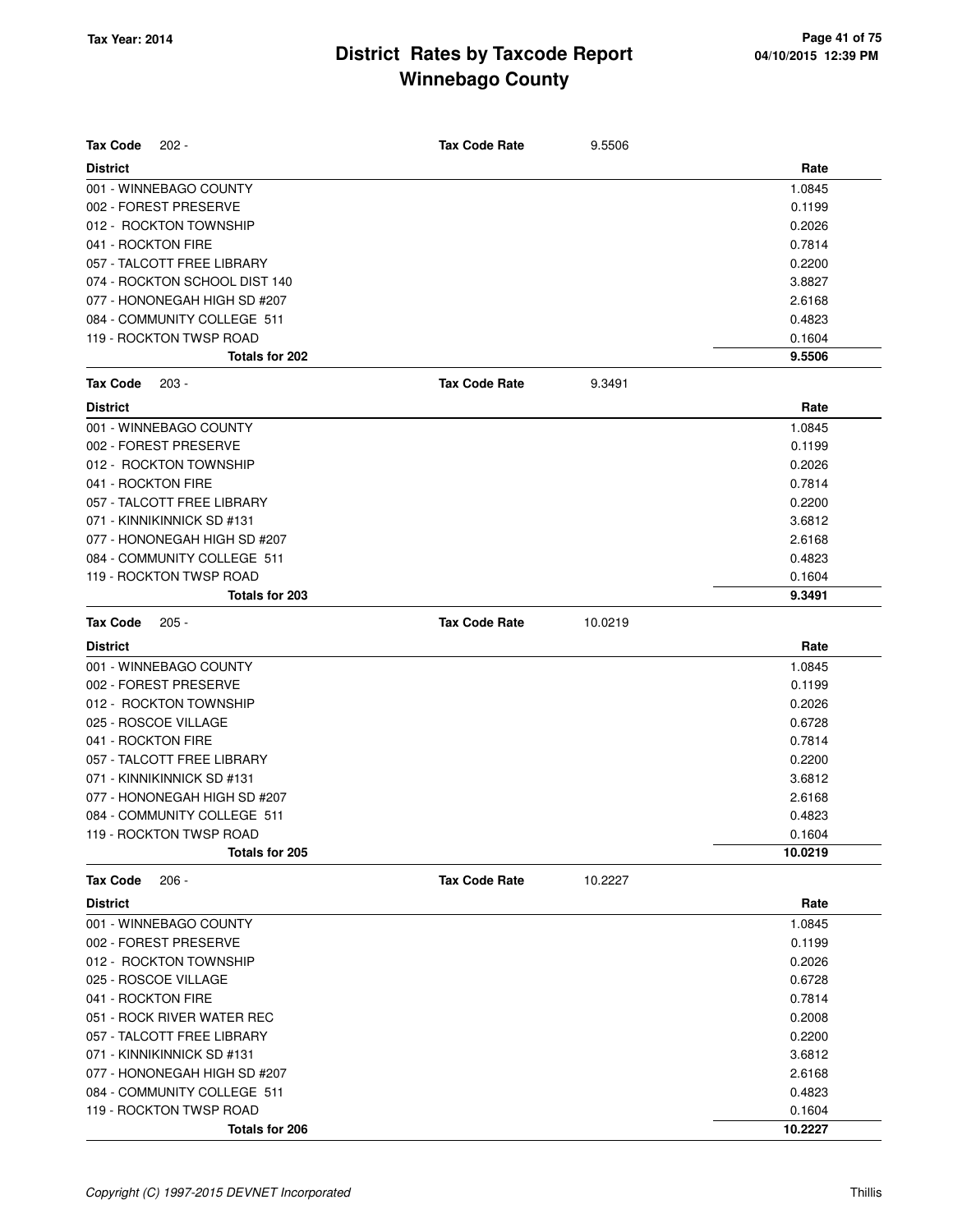| <b>Tax Code</b><br>$202 -$    | <b>Tax Code Rate</b> | 9.5506  |         |
|-------------------------------|----------------------|---------|---------|
| <b>District</b>               |                      |         | Rate    |
| 001 - WINNEBAGO COUNTY        |                      |         | 1.0845  |
| 002 - FOREST PRESERVE         |                      |         | 0.1199  |
| 012 - ROCKTON TOWNSHIP        |                      |         | 0.2026  |
| 041 - ROCKTON FIRE            |                      |         | 0.7814  |
| 057 - TALCOTT FREE LIBRARY    |                      |         | 0.2200  |
| 074 - ROCKTON SCHOOL DIST 140 |                      |         | 3.8827  |
| 077 - HONONEGAH HIGH SD #207  |                      |         | 2.6168  |
| 084 - COMMUNITY COLLEGE 511   |                      |         | 0.4823  |
| 119 - ROCKTON TWSP ROAD       |                      |         | 0.1604  |
| Totals for 202                |                      |         | 9.5506  |
| <b>Tax Code</b><br>$203 -$    | <b>Tax Code Rate</b> | 9.3491  |         |
| <b>District</b>               |                      |         | Rate    |
| 001 - WINNEBAGO COUNTY        |                      |         | 1.0845  |
| 002 - FOREST PRESERVE         |                      |         | 0.1199  |
| 012 - ROCKTON TOWNSHIP        |                      |         | 0.2026  |
| 041 - ROCKTON FIRE            |                      |         | 0.7814  |
| 057 - TALCOTT FREE LIBRARY    |                      |         | 0.2200  |
| 071 - KINNIKINNICK SD #131    |                      |         | 3.6812  |
| 077 - HONONEGAH HIGH SD #207  |                      |         | 2.6168  |
| 084 - COMMUNITY COLLEGE 511   |                      |         | 0.4823  |
| 119 - ROCKTON TWSP ROAD       |                      |         | 0.1604  |
| Totals for 203                |                      |         | 9.3491  |
| <b>Tax Code</b><br>$205 -$    | <b>Tax Code Rate</b> | 10.0219 |         |
| <b>District</b>               |                      |         | Rate    |
| 001 - WINNEBAGO COUNTY        |                      |         | 1.0845  |
| 002 - FOREST PRESERVE         |                      |         | 0.1199  |
| 012 - ROCKTON TOWNSHIP        |                      |         | 0.2026  |
| 025 - ROSCOE VILLAGE          |                      |         | 0.6728  |
| 041 - ROCKTON FIRE            |                      |         | 0.7814  |
| 057 - TALCOTT FREE LIBRARY    |                      |         | 0.2200  |
| 071 - KINNIKINNICK SD #131    |                      |         | 3.6812  |
| 077 - HONONEGAH HIGH SD #207  |                      |         | 2.6168  |
| 084 - COMMUNITY COLLEGE 511   |                      |         | 0.4823  |
| 119 - ROCKTON TWSP ROAD       |                      |         | 0.1604  |
| Totals for 205                |                      |         | 10.0219 |
| <b>Tax Code</b><br>$206 -$    | <b>Tax Code Rate</b> | 10.2227 |         |
| <b>District</b>               |                      |         | Rate    |
| 001 - WINNEBAGO COUNTY        |                      |         | 1.0845  |
| 002 - FOREST PRESERVE         |                      |         | 0.1199  |
| 012 - ROCKTON TOWNSHIP        |                      |         | 0.2026  |
| 025 - ROSCOE VILLAGE          |                      |         | 0.6728  |
| 041 - ROCKTON FIRE            |                      |         | 0.7814  |
| 051 - ROCK RIVER WATER REC    |                      |         | 0.2008  |
| 057 - TALCOTT FREE LIBRARY    |                      |         | 0.2200  |
| 071 - KINNIKINNICK SD #131    |                      |         | 3.6812  |
| 077 - HONONEGAH HIGH SD #207  |                      |         | 2.6168  |
| 084 - COMMUNITY COLLEGE 511   |                      |         | 0.4823  |
| 119 - ROCKTON TWSP ROAD       |                      |         | 0.1604  |
| Totals for 206                |                      |         | 10.2227 |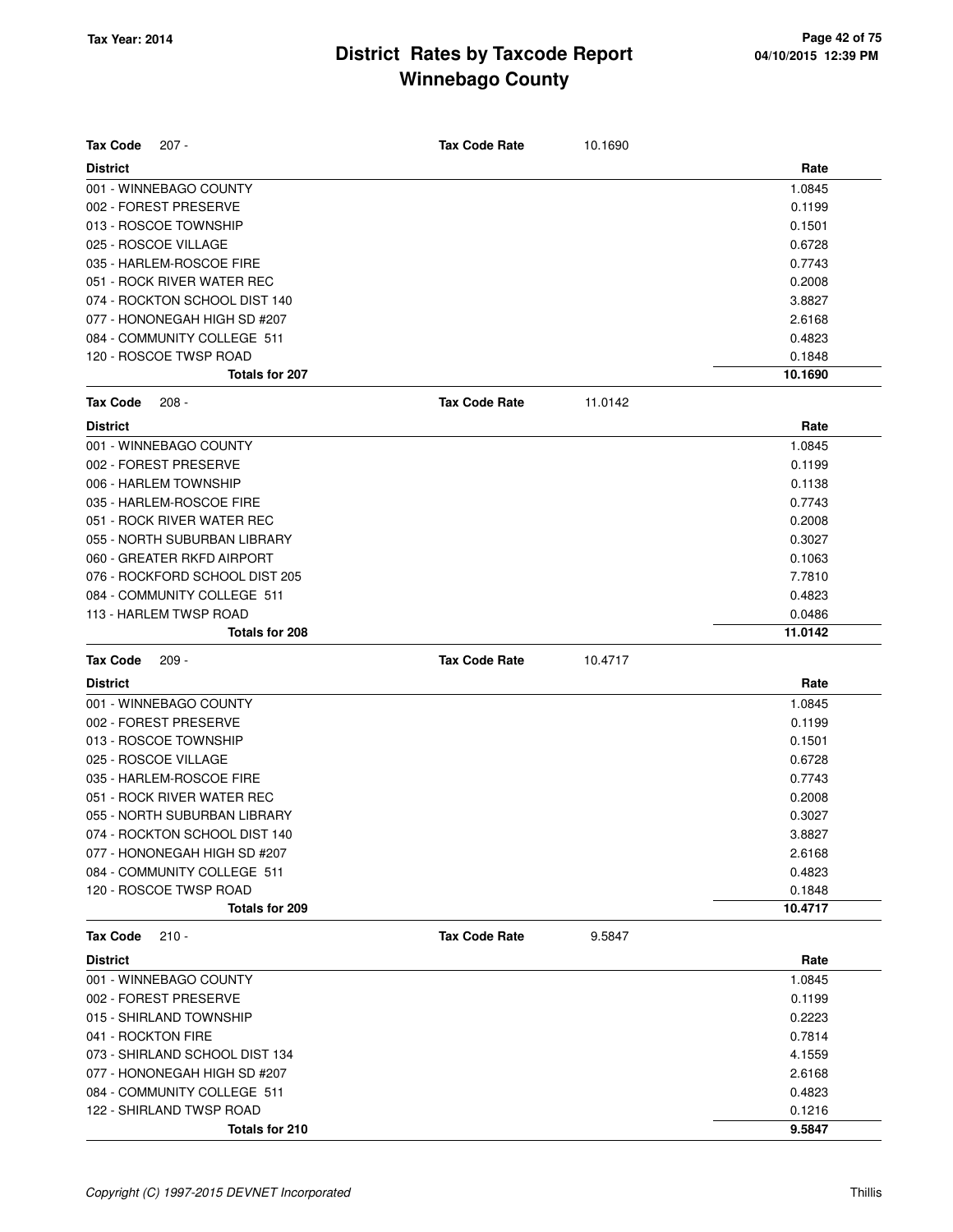| <b>Tax Code</b><br>$207 -$                 | <b>Tax Code Rate</b> | 10.1690 |                  |
|--------------------------------------------|----------------------|---------|------------------|
| <b>District</b>                            |                      |         | Rate             |
| 001 - WINNEBAGO COUNTY                     |                      |         | 1.0845           |
| 002 - FOREST PRESERVE                      |                      |         | 0.1199           |
| 013 - ROSCOE TOWNSHIP                      |                      |         | 0.1501           |
| 025 - ROSCOE VILLAGE                       |                      |         | 0.6728           |
| 035 - HARLEM-ROSCOE FIRE                   |                      |         | 0.7743           |
| 051 - ROCK RIVER WATER REC                 |                      |         | 0.2008           |
| 074 - ROCKTON SCHOOL DIST 140              |                      |         | 3.8827           |
| 077 - HONONEGAH HIGH SD #207               |                      |         | 2.6168           |
| 084 - COMMUNITY COLLEGE 511                |                      |         | 0.4823           |
| 120 - ROSCOE TWSP ROAD                     |                      |         | 0.1848           |
| <b>Totals for 207</b>                      |                      |         | 10.1690          |
| <b>Tax Code</b><br>$208 -$                 | <b>Tax Code Rate</b> | 11.0142 |                  |
| <b>District</b>                            |                      |         | Rate             |
| 001 - WINNEBAGO COUNTY                     |                      |         | 1.0845           |
| 002 - FOREST PRESERVE                      |                      |         | 0.1199           |
| 006 - HARLEM TOWNSHIP                      |                      |         | 0.1138           |
| 035 - HARLEM-ROSCOE FIRE                   |                      |         | 0.7743           |
| 051 - ROCK RIVER WATER REC                 |                      |         | 0.2008           |
| 055 - NORTH SUBURBAN LIBRARY               |                      |         | 0.3027           |
| 060 - GREATER RKFD AIRPORT                 |                      |         | 0.1063           |
| 076 - ROCKFORD SCHOOL DIST 205             |                      |         | 7.7810           |
| 084 - COMMUNITY COLLEGE 511                |                      |         | 0.4823           |
| 113 - HARLEM TWSP ROAD                     |                      |         | 0.0486           |
| Totals for 208                             |                      |         | 11.0142          |
|                                            |                      |         |                  |
| <b>Tax Code</b><br>$209 -$                 | <b>Tax Code Rate</b> | 10.4717 |                  |
| <b>District</b>                            |                      |         | Rate             |
| 001 - WINNEBAGO COUNTY                     |                      |         | 1.0845           |
| 002 - FOREST PRESERVE                      |                      |         | 0.1199           |
| 013 - ROSCOE TOWNSHIP                      |                      |         | 0.1501           |
| 025 - ROSCOE VILLAGE                       |                      |         | 0.6728           |
| 035 - HARLEM-ROSCOE FIRE                   |                      |         | 0.7743           |
| 051 - ROCK RIVER WATER REC                 |                      |         | 0.2008           |
| 055 - NORTH SUBURBAN LIBRARY               |                      |         | 0.3027           |
| 074 - ROCKTON SCHOOL DIST 140              |                      |         | 3.8827           |
| 077 - HONONEGAH HIGH SD #207               |                      |         | 2.6168           |
| 084 - COMMUNITY COLLEGE 511                |                      |         | 0.4823           |
| 120 - ROSCOE TWSP ROAD                     |                      |         | 0.1848           |
| Totals for 209                             |                      |         | 10.4717          |
| <b>Tax Code</b><br>$210 -$                 | <b>Tax Code Rate</b> | 9.5847  |                  |
| <b>District</b>                            |                      |         | Rate             |
| 001 - WINNEBAGO COUNTY                     |                      |         | 1.0845           |
| 002 - FOREST PRESERVE                      |                      |         | 0.1199           |
| 015 - SHIRLAND TOWNSHIP                    |                      |         | 0.2223           |
| 041 - ROCKTON FIRE                         |                      |         | 0.7814           |
| 073 - SHIRLAND SCHOOL DIST 134             |                      |         | 4.1559           |
| 077 - HONONEGAH HIGH SD #207               |                      |         | 2.6168           |
| 084 - COMMUNITY COLLEGE 511                |                      |         | 0.4823           |
| 122 - SHIRLAND TWSP ROAD<br>Totals for 210 |                      |         | 0.1216<br>9.5847 |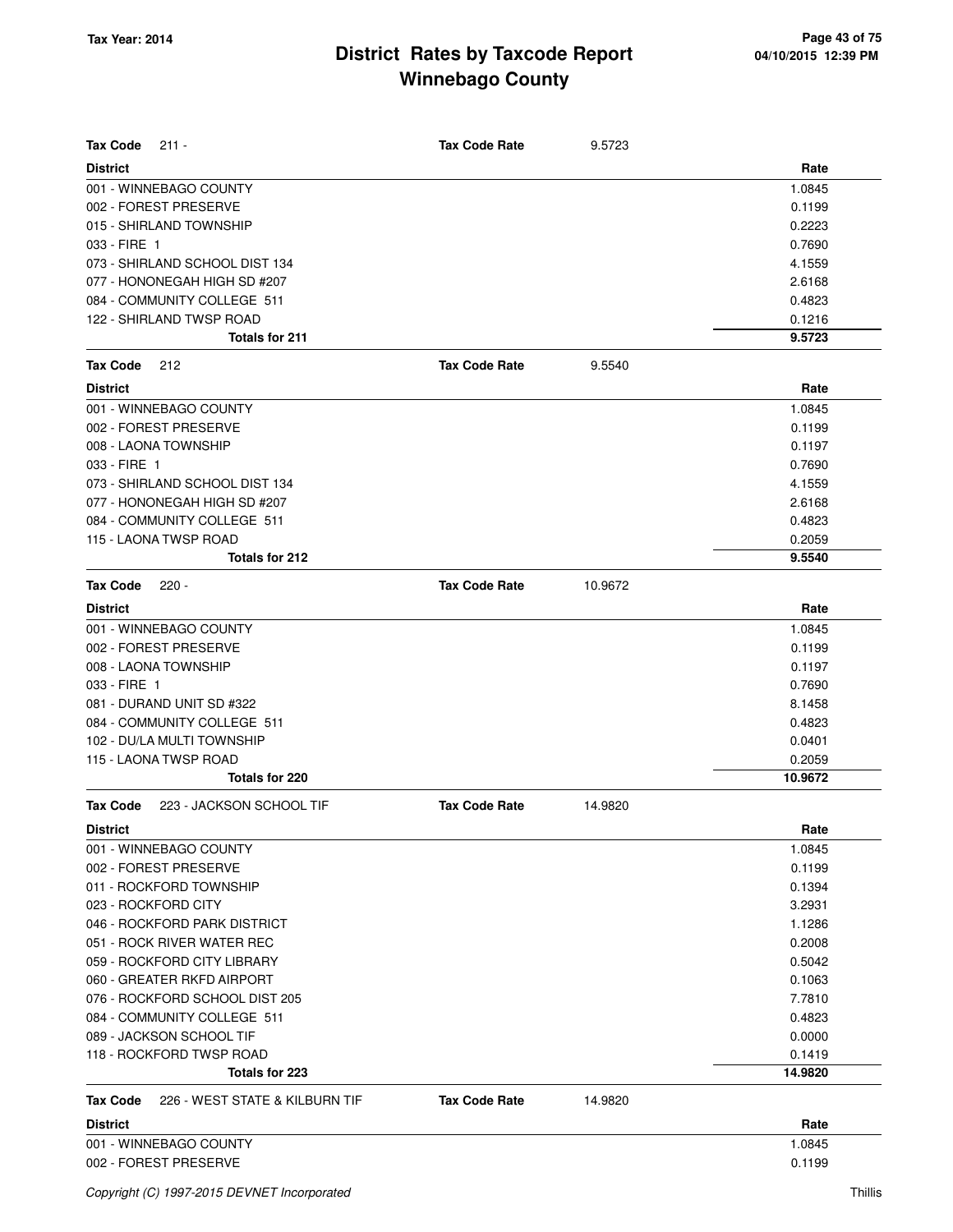| <b>Tax Code</b><br>$211 -$                        | <b>Tax Code Rate</b> | 9.5723  |         |
|---------------------------------------------------|----------------------|---------|---------|
| <b>District</b>                                   |                      |         | Rate    |
| 001 - WINNEBAGO COUNTY                            |                      |         | 1.0845  |
| 002 - FOREST PRESERVE                             |                      |         | 0.1199  |
| 015 - SHIRLAND TOWNSHIP                           |                      |         | 0.2223  |
| 033 - FIRE 1                                      |                      |         | 0.7690  |
| 073 - SHIRLAND SCHOOL DIST 134                    |                      |         | 4.1559  |
| 077 - HONONEGAH HIGH SD #207                      |                      |         | 2.6168  |
| 084 - COMMUNITY COLLEGE 511                       |                      |         | 0.4823  |
| 122 - SHIRLAND TWSP ROAD                          |                      |         | 0.1216  |
| Totals for 211                                    |                      |         | 9.5723  |
| <b>Tax Code</b><br>212                            | <b>Tax Code Rate</b> | 9.5540  |         |
| <b>District</b>                                   |                      |         | Rate    |
| 001 - WINNEBAGO COUNTY                            |                      |         | 1.0845  |
| 002 - FOREST PRESERVE                             |                      |         | 0.1199  |
| 008 - LAONA TOWNSHIP                              |                      |         | 0.1197  |
| 033 - FIRE 1                                      |                      |         | 0.7690  |
| 073 - SHIRLAND SCHOOL DIST 134                    |                      |         | 4.1559  |
| 077 - HONONEGAH HIGH SD #207                      |                      |         | 2.6168  |
| 084 - COMMUNITY COLLEGE 511                       |                      |         | 0.4823  |
| 115 - LAONA TWSP ROAD                             |                      |         | 0.2059  |
| Totals for 212                                    |                      |         | 9.5540  |
| <b>Tax Code</b><br>$220 -$                        | <b>Tax Code Rate</b> | 10.9672 |         |
| <b>District</b>                                   |                      |         | Rate    |
| 001 - WINNEBAGO COUNTY                            |                      |         | 1.0845  |
| 002 - FOREST PRESERVE                             |                      |         | 0.1199  |
| 008 - LAONA TOWNSHIP                              |                      |         | 0.1197  |
| 033 - FIRE 1                                      |                      |         | 0.7690  |
| 081 - DURAND UNIT SD #322                         |                      |         | 8.1458  |
| 084 - COMMUNITY COLLEGE 511                       |                      |         | 0.4823  |
| 102 - DU/LA MULTI TOWNSHIP                        |                      |         | 0.0401  |
| 115 - LAONA TWSP ROAD                             |                      |         | 0.2059  |
| <b>Totals for 220</b>                             |                      |         | 10.9672 |
| <b>Tax Code</b><br>223 - JACKSON SCHOOL TIF       | <b>Tax Code Rate</b> | 14.9820 |         |
| <b>District</b>                                   |                      |         | Rate    |
| 001 - WINNEBAGO COUNTY                            |                      |         | 1.0845  |
| 002 - FOREST PRESERVE                             |                      |         | 0.1199  |
| 011 - ROCKFORD TOWNSHIP                           |                      |         | 0.1394  |
| 023 - ROCKFORD CITY                               |                      |         | 3.2931  |
| 046 - ROCKFORD PARK DISTRICT                      |                      |         | 1.1286  |
| 051 - ROCK RIVER WATER REC                        |                      |         | 0.2008  |
| 059 - ROCKFORD CITY LIBRARY                       |                      |         | 0.5042  |
| 060 - GREATER RKFD AIRPORT                        |                      |         | 0.1063  |
| 076 - ROCKFORD SCHOOL DIST 205                    |                      |         | 7.7810  |
| 084 - COMMUNITY COLLEGE 511                       |                      |         | 0.4823  |
| 089 - JACKSON SCHOOL TIF                          |                      |         | 0.0000  |
| 118 - ROCKFORD TWSP ROAD                          |                      |         | 0.1419  |
| Totals for 223                                    |                      |         | 14.9820 |
| 226 - WEST STATE & KILBURN TIF<br><b>Tax Code</b> | <b>Tax Code Rate</b> | 14.9820 |         |
| <b>District</b>                                   |                      |         | Rate    |
| 001 - WINNEBAGO COUNTY                            |                      |         | 1.0845  |
| 002 - FOREST PRESERVE                             |                      |         | 0.1199  |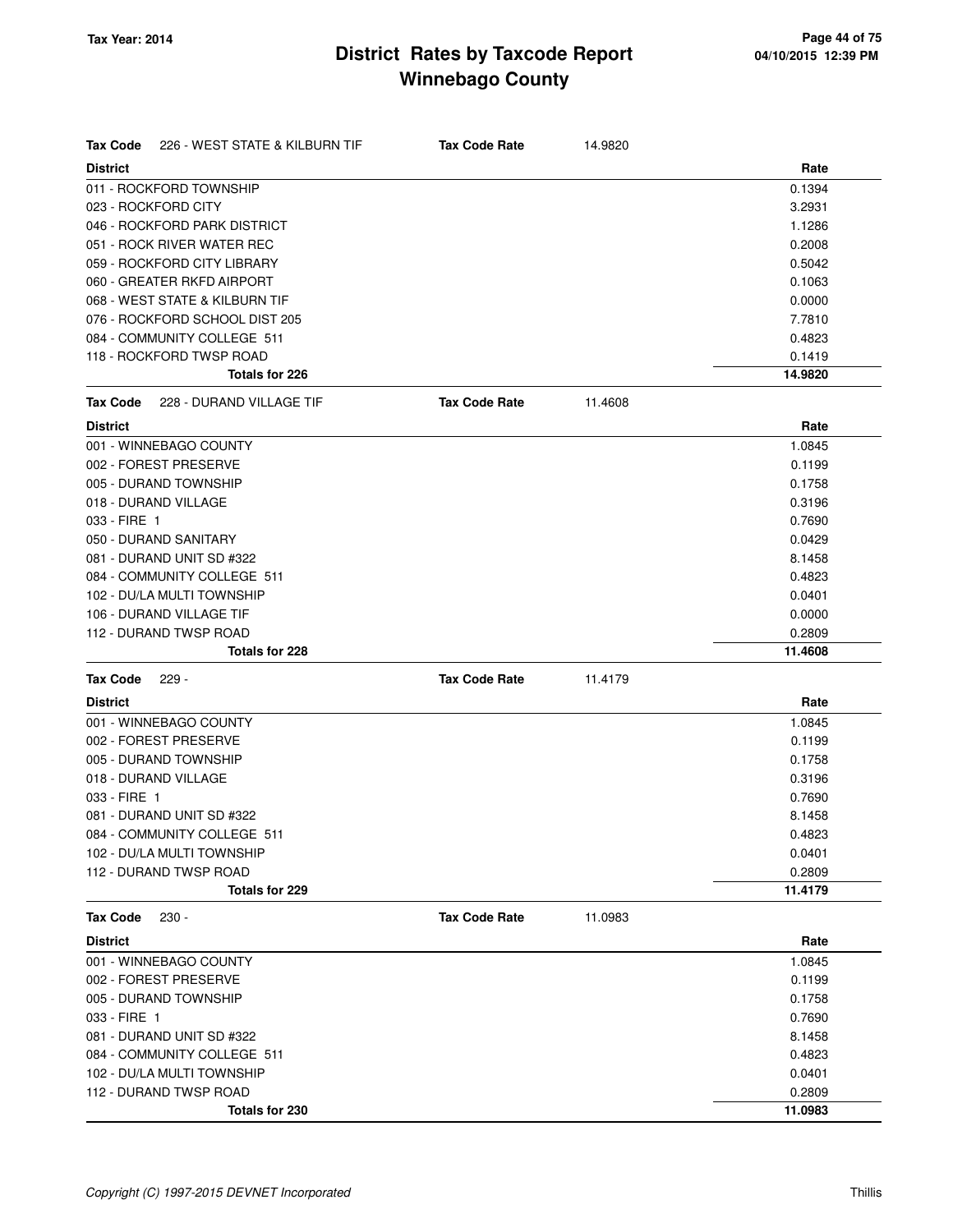| <b>Tax Code</b> | 226 - WEST STATE & KILBURN TIF | <b>Tax Code Rate</b> | 14.9820 |         |
|-----------------|--------------------------------|----------------------|---------|---------|
| <b>District</b> |                                |                      |         | Rate    |
|                 | 011 - ROCKFORD TOWNSHIP        |                      |         | 0.1394  |
|                 | 023 - ROCKFORD CITY            |                      |         | 3.2931  |
|                 | 046 - ROCKFORD PARK DISTRICT   |                      |         | 1.1286  |
|                 | 051 - ROCK RIVER WATER REC     |                      |         | 0.2008  |
|                 | 059 - ROCKFORD CITY LIBRARY    |                      |         | 0.5042  |
|                 | 060 - GREATER RKFD AIRPORT     |                      |         | 0.1063  |
|                 | 068 - WEST STATE & KILBURN TIF |                      |         | 0.0000  |
|                 | 076 - ROCKFORD SCHOOL DIST 205 |                      |         | 7.7810  |
|                 | 084 - COMMUNITY COLLEGE 511    |                      |         | 0.4823  |
|                 | 118 - ROCKFORD TWSP ROAD       |                      |         | 0.1419  |
|                 | Totals for 226                 |                      |         | 14.9820 |
| <b>Tax Code</b> | 228 - DURAND VILLAGE TIF       | <b>Tax Code Rate</b> | 11.4608 |         |
| <b>District</b> |                                |                      |         | Rate    |
|                 | 001 - WINNEBAGO COUNTY         |                      |         | 1.0845  |
|                 | 002 - FOREST PRESERVE          |                      |         | 0.1199  |
|                 | 005 - DURAND TOWNSHIP          |                      |         | 0.1758  |
|                 | 018 - DURAND VILLAGE           |                      |         | 0.3196  |
| 033 - FIRE 1    |                                |                      |         | 0.7690  |
|                 | 050 - DURAND SANITARY          |                      |         | 0.0429  |
|                 | 081 - DURAND UNIT SD #322      |                      |         | 8.1458  |
|                 | 084 - COMMUNITY COLLEGE 511    |                      |         | 0.4823  |
|                 | 102 - DU/LA MULTI TOWNSHIP     |                      |         | 0.0401  |
|                 | 106 - DURAND VILLAGE TIF       |                      |         | 0.0000  |
|                 | 112 - DURAND TWSP ROAD         |                      |         | 0.2809  |
|                 | Totals for 228                 |                      |         | 11.4608 |
| <b>Tax Code</b> | 229 -                          | <b>Tax Code Rate</b> | 11.4179 |         |
| <b>District</b> |                                |                      |         | Rate    |
|                 | 001 - WINNEBAGO COUNTY         |                      |         | 1.0845  |
|                 | 002 - FOREST PRESERVE          |                      |         | 0.1199  |
|                 | 005 - DURAND TOWNSHIP          |                      |         | 0.1758  |
|                 | 018 - DURAND VILLAGE           |                      |         | 0.3196  |
| 033 - FIRE 1    |                                |                      |         | 0.7690  |
|                 | 081 - DURAND UNIT SD #322      |                      |         | 8.1458  |
|                 | 084 - COMMUNITY COLLEGE 511    |                      |         | 0.4823  |
|                 | 102 - DU/LA MULTI TOWNSHIP     |                      |         | 0.0401  |
|                 | 112 - DURAND TWSP ROAD         |                      |         | 0.2809  |
|                 | <b>Totals for 229</b>          |                      |         | 11.4179 |
| <b>Tax Code</b> | $230 -$                        | <b>Tax Code Rate</b> | 11.0983 |         |
| <b>District</b> |                                |                      |         | Rate    |
|                 | 001 - WINNEBAGO COUNTY         |                      |         | 1.0845  |
|                 | 002 - FOREST PRESERVE          |                      |         | 0.1199  |
|                 | 005 - DURAND TOWNSHIP          |                      |         | 0.1758  |
| 033 - FIRE 1    |                                |                      |         | 0.7690  |
|                 | 081 - DURAND UNIT SD #322      |                      |         | 8.1458  |
|                 | 084 - COMMUNITY COLLEGE 511    |                      |         | 0.4823  |
|                 | 102 - DU/LA MULTI TOWNSHIP     |                      |         | 0.0401  |
|                 | 112 - DURAND TWSP ROAD         |                      |         | 0.2809  |
|                 | Totals for 230                 |                      |         | 11.0983 |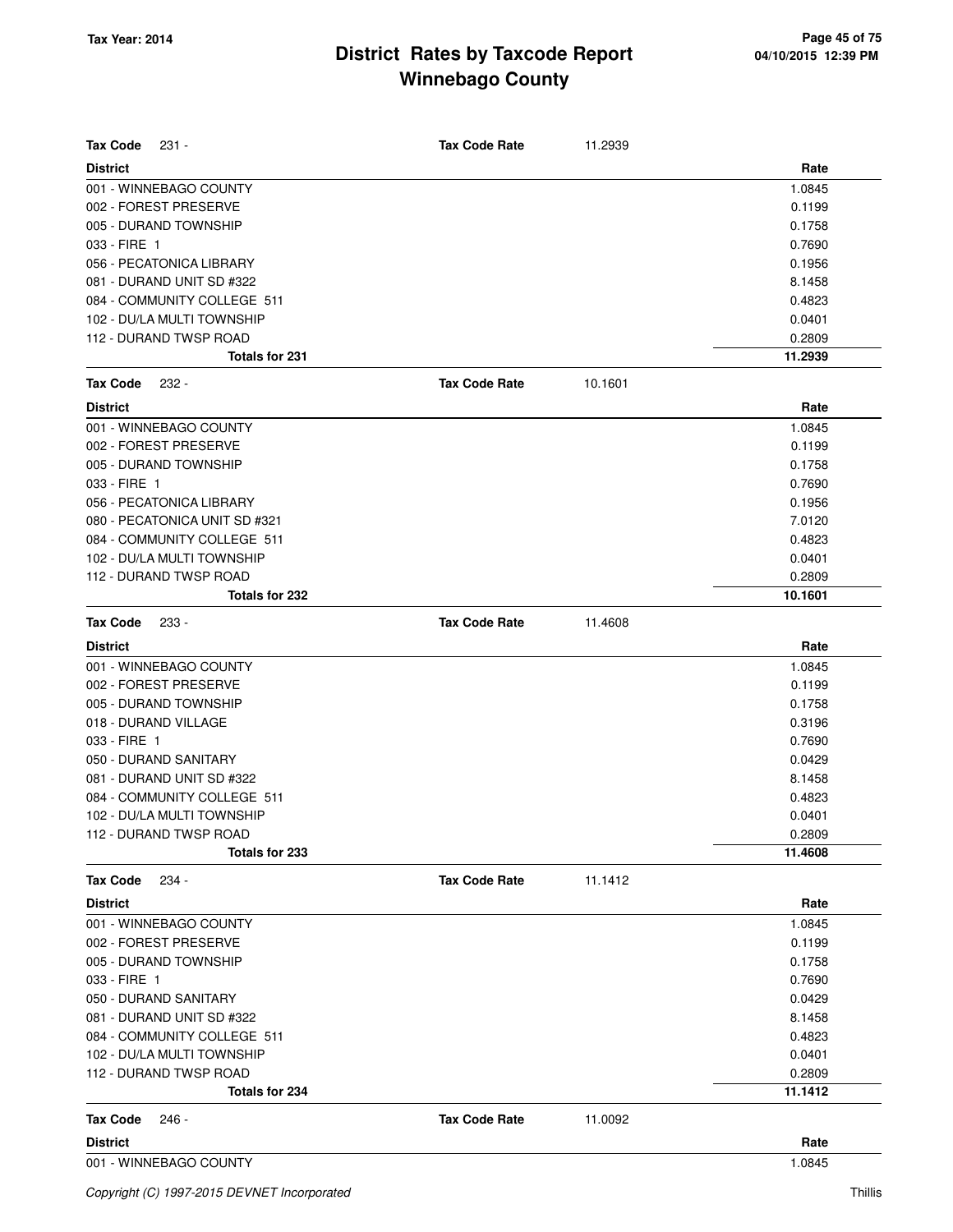| <b>Tax Code</b><br>231 -      | <b>Tax Code Rate</b> | 11.2939 |         |
|-------------------------------|----------------------|---------|---------|
| <b>District</b>               |                      |         | Rate    |
| 001 - WINNEBAGO COUNTY        |                      |         | 1.0845  |
| 002 - FOREST PRESERVE         |                      |         | 0.1199  |
| 005 - DURAND TOWNSHIP         |                      |         | 0.1758  |
| 033 - FIRE 1                  |                      |         | 0.7690  |
| 056 - PECATONICA LIBRARY      |                      |         | 0.1956  |
| 081 - DURAND UNIT SD #322     |                      |         | 8.1458  |
| 084 - COMMUNITY COLLEGE 511   |                      |         | 0.4823  |
| 102 - DU/LA MULTI TOWNSHIP    |                      |         | 0.0401  |
| 112 - DURAND TWSP ROAD        |                      |         | 0.2809  |
| Totals for 231                |                      |         | 11.2939 |
| <b>Tax Code</b><br>232 -      | <b>Tax Code Rate</b> | 10.1601 |         |
| <b>District</b>               |                      |         | Rate    |
| 001 - WINNEBAGO COUNTY        |                      |         | 1.0845  |
| 002 - FOREST PRESERVE         |                      |         | 0.1199  |
| 005 - DURAND TOWNSHIP         |                      |         | 0.1758  |
| 033 - FIRE 1                  |                      |         | 0.7690  |
| 056 - PECATONICA LIBRARY      |                      |         | 0.1956  |
| 080 - PECATONICA UNIT SD #321 |                      |         | 7.0120  |
| 084 - COMMUNITY COLLEGE 511   |                      |         | 0.4823  |
| 102 - DU/LA MULTI TOWNSHIP    |                      |         | 0.0401  |
| 112 - DURAND TWSP ROAD        |                      |         | 0.2809  |
| Totals for 232                |                      |         | 10.1601 |
| <b>Tax Code</b><br>233 -      | <b>Tax Code Rate</b> | 11.4608 |         |
| <b>District</b>               |                      |         | Rate    |
| 001 - WINNEBAGO COUNTY        |                      |         | 1.0845  |
| 002 - FOREST PRESERVE         |                      |         | 0.1199  |
| 005 - DURAND TOWNSHIP         |                      |         | 0.1758  |
| 018 - DURAND VILLAGE          |                      |         | 0.3196  |
| 033 - FIRE 1                  |                      |         | 0.7690  |
| 050 - DURAND SANITARY         |                      |         | 0.0429  |
| 081 - DURAND UNIT SD #322     |                      |         | 8.1458  |
| 084 - COMMUNITY COLLEGE 511   |                      |         | 0.4823  |
| 102 - DU/LA MULTI TOWNSHIP    |                      |         | 0.0401  |
| 112 - DURAND TWSP ROAD        |                      |         | 0.2809  |
| Totals for 233                |                      |         | 11.4608 |
| <b>Tax Code</b><br>234 -      | <b>Tax Code Rate</b> | 11.1412 |         |
| <b>District</b>               |                      |         | Rate    |
| 001 - WINNEBAGO COUNTY        |                      |         | 1.0845  |
| 002 - FOREST PRESERVE         |                      |         | 0.1199  |
| 005 - DURAND TOWNSHIP         |                      |         | 0.1758  |
| 033 - FIRE 1                  |                      |         | 0.7690  |
| 050 - DURAND SANITARY         |                      |         | 0.0429  |
| 081 - DURAND UNIT SD #322     |                      |         | 8.1458  |
| 084 - COMMUNITY COLLEGE 511   |                      |         | 0.4823  |
| 102 - DU/LA MULTI TOWNSHIP    |                      |         | 0.0401  |
| 112 - DURAND TWSP ROAD        |                      |         | 0.2809  |
| Totals for 234                |                      |         | 11.1412 |
| <b>Tax Code</b><br>246 -      | <b>Tax Code Rate</b> | 11.0092 |         |
| <b>District</b>               |                      |         | Rate    |
| 001 - WINNEBAGO COUNTY        |                      |         | 1.0845  |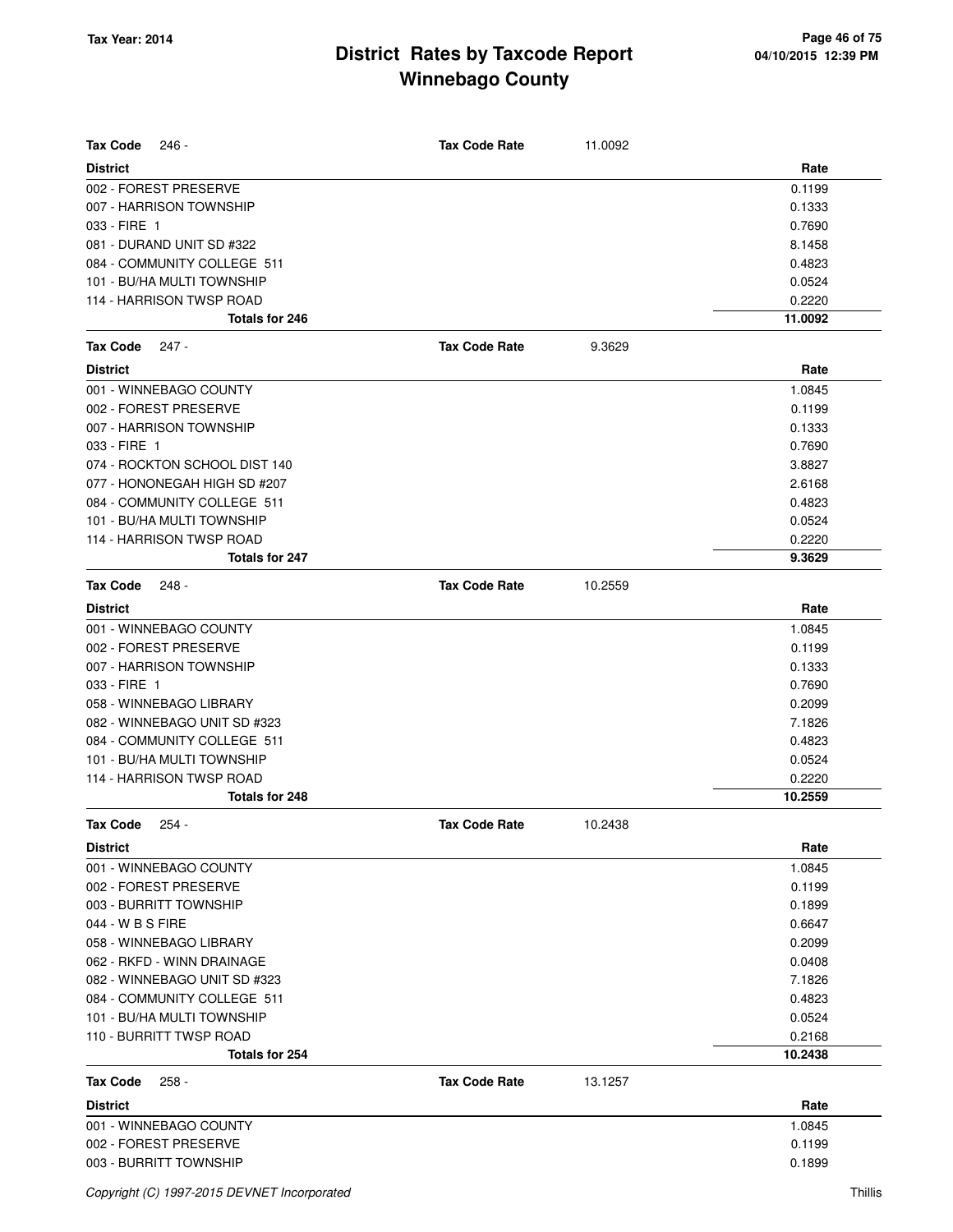| <b>Tax Code</b><br>246 -      | <b>Tax Code Rate</b> | 11.0092 |         |
|-------------------------------|----------------------|---------|---------|
| <b>District</b>               |                      |         | Rate    |
| 002 - FOREST PRESERVE         |                      |         | 0.1199  |
| 007 - HARRISON TOWNSHIP       |                      |         | 0.1333  |
| 033 - FIRE 1                  |                      |         | 0.7690  |
| 081 - DURAND UNIT SD #322     |                      |         | 8.1458  |
| 084 - COMMUNITY COLLEGE 511   |                      |         | 0.4823  |
| 101 - BU/HA MULTI TOWNSHIP    |                      |         | 0.0524  |
| 114 - HARRISON TWSP ROAD      |                      |         | 0.2220  |
| Totals for 246                |                      |         | 11.0092 |
| <b>Tax Code</b><br>$247 -$    | <b>Tax Code Rate</b> | 9.3629  |         |
| <b>District</b>               |                      |         | Rate    |
| 001 - WINNEBAGO COUNTY        |                      |         | 1.0845  |
| 002 - FOREST PRESERVE         |                      |         | 0.1199  |
| 007 - HARRISON TOWNSHIP       |                      |         | 0.1333  |
| 033 - FIRE 1                  |                      |         | 0.7690  |
| 074 - ROCKTON SCHOOL DIST 140 |                      |         | 3.8827  |
| 077 - HONONEGAH HIGH SD #207  |                      |         | 2.6168  |
| 084 - COMMUNITY COLLEGE 511   |                      |         | 0.4823  |
| 101 - BU/HA MULTI TOWNSHIP    |                      |         | 0.0524  |
| 114 - HARRISON TWSP ROAD      |                      |         | 0.2220  |
| Totals for 247                |                      |         | 9.3629  |
| <b>Tax Code</b><br>248 -      | <b>Tax Code Rate</b> | 10.2559 |         |
| <b>District</b>               |                      |         | Rate    |
| 001 - WINNEBAGO COUNTY        |                      |         | 1.0845  |
| 002 - FOREST PRESERVE         |                      |         | 0.1199  |
| 007 - HARRISON TOWNSHIP       |                      |         | 0.1333  |
| 033 - FIRE 1                  |                      |         | 0.7690  |
| 058 - WINNEBAGO LIBRARY       |                      |         | 0.2099  |
| 082 - WINNEBAGO UNIT SD #323  |                      |         | 7.1826  |
| 084 - COMMUNITY COLLEGE 511   |                      |         | 0.4823  |
| 101 - BU/HA MULTI TOWNSHIP    |                      |         | 0.0524  |
| 114 - HARRISON TWSP ROAD      |                      |         | 0.2220  |
| Totals for 248                |                      |         | 10.2559 |
| Tax Code<br>$254 -$           | <b>Tax Code Rate</b> | 10.2438 |         |
| <b>District</b>               |                      |         | Rate    |
| 001 - WINNEBAGO COUNTY        |                      |         | 1.0845  |
| 002 - FOREST PRESERVE         |                      |         | 0.1199  |
| 003 - BURRITT TOWNSHIP        |                      |         | 0.1899  |
| 044 - W B S FIRE              |                      |         | 0.6647  |
| 058 - WINNEBAGO LIBRARY       |                      |         | 0.2099  |
| 062 - RKFD - WINN DRAINAGE    |                      |         | 0.0408  |
| 082 - WINNEBAGO UNIT SD #323  |                      |         | 7.1826  |
| 084 - COMMUNITY COLLEGE 511   |                      |         | 0.4823  |
| 101 - BU/HA MULTI TOWNSHIP    |                      |         | 0.0524  |
| 110 - BURRITT TWSP ROAD       |                      |         | 0.2168  |
| Totals for 254                |                      |         | 10.2438 |
| <b>Tax Code</b><br>$258 -$    | <b>Tax Code Rate</b> | 13.1257 |         |
| <b>District</b>               |                      |         | Rate    |
| 001 - WINNEBAGO COUNTY        |                      |         | 1.0845  |
| 002 - FOREST PRESERVE         |                      |         | 0.1199  |
| 003 - BURRITT TOWNSHIP        |                      |         | 0.1899  |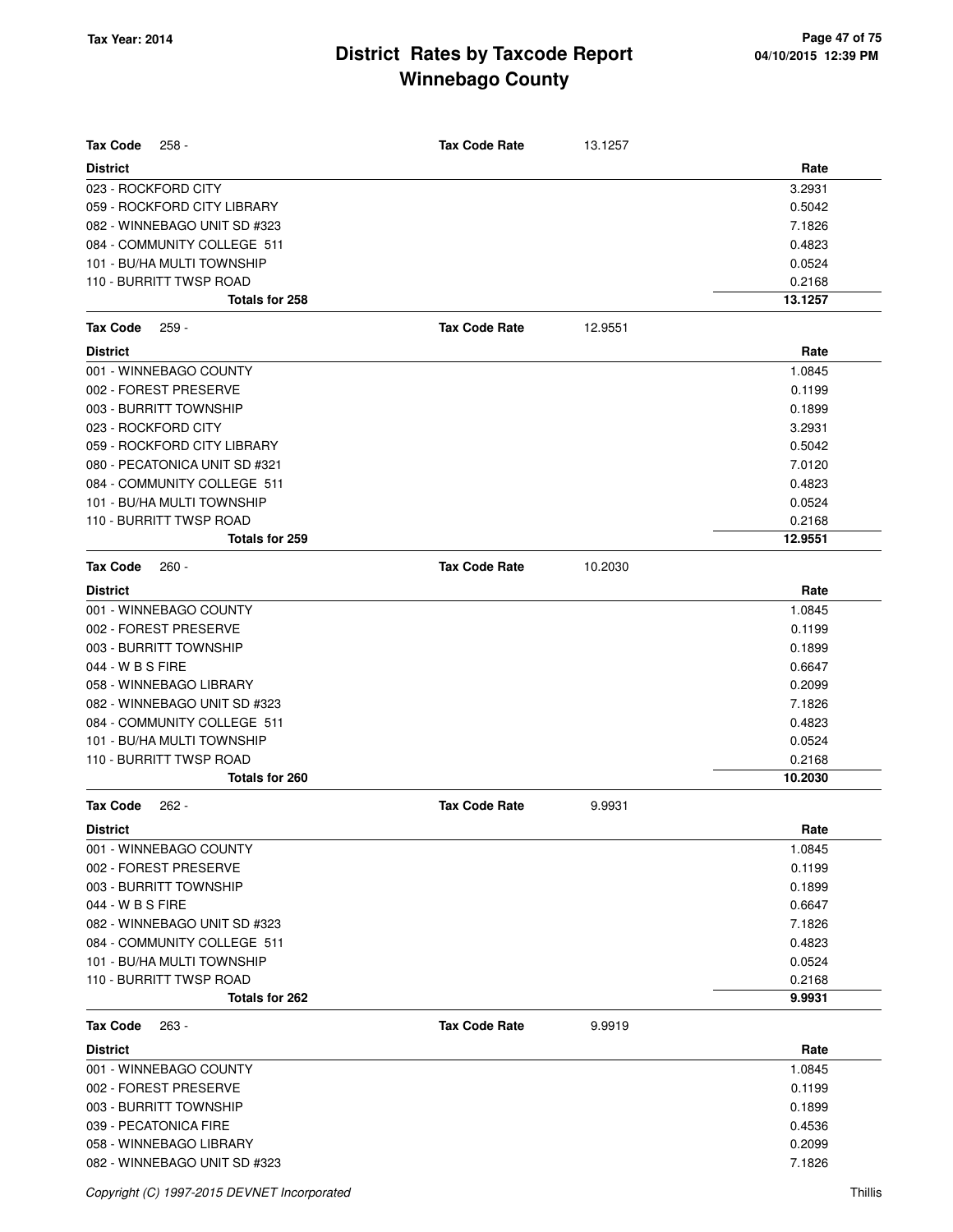| <b>Tax Code</b><br>$258 -$    | <b>Tax Code Rate</b> | 13.1257 |         |
|-------------------------------|----------------------|---------|---------|
| <b>District</b>               |                      |         | Rate    |
| 023 - ROCKFORD CITY           |                      |         | 3.2931  |
| 059 - ROCKFORD CITY LIBRARY   |                      |         | 0.5042  |
| 082 - WINNEBAGO UNIT SD #323  |                      |         | 7.1826  |
| 084 - COMMUNITY COLLEGE 511   |                      |         | 0.4823  |
| 101 - BU/HA MULTI TOWNSHIP    |                      |         | 0.0524  |
| 110 - BURRITT TWSP ROAD       |                      |         | 0.2168  |
| Totals for 258                |                      |         | 13.1257 |
| <b>Tax Code</b><br>$259 -$    | <b>Tax Code Rate</b> | 12.9551 |         |
| <b>District</b>               |                      |         | Rate    |
| 001 - WINNEBAGO COUNTY        |                      |         | 1.0845  |
| 002 - FOREST PRESERVE         |                      |         | 0.1199  |
| 003 - BURRITT TOWNSHIP        |                      |         | 0.1899  |
| 023 - ROCKFORD CITY           |                      |         | 3.2931  |
| 059 - ROCKFORD CITY LIBRARY   |                      |         | 0.5042  |
| 080 - PECATONICA UNIT SD #321 |                      |         | 7.0120  |
| 084 - COMMUNITY COLLEGE 511   |                      |         | 0.4823  |
| 101 - BU/HA MULTI TOWNSHIP    |                      |         | 0.0524  |
| 110 - BURRITT TWSP ROAD       |                      |         | 0.2168  |
| <b>Totals for 259</b>         |                      |         | 12.9551 |
| <b>Tax Code</b><br>$260 -$    | <b>Tax Code Rate</b> | 10.2030 |         |
| <b>District</b>               |                      |         | Rate    |
| 001 - WINNEBAGO COUNTY        |                      |         | 1.0845  |
| 002 - FOREST PRESERVE         |                      |         | 0.1199  |
| 003 - BURRITT TOWNSHIP        |                      |         | 0.1899  |
| 044 - W B S FIRE              |                      |         | 0.6647  |
| 058 - WINNEBAGO LIBRARY       |                      |         | 0.2099  |
| 082 - WINNEBAGO UNIT SD #323  |                      |         | 7.1826  |
| 084 - COMMUNITY COLLEGE 511   |                      |         | 0.4823  |
| 101 - BU/HA MULTI TOWNSHIP    |                      |         | 0.0524  |
| 110 - BURRITT TWSP ROAD       |                      |         | 0.2168  |
| Totals for 260                |                      |         | 10.2030 |
| <b>Tax Code</b><br>$262 -$    | <b>Tax Code Rate</b> | 9.9931  |         |
| <b>District</b>               |                      |         | Rate    |
| 001 - WINNEBAGO COUNTY        |                      |         | 1.0845  |
| 002 - FOREST PRESERVE         |                      |         | 0.1199  |
| 003 - BURRITT TOWNSHIP        |                      |         | 0.1899  |
| 044 - W B S FIRE              |                      |         | 0.6647  |
| 082 - WINNEBAGO UNIT SD #323  |                      |         | 7.1826  |
| 084 - COMMUNITY COLLEGE 511   |                      |         | 0.4823  |
| 101 - BU/HA MULTI TOWNSHIP    |                      |         | 0.0524  |
| 110 - BURRITT TWSP ROAD       |                      |         | 0.2168  |
| Totals for 262                |                      |         | 9.9931  |
| <b>Tax Code</b><br>$263 -$    | <b>Tax Code Rate</b> | 9.9919  |         |
| <b>District</b>               |                      |         | Rate    |
| 001 - WINNEBAGO COUNTY        |                      |         | 1.0845  |
| 002 - FOREST PRESERVE         |                      |         | 0.1199  |
| 003 - BURRITT TOWNSHIP        |                      |         | 0.1899  |
| 039 - PECATONICA FIRE         |                      |         | 0.4536  |
| 058 - WINNEBAGO LIBRARY       |                      |         | 0.2099  |
| 082 - WINNEBAGO UNIT SD #323  |                      |         | 7.1826  |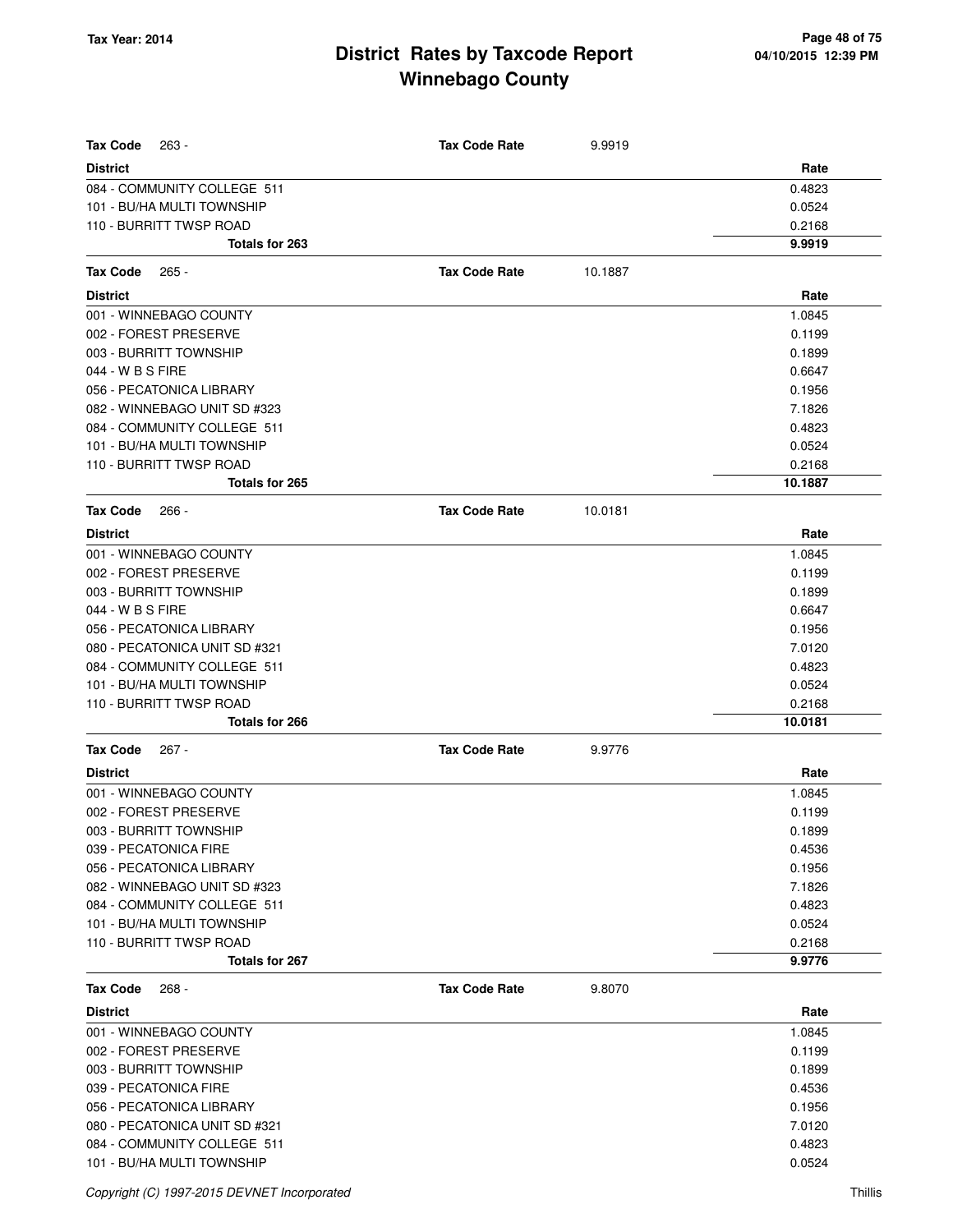| <b>Tax Code</b><br>263 -                                  | <b>Tax Code Rate</b> | 9.9919  |                  |
|-----------------------------------------------------------|----------------------|---------|------------------|
| <b>District</b>                                           |                      |         | Rate             |
| 084 - COMMUNITY COLLEGE 511<br>101 - BU/HA MULTI TOWNSHIP |                      |         | 0.4823<br>0.0524 |
| 110 - BURRITT TWSP ROAD                                   |                      |         | 0.2168           |
| Totals for 263                                            |                      |         | 9.9919           |
|                                                           |                      |         |                  |
| <b>Tax Code</b><br>$265 -$                                | <b>Tax Code Rate</b> | 10.1887 |                  |
| <b>District</b>                                           |                      |         | Rate             |
| 001 - WINNEBAGO COUNTY                                    |                      |         | 1.0845           |
| 002 - FOREST PRESERVE                                     |                      |         | 0.1199           |
| 003 - BURRITT TOWNSHIP                                    |                      |         | 0.1899           |
| 044 - W B S FIRE                                          |                      |         | 0.6647           |
| 056 - PECATONICA LIBRARY                                  |                      |         | 0.1956           |
| 082 - WINNEBAGO UNIT SD #323                              |                      |         | 7.1826           |
| 084 - COMMUNITY COLLEGE 511                               |                      |         | 0.4823           |
| 101 - BU/HA MULTI TOWNSHIP                                |                      |         | 0.0524           |
| 110 - BURRITT TWSP ROAD                                   |                      |         | 0.2168           |
| <b>Totals for 265</b>                                     |                      |         | 10.1887          |
| <b>Tax Code</b><br>$266 -$                                | <b>Tax Code Rate</b> | 10.0181 |                  |
| <b>District</b>                                           |                      |         | Rate             |
| 001 - WINNEBAGO COUNTY                                    |                      |         | 1.0845           |
| 002 - FOREST PRESERVE                                     |                      |         | 0.1199           |
| 003 - BURRITT TOWNSHIP                                    |                      |         | 0.1899           |
| 044 - W B S FIRE                                          |                      |         | 0.6647           |
| 056 - PECATONICA LIBRARY                                  |                      |         | 0.1956           |
| 080 - PECATONICA UNIT SD #321                             |                      |         | 7.0120           |
| 084 - COMMUNITY COLLEGE 511                               |                      |         | 0.4823           |
| 101 - BU/HA MULTI TOWNSHIP                                |                      |         | 0.0524           |
| 110 - BURRITT TWSP ROAD                                   |                      |         | 0.2168           |
| Totals for 266                                            |                      |         | 10.0181          |
| <b>Tax Code</b><br>$267 -$                                | <b>Tax Code Rate</b> | 9.9776  |                  |
| <b>District</b>                                           |                      |         | Rate             |
| 001 - WINNEBAGO COUNTY                                    |                      |         | 1.0845           |
| 002 - FOREST PRESERVE                                     |                      |         | 0.1199           |
| 003 - BURRITT TOWNSHIP                                    |                      |         | 0.1899           |
| 039 - PECATONICA FIRE                                     |                      |         | 0.4536           |
| 056 - PECATONICA LIBRARY                                  |                      |         | 0.1956           |
| 082 - WINNEBAGO UNIT SD #323                              |                      |         | 7.1826           |
| 084 - COMMUNITY COLLEGE 511                               |                      |         | 0.4823           |
| 101 - BU/HA MULTI TOWNSHIP                                |                      |         | 0.0524           |
| 110 - BURRITT TWSP ROAD                                   |                      |         | 0.2168           |
| Totals for 267                                            |                      |         | 9.9776           |
| Tax Code<br>$268 -$                                       | <b>Tax Code Rate</b> | 9.8070  |                  |
| <b>District</b>                                           |                      |         | Rate             |
| 001 - WINNEBAGO COUNTY                                    |                      |         | 1.0845           |
| 002 - FOREST PRESERVE                                     |                      |         | 0.1199           |
| 003 - BURRITT TOWNSHIP                                    |                      |         | 0.1899           |
| 039 - PECATONICA FIRE                                     |                      |         | 0.4536           |
| 056 - PECATONICA LIBRARY                                  |                      |         | 0.1956           |
| 080 - PECATONICA UNIT SD #321                             |                      |         | 7.0120           |
| 084 - COMMUNITY COLLEGE 511                               |                      |         | 0.4823           |
| 101 - BU/HA MULTI TOWNSHIP                                |                      |         | 0.0524           |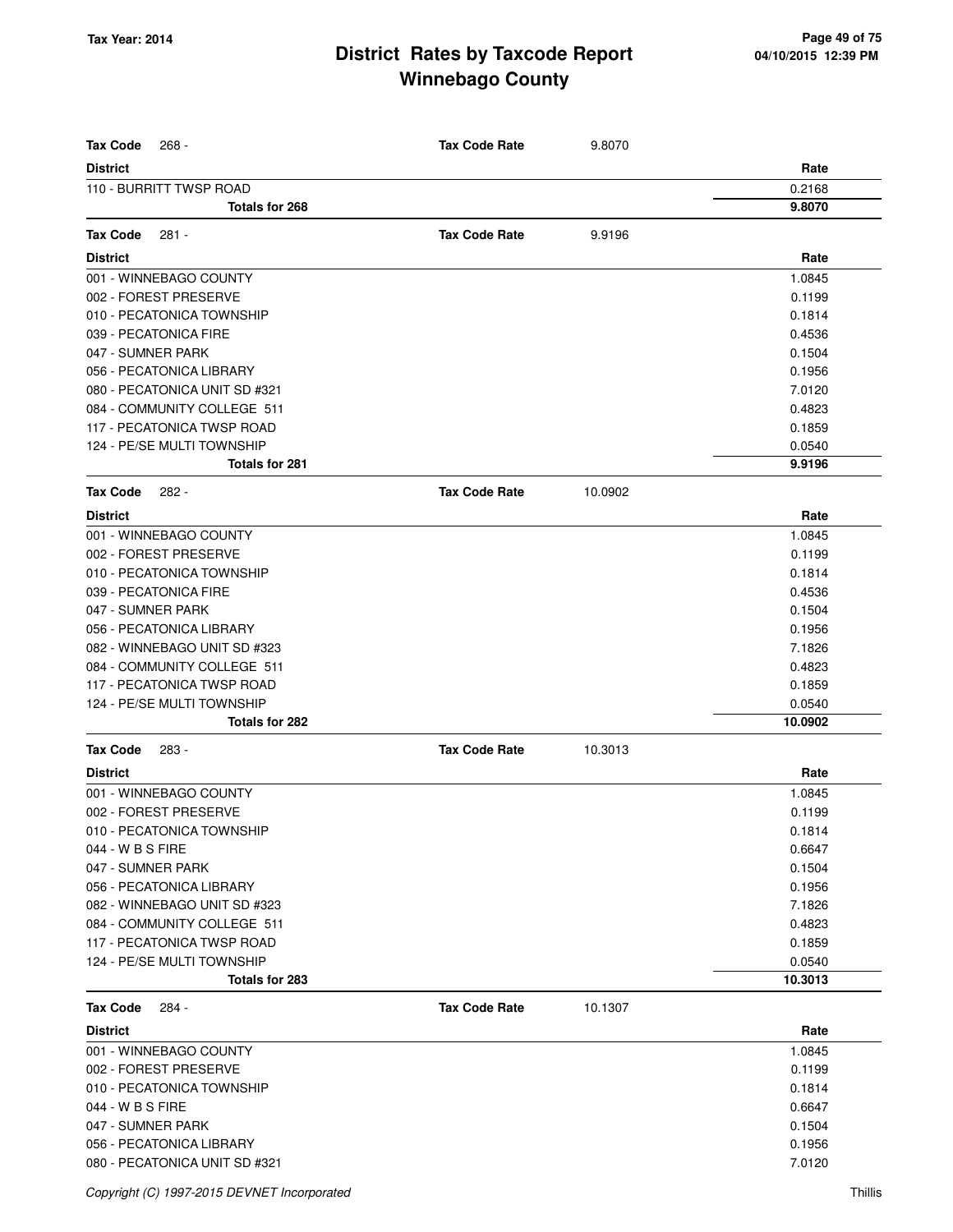| <b>Tax Code</b><br>268 -                      | <b>Tax Code Rate</b> | 9.8070  |                   |
|-----------------------------------------------|----------------------|---------|-------------------|
| <b>District</b>                               |                      |         | Rate              |
| 110 - BURRITT TWSP ROAD                       |                      |         | 0.2168            |
| Totals for 268                                |                      |         | 9.8070            |
|                                               |                      |         |                   |
| <b>Tax Code</b><br>281 -                      | <b>Tax Code Rate</b> | 9.9196  |                   |
| <b>District</b>                               |                      |         | Rate              |
| 001 - WINNEBAGO COUNTY                        |                      |         | 1.0845            |
| 002 - FOREST PRESERVE                         |                      |         | 0.1199            |
| 010 - PECATONICA TOWNSHIP                     |                      |         | 0.1814            |
| 039 - PECATONICA FIRE                         |                      |         | 0.4536            |
| 047 - SUMNER PARK                             |                      |         | 0.1504            |
| 056 - PECATONICA LIBRARY                      |                      |         | 0.1956            |
| 080 - PECATONICA UNIT SD #321                 |                      |         | 7.0120            |
| 084 - COMMUNITY COLLEGE 511                   |                      |         | 0.4823            |
| 117 - PECATONICA TWSP ROAD                    |                      |         | 0.1859            |
| 124 - PE/SE MULTI TOWNSHIP                    |                      |         | 0.0540            |
| <b>Totals for 281</b>                         |                      |         | 9.9196            |
| <b>Tax Code</b><br>$282 -$                    | <b>Tax Code Rate</b> | 10.0902 |                   |
| <b>District</b>                               |                      |         | Rate              |
| 001 - WINNEBAGO COUNTY                        |                      |         | 1.0845            |
| 002 - FOREST PRESERVE                         |                      |         | 0.1199            |
| 010 - PECATONICA TOWNSHIP                     |                      |         | 0.1814            |
| 039 - PECATONICA FIRE                         |                      |         | 0.4536            |
| 047 - SUMNER PARK                             |                      |         | 0.1504            |
| 056 - PECATONICA LIBRARY                      |                      |         | 0.1956            |
| 082 - WINNEBAGO UNIT SD #323                  |                      |         | 7.1826            |
| 084 - COMMUNITY COLLEGE 511                   |                      |         | 0.4823            |
| 117 - PECATONICA TWSP ROAD                    |                      |         | 0.1859            |
| 124 - PE/SE MULTI TOWNSHIP                    |                      |         | 0.0540            |
| <b>Totals for 282</b>                         |                      |         | 10.0902           |
| <b>Tax Code</b><br>283 -                      | <b>Tax Code Rate</b> | 10.3013 |                   |
| <b>District</b>                               |                      |         | Rate              |
| 001 - WINNEBAGO COUNTY                        |                      |         | 1.0845            |
| 002 - FOREST PRESERVE                         |                      |         | 0.1199            |
|                                               |                      |         | 0.1814            |
| 010 - PECATONICA TOWNSHIP<br>044 - W B S FIRE |                      |         | 0.6647            |
| 047 - SUMNER PARK                             |                      |         | 0.1504            |
|                                               |                      |         |                   |
| 056 - PECATONICA LIBRARY                      |                      |         | 0.1956            |
| 082 - WINNEBAGO UNIT SD #323                  |                      |         | 7.1826            |
| 084 - COMMUNITY COLLEGE 511                   |                      |         | 0.4823            |
| 117 - PECATONICA TWSP ROAD                    |                      |         | 0.1859            |
| 124 - PE/SE MULTI TOWNSHIP<br>Totals for 283  |                      |         | 0.0540<br>10.3013 |
|                                               |                      |         |                   |
| <b>Tax Code</b><br>284 -                      | <b>Tax Code Rate</b> | 10.1307 |                   |
| <b>District</b>                               |                      |         | Rate              |
| 001 - WINNEBAGO COUNTY                        |                      |         | 1.0845            |
| 002 - FOREST PRESERVE                         |                      |         | 0.1199            |
| 010 - PECATONICA TOWNSHIP                     |                      |         | 0.1814            |
| 044 - W B S FIRE                              |                      |         | 0.6647            |
| 047 - SUMNER PARK                             |                      |         | 0.1504            |
| 056 - PECATONICA LIBRARY                      |                      |         | 0.1956            |
| 080 - PECATONICA UNIT SD #321                 |                      |         | 7.0120            |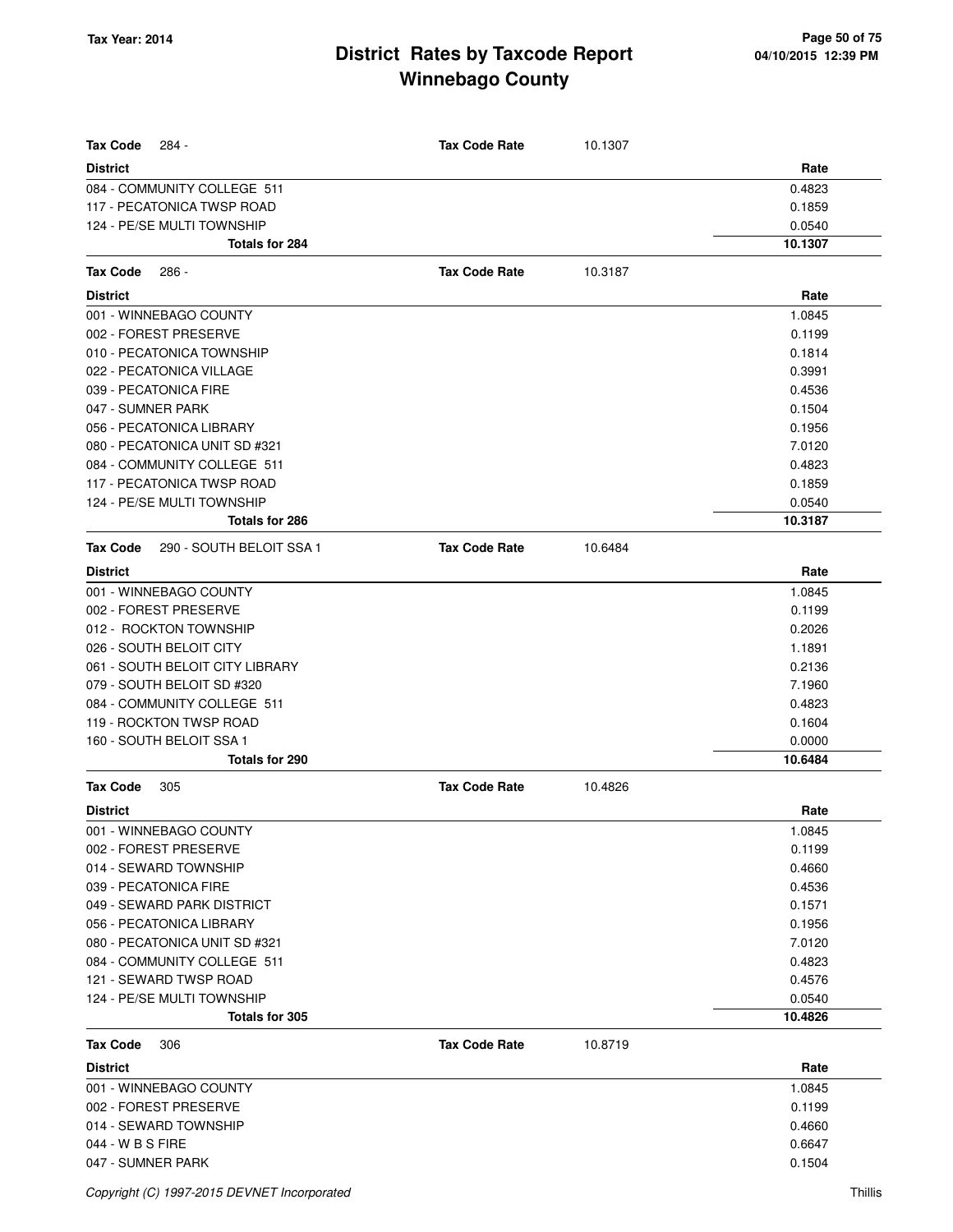| <b>Tax Code</b><br>284 -                    | <b>Tax Code Rate</b> | 10.1307 |         |
|---------------------------------------------|----------------------|---------|---------|
| <b>District</b>                             |                      |         | Rate    |
| 084 - COMMUNITY COLLEGE 511                 |                      |         | 0.4823  |
| 117 - PECATONICA TWSP ROAD                  |                      |         | 0.1859  |
| 124 - PE/SE MULTI TOWNSHIP                  |                      |         | 0.0540  |
| Totals for 284                              |                      |         | 10.1307 |
| <b>Tax Code</b><br>$286 -$                  | <b>Tax Code Rate</b> | 10.3187 |         |
| <b>District</b>                             |                      |         | Rate    |
| 001 - WINNEBAGO COUNTY                      |                      |         | 1.0845  |
| 002 - FOREST PRESERVE                       |                      |         | 0.1199  |
| 010 - PECATONICA TOWNSHIP                   |                      |         | 0.1814  |
| 022 - PECATONICA VILLAGE                    |                      |         | 0.3991  |
| 039 - PECATONICA FIRE                       |                      |         | 0.4536  |
| 047 - SUMNER PARK                           |                      |         | 0.1504  |
| 056 - PECATONICA LIBRARY                    |                      |         | 0.1956  |
| 080 - PECATONICA UNIT SD #321               |                      |         | 7.0120  |
| 084 - COMMUNITY COLLEGE 511                 |                      |         | 0.4823  |
| 117 - PECATONICA TWSP ROAD                  |                      |         | 0.1859  |
| 124 - PE/SE MULTI TOWNSHIP                  |                      |         | 0.0540  |
| <b>Totals for 286</b>                       |                      |         | 10.3187 |
| 290 - SOUTH BELOIT SSA 1<br><b>Tax Code</b> | <b>Tax Code Rate</b> | 10.6484 |         |
| <b>District</b>                             |                      |         | Rate    |
| 001 - WINNEBAGO COUNTY                      |                      |         | 1.0845  |
| 002 - FOREST PRESERVE                       |                      |         | 0.1199  |
| 012 - ROCKTON TOWNSHIP                      |                      |         | 0.2026  |
| 026 - SOUTH BELOIT CITY                     |                      |         | 1.1891  |
| 061 - SOUTH BELOIT CITY LIBRARY             |                      |         | 0.2136  |
| 079 - SOUTH BELOIT SD #320                  |                      |         | 7.1960  |
| 084 - COMMUNITY COLLEGE 511                 |                      |         | 0.4823  |
| 119 - ROCKTON TWSP ROAD                     |                      |         | 0.1604  |
| 160 - SOUTH BELOIT SSA 1                    |                      |         | 0.0000  |
| <b>Totals for 290</b>                       |                      |         | 10.6484 |
| <b>Tax Code</b><br>305                      | <b>Tax Code Rate</b> | 10.4826 |         |
| <b>District</b>                             |                      |         | Rate    |
| 001 - WINNEBAGO COUNTY                      |                      |         | 1.0845  |
| 002 - FOREST PRESERVE                       |                      |         | 0.1199  |
| 014 - SEWARD TOWNSHIP                       |                      |         | 0.4660  |
| 039 - PECATONICA FIRE                       |                      |         | 0.4536  |
| 049 - SEWARD PARK DISTRICT                  |                      |         | 0.1571  |
| 056 - PECATONICA LIBRARY                    |                      |         | 0.1956  |
| 080 - PECATONICA UNIT SD #321               |                      |         | 7.0120  |
| 084 - COMMUNITY COLLEGE 511                 |                      |         | 0.4823  |
| 121 - SEWARD TWSP ROAD                      |                      |         | 0.4576  |
| 124 - PE/SE MULTI TOWNSHIP                  |                      |         | 0.0540  |
| Totals for 305                              |                      |         | 10.4826 |
| Tax Code<br>306                             | <b>Tax Code Rate</b> | 10.8719 |         |
| <b>District</b>                             |                      |         | Rate    |
| 001 - WINNEBAGO COUNTY                      |                      |         | 1.0845  |
| 002 - FOREST PRESERVE                       |                      |         | 0.1199  |
| 014 - SEWARD TOWNSHIP                       |                      |         | 0.4660  |
| 044 - W B S FIRE                            |                      |         | 0.6647  |
| 047 - SUMNER PARK                           |                      |         | 0.1504  |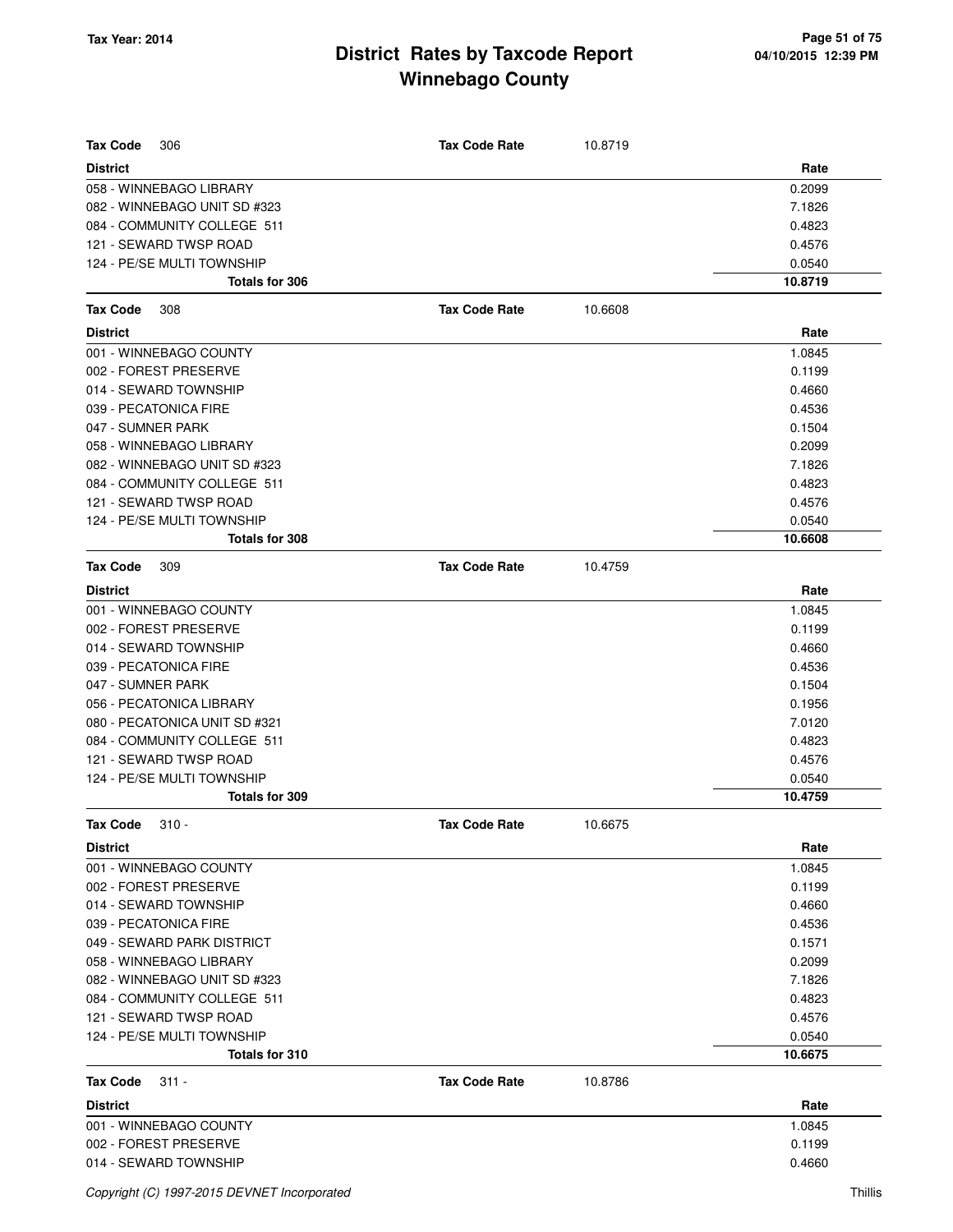| <b>Tax Code</b><br>306        | <b>Tax Code Rate</b> | 10.8719 |         |
|-------------------------------|----------------------|---------|---------|
| <b>District</b>               |                      |         | Rate    |
| 058 - WINNEBAGO LIBRARY       |                      |         | 0.2099  |
| 082 - WINNEBAGO UNIT SD #323  |                      |         | 7.1826  |
| 084 - COMMUNITY COLLEGE 511   |                      |         | 0.4823  |
| 121 - SEWARD TWSP ROAD        |                      |         | 0.4576  |
| 124 - PE/SE MULTI TOWNSHIP    |                      |         | 0.0540  |
| Totals for 306                |                      |         | 10.8719 |
| Tax Code<br>308               | <b>Tax Code Rate</b> | 10.6608 |         |
| <b>District</b>               |                      |         | Rate    |
| 001 - WINNEBAGO COUNTY        |                      |         | 1.0845  |
| 002 - FOREST PRESERVE         |                      |         | 0.1199  |
| 014 - SEWARD TOWNSHIP         |                      |         | 0.4660  |
| 039 - PECATONICA FIRE         |                      |         | 0.4536  |
| 047 - SUMNER PARK             |                      |         | 0.1504  |
| 058 - WINNEBAGO LIBRARY       |                      |         | 0.2099  |
| 082 - WINNEBAGO UNIT SD #323  |                      |         | 7.1826  |
| 084 - COMMUNITY COLLEGE 511   |                      |         | 0.4823  |
| 121 - SEWARD TWSP ROAD        |                      |         | 0.4576  |
| 124 - PE/SE MULTI TOWNSHIP    |                      |         | 0.0540  |
| <b>Totals for 308</b>         |                      |         | 10.6608 |
| <b>Tax Code</b><br>309        | <b>Tax Code Rate</b> | 10.4759 |         |
| <b>District</b>               |                      |         | Rate    |
| 001 - WINNEBAGO COUNTY        |                      |         | 1.0845  |
| 002 - FOREST PRESERVE         |                      |         | 0.1199  |
| 014 - SEWARD TOWNSHIP         |                      |         | 0.4660  |
| 039 - PECATONICA FIRE         |                      |         | 0.4536  |
| 047 - SUMNER PARK             |                      |         | 0.1504  |
| 056 - PECATONICA LIBRARY      |                      |         | 0.1956  |
| 080 - PECATONICA UNIT SD #321 |                      |         | 7.0120  |
| 084 - COMMUNITY COLLEGE 511   |                      |         | 0.4823  |
| 121 - SEWARD TWSP ROAD        |                      |         | 0.4576  |
| 124 - PE/SE MULTI TOWNSHIP    |                      |         | 0.0540  |
| Totals for 309                |                      |         | 10.4759 |
| Tax Code<br>$310 -$           | Tax Code Rate        | 10.6675 |         |
| District                      |                      |         | Rate    |
| 001 - WINNEBAGO COUNTY        |                      |         | 1.0845  |
| 002 - FOREST PRESERVE         |                      |         | 0.1199  |
| 014 - SEWARD TOWNSHIP         |                      |         | 0.4660  |
| 039 - PECATONICA FIRE         |                      |         | 0.4536  |
| 049 - SEWARD PARK DISTRICT    |                      |         | 0.1571  |
| 058 - WINNEBAGO LIBRARY       |                      |         | 0.2099  |
| 082 - WINNEBAGO UNIT SD #323  |                      |         | 7.1826  |
| 084 - COMMUNITY COLLEGE 511   |                      |         | 0.4823  |
| 121 - SEWARD TWSP ROAD        |                      |         | 0.4576  |
| 124 - PE/SE MULTI TOWNSHIP    |                      |         | 0.0540  |
| <b>Totals for 310</b>         |                      |         | 10.6675 |
| Tax Code<br>$311 -$           | <b>Tax Code Rate</b> | 10.8786 |         |
| <b>District</b>               |                      |         | Rate    |
| 001 - WINNEBAGO COUNTY        |                      |         | 1.0845  |
| 002 - FOREST PRESERVE         |                      |         | 0.1199  |
| 014 - SEWARD TOWNSHIP         |                      |         | 0.4660  |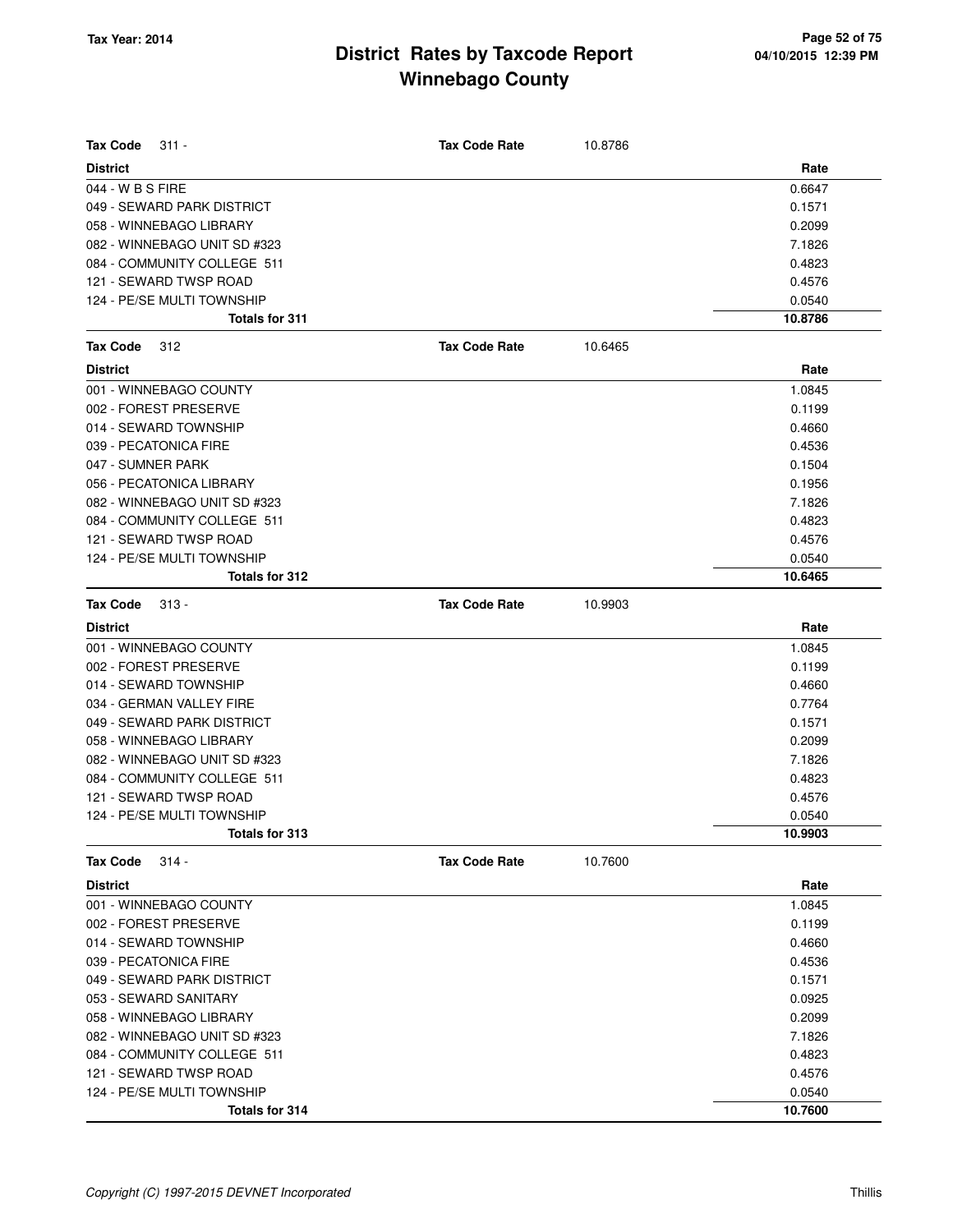| <b>Tax Code</b><br>$311 -$   | <b>Tax Code Rate</b> | 10.8786 |         |
|------------------------------|----------------------|---------|---------|
| <b>District</b>              |                      |         | Rate    |
| 044 - W B S FIRE             |                      |         | 0.6647  |
| 049 - SEWARD PARK DISTRICT   |                      |         | 0.1571  |
| 058 - WINNEBAGO LIBRARY      |                      |         | 0.2099  |
| 082 - WINNEBAGO UNIT SD #323 |                      |         | 7.1826  |
| 084 - COMMUNITY COLLEGE 511  |                      |         | 0.4823  |
| 121 - SEWARD TWSP ROAD       |                      |         | 0.4576  |
| 124 - PE/SE MULTI TOWNSHIP   |                      |         | 0.0540  |
| <b>Totals for 311</b>        |                      |         | 10.8786 |
| Tax Code<br>312              | <b>Tax Code Rate</b> | 10.6465 |         |
| <b>District</b>              |                      |         | Rate    |
| 001 - WINNEBAGO COUNTY       |                      |         | 1.0845  |
| 002 - FOREST PRESERVE        |                      |         | 0.1199  |
| 014 - SEWARD TOWNSHIP        |                      |         | 0.4660  |
| 039 - PECATONICA FIRE        |                      |         | 0.4536  |
| 047 - SUMNER PARK            |                      |         | 0.1504  |
| 056 - PECATONICA LIBRARY     |                      |         | 0.1956  |
| 082 - WINNEBAGO UNIT SD #323 |                      |         | 7.1826  |
| 084 - COMMUNITY COLLEGE 511  |                      |         | 0.4823  |
| 121 - SEWARD TWSP ROAD       |                      |         | 0.4576  |
| 124 - PE/SE MULTI TOWNSHIP   |                      |         | 0.0540  |
| Totals for 312               |                      |         | 10.6465 |
| <b>Tax Code</b><br>$313 -$   | <b>Tax Code Rate</b> | 10.9903 |         |
| <b>District</b>              |                      |         | Rate    |
| 001 - WINNEBAGO COUNTY       |                      |         | 1.0845  |
| 002 - FOREST PRESERVE        |                      |         | 0.1199  |
| 014 - SEWARD TOWNSHIP        |                      |         | 0.4660  |
| 034 - GERMAN VALLEY FIRE     |                      |         | 0.7764  |
| 049 - SEWARD PARK DISTRICT   |                      |         | 0.1571  |
| 058 - WINNEBAGO LIBRARY      |                      |         | 0.2099  |
| 082 - WINNEBAGO UNIT SD #323 |                      |         | 7.1826  |
| 084 - COMMUNITY COLLEGE 511  |                      |         | 0.4823  |
| 121 - SEWARD TWSP ROAD       |                      |         | 0.4576  |
| 124 - PE/SE MULTI TOWNSHIP   |                      |         | 0.0540  |
| Totals for 313               |                      |         | 10.9903 |
| <b>Tax Code</b><br>$314 -$   | <b>Tax Code Rate</b> | 10.7600 |         |
| <b>District</b>              |                      |         | Rate    |
| 001 - WINNEBAGO COUNTY       |                      |         | 1.0845  |
| 002 - FOREST PRESERVE        |                      |         | 0.1199  |
| 014 - SEWARD TOWNSHIP        |                      |         | 0.4660  |
| 039 - PECATONICA FIRE        |                      |         | 0.4536  |
| 049 - SEWARD PARK DISTRICT   |                      |         | 0.1571  |
| 053 - SEWARD SANITARY        |                      |         | 0.0925  |
| 058 - WINNEBAGO LIBRARY      |                      |         | 0.2099  |
| 082 - WINNEBAGO UNIT SD #323 |                      |         | 7.1826  |
| 084 - COMMUNITY COLLEGE 511  |                      |         | 0.4823  |
| 121 - SEWARD TWSP ROAD       |                      |         | 0.4576  |
| 124 - PE/SE MULTI TOWNSHIP   |                      |         | 0.0540  |
| Totals for 314               |                      |         | 10.7600 |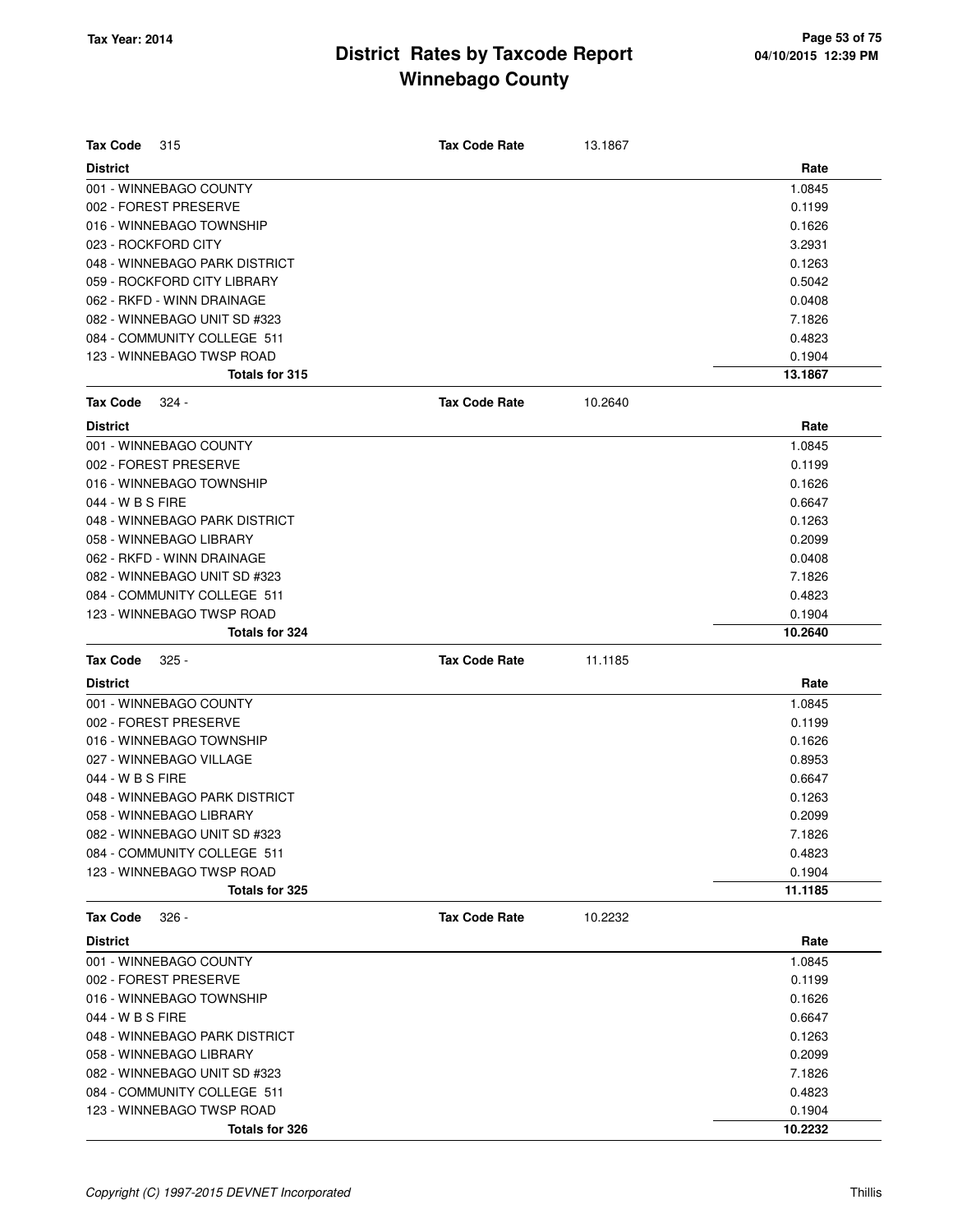| <b>Tax Code</b><br>315        | <b>Tax Code Rate</b> | 13.1867 |         |
|-------------------------------|----------------------|---------|---------|
| <b>District</b>               |                      |         | Rate    |
| 001 - WINNEBAGO COUNTY        |                      |         | 1.0845  |
| 002 - FOREST PRESERVE         |                      |         | 0.1199  |
| 016 - WINNEBAGO TOWNSHIP      |                      |         | 0.1626  |
| 023 - ROCKFORD CITY           |                      |         | 3.2931  |
| 048 - WINNEBAGO PARK DISTRICT |                      |         | 0.1263  |
| 059 - ROCKFORD CITY LIBRARY   |                      |         | 0.5042  |
| 062 - RKFD - WINN DRAINAGE    |                      |         | 0.0408  |
| 082 - WINNEBAGO UNIT SD #323  |                      |         | 7.1826  |
| 084 - COMMUNITY COLLEGE 511   |                      |         | 0.4823  |
| 123 - WINNEBAGO TWSP ROAD     |                      |         | 0.1904  |
| Totals for 315                |                      |         | 13.1867 |
| <b>Tax Code</b><br>324 -      | <b>Tax Code Rate</b> | 10.2640 |         |
| <b>District</b>               |                      |         | Rate    |
| 001 - WINNEBAGO COUNTY        |                      |         | 1.0845  |
| 002 - FOREST PRESERVE         |                      |         | 0.1199  |
| 016 - WINNEBAGO TOWNSHIP      |                      |         | 0.1626  |
| 044 - W B S FIRE              |                      |         | 0.6647  |
| 048 - WINNEBAGO PARK DISTRICT |                      |         | 0.1263  |
| 058 - WINNEBAGO LIBRARY       |                      |         | 0.2099  |
| 062 - RKFD - WINN DRAINAGE    |                      |         | 0.0408  |
| 082 - WINNEBAGO UNIT SD #323  |                      |         | 7.1826  |
| 084 - COMMUNITY COLLEGE 511   |                      |         | 0.4823  |
| 123 - WINNEBAGO TWSP ROAD     |                      |         | 0.1904  |
| Totals for 324                |                      |         | 10.2640 |
|                               |                      |         |         |
| <b>Tax Code</b><br>$325 -$    | <b>Tax Code Rate</b> | 11.1185 |         |
| <b>District</b>               |                      |         | Rate    |
| 001 - WINNEBAGO COUNTY        |                      |         | 1.0845  |
| 002 - FOREST PRESERVE         |                      |         | 0.1199  |
| 016 - WINNEBAGO TOWNSHIP      |                      |         | 0.1626  |
| 027 - WINNEBAGO VILLAGE       |                      |         | 0.8953  |
| 044 - W B S FIRE              |                      |         | 0.6647  |
| 048 - WINNEBAGO PARK DISTRICT |                      |         | 0.1263  |
| 058 - WINNEBAGO LIBRARY       |                      |         | 0.2099  |
| 082 - WINNEBAGO UNIT SD #323  |                      |         | 7.1826  |
| 084 - COMMUNITY COLLEGE 511   |                      |         | 0.4823  |
| 123 - WINNEBAGO TWSP ROAD     |                      |         | 0.1904  |
| Totals for 325                |                      |         | 11.1185 |
| <b>Tax Code</b><br>$326 -$    | <b>Tax Code Rate</b> | 10.2232 |         |
| <b>District</b>               |                      |         | Rate    |
| 001 - WINNEBAGO COUNTY        |                      |         | 1.0845  |
| 002 - FOREST PRESERVE         |                      |         | 0.1199  |
| 016 - WINNEBAGO TOWNSHIP      |                      |         | 0.1626  |
| 044 - W B S FIRE              |                      |         | 0.6647  |
| 048 - WINNEBAGO PARK DISTRICT |                      |         | 0.1263  |
| 058 - WINNEBAGO LIBRARY       |                      |         | 0.2099  |
| 082 - WINNEBAGO UNIT SD #323  |                      |         | 7.1826  |
| 084 - COMMUNITY COLLEGE 511   |                      |         | 0.4823  |
| 123 - WINNEBAGO TWSP ROAD     |                      |         | 0.1904  |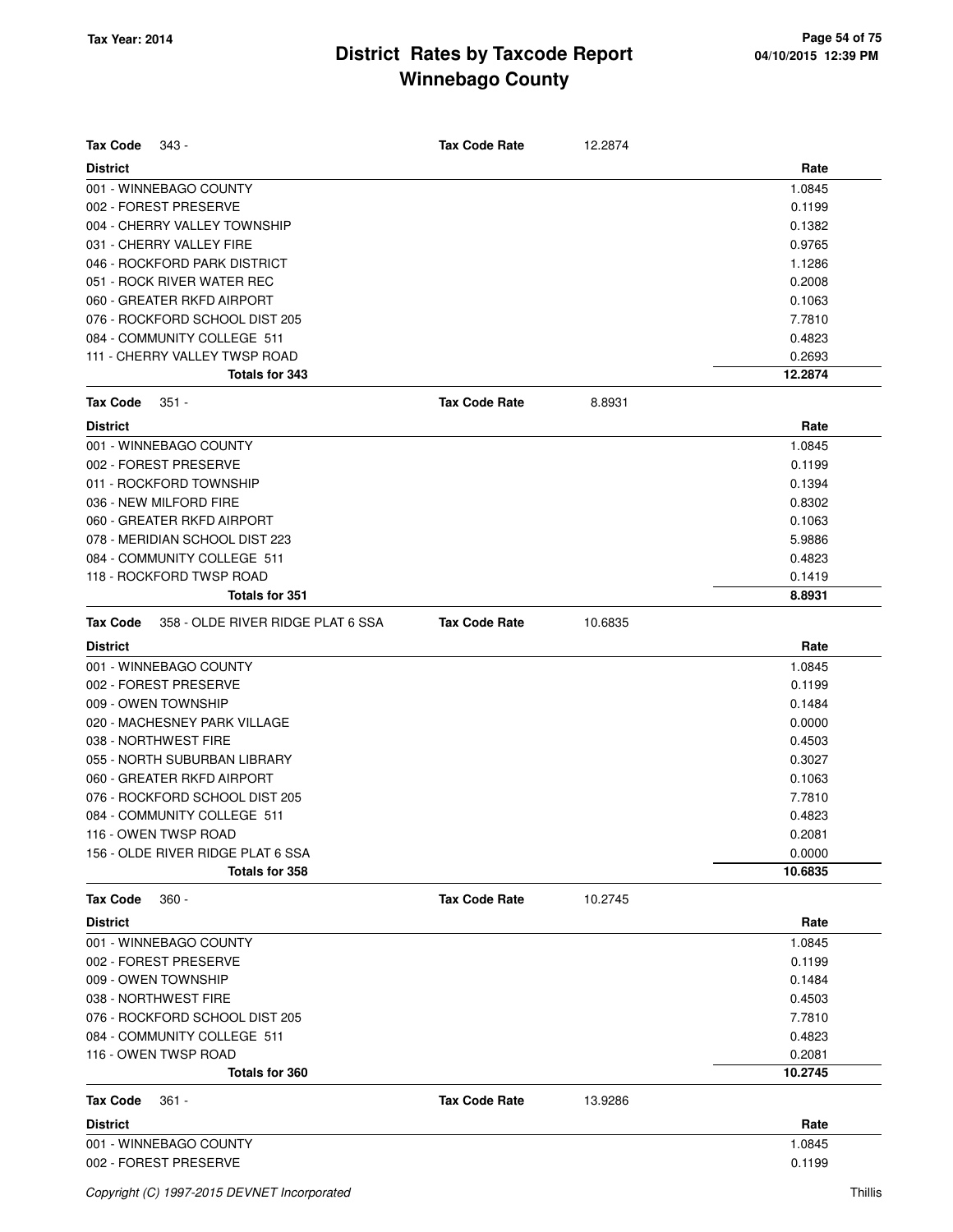| <b>Tax Code</b><br>343 -                             | <b>Tax Code Rate</b> | 12.2874 |                  |
|------------------------------------------------------|----------------------|---------|------------------|
| <b>District</b>                                      |                      |         | Rate             |
| 001 - WINNEBAGO COUNTY                               |                      |         | 1.0845           |
| 002 - FOREST PRESERVE                                |                      |         | 0.1199           |
| 004 - CHERRY VALLEY TOWNSHIP                         |                      |         | 0.1382           |
| 031 - CHERRY VALLEY FIRE                             |                      |         | 0.9765           |
| 046 - ROCKFORD PARK DISTRICT                         |                      |         | 1.1286           |
| 051 - ROCK RIVER WATER REC                           |                      |         | 0.2008           |
| 060 - GREATER RKFD AIRPORT                           |                      |         | 0.1063           |
| 076 - ROCKFORD SCHOOL DIST 205                       |                      |         | 7.7810           |
| 084 - COMMUNITY COLLEGE 511                          |                      |         | 0.4823           |
| 111 - CHERRY VALLEY TWSP ROAD                        |                      |         | 0.2693           |
| Totals for 343                                       |                      |         | 12.2874          |
| <b>Tax Code</b><br>$351 -$                           | <b>Tax Code Rate</b> | 8.8931  |                  |
| <b>District</b>                                      |                      |         | Rate             |
| 001 - WINNEBAGO COUNTY                               |                      |         | 1.0845           |
| 002 - FOREST PRESERVE                                |                      |         | 0.1199           |
| 011 - ROCKFORD TOWNSHIP                              |                      |         | 0.1394           |
| 036 - NEW MILFORD FIRE                               |                      |         | 0.8302           |
|                                                      |                      |         |                  |
| 060 - GREATER RKFD AIRPORT                           |                      |         | 0.1063           |
| 078 - MERIDIAN SCHOOL DIST 223                       |                      |         | 5.9886           |
| 084 - COMMUNITY COLLEGE 511                          |                      |         | 0.4823           |
| 118 - ROCKFORD TWSP ROAD<br><b>Totals for 351</b>    |                      |         | 0.1419<br>8.8931 |
|                                                      |                      |         |                  |
| 358 - OLDE RIVER RIDGE PLAT 6 SSA<br><b>Tax Code</b> | <b>Tax Code Rate</b> | 10.6835 |                  |
| <b>District</b>                                      |                      |         | Rate             |
| 001 - WINNEBAGO COUNTY                               |                      |         | 1.0845           |
| 002 - FOREST PRESERVE                                |                      |         | 0.1199           |
| 009 - OWEN TOWNSHIP                                  |                      |         | 0.1484           |
| 020 - MACHESNEY PARK VILLAGE                         |                      |         | 0.0000           |
| 038 - NORTHWEST FIRE                                 |                      |         | 0.4503           |
| 055 - NORTH SUBURBAN LIBRARY                         |                      |         | 0.3027           |
| 060 - GREATER RKFD AIRPORT                           |                      |         | 0.1063           |
| 076 - ROCKFORD SCHOOL DIST 205                       |                      |         | 7.7810           |
| 084 - COMMUNITY COLLEGE 511                          |                      |         | 0.4823           |
| 116 - OWEN TWSP ROAD                                 |                      |         | 0.2081           |
| 156 - OLDE RIVER RIDGE PLAT 6 SSA                    |                      |         | 0.0000           |
| Totals for 358                                       |                      |         | 10.6835          |
| <b>Tax Code</b><br>$360 -$                           | <b>Tax Code Rate</b> | 10.2745 |                  |
| <b>District</b>                                      |                      |         | Rate             |
| 001 - WINNEBAGO COUNTY                               |                      |         | 1.0845           |
| 002 - FOREST PRESERVE                                |                      |         | 0.1199           |
| 009 - OWEN TOWNSHIP                                  |                      |         | 0.1484           |
| 038 - NORTHWEST FIRE                                 |                      |         | 0.4503           |
| 076 - ROCKFORD SCHOOL DIST 205                       |                      |         | 7.7810           |
| 084 - COMMUNITY COLLEGE 511                          |                      |         | 0.4823           |
| 116 - OWEN TWSP ROAD                                 |                      |         | 0.2081           |
| <b>Totals for 360</b>                                |                      |         | 10.2745          |
| <b>Tax Code</b><br>$361 -$                           | <b>Tax Code Rate</b> | 13.9286 |                  |
| <b>District</b>                                      |                      |         | Rate             |
| 001 - WINNEBAGO COUNTY                               |                      |         | 1.0845           |
| 002 - FOREST PRESERVE                                |                      |         | 0.1199           |
|                                                      |                      |         |                  |
| Copyright (C) 1997-2015 DEVNET Incorporated          |                      |         | Thillis          |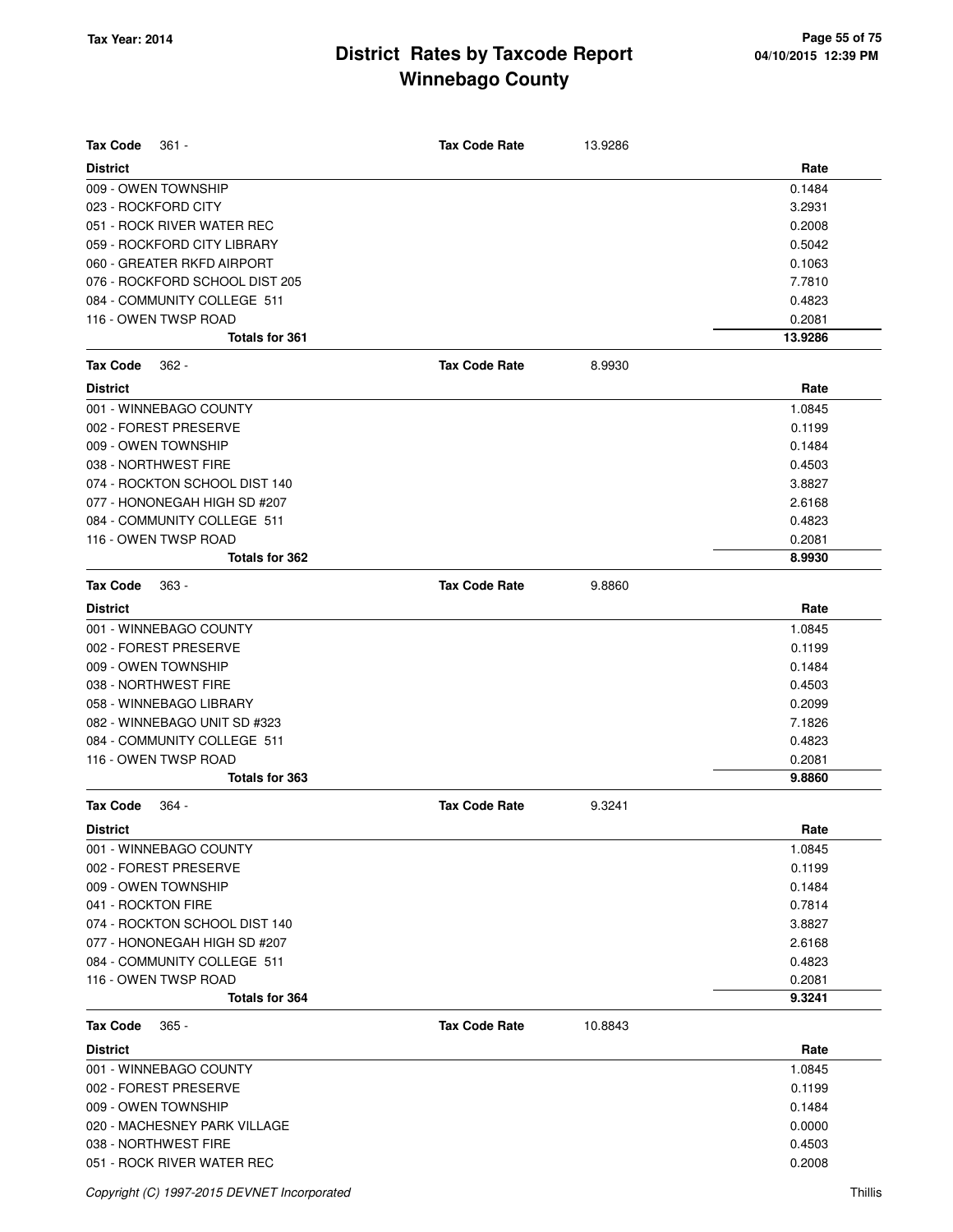| <b>Tax Code</b><br>$361 -$     | <b>Tax Code Rate</b> | 13.9286 |         |
|--------------------------------|----------------------|---------|---------|
| <b>District</b>                |                      |         | Rate    |
| 009 - OWEN TOWNSHIP            |                      |         | 0.1484  |
| 023 - ROCKFORD CITY            |                      |         | 3.2931  |
| 051 - ROCK RIVER WATER REC     |                      |         | 0.2008  |
| 059 - ROCKFORD CITY LIBRARY    |                      |         | 0.5042  |
| 060 - GREATER RKFD AIRPORT     |                      |         | 0.1063  |
| 076 - ROCKFORD SCHOOL DIST 205 |                      |         | 7.7810  |
| 084 - COMMUNITY COLLEGE 511    |                      |         | 0.4823  |
| 116 - OWEN TWSP ROAD           |                      |         | 0.2081  |
| <b>Totals for 361</b>          |                      |         | 13.9286 |
| <b>Tax Code</b><br>$362 -$     | <b>Tax Code Rate</b> | 8.9930  |         |
| <b>District</b>                |                      |         | Rate    |
| 001 - WINNEBAGO COUNTY         |                      |         | 1.0845  |
| 002 - FOREST PRESERVE          |                      |         | 0.1199  |
| 009 - OWEN TOWNSHIP            |                      |         | 0.1484  |
| 038 - NORTHWEST FIRE           |                      |         | 0.4503  |
| 074 - ROCKTON SCHOOL DIST 140  |                      |         | 3.8827  |
| 077 - HONONEGAH HIGH SD #207   |                      |         | 2.6168  |
| 084 - COMMUNITY COLLEGE 511    |                      |         | 0.4823  |
| 116 - OWEN TWSP ROAD           |                      |         | 0.2081  |
| Totals for 362                 |                      |         | 8.9930  |
| <b>Tax Code</b><br>$363 -$     | <b>Tax Code Rate</b> | 9.8860  |         |
| <b>District</b>                |                      |         | Rate    |
| 001 - WINNEBAGO COUNTY         |                      |         | 1.0845  |
| 002 - FOREST PRESERVE          |                      |         | 0.1199  |
| 009 - OWEN TOWNSHIP            |                      |         | 0.1484  |
| 038 - NORTHWEST FIRE           |                      |         | 0.4503  |
| 058 - WINNEBAGO LIBRARY        |                      |         | 0.2099  |
| 082 - WINNEBAGO UNIT SD #323   |                      |         | 7.1826  |
| 084 - COMMUNITY COLLEGE 511    |                      |         | 0.4823  |
| 116 - OWEN TWSP ROAD           |                      |         | 0.2081  |
| <b>Totals for 363</b>          |                      |         | 9.8860  |
| <b>Tax Code</b><br>- 364       | <b>Tax Code Rate</b> | 9.3241  |         |
| <b>District</b>                |                      |         | Rate    |
| 001 - WINNEBAGO COUNTY         |                      |         | 1.0845  |
| 002 - FOREST PRESERVE          |                      |         | 0.1199  |
| 009 - OWEN TOWNSHIP            |                      |         | 0.1484  |
| 041 - ROCKTON FIRE             |                      |         | 0.7814  |
| 074 - ROCKTON SCHOOL DIST 140  |                      |         | 3.8827  |
| 077 - HONONEGAH HIGH SD #207   |                      |         | 2.6168  |
| 084 - COMMUNITY COLLEGE 511    |                      |         | 0.4823  |
| 116 - OWEN TWSP ROAD           |                      |         | 0.2081  |
| Totals for 364                 |                      |         | 9.3241  |
| <b>Tax Code</b><br>$365 -$     | <b>Tax Code Rate</b> | 10.8843 |         |
| <b>District</b>                |                      |         | Rate    |
| 001 - WINNEBAGO COUNTY         |                      |         | 1.0845  |
| 002 - FOREST PRESERVE          |                      |         | 0.1199  |
| 009 - OWEN TOWNSHIP            |                      |         | 0.1484  |
| 020 - MACHESNEY PARK VILLAGE   |                      |         | 0.0000  |
| 038 - NORTHWEST FIRE           |                      |         | 0.4503  |
| 051 - ROCK RIVER WATER REC     |                      |         | 0.2008  |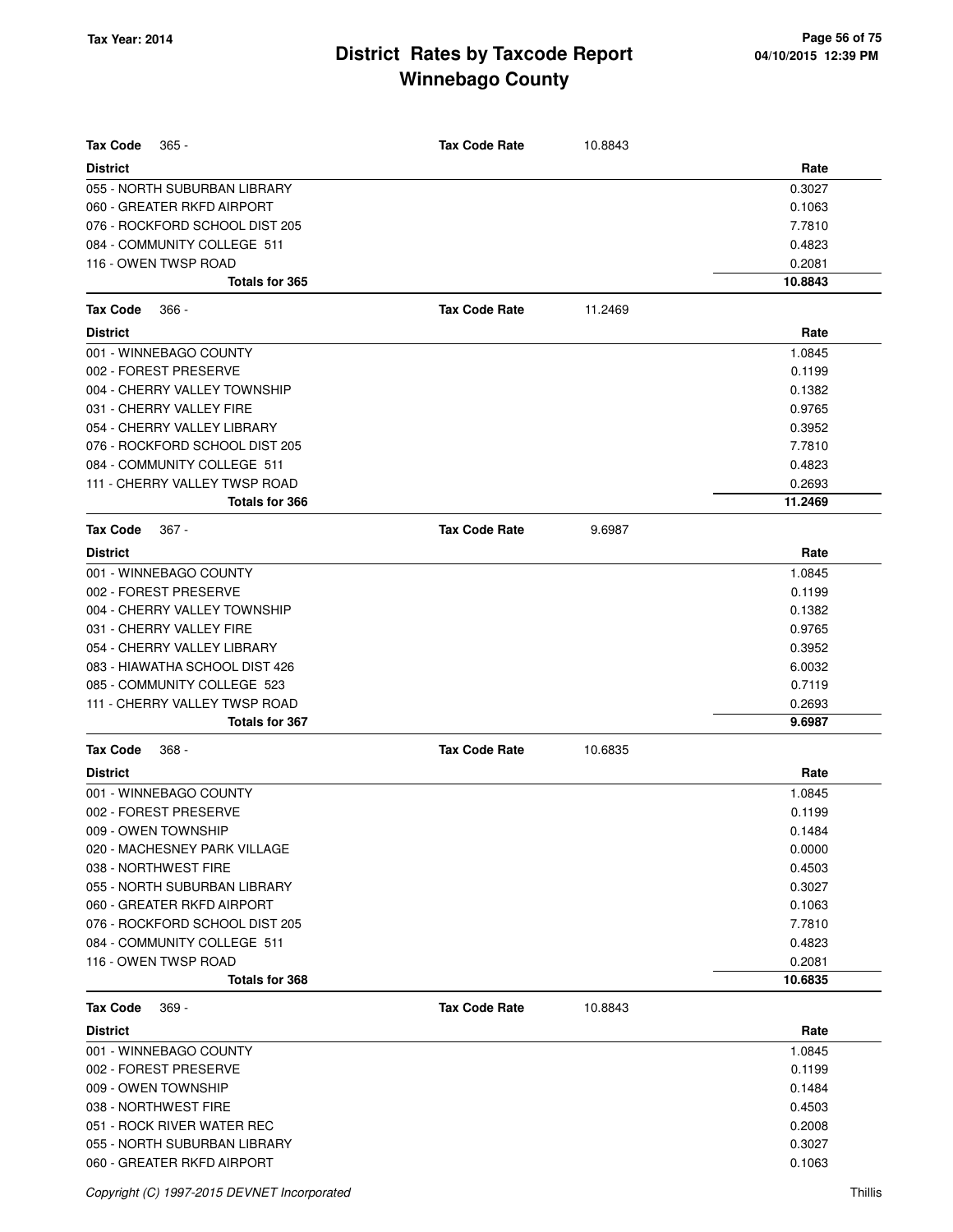| <b>Tax Code</b><br>$365 -$     | <b>Tax Code Rate</b> | 10.8843 |         |
|--------------------------------|----------------------|---------|---------|
| <b>District</b>                |                      |         | Rate    |
| 055 - NORTH SUBURBAN LIBRARY   |                      |         | 0.3027  |
| 060 - GREATER RKFD AIRPORT     |                      |         | 0.1063  |
| 076 - ROCKFORD SCHOOL DIST 205 |                      |         | 7.7810  |
| 084 - COMMUNITY COLLEGE 511    |                      |         | 0.4823  |
| 116 - OWEN TWSP ROAD           |                      |         | 0.2081  |
| <b>Totals for 365</b>          |                      |         | 10.8843 |
| <b>Tax Code</b><br>$366 -$     | <b>Tax Code Rate</b> | 11.2469 |         |
| <b>District</b>                |                      |         | Rate    |
| 001 - WINNEBAGO COUNTY         |                      |         | 1.0845  |
| 002 - FOREST PRESERVE          |                      |         | 0.1199  |
| 004 - CHERRY VALLEY TOWNSHIP   |                      |         | 0.1382  |
| 031 - CHERRY VALLEY FIRE       |                      |         | 0.9765  |
| 054 - CHERRY VALLEY LIBRARY    |                      |         | 0.3952  |
| 076 - ROCKFORD SCHOOL DIST 205 |                      |         | 7.7810  |
| 084 - COMMUNITY COLLEGE 511    |                      |         | 0.4823  |
| 111 - CHERRY VALLEY TWSP ROAD  |                      |         | 0.2693  |
| <b>Totals for 366</b>          |                      |         | 11.2469 |
| <b>Tax Code</b><br>$367 -$     | <b>Tax Code Rate</b> | 9.6987  |         |
| <b>District</b>                |                      |         | Rate    |
| 001 - WINNEBAGO COUNTY         |                      |         | 1.0845  |
| 002 - FOREST PRESERVE          |                      |         | 0.1199  |
| 004 - CHERRY VALLEY TOWNSHIP   |                      |         | 0.1382  |
| 031 - CHERRY VALLEY FIRE       |                      |         | 0.9765  |
| 054 - CHERRY VALLEY LIBRARY    |                      |         | 0.3952  |
| 083 - HIAWATHA SCHOOL DIST 426 |                      |         | 6.0032  |
| 085 - COMMUNITY COLLEGE 523    |                      |         | 0.7119  |
| 111 - CHERRY VALLEY TWSP ROAD  |                      |         | 0.2693  |
| <b>Totals for 367</b>          |                      |         | 9.6987  |
| <b>Tax Code</b><br>$368 -$     | <b>Tax Code Rate</b> | 10.6835 |         |
| <b>District</b>                |                      |         | Rate    |
| 001 - WINNEBAGO COUNTY         |                      |         | 1.0845  |
| 002 - FOREST PRESERVE          |                      |         | 0.1199  |
| 009 - OWEN TOWNSHIP            |                      |         | 0.1484  |
| 020 - MACHESNEY PARK VILLAGE   |                      |         | 0.0000  |
| 038 - NORTHWEST FIRE           |                      |         | 0.4503  |
| 055 - NORTH SUBURBAN LIBRARY   |                      |         | 0.3027  |
| 060 - GREATER RKFD AIRPORT     |                      |         | 0.1063  |
| 076 - ROCKFORD SCHOOL DIST 205 |                      |         | 7.7810  |
| 084 - COMMUNITY COLLEGE 511    |                      |         | 0.4823  |
| 116 - OWEN TWSP ROAD           |                      |         | 0.2081  |
| Totals for 368                 |                      |         | 10.6835 |
| <b>Tax Code</b><br>$369 -$     | <b>Tax Code Rate</b> | 10.8843 |         |
| <b>District</b>                |                      |         | Rate    |
| 001 - WINNEBAGO COUNTY         |                      |         | 1.0845  |
| 002 - FOREST PRESERVE          |                      |         | 0.1199  |
| 009 - OWEN TOWNSHIP            |                      |         | 0.1484  |
| 038 - NORTHWEST FIRE           |                      |         | 0.4503  |
| 051 - ROCK RIVER WATER REC     |                      |         | 0.2008  |
| 055 - NORTH SUBURBAN LIBRARY   |                      |         | 0.3027  |
| 060 - GREATER RKFD AIRPORT     |                      |         | 0.1063  |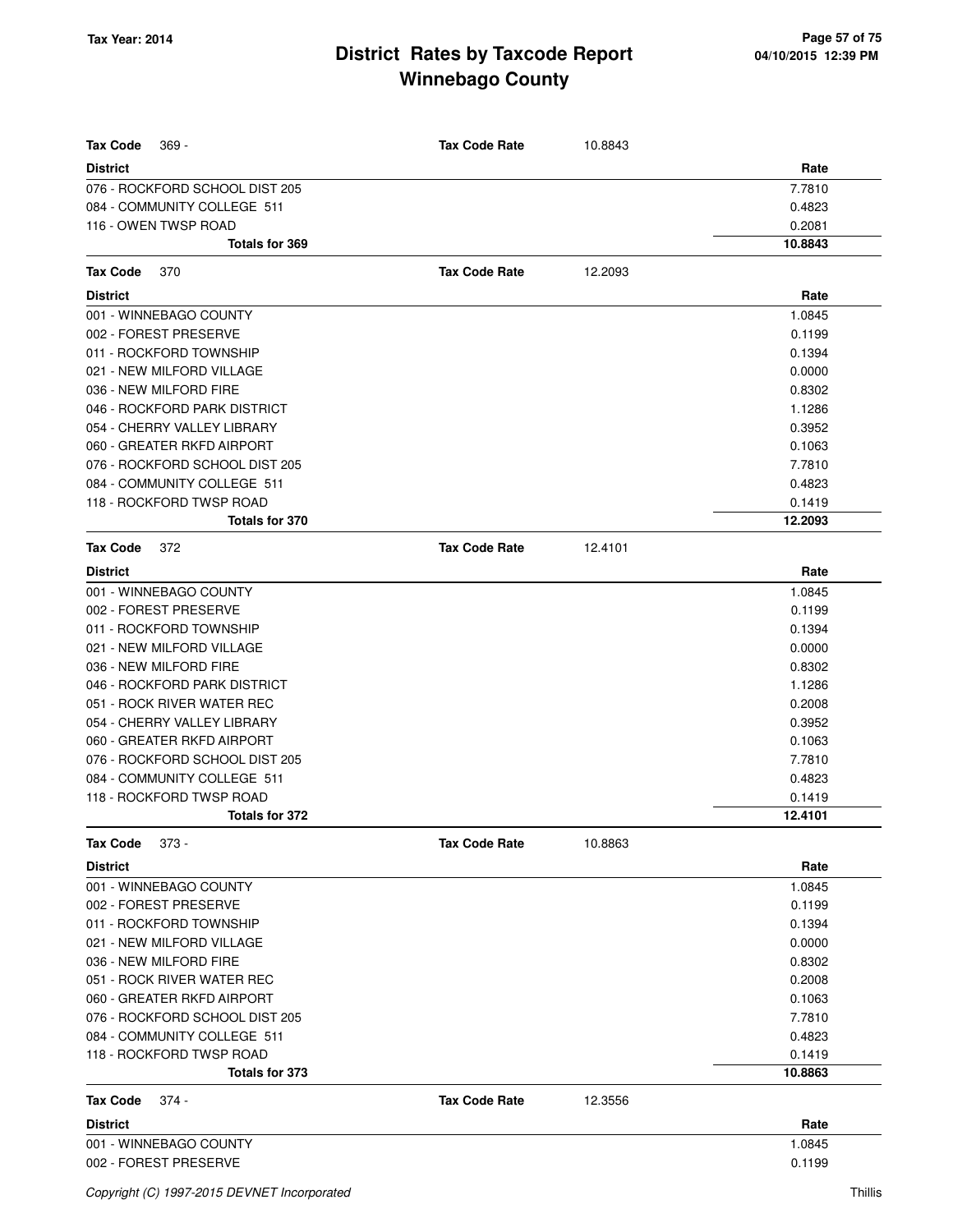| <b>Tax Code</b><br>369 -       | <b>Tax Code Rate</b> | 10.8843 |         |
|--------------------------------|----------------------|---------|---------|
| <b>District</b>                |                      |         | Rate    |
| 076 - ROCKFORD SCHOOL DIST 205 |                      |         | 7.7810  |
| 084 - COMMUNITY COLLEGE 511    |                      |         | 0.4823  |
| 116 - OWEN TWSP ROAD           |                      |         | 0.2081  |
| Totals for 369                 |                      |         | 10.8843 |
| <b>Tax Code</b><br>370         | <b>Tax Code Rate</b> | 12.2093 |         |
| <b>District</b>                |                      |         | Rate    |
| 001 - WINNEBAGO COUNTY         |                      |         | 1.0845  |
| 002 - FOREST PRESERVE          |                      |         | 0.1199  |
| 011 - ROCKFORD TOWNSHIP        |                      |         | 0.1394  |
| 021 - NEW MILFORD VILLAGE      |                      |         | 0.0000  |
| 036 - NEW MILFORD FIRE         |                      |         | 0.8302  |
| 046 - ROCKFORD PARK DISTRICT   |                      |         | 1.1286  |
| 054 - CHERRY VALLEY LIBRARY    |                      |         | 0.3952  |
| 060 - GREATER RKFD AIRPORT     |                      |         | 0.1063  |
| 076 - ROCKFORD SCHOOL DIST 205 |                      |         | 7.7810  |
| 084 - COMMUNITY COLLEGE 511    |                      |         | 0.4823  |
| 118 - ROCKFORD TWSP ROAD       |                      |         | 0.1419  |
| Totals for 370                 |                      |         | 12.2093 |
| <b>Tax Code</b><br>372         | <b>Tax Code Rate</b> | 12.4101 |         |
| <b>District</b>                |                      |         | Rate    |
| 001 - WINNEBAGO COUNTY         |                      |         | 1.0845  |
| 002 - FOREST PRESERVE          |                      |         | 0.1199  |
| 011 - ROCKFORD TOWNSHIP        |                      |         | 0.1394  |
| 021 - NEW MILFORD VILLAGE      |                      |         | 0.0000  |
| 036 - NEW MILFORD FIRE         |                      |         | 0.8302  |
| 046 - ROCKFORD PARK DISTRICT   |                      |         | 1.1286  |
| 051 - ROCK RIVER WATER REC     |                      |         | 0.2008  |
| 054 - CHERRY VALLEY LIBRARY    |                      |         | 0.3952  |
| 060 - GREATER RKFD AIRPORT     |                      |         | 0.1063  |
| 076 - ROCKFORD SCHOOL DIST 205 |                      |         | 7.7810  |
| 084 - COMMUNITY COLLEGE 511    |                      |         | 0.4823  |
| 118 - ROCKFORD TWSP ROAD       |                      |         | 0.1419  |
| Totals for 372                 |                      |         | 12.4101 |
| <b>Tax Code</b><br>373 -       | <b>Tax Code Rate</b> | 10.8863 |         |
| <b>District</b>                |                      |         | Rate    |
| 001 - WINNEBAGO COUNTY         |                      |         | 1.0845  |
| 002 - FOREST PRESERVE          |                      |         | 0.1199  |
| 011 - ROCKFORD TOWNSHIP        |                      |         | 0.1394  |
| 021 - NEW MILFORD VILLAGE      |                      |         | 0.0000  |
| 036 - NEW MILFORD FIRE         |                      |         | 0.8302  |
| 051 - ROCK RIVER WATER REC     |                      |         | 0.2008  |
| 060 - GREATER RKFD AIRPORT     |                      |         | 0.1063  |
| 076 - ROCKFORD SCHOOL DIST 205 |                      |         | 7.7810  |
| 084 - COMMUNITY COLLEGE 511    |                      |         | 0.4823  |
| 118 - ROCKFORD TWSP ROAD       |                      |         | 0.1419  |
| Totals for 373                 |                      |         | 10.8863 |
| <b>Tax Code</b><br>374 -       | <b>Tax Code Rate</b> | 12.3556 |         |
| <b>District</b>                |                      |         | Rate    |
| 001 - WINNEBAGO COUNTY         |                      |         | 1.0845  |
| 002 - FOREST PRESERVE          |                      |         | 0.1199  |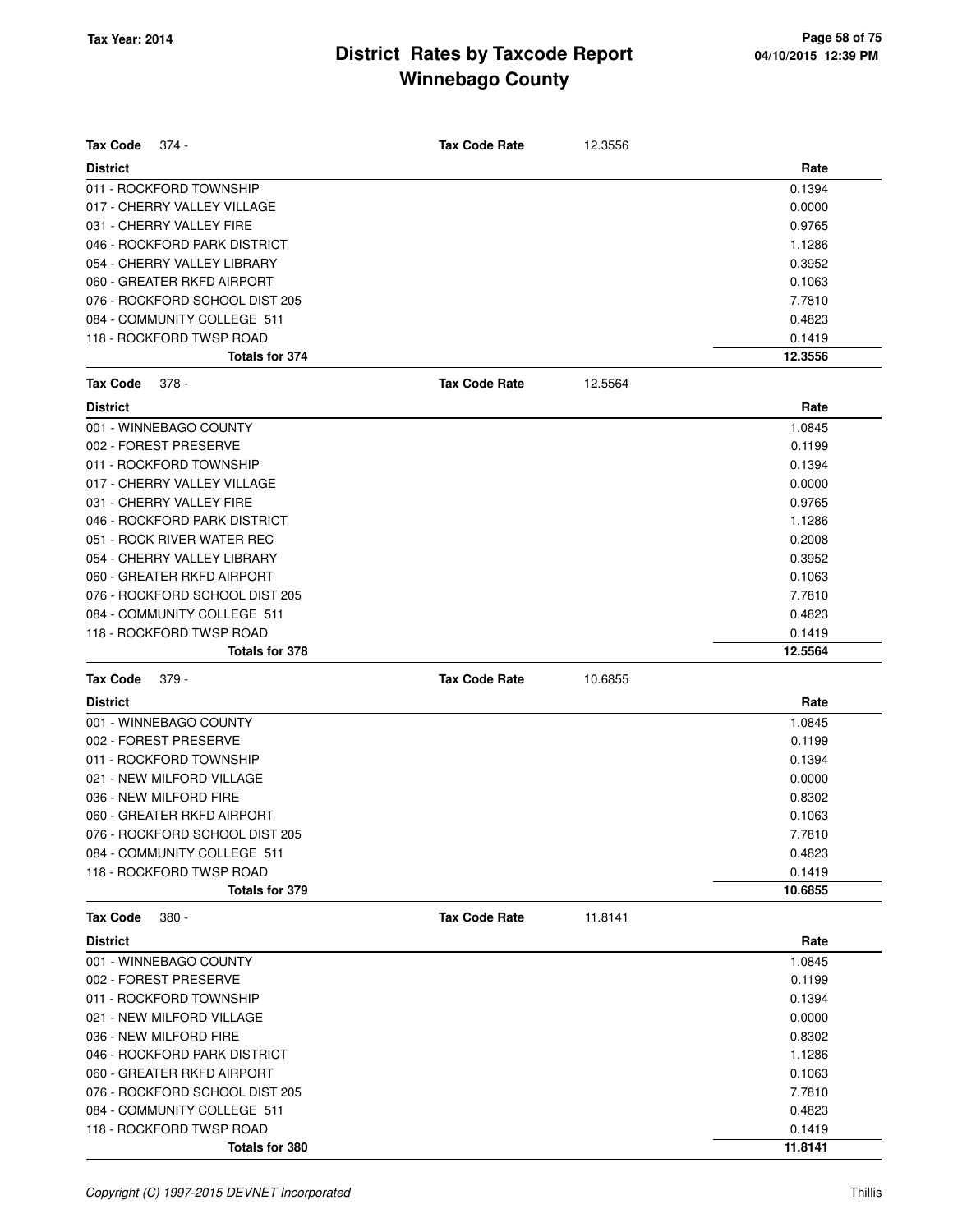| <b>Tax Code</b><br>374 -                          | <b>Tax Code Rate</b> | 12.3556 |                   |
|---------------------------------------------------|----------------------|---------|-------------------|
| <b>District</b>                                   |                      |         | Rate              |
| 011 - ROCKFORD TOWNSHIP                           |                      |         | 0.1394            |
| 017 - CHERRY VALLEY VILLAGE                       |                      |         | 0.0000            |
| 031 - CHERRY VALLEY FIRE                          |                      |         | 0.9765            |
| 046 - ROCKFORD PARK DISTRICT                      |                      |         | 1.1286            |
| 054 - CHERRY VALLEY LIBRARY                       |                      |         | 0.3952            |
| 060 - GREATER RKFD AIRPORT                        |                      |         | 0.1063            |
| 076 - ROCKFORD SCHOOL DIST 205                    |                      |         | 7.7810            |
| 084 - COMMUNITY COLLEGE 511                       |                      |         | 0.4823            |
| 118 - ROCKFORD TWSP ROAD                          |                      |         | 0.1419            |
| Totals for 374                                    |                      |         | 12.3556           |
| <b>Tax Code</b><br>$378 -$                        | <b>Tax Code Rate</b> | 12.5564 |                   |
| <b>District</b>                                   |                      |         | Rate              |
| 001 - WINNEBAGO COUNTY                            |                      |         | 1.0845            |
| 002 - FOREST PRESERVE                             |                      |         | 0.1199            |
| 011 - ROCKFORD TOWNSHIP                           |                      |         | 0.1394            |
| 017 - CHERRY VALLEY VILLAGE                       |                      |         | 0.0000            |
| 031 - CHERRY VALLEY FIRE                          |                      |         | 0.9765            |
| 046 - ROCKFORD PARK DISTRICT                      |                      |         | 1.1286            |
| 051 - ROCK RIVER WATER REC                        |                      |         | 0.2008            |
| 054 - CHERRY VALLEY LIBRARY                       |                      |         | 0.3952            |
| 060 - GREATER RKFD AIRPORT                        |                      |         | 0.1063            |
| 076 - ROCKFORD SCHOOL DIST 205                    |                      |         | 7.7810            |
| 084 - COMMUNITY COLLEGE 511                       |                      |         | 0.4823            |
| 118 - ROCKFORD TWSP ROAD                          |                      |         | 0.1419            |
| <b>Totals for 378</b>                             |                      |         | 12.5564           |
|                                                   |                      |         |                   |
| <b>Tax Code</b><br>$379 -$                        | <b>Tax Code Rate</b> | 10.6855 |                   |
| <b>District</b>                                   |                      |         | Rate              |
| 001 - WINNEBAGO COUNTY                            |                      |         | 1.0845            |
| 002 - FOREST PRESERVE                             |                      |         | 0.1199            |
| 011 - ROCKFORD TOWNSHIP                           |                      |         | 0.1394            |
| 021 - NEW MILFORD VILLAGE                         |                      |         | 0.0000            |
| 036 - NEW MILFORD FIRE                            |                      |         | 0.8302            |
| 060 - GREATER RKFD AIRPORT                        |                      |         | 0.1063            |
| 076 - ROCKFORD SCHOOL DIST 205                    |                      |         | 7.7810            |
| 084 - COMMUNITY COLLEGE 511                       |                      |         | 0.4823            |
| 118 - ROCKFORD TWSP ROAD                          |                      |         | 0.1419            |
| Totals for 379                                    |                      |         | 10.6855           |
| <b>Tax Code</b><br>$380 -$                        | <b>Tax Code Rate</b> | 11.8141 |                   |
| <b>District</b>                                   |                      |         | Rate              |
| 001 - WINNEBAGO COUNTY                            |                      |         | 1.0845            |
| 002 - FOREST PRESERVE                             |                      |         | 0.1199            |
| 011 - ROCKFORD TOWNSHIP                           |                      |         | 0.1394            |
| 021 - NEW MILFORD VILLAGE                         |                      |         | 0.0000            |
| 036 - NEW MILFORD FIRE                            |                      |         | 0.8302            |
| 046 - ROCKFORD PARK DISTRICT                      |                      |         | 1.1286            |
| 060 - GREATER RKFD AIRPORT                        |                      |         | 0.1063            |
| 076 - ROCKFORD SCHOOL DIST 205                    |                      |         | 7.7810            |
| 084 - COMMUNITY COLLEGE 511                       |                      |         | 0.4823            |
| 118 - ROCKFORD TWSP ROAD<br><b>Totals for 380</b> |                      |         | 0.1419<br>11.8141 |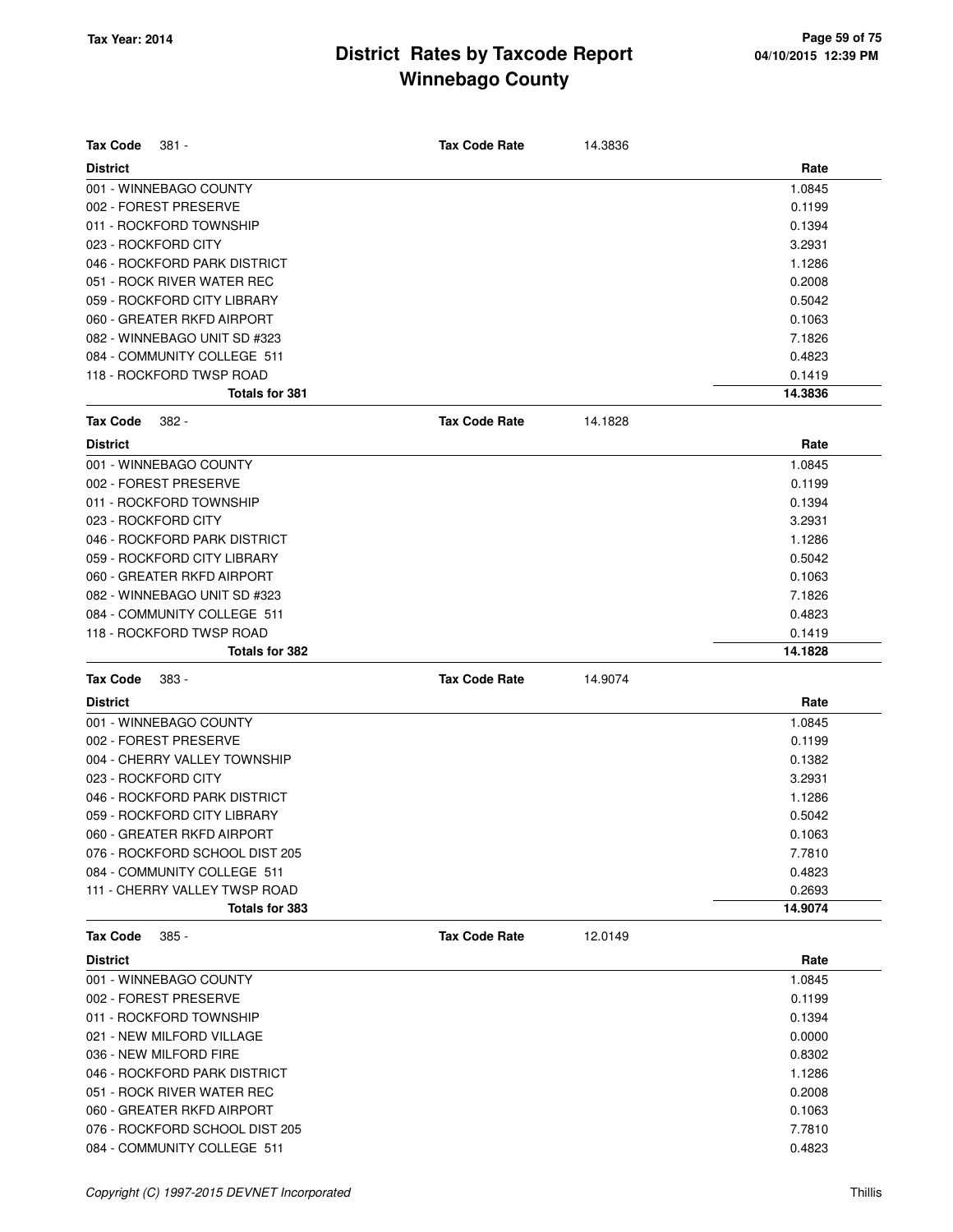| <b>Tax Code</b><br>381 -       | <b>Tax Code Rate</b> | 14.3836 |         |
|--------------------------------|----------------------|---------|---------|
| <b>District</b>                |                      |         | Rate    |
| 001 - WINNEBAGO COUNTY         |                      |         | 1.0845  |
| 002 - FOREST PRESERVE          |                      |         | 0.1199  |
| 011 - ROCKFORD TOWNSHIP        |                      |         | 0.1394  |
| 023 - ROCKFORD CITY            |                      |         | 3.2931  |
| 046 - ROCKFORD PARK DISTRICT   |                      |         | 1.1286  |
| 051 - ROCK RIVER WATER REC     |                      |         | 0.2008  |
| 059 - ROCKFORD CITY LIBRARY    |                      |         | 0.5042  |
| 060 - GREATER RKFD AIRPORT     |                      |         | 0.1063  |
| 082 - WINNEBAGO UNIT SD #323   |                      |         | 7.1826  |
| 084 - COMMUNITY COLLEGE 511    |                      |         | 0.4823  |
| 118 - ROCKFORD TWSP ROAD       |                      |         | 0.1419  |
| Totals for 381                 |                      |         | 14.3836 |
| <b>Tax Code</b><br>382 -       | <b>Tax Code Rate</b> | 14.1828 |         |
| <b>District</b>                |                      |         | Rate    |
| 001 - WINNEBAGO COUNTY         |                      |         | 1.0845  |
| 002 - FOREST PRESERVE          |                      |         | 0.1199  |
| 011 - ROCKFORD TOWNSHIP        |                      |         | 0.1394  |
| 023 - ROCKFORD CITY            |                      |         | 3.2931  |
| 046 - ROCKFORD PARK DISTRICT   |                      |         | 1.1286  |
| 059 - ROCKFORD CITY LIBRARY    |                      |         | 0.5042  |
| 060 - GREATER RKFD AIRPORT     |                      |         | 0.1063  |
| 082 - WINNEBAGO UNIT SD #323   |                      |         | 7.1826  |
| 084 - COMMUNITY COLLEGE 511    |                      |         | 0.4823  |
| 118 - ROCKFORD TWSP ROAD       |                      |         | 0.1419  |
| Totals for 382                 |                      |         | 14.1828 |
| <b>Tax Code</b><br>383 -       | <b>Tax Code Rate</b> | 14.9074 |         |
| <b>District</b>                |                      |         | Rate    |
| 001 - WINNEBAGO COUNTY         |                      |         | 1.0845  |
| 002 - FOREST PRESERVE          |                      |         | 0.1199  |
| 004 - CHERRY VALLEY TOWNSHIP   |                      |         | 0.1382  |
| 023 - ROCKFORD CITY            |                      |         | 3.2931  |
| 046 - ROCKFORD PARK DISTRICT   |                      |         | 1.1286  |
| 059 - ROCKFORD CITY LIBRARY    |                      |         | 0.5042  |
|                                |                      |         |         |
| 060 - GREATER RKFD AIRPORT     |                      |         | 0.1063  |
| 076 - ROCKFORD SCHOOL DIST 205 |                      |         | 7.7810  |
| 084 - COMMUNITY COLLEGE 511    |                      |         | 0.4823  |
| 111 - CHERRY VALLEY TWSP ROAD  |                      |         | 0.2693  |
| Totals for 383                 |                      |         | 14.9074 |
| <b>Tax Code</b><br>$385 -$     | <b>Tax Code Rate</b> | 12.0149 |         |
| <b>District</b>                |                      |         | Rate    |
| 001 - WINNEBAGO COUNTY         |                      |         | 1.0845  |
| 002 - FOREST PRESERVE          |                      |         | 0.1199  |
| 011 - ROCKFORD TOWNSHIP        |                      |         | 0.1394  |
| 021 - NEW MILFORD VILLAGE      |                      |         | 0.0000  |
| 036 - NEW MILFORD FIRE         |                      |         | 0.8302  |
| 046 - ROCKFORD PARK DISTRICT   |                      |         | 1.1286  |
| 051 - ROCK RIVER WATER REC     |                      |         | 0.2008  |
| 060 - GREATER RKFD AIRPORT     |                      |         | 0.1063  |
| 076 - ROCKFORD SCHOOL DIST 205 |                      |         | 7.7810  |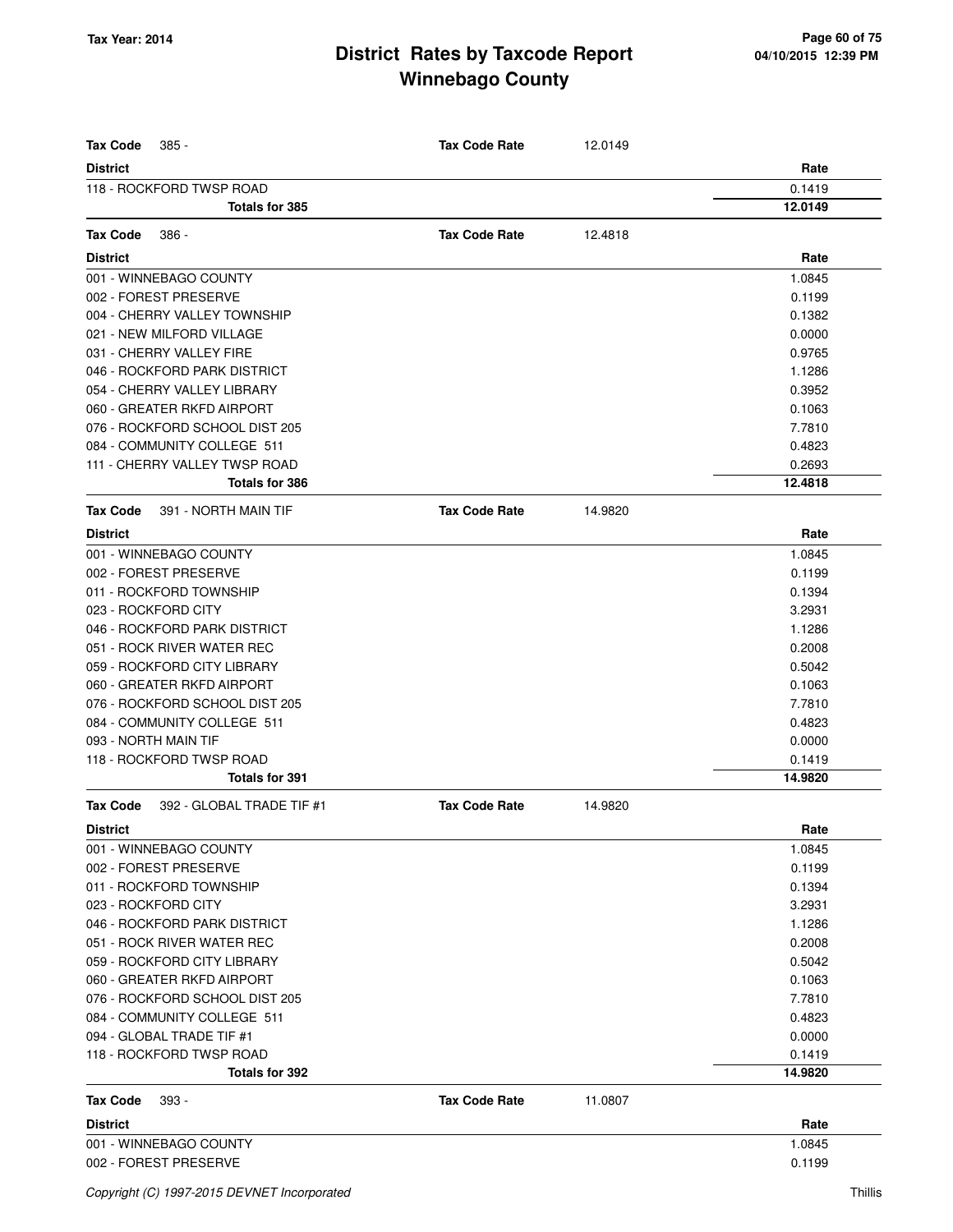| $385 -$<br>Tax Code                   | <b>Tax Code Rate</b> | 12.0149 |         |
|---------------------------------------|----------------------|---------|---------|
| <b>District</b>                       |                      |         | Rate    |
| 118 - ROCKFORD TWSP ROAD              |                      |         | 0.1419  |
| <b>Totals for 385</b>                 |                      |         | 12.0149 |
| <b>Tax Code</b><br>$386 -$            | <b>Tax Code Rate</b> | 12.4818 |         |
| <b>District</b>                       |                      |         | Rate    |
| 001 - WINNEBAGO COUNTY                |                      |         | 1.0845  |
| 002 - FOREST PRESERVE                 |                      |         | 0.1199  |
| 004 - CHERRY VALLEY TOWNSHIP          |                      |         | 0.1382  |
| 021 - NEW MILFORD VILLAGE             |                      |         | 0.0000  |
| 031 - CHERRY VALLEY FIRE              |                      |         | 0.9765  |
| 046 - ROCKFORD PARK DISTRICT          |                      |         | 1.1286  |
| 054 - CHERRY VALLEY LIBRARY           |                      |         | 0.3952  |
| 060 - GREATER RKFD AIRPORT            |                      |         | 0.1063  |
| 076 - ROCKFORD SCHOOL DIST 205        |                      |         | 7.7810  |
| 084 - COMMUNITY COLLEGE 511           |                      |         | 0.4823  |
| 111 - CHERRY VALLEY TWSP ROAD         |                      |         | 0.2693  |
| <b>Totals for 386</b>                 |                      |         | 12.4818 |
|                                       |                      |         |         |
| Tax Code<br>391 - NORTH MAIN TIF      | <b>Tax Code Rate</b> | 14.9820 |         |
| <b>District</b>                       |                      |         | Rate    |
| 001 - WINNEBAGO COUNTY                |                      |         | 1.0845  |
| 002 - FOREST PRESERVE                 |                      |         | 0.1199  |
| 011 - ROCKFORD TOWNSHIP               |                      |         | 0.1394  |
| 023 - ROCKFORD CITY                   |                      |         | 3.2931  |
| 046 - ROCKFORD PARK DISTRICT          |                      |         | 1.1286  |
| 051 - ROCK RIVER WATER REC            |                      |         | 0.2008  |
| 059 - ROCKFORD CITY LIBRARY           |                      |         | 0.5042  |
| 060 - GREATER RKFD AIRPORT            |                      |         | 0.1063  |
| 076 - ROCKFORD SCHOOL DIST 205        |                      |         | 7.7810  |
| 084 - COMMUNITY COLLEGE 511           |                      |         | 0.4823  |
| 093 - NORTH MAIN TIF                  |                      |         | 0.0000  |
| 118 - ROCKFORD TWSP ROAD              |                      |         | 0.1419  |
| <b>Totals for 391</b>                 |                      |         | 14.9820 |
| 392 - GLOBAL TRADE TIF #1<br>Tax Code | <b>Tax Code Rate</b> | 14.9820 |         |
| <b>District</b>                       |                      |         | Rate    |
| 001 - WINNEBAGO COUNTY                |                      |         | 1.0845  |
| 002 - FOREST PRESERVE                 |                      |         | 0.1199  |
| 011 - ROCKFORD TOWNSHIP               |                      |         | 0.1394  |
| 023 - ROCKFORD CITY                   |                      |         | 3.2931  |
| 046 - ROCKFORD PARK DISTRICT          |                      |         | 1.1286  |
| 051 - ROCK RIVER WATER REC            |                      |         | 0.2008  |
| 059 - ROCKFORD CITY LIBRARY           |                      |         | 0.5042  |
| 060 - GREATER RKFD AIRPORT            |                      |         | 0.1063  |
| 076 - ROCKFORD SCHOOL DIST 205        |                      |         | 7.7810  |
| 084 - COMMUNITY COLLEGE 511           |                      |         | 0.4823  |
| 094 - GLOBAL TRADE TIF #1             |                      |         | 0.0000  |
| 118 - ROCKFORD TWSP ROAD              |                      |         | 0.1419  |
| Totals for 392                        |                      |         | 14.9820 |
| 393 -<br>Tax Code                     | <b>Tax Code Rate</b> | 11.0807 |         |
| <b>District</b>                       |                      |         | Rate    |
| 001 - WINNEBAGO COUNTY                |                      |         | 1.0845  |
| 002 - FOREST PRESERVE                 |                      |         | 0.1199  |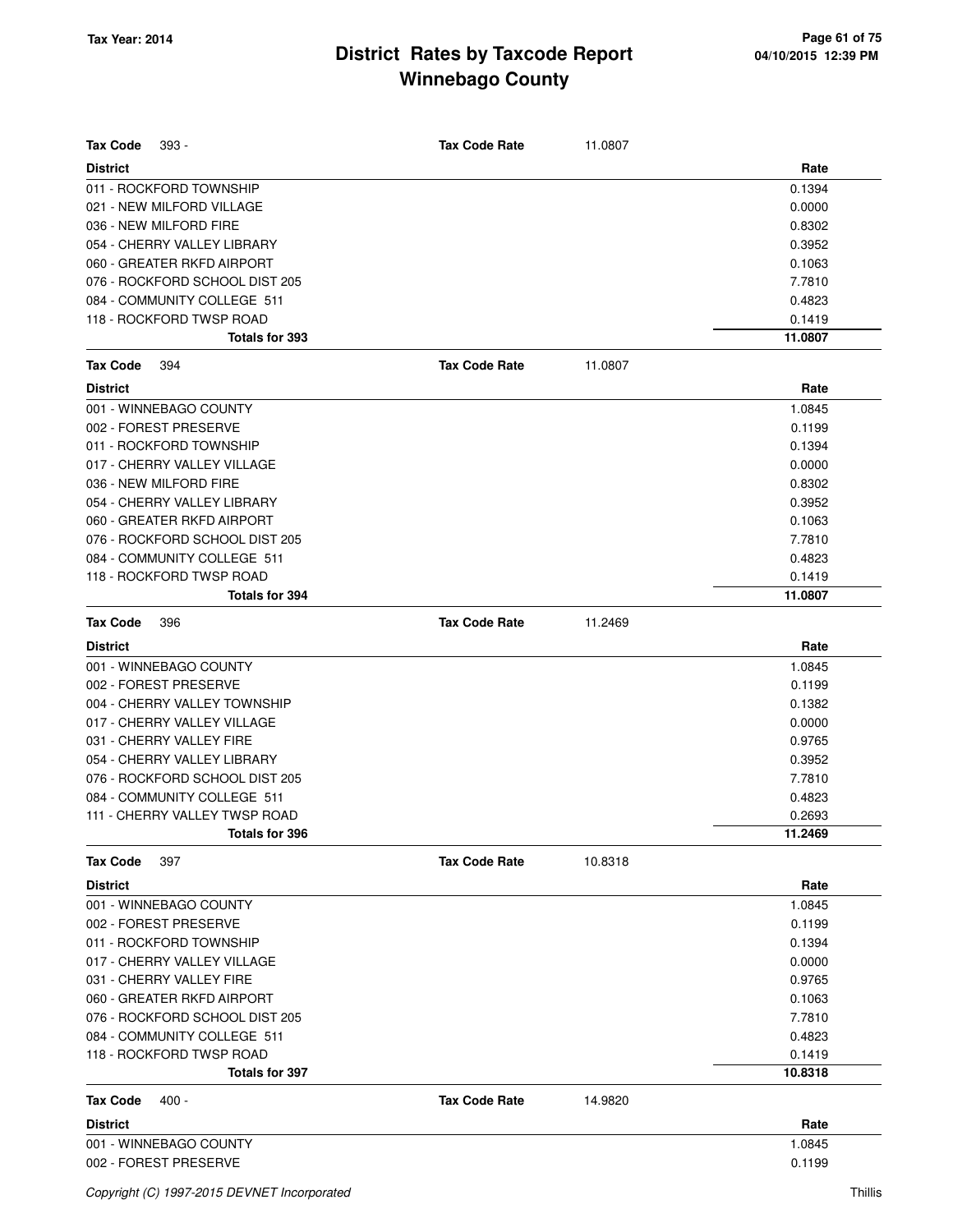| <b>Tax Code</b><br>$393 -$     | <b>Tax Code Rate</b> | 11.0807 |         |
|--------------------------------|----------------------|---------|---------|
| <b>District</b>                |                      |         | Rate    |
| 011 - ROCKFORD TOWNSHIP        |                      |         | 0.1394  |
| 021 - NEW MILFORD VILLAGE      |                      |         | 0.0000  |
| 036 - NEW MILFORD FIRE         |                      |         | 0.8302  |
| 054 - CHERRY VALLEY LIBRARY    |                      |         | 0.3952  |
| 060 - GREATER RKFD AIRPORT     |                      |         | 0.1063  |
| 076 - ROCKFORD SCHOOL DIST 205 |                      |         | 7.7810  |
| 084 - COMMUNITY COLLEGE 511    |                      |         | 0.4823  |
| 118 - ROCKFORD TWSP ROAD       |                      |         | 0.1419  |
| <b>Totals for 393</b>          |                      |         | 11.0807 |
| <b>Tax Code</b><br>394         | <b>Tax Code Rate</b> | 11.0807 |         |
| <b>District</b>                |                      |         | Rate    |
| 001 - WINNEBAGO COUNTY         |                      |         | 1.0845  |
| 002 - FOREST PRESERVE          |                      |         | 0.1199  |
| 011 - ROCKFORD TOWNSHIP        |                      |         | 0.1394  |
| 017 - CHERRY VALLEY VILLAGE    |                      |         | 0.0000  |
| 036 - NEW MILFORD FIRE         |                      |         | 0.8302  |
| 054 - CHERRY VALLEY LIBRARY    |                      |         | 0.3952  |
| 060 - GREATER RKFD AIRPORT     |                      |         | 0.1063  |
| 076 - ROCKFORD SCHOOL DIST 205 |                      |         | 7.7810  |
| 084 - COMMUNITY COLLEGE 511    |                      |         | 0.4823  |
| 118 - ROCKFORD TWSP ROAD       |                      |         | 0.1419  |
| Totals for 394                 |                      |         | 11.0807 |
| <b>Tax Code</b><br>396         | <b>Tax Code Rate</b> | 11.2469 |         |
| <b>District</b>                |                      |         | Rate    |
| 001 - WINNEBAGO COUNTY         |                      |         | 1.0845  |
| 002 - FOREST PRESERVE          |                      |         | 0.1199  |
| 004 - CHERRY VALLEY TOWNSHIP   |                      |         | 0.1382  |
| 017 - CHERRY VALLEY VILLAGE    |                      |         | 0.0000  |
| 031 - CHERRY VALLEY FIRE       |                      |         | 0.9765  |
| 054 - CHERRY VALLEY LIBRARY    |                      |         | 0.3952  |
| 076 - ROCKFORD SCHOOL DIST 205 |                      |         | 7.7810  |
| 084 - COMMUNITY COLLEGE 511    |                      |         | 0.4823  |
| 111 - CHERRY VALLEY TWSP ROAD  |                      |         | 0.2693  |
| <b>Totals for 396</b>          |                      |         | 11.2469 |
| 397<br><b>Tax Code</b>         | <b>Tax Code Rate</b> | 10.8318 |         |
| <b>District</b>                |                      |         | Rate    |
| 001 - WINNEBAGO COUNTY         |                      |         | 1.0845  |
| 002 - FOREST PRESERVE          |                      |         | 0.1199  |
| 011 - ROCKFORD TOWNSHIP        |                      |         | 0.1394  |
| 017 - CHERRY VALLEY VILLAGE    |                      |         | 0.0000  |
| 031 - CHERRY VALLEY FIRE       |                      |         | 0.9765  |
| 060 - GREATER RKFD AIRPORT     |                      |         | 0.1063  |
| 076 - ROCKFORD SCHOOL DIST 205 |                      |         | 7.7810  |
| 084 - COMMUNITY COLLEGE 511    |                      |         | 0.4823  |
| 118 - ROCKFORD TWSP ROAD       |                      |         | 0.1419  |
| Totals for 397                 |                      |         | 10.8318 |
| <b>Tax Code</b><br>$400 -$     | <b>Tax Code Rate</b> | 14.9820 |         |
| <b>District</b>                |                      |         | Rate    |
| 001 - WINNEBAGO COUNTY         |                      |         | 1.0845  |
| 002 - FOREST PRESERVE          |                      |         | 0.1199  |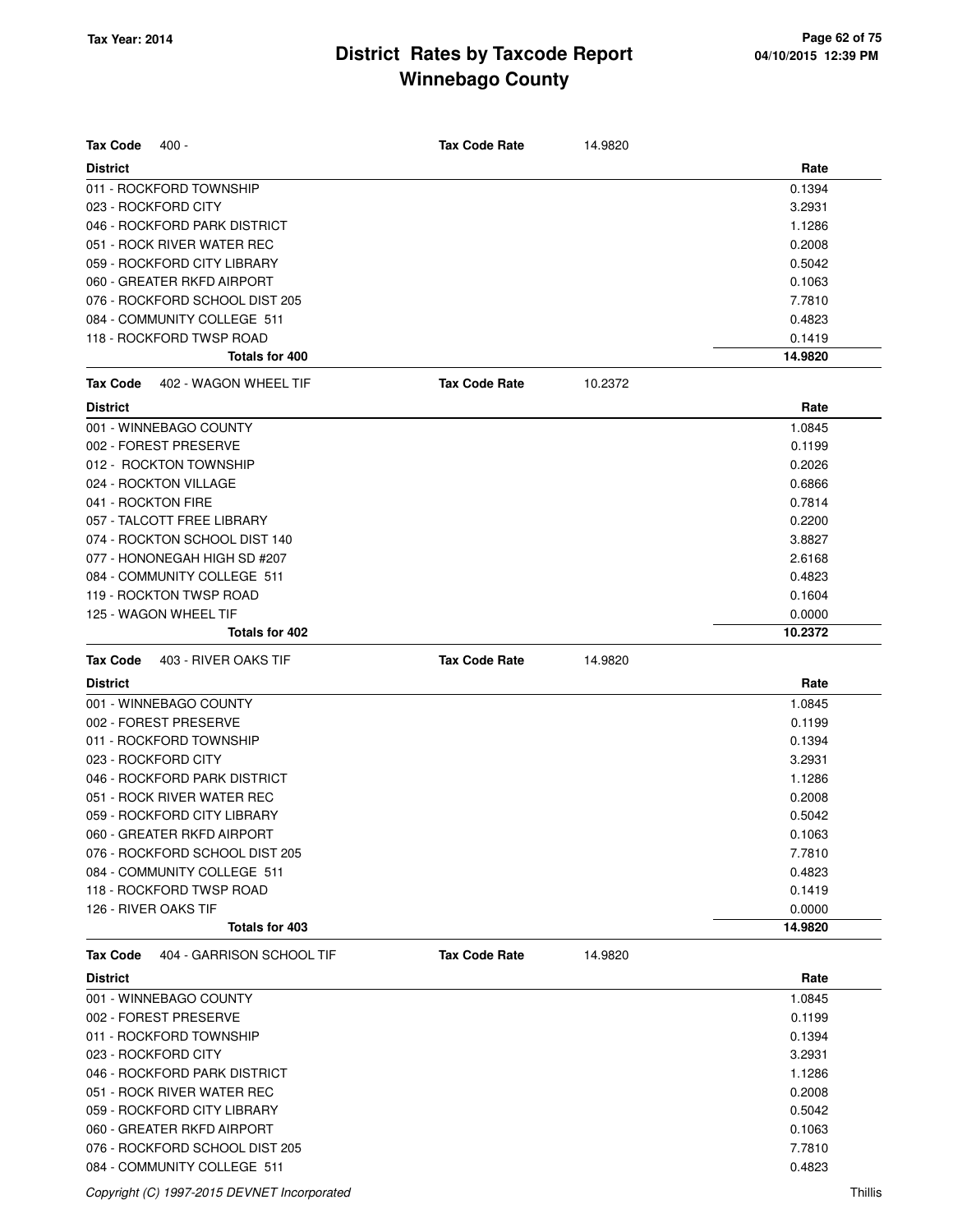| <b>Tax Code</b>                                            |                      |         |                  |
|------------------------------------------------------------|----------------------|---------|------------------|
| 400 -                                                      | <b>Tax Code Rate</b> | 14.9820 |                  |
| <b>District</b>                                            |                      |         | Rate             |
| 011 - ROCKFORD TOWNSHIP                                    |                      |         | 0.1394           |
| 023 - ROCKFORD CITY                                        |                      |         | 3.2931           |
| 046 - ROCKFORD PARK DISTRICT<br>051 - ROCK RIVER WATER REC |                      |         | 1.1286<br>0.2008 |
| 059 - ROCKFORD CITY LIBRARY                                |                      |         | 0.5042           |
| 060 - GREATER RKFD AIRPORT                                 |                      |         | 0.1063           |
| 076 - ROCKFORD SCHOOL DIST 205                             |                      |         | 7.7810           |
| 084 - COMMUNITY COLLEGE 511                                |                      |         | 0.4823           |
| 118 - ROCKFORD TWSP ROAD                                   |                      |         | 0.1419           |
| Totals for 400                                             |                      |         | 14.9820          |
| <b>Tax Code</b><br>402 - WAGON WHEEL TIF                   | <b>Tax Code Rate</b> | 10.2372 |                  |
| <b>District</b>                                            |                      |         | Rate             |
|                                                            |                      |         | 1.0845           |
| 001 - WINNEBAGO COUNTY                                     |                      |         |                  |
| 002 - FOREST PRESERVE                                      |                      |         | 0.1199           |
| 012 - ROCKTON TOWNSHIP                                     |                      |         | 0.2026           |
| 024 - ROCKTON VILLAGE                                      |                      |         | 0.6866           |
| 041 - ROCKTON FIRE                                         |                      |         | 0.7814           |
| 057 - TALCOTT FREE LIBRARY                                 |                      |         | 0.2200           |
| 074 - ROCKTON SCHOOL DIST 140                              |                      |         | 3.8827           |
| 077 - HONONEGAH HIGH SD #207                               |                      |         | 2.6168           |
| 084 - COMMUNITY COLLEGE 511                                |                      |         | 0.4823           |
| 119 - ROCKTON TWSP ROAD                                    |                      |         | 0.1604           |
| 125 - WAGON WHEEL TIF                                      |                      |         | 0.0000           |
| Totals for 402                                             |                      |         | 10.2372          |
| 403 - RIVER OAKS TIF<br><b>Tax Code</b>                    | <b>Tax Code Rate</b> | 14.9820 |                  |
| <b>District</b>                                            |                      |         | Rate             |
| 001 - WINNEBAGO COUNTY                                     |                      |         | 1.0845           |
| 002 - FOREST PRESERVE                                      |                      |         | 0.1199           |
| 011 - ROCKFORD TOWNSHIP                                    |                      |         | 0.1394           |
| 023 - ROCKFORD CITY                                        |                      |         | 3.2931           |
| 046 - ROCKFORD PARK DISTRICT                               |                      |         | 1.1286           |
| 051 - ROCK RIVER WATER REC                                 |                      |         | 0.2008           |
| 059 - ROCKFORD CITY LIBRARY                                |                      |         | 0.5042           |
| 060 - GREATER RKFD AIRPORT                                 |                      |         | 0.1063           |
| 076 - ROCKFORD SCHOOL DIST 205                             |                      |         | 7.7810           |
| 084 - COMMUNITY COLLEGE 511                                |                      |         | 0.4823           |
| 118 - ROCKFORD TWSP ROAD                                   |                      |         | 0.1419           |
| 126 - RIVER OAKS TIF                                       |                      |         | 0.0000           |
| Totals for 403                                             |                      |         | 14.9820          |
| 404 - GARRISON SCHOOL TIF<br><b>Tax Code</b>               | <b>Tax Code Rate</b> | 14.9820 |                  |
| <b>District</b>                                            |                      |         | Rate             |
| 001 - WINNEBAGO COUNTY                                     |                      |         | 1.0845           |
| 002 - FOREST PRESERVE                                      |                      |         | 0.1199           |
| 011 - ROCKFORD TOWNSHIP                                    |                      |         | 0.1394           |
| 023 - ROCKFORD CITY                                        |                      |         | 3.2931           |
| 046 - ROCKFORD PARK DISTRICT                               |                      |         | 1.1286           |
| 051 - ROCK RIVER WATER REC                                 |                      |         | 0.2008           |
| 059 - ROCKFORD CITY LIBRARY                                |                      |         | 0.5042           |
| 060 - GREATER RKFD AIRPORT                                 |                      |         | 0.1063           |
| 076 - ROCKFORD SCHOOL DIST 205                             |                      |         | 7.7810           |
| 084 - COMMUNITY COLLEGE 511                                |                      |         | 0.4823           |

Copyright (C) 1997-2015 DEVNET Incorporated Thillis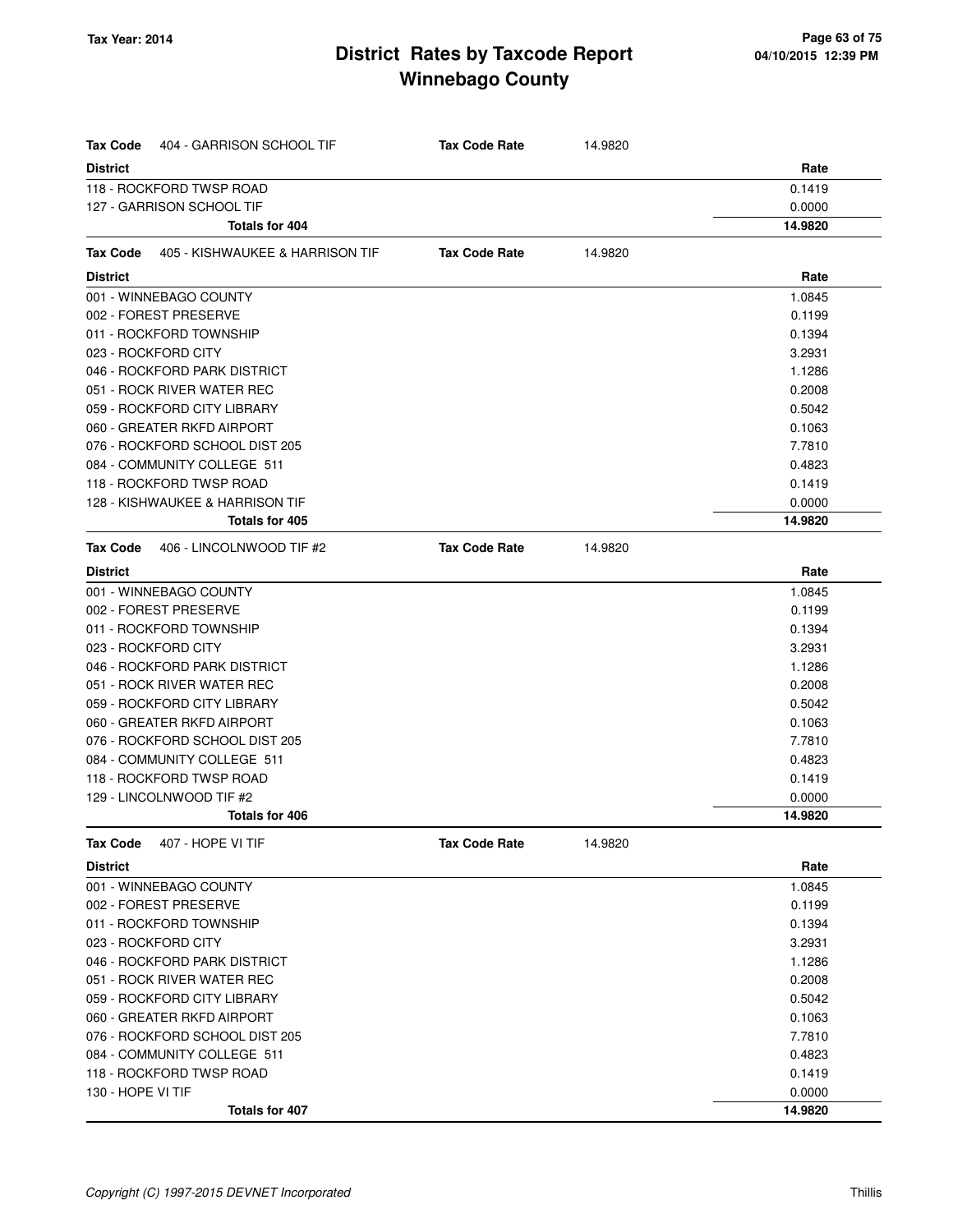| Tax Code          | 404 - GARRISON SCHOOL TIF       | <b>Tax Code Rate</b> | 14.9820 |         |
|-------------------|---------------------------------|----------------------|---------|---------|
| <b>District</b>   |                                 |                      |         | Rate    |
|                   | 118 - ROCKFORD TWSP ROAD        |                      |         | 0.1419  |
|                   | 127 - GARRISON SCHOOL TIF       |                      |         | 0.0000  |
|                   | Totals for 404                  |                      |         | 14.9820 |
| Tax Code          | 405 - KISHWAUKEE & HARRISON TIF | <b>Tax Code Rate</b> | 14.9820 |         |
| <b>District</b>   |                                 |                      |         | Rate    |
|                   | 001 - WINNEBAGO COUNTY          |                      |         | 1.0845  |
|                   | 002 - FOREST PRESERVE           |                      |         | 0.1199  |
|                   | 011 - ROCKFORD TOWNSHIP         |                      |         | 0.1394  |
|                   | 023 - ROCKFORD CITY             |                      |         | 3.2931  |
|                   | 046 - ROCKFORD PARK DISTRICT    |                      |         | 1.1286  |
|                   | 051 - ROCK RIVER WATER REC      |                      |         | 0.2008  |
|                   | 059 - ROCKFORD CITY LIBRARY     |                      |         | 0.5042  |
|                   | 060 - GREATER RKFD AIRPORT      |                      |         | 0.1063  |
|                   | 076 - ROCKFORD SCHOOL DIST 205  |                      |         | 7.7810  |
|                   | 084 - COMMUNITY COLLEGE 511     |                      |         | 0.4823  |
|                   | 118 - ROCKFORD TWSP ROAD        |                      |         | 0.1419  |
|                   | 128 - KISHWAUKEE & HARRISON TIF |                      |         | 0.0000  |
|                   | Totals for 405                  |                      |         | 14.9820 |
| Tax Code          | 406 - LINCOLNWOOD TIF #2        | <b>Tax Code Rate</b> | 14.9820 |         |
| <b>District</b>   |                                 |                      |         | Rate    |
|                   | 001 - WINNEBAGO COUNTY          |                      |         | 1.0845  |
|                   | 002 - FOREST PRESERVE           |                      |         | 0.1199  |
|                   | 011 - ROCKFORD TOWNSHIP         |                      |         | 0.1394  |
|                   | 023 - ROCKFORD CITY             |                      |         | 3.2931  |
|                   | 046 - ROCKFORD PARK DISTRICT    |                      |         | 1.1286  |
|                   | 051 - ROCK RIVER WATER REC      |                      |         | 0.2008  |
|                   | 059 - ROCKFORD CITY LIBRARY     |                      |         | 0.5042  |
|                   | 060 - GREATER RKFD AIRPORT      |                      |         | 0.1063  |
|                   | 076 - ROCKFORD SCHOOL DIST 205  |                      |         | 7.7810  |
|                   | 084 - COMMUNITY COLLEGE 511     |                      |         | 0.4823  |
|                   | 118 - ROCKFORD TWSP ROAD        |                      |         | 0.1419  |
|                   | 129 - LINCOLNWOOD TIF #2        |                      |         | 0.0000  |
|                   | Totals for 406                  |                      |         | 14.9820 |
| <b>Tax Code</b>   | 407 - HOPE VI TIF               | <b>Tax Code Rate</b> | 14.9820 |         |
| District          |                                 |                      |         | Rate    |
|                   | 001 - WINNEBAGO COUNTY          |                      |         | 1.0845  |
|                   | 002 - FOREST PRESERVE           |                      |         | 0.1199  |
|                   | 011 - ROCKFORD TOWNSHIP         |                      |         | 0.1394  |
|                   | 023 - ROCKFORD CITY             |                      |         | 3.2931  |
|                   | 046 - ROCKFORD PARK DISTRICT    |                      |         | 1.1286  |
|                   | 051 - ROCK RIVER WATER REC      |                      |         | 0.2008  |
|                   | 059 - ROCKFORD CITY LIBRARY     |                      |         | 0.5042  |
|                   | 060 - GREATER RKFD AIRPORT      |                      |         | 0.1063  |
|                   | 076 - ROCKFORD SCHOOL DIST 205  |                      |         | 7.7810  |
|                   | 084 - COMMUNITY COLLEGE 511     |                      |         | 0.4823  |
|                   | 118 - ROCKFORD TWSP ROAD        |                      |         | 0.1419  |
| 130 - HOPE VI TIF |                                 |                      |         | 0.0000  |
|                   | Totals for 407                  |                      |         | 14.9820 |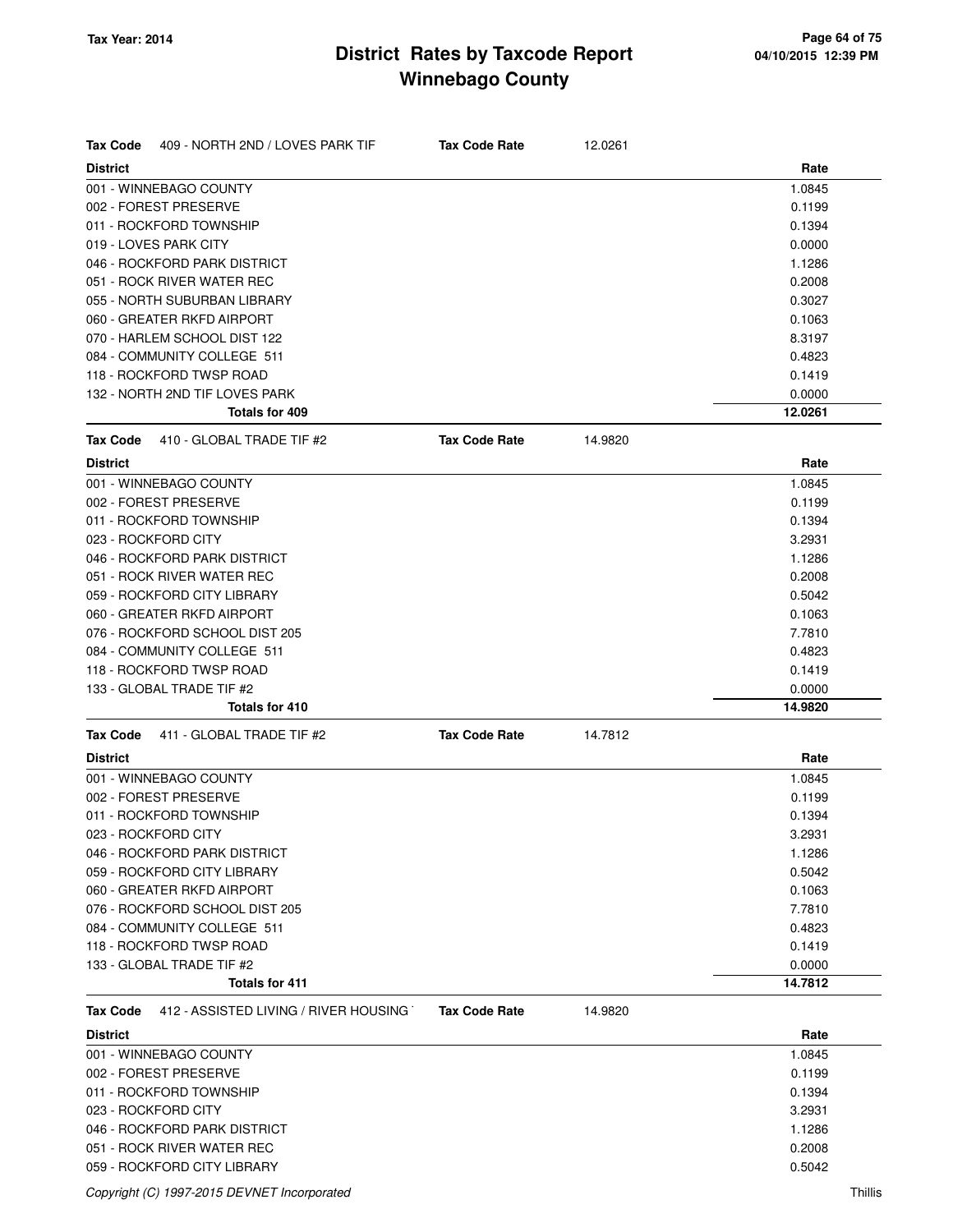| <b>Tax Code</b><br>409 - NORTH 2ND / LOVES PARK TIF      | <b>Tax Code Rate</b> | 12.0261 |         |
|----------------------------------------------------------|----------------------|---------|---------|
| <b>District</b>                                          |                      |         | Rate    |
| 001 - WINNEBAGO COUNTY                                   |                      |         | 1.0845  |
| 002 - FOREST PRESERVE                                    |                      |         | 0.1199  |
| 011 - ROCKFORD TOWNSHIP                                  |                      |         | 0.1394  |
| 019 - LOVES PARK CITY                                    |                      |         | 0.0000  |
| 046 - ROCKFORD PARK DISTRICT                             |                      |         | 1.1286  |
| 051 - ROCK RIVER WATER REC                               |                      |         | 0.2008  |
| 055 - NORTH SUBURBAN LIBRARY                             |                      |         | 0.3027  |
| 060 - GREATER RKFD AIRPORT                               |                      |         | 0.1063  |
| 070 - HARLEM SCHOOL DIST 122                             |                      |         | 8.3197  |
| 084 - COMMUNITY COLLEGE 511                              |                      |         | 0.4823  |
| 118 - ROCKFORD TWSP ROAD                                 |                      |         | 0.1419  |
| 132 - NORTH 2ND TIF LOVES PARK                           |                      |         | 0.0000  |
| Totals for 409                                           |                      |         | 12.0261 |
| <b>Tax Code</b><br>410 - GLOBAL TRADE TIF #2             | <b>Tax Code Rate</b> | 14.9820 |         |
| <b>District</b>                                          |                      |         | Rate    |
| 001 - WINNEBAGO COUNTY                                   |                      |         | 1.0845  |
| 002 - FOREST PRESERVE                                    |                      |         | 0.1199  |
| 011 - ROCKFORD TOWNSHIP                                  |                      |         | 0.1394  |
| 023 - ROCKFORD CITY                                      |                      |         | 3.2931  |
| 046 - ROCKFORD PARK DISTRICT                             |                      |         | 1.1286  |
| 051 - ROCK RIVER WATER REC                               |                      |         | 0.2008  |
| 059 - ROCKFORD CITY LIBRARY                              |                      |         | 0.5042  |
| 060 - GREATER RKFD AIRPORT                               |                      |         | 0.1063  |
| 076 - ROCKFORD SCHOOL DIST 205                           |                      |         | 7.7810  |
| 084 - COMMUNITY COLLEGE 511                              |                      |         | 0.4823  |
| 118 - ROCKFORD TWSP ROAD                                 |                      |         | 0.1419  |
| 133 - GLOBAL TRADE TIF #2                                |                      |         | 0.0000  |
| Totals for 410                                           |                      |         | 14.9820 |
| 411 - GLOBAL TRADE TIF #2<br><b>Tax Code</b>             | <b>Tax Code Rate</b> | 14.7812 |         |
| <b>District</b>                                          |                      |         | Rate    |
| 001 - WINNEBAGO COUNTY                                   |                      |         | 1.0845  |
| 002 - FOREST PRESERVE                                    |                      |         | 0.1199  |
| 011 - ROCKFORD TOWNSHIP                                  |                      |         | 0.1394  |
| 023 - ROCKFORD CITY                                      |                      |         | 3.2931  |
| 046 - ROCKFORD PARK DISTRICT                             |                      |         | 1.1286  |
| 059 - ROCKFORD CITY LIBRARY                              |                      |         | 0.5042  |
| 060 - GREATER RKFD AIRPORT                               |                      |         | 0.1063  |
| 076 - ROCKFORD SCHOOL DIST 205                           |                      |         | 7.7810  |
| 084 - COMMUNITY COLLEGE 511                              |                      |         | 0.4823  |
| 118 - ROCKFORD TWSP ROAD                                 |                      |         | 0.1419  |
| 133 - GLOBAL TRADE TIF #2                                |                      |         | 0.0000  |
| <b>Totals for 411</b>                                    |                      |         | 14.7812 |
| 412 - ASSISTED LIVING / RIVER HOUSING<br><b>Tax Code</b> | <b>Tax Code Rate</b> | 14.9820 |         |
| <b>District</b>                                          |                      |         | Rate    |
| 001 - WINNEBAGO COUNTY                                   |                      |         | 1.0845  |
|                                                          |                      |         |         |
| 002 - FOREST PRESERVE                                    |                      |         | 0.1199  |
| 011 - ROCKFORD TOWNSHIP                                  |                      |         | 0.1394  |
| 023 - ROCKFORD CITY                                      |                      |         | 3.2931  |
| 046 - ROCKFORD PARK DISTRICT                             |                      |         | 1.1286  |
| 051 - ROCK RIVER WATER REC                               |                      |         | 0.2008  |
| 059 - ROCKFORD CITY LIBRARY                              |                      |         | 0.5042  |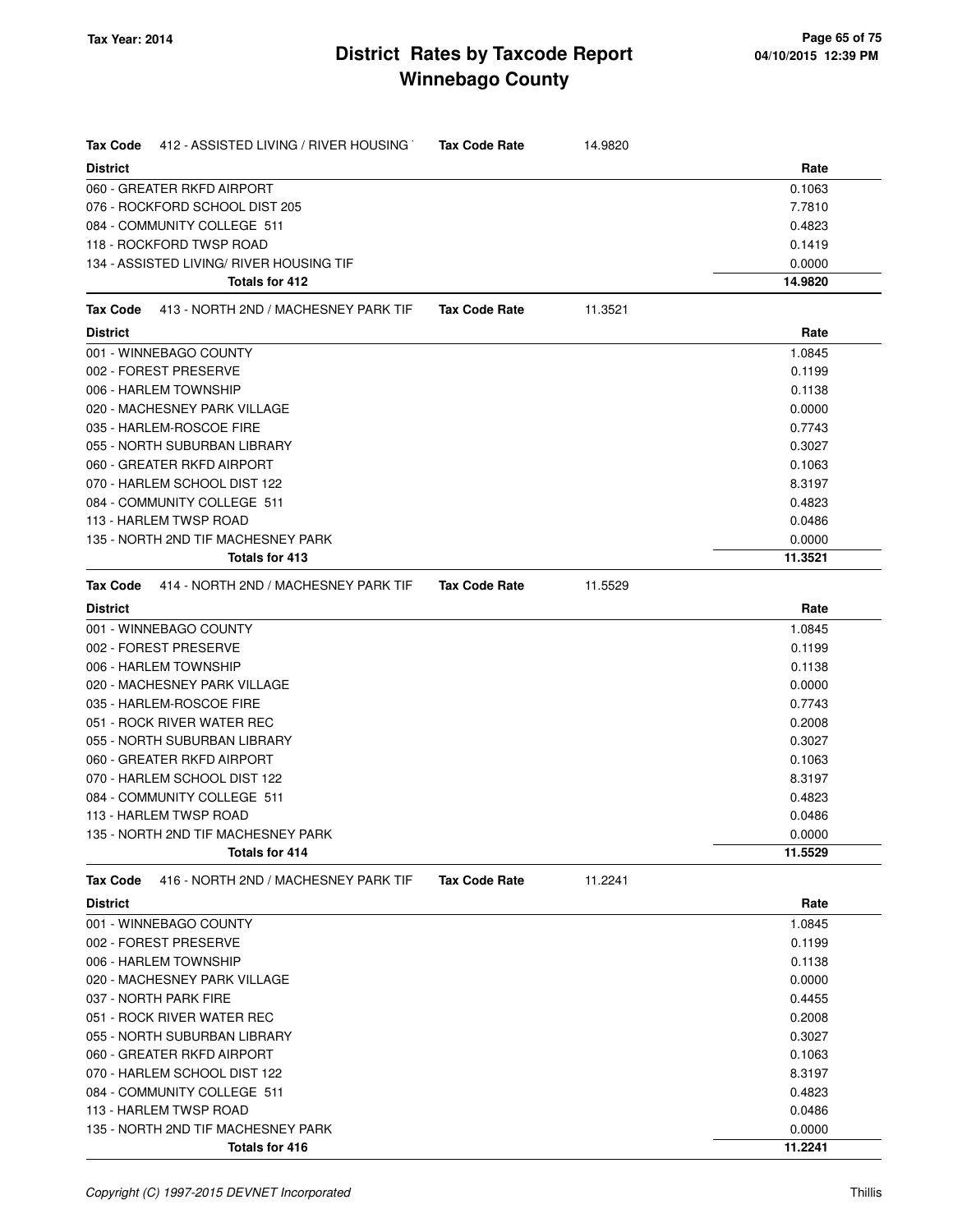| 412 - ASSISTED LIVING / RIVER HOUSING<br><b>Tax Code</b> | <b>Tax Code Rate</b> | 14.9820 |         |
|----------------------------------------------------------|----------------------|---------|---------|
| <b>District</b>                                          |                      |         | Rate    |
| 060 - GREATER RKFD AIRPORT                               |                      |         | 0.1063  |
| 076 - ROCKFORD SCHOOL DIST 205                           |                      |         | 7.7810  |
| 084 - COMMUNITY COLLEGE 511                              |                      |         | 0.4823  |
| 118 - ROCKFORD TWSP ROAD                                 |                      |         | 0.1419  |
| 134 - ASSISTED LIVING/ RIVER HOUSING TIF                 |                      |         | 0.0000  |
| Totals for 412                                           |                      |         | 14.9820 |
| 413 - NORTH 2ND / MACHESNEY PARK TIF<br>Tax Code         | <b>Tax Code Rate</b> | 11.3521 |         |
| <b>District</b>                                          |                      |         | Rate    |
| 001 - WINNEBAGO COUNTY                                   |                      |         | 1.0845  |
| 002 - FOREST PRESERVE                                    |                      |         | 0.1199  |
| 006 - HARLEM TOWNSHIP                                    |                      |         | 0.1138  |
| 020 - MACHESNEY PARK VILLAGE                             |                      |         | 0.0000  |
| 035 - HARLEM-ROSCOE FIRE                                 |                      |         | 0.7743  |
| 055 - NORTH SUBURBAN LIBRARY                             |                      |         | 0.3027  |
| 060 - GREATER RKFD AIRPORT                               |                      |         | 0.1063  |
| 070 - HARLEM SCHOOL DIST 122                             |                      |         | 8.3197  |
| 084 - COMMUNITY COLLEGE 511                              |                      |         | 0.4823  |
| 113 - HARLEM TWSP ROAD                                   |                      |         | 0.0486  |
| 135 - NORTH 2ND TIF MACHESNEY PARK                       |                      |         | 0.0000  |
| <b>Totals for 413</b>                                    |                      |         | 11.3521 |
| 414 - NORTH 2ND / MACHESNEY PARK TIF<br><b>Tax Code</b>  | <b>Tax Code Rate</b> | 11.5529 |         |
| <b>District</b>                                          |                      |         | Rate    |
| 001 - WINNEBAGO COUNTY                                   |                      |         | 1.0845  |
| 002 - FOREST PRESERVE                                    |                      |         | 0.1199  |
| 006 - HARLEM TOWNSHIP                                    |                      |         | 0.1138  |
| 020 - MACHESNEY PARK VILLAGE                             |                      |         | 0.0000  |
| 035 - HARLEM-ROSCOE FIRE                                 |                      |         | 0.7743  |
| 051 - ROCK RIVER WATER REC                               |                      |         | 0.2008  |
| 055 - NORTH SUBURBAN LIBRARY                             |                      |         | 0.3027  |
| 060 - GREATER RKFD AIRPORT                               |                      |         | 0.1063  |
| 070 - HARLEM SCHOOL DIST 122                             |                      |         | 8.3197  |
| 084 - COMMUNITY COLLEGE 511                              |                      |         | 0.4823  |
| 113 - HARLEM TWSP ROAD                                   |                      |         | 0.0486  |
| 135 - NORTH 2ND TIF MACHESNEY PARK                       |                      |         | 0.0000  |
| Totals for 414                                           |                      |         | 11.5529 |
| 416 - NORTH 2ND / MACHESNEY PARK TIF<br>Tax Code         | <b>Tax Code Rate</b> | 11.2241 |         |
| <b>District</b>                                          |                      |         | Rate    |
| 001 - WINNEBAGO COUNTY                                   |                      |         | 1.0845  |
| 002 - FOREST PRESERVE                                    |                      |         | 0.1199  |
| 006 - HARLEM TOWNSHIP                                    |                      |         | 0.1138  |
| 020 - MACHESNEY PARK VILLAGE                             |                      |         | 0.0000  |
| 037 - NORTH PARK FIRE                                    |                      |         | 0.4455  |
| 051 - ROCK RIVER WATER REC                               |                      |         | 0.2008  |
| 055 - NORTH SUBURBAN LIBRARY                             |                      |         | 0.3027  |
| 060 - GREATER RKFD AIRPORT                               |                      |         | 0.1063  |
| 070 - HARLEM SCHOOL DIST 122                             |                      |         | 8.3197  |
| 084 - COMMUNITY COLLEGE 511                              |                      |         | 0.4823  |
| 113 - HARLEM TWSP ROAD                                   |                      |         | 0.0486  |
| 135 - NORTH 2ND TIF MACHESNEY PARK                       |                      |         | 0.0000  |
| Totals for 416                                           |                      |         | 11.2241 |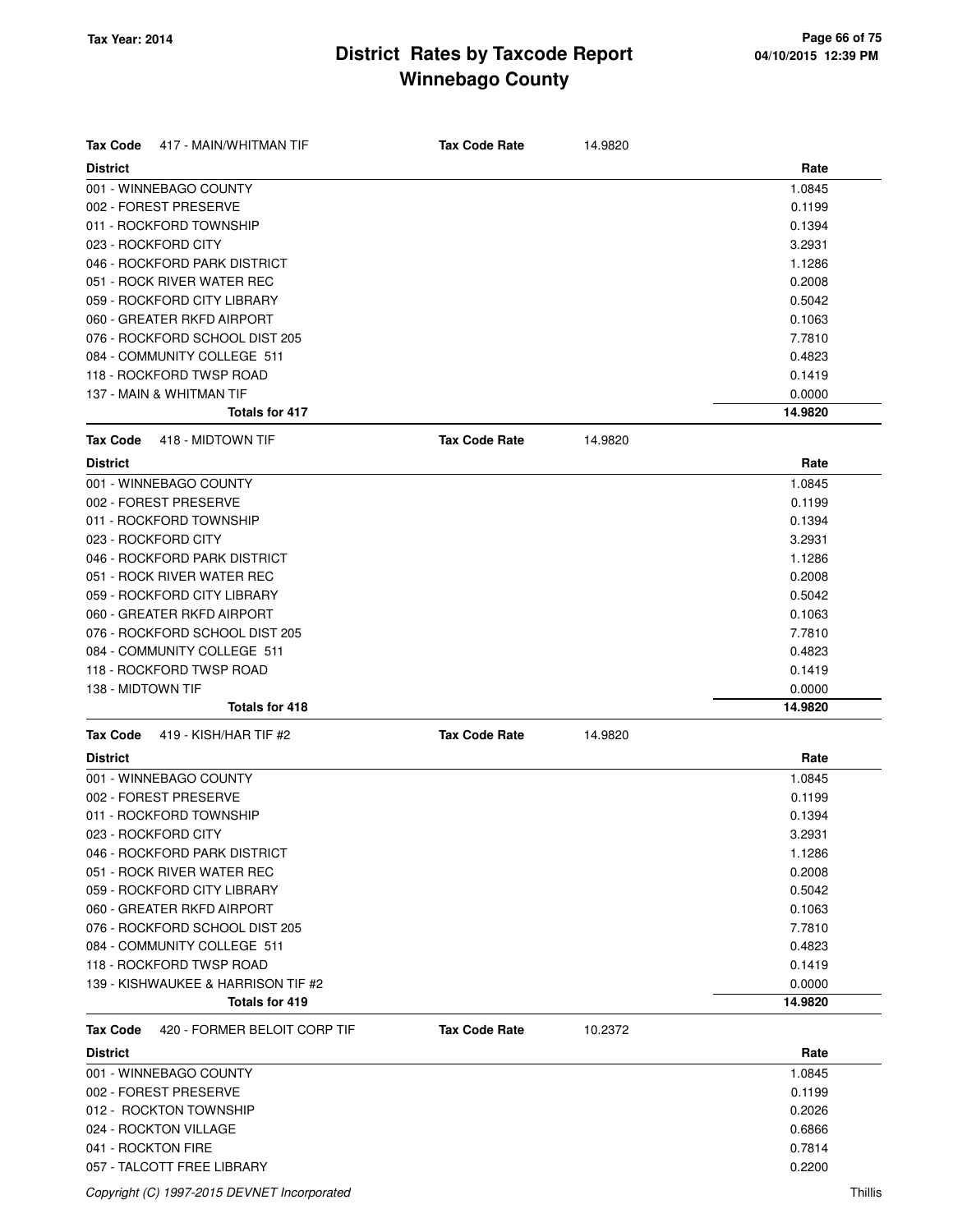| <b>Tax Code</b><br>417 - MAIN/WHITMAN TIF | <b>Tax Code Rate</b> | 14.9820 |         |
|-------------------------------------------|----------------------|---------|---------|
| <b>District</b>                           |                      |         | Rate    |
| 001 - WINNEBAGO COUNTY                    |                      |         | 1.0845  |
| 002 - FOREST PRESERVE                     |                      |         | 0.1199  |
| 011 - ROCKFORD TOWNSHIP                   |                      |         | 0.1394  |
| 023 - ROCKFORD CITY                       |                      |         | 3.2931  |
| 046 - ROCKFORD PARK DISTRICT              |                      |         | 1.1286  |
| 051 - ROCK RIVER WATER REC                |                      |         | 0.2008  |
| 059 - ROCKFORD CITY LIBRARY               |                      |         | 0.5042  |
| 060 - GREATER RKFD AIRPORT                |                      |         | 0.1063  |
| 076 - ROCKFORD SCHOOL DIST 205            |                      |         | 7.7810  |
| 084 - COMMUNITY COLLEGE 511               |                      |         | 0.4823  |
| 118 - ROCKFORD TWSP ROAD                  |                      |         | 0.1419  |
| 137 - MAIN & WHITMAN TIF                  |                      |         | 0.0000  |
| <b>Totals for 417</b>                     |                      |         | 14.9820 |
| <b>Tax Code</b><br>418 - MIDTOWN TIF      | <b>Tax Code Rate</b> | 14.9820 |         |
| <b>District</b>                           |                      |         | Rate    |
| 001 - WINNEBAGO COUNTY                    |                      |         | 1.0845  |
| 002 - FOREST PRESERVE                     |                      |         | 0.1199  |
| 011 - ROCKFORD TOWNSHIP                   |                      |         | 0.1394  |
| 023 - ROCKFORD CITY                       |                      |         | 3.2931  |
| 046 - ROCKFORD PARK DISTRICT              |                      |         | 1.1286  |
| 051 - ROCK RIVER WATER REC                |                      |         | 0.2008  |
| 059 - ROCKFORD CITY LIBRARY               |                      |         | 0.5042  |
| 060 - GREATER RKFD AIRPORT                |                      |         | 0.1063  |
| 076 - ROCKFORD SCHOOL DIST 205            |                      |         | 7.7810  |
| 084 - COMMUNITY COLLEGE 511               |                      |         | 0.4823  |
| 118 - ROCKFORD TWSP ROAD                  |                      |         | 0.1419  |
| 138 - MIDTOWN TIF                         |                      |         | 0.0000  |
| <b>Totals for 418</b>                     |                      |         | 14.9820 |
| Tax Code<br>419 - KISH/HAR TIF #2         | <b>Tax Code Rate</b> | 14.9820 |         |
| <b>District</b>                           |                      |         | Rate    |
| 001 - WINNEBAGO COUNTY                    |                      |         | 1.0845  |
| 002 - FOREST PRESERVE                     |                      |         | 0.1199  |
| 011 - ROCKFORD TOWNSHIP                   |                      |         | 0.1394  |
| 023 - ROCKFORD CITY                       |                      |         | 3.2931  |
| 046 - ROCKFORD PARK DISTRICT              |                      |         | 1.1286  |
| 051 - ROCK RIVER WATER REC                |                      |         | 0.2008  |
| 059 - ROCKFORD CITY LIBRARY               |                      |         | 0.5042  |
| 060 - GREATER RKFD AIRPORT                |                      |         | 0.1063  |
| 076 - ROCKFORD SCHOOL DIST 205            |                      |         | 7.7810  |
| 084 - COMMUNITY COLLEGE 511               |                      |         | 0.4823  |
| 118 - ROCKFORD TWSP ROAD                  |                      |         | 0.1419  |
| 139 - KISHWAUKEE & HARRISON TIF #2        |                      |         | 0.0000  |
| <b>Totals for 419</b>                     |                      |         | 14.9820 |
| 420 - FORMER BELOIT CORP TIF<br>Tax Code  | <b>Tax Code Rate</b> | 10.2372 |         |
| <b>District</b>                           |                      |         | Rate    |
| 001 - WINNEBAGO COUNTY                    |                      |         | 1.0845  |
| 002 - FOREST PRESERVE                     |                      |         | 0.1199  |
| 012 - ROCKTON TOWNSHIP                    |                      |         | 0.2026  |
| 024 - ROCKTON VILLAGE                     |                      |         | 0.6866  |
| 041 - ROCKTON FIRE                        |                      |         | 0.7814  |
| 057 - TALCOTT FREE LIBRARY                |                      |         | 0.2200  |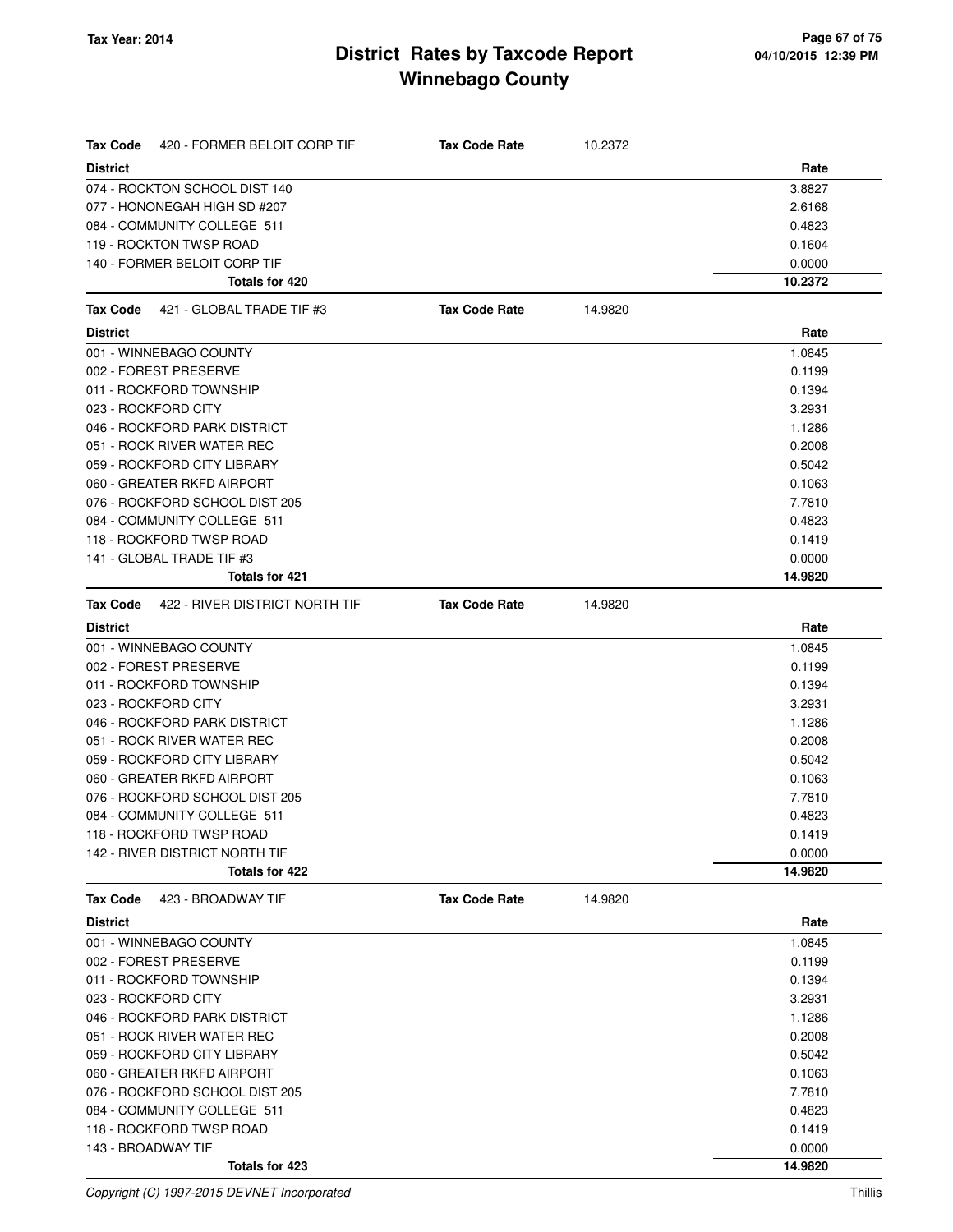| Tax Code<br>420 - FORMER BELOIT CORP TIF | <b>Tax Code Rate</b> | 10.2372 |         |
|------------------------------------------|----------------------|---------|---------|
| <b>District</b>                          |                      |         | Rate    |
| 074 - ROCKTON SCHOOL DIST 140            |                      |         | 3.8827  |
| 077 - HONONEGAH HIGH SD #207             |                      |         | 2.6168  |
| 084 - COMMUNITY COLLEGE 511              |                      |         | 0.4823  |
| 119 - ROCKTON TWSP ROAD                  |                      |         | 0.1604  |
| 140 - FORMER BELOIT CORP TIF             |                      |         | 0.0000  |
| Totals for 420                           |                      |         | 10.2372 |
| 421 - GLOBAL TRADE TIF #3<br>Tax Code    | <b>Tax Code Rate</b> | 14.9820 |         |
| <b>District</b>                          |                      |         | Rate    |
| 001 - WINNEBAGO COUNTY                   |                      |         | 1.0845  |
| 002 - FOREST PRESERVE                    |                      |         | 0.1199  |
| 011 - ROCKFORD TOWNSHIP                  |                      |         | 0.1394  |
| 023 - ROCKFORD CITY                      |                      |         | 3.2931  |
| 046 - ROCKFORD PARK DISTRICT             |                      |         | 1.1286  |
| 051 - ROCK RIVER WATER REC               |                      |         | 0.2008  |
| 059 - ROCKFORD CITY LIBRARY              |                      |         | 0.5042  |
| 060 - GREATER RKFD AIRPORT               |                      |         | 0.1063  |
| 076 - ROCKFORD SCHOOL DIST 205           |                      |         | 7.7810  |
| 084 - COMMUNITY COLLEGE 511              |                      |         | 0.4823  |
| 118 - ROCKFORD TWSP ROAD                 |                      |         | 0.1419  |
| 141 - GLOBAL TRADE TIF #3                |                      |         | 0.0000  |
| <b>Totals for 421</b>                    |                      |         | 14.9820 |
| Tax Code 422 - RIVER DISTRICT NORTH TIF  | <b>Tax Code Rate</b> | 14.9820 |         |
| <b>District</b>                          |                      |         | Rate    |
| 001 - WINNEBAGO COUNTY                   |                      |         | 1.0845  |
| 002 - FOREST PRESERVE                    |                      |         | 0.1199  |
| 011 - ROCKFORD TOWNSHIP                  |                      |         | 0.1394  |
| 023 - ROCKFORD CITY                      |                      |         | 3.2931  |
| 046 - ROCKFORD PARK DISTRICT             |                      |         | 1.1286  |
| 051 - ROCK RIVER WATER REC               |                      |         | 0.2008  |
| 059 - ROCKFORD CITY LIBRARY              |                      |         | 0.5042  |
| 060 - GREATER RKFD AIRPORT               |                      |         | 0.1063  |
| 076 - ROCKFORD SCHOOL DIST 205           |                      |         | 7.7810  |
| 084 - COMMUNITY COLLEGE 511              |                      |         | 0.4823  |
| 118 - ROCKFORD TWSP ROAD                 |                      |         | 0.1419  |
| 142 - RIVER DISTRICT NORTH TIF           |                      |         | 0.0000  |
| Totals for 422                           |                      |         | 14.9820 |
| 423 - BROADWAY TIF<br><b>Tax Code</b>    | <b>Tax Code Rate</b> | 14.9820 |         |
| <b>District</b>                          |                      |         | Rate    |
| 001 - WINNEBAGO COUNTY                   |                      |         | 1.0845  |
| 002 - FOREST PRESERVE                    |                      |         | 0.1199  |
| 011 - ROCKFORD TOWNSHIP                  |                      |         | 0.1394  |
| 023 - ROCKFORD CITY                      |                      |         | 3.2931  |
| 046 - ROCKFORD PARK DISTRICT             |                      |         | 1.1286  |
| 051 - ROCK RIVER WATER REC               |                      |         | 0.2008  |
| 059 - ROCKFORD CITY LIBRARY              |                      |         | 0.5042  |
| 060 - GREATER RKFD AIRPORT               |                      |         | 0.1063  |
| 076 - ROCKFORD SCHOOL DIST 205           |                      |         | 7.7810  |
| 084 - COMMUNITY COLLEGE 511              |                      |         | 0.4823  |
| 118 - ROCKFORD TWSP ROAD                 |                      |         | 0.1419  |
| 143 - BROADWAY TIF                       |                      |         | 0.0000  |
| Totals for 423                           |                      |         | 14.9820 |

Copyright (C) 1997-2015 DEVNET Incorporated Thillis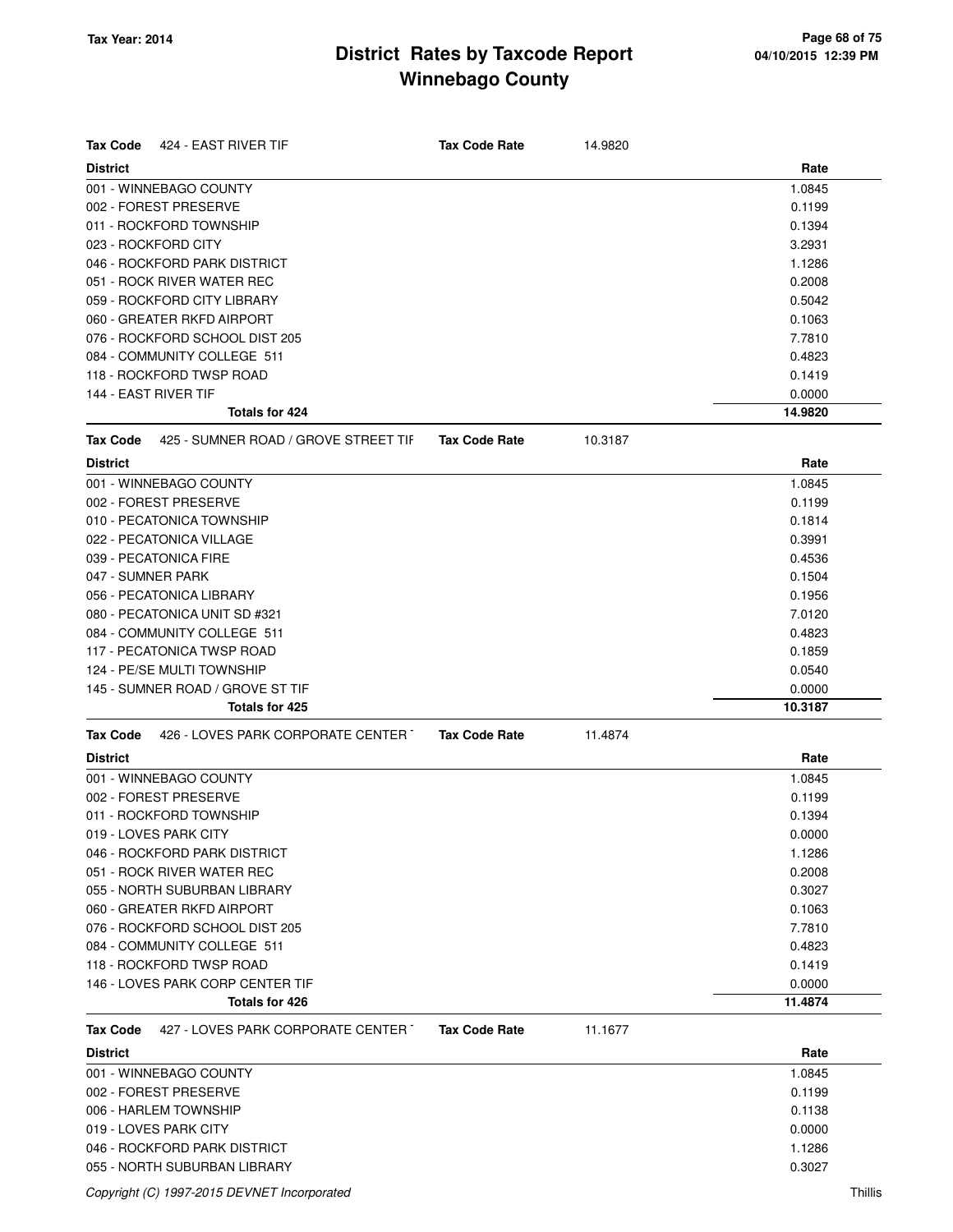| <b>Tax Code</b><br>424 - EAST RIVER TIF                 | <b>Tax Code Rate</b> | 14.9820 |         |
|---------------------------------------------------------|----------------------|---------|---------|
| <b>District</b>                                         |                      |         | Rate    |
| 001 - WINNEBAGO COUNTY                                  |                      |         | 1.0845  |
| 002 - FOREST PRESERVE                                   |                      |         | 0.1199  |
| 011 - ROCKFORD TOWNSHIP                                 |                      |         | 0.1394  |
| 023 - ROCKFORD CITY                                     |                      |         | 3.2931  |
| 046 - ROCKFORD PARK DISTRICT                            |                      |         | 1.1286  |
| 051 - ROCK RIVER WATER REC                              |                      |         | 0.2008  |
| 059 - ROCKFORD CITY LIBRARY                             |                      |         | 0.5042  |
| 060 - GREATER RKFD AIRPORT                              |                      |         | 0.1063  |
| 076 - ROCKFORD SCHOOL DIST 205                          |                      |         | 7.7810  |
| 084 - COMMUNITY COLLEGE 511                             |                      |         | 0.4823  |
| 118 - ROCKFORD TWSP ROAD                                |                      |         | 0.1419  |
| 144 - EAST RIVER TIF                                    |                      |         | 0.0000  |
| <b>Totals for 424</b>                                   |                      |         | 14.9820 |
| 425 - SUMNER ROAD / GROVE STREET TIF<br><b>Tax Code</b> | <b>Tax Code Rate</b> | 10.3187 |         |
| <b>District</b>                                         |                      |         | Rate    |
| 001 - WINNEBAGO COUNTY                                  |                      |         | 1.0845  |
| 002 - FOREST PRESERVE                                   |                      |         | 0.1199  |
| 010 - PECATONICA TOWNSHIP                               |                      |         | 0.1814  |
| 022 - PECATONICA VILLAGE                                |                      |         | 0.3991  |
| 039 - PECATONICA FIRE                                   |                      |         | 0.4536  |
| 047 - SUMNER PARK                                       |                      |         | 0.1504  |
| 056 - PECATONICA LIBRARY                                |                      |         | 0.1956  |
| 080 - PECATONICA UNIT SD #321                           |                      |         | 7.0120  |
| 084 - COMMUNITY COLLEGE 511                             |                      |         | 0.4823  |
| 117 - PECATONICA TWSP ROAD                              |                      |         | 0.1859  |
| 124 - PE/SE MULTI TOWNSHIP                              |                      |         | 0.0540  |
| 145 - SUMNER ROAD / GROVE ST TIF                        |                      |         | 0.0000  |
| Totals for 425                                          |                      |         | 10.3187 |
| 426 - LOVES PARK CORPORATE CENTER T<br><b>Tax Code</b>  | <b>Tax Code Rate</b> | 11.4874 |         |
| <b>District</b>                                         |                      |         | Rate    |
| 001 - WINNEBAGO COUNTY                                  |                      |         | 1.0845  |
| 002 - FOREST PRESERVE                                   |                      |         | 0.1199  |
| 011 - ROCKFORD TOWNSHIP                                 |                      |         | 0.1394  |
| 019 - LOVES PARK CITY                                   |                      |         | 0.0000  |
| 046 - ROCKFORD PARK DISTRICT                            |                      |         | 1.1286  |
| 051 - ROCK RIVER WATER REC                              |                      |         | 0.2008  |
| 055 - NORTH SUBURBAN LIBRARY                            |                      |         | 0.3027  |
| 060 - GREATER RKFD AIRPORT                              |                      |         | 0.1063  |
| 076 - ROCKFORD SCHOOL DIST 205                          |                      |         | 7.7810  |
| 084 - COMMUNITY COLLEGE 511                             |                      |         | 0.4823  |
| 118 - ROCKFORD TWSP ROAD                                |                      |         | 0.1419  |
| 146 - LOVES PARK CORP CENTER TIF                        |                      |         | 0.0000  |
| Totals for 426                                          |                      |         | 11.4874 |
| 427 - LOVES PARK CORPORATE CENTER<br><b>Tax Code</b>    | <b>Tax Code Rate</b> | 11.1677 |         |
| <b>District</b>                                         |                      |         | Rate    |
| 001 - WINNEBAGO COUNTY                                  |                      |         | 1.0845  |
| 002 - FOREST PRESERVE                                   |                      |         | 0.1199  |
| 006 - HARLEM TOWNSHIP                                   |                      |         | 0.1138  |
| 019 - LOVES PARK CITY                                   |                      |         | 0.0000  |
| 046 - ROCKFORD PARK DISTRICT                            |                      |         | 1.1286  |
| 055 - NORTH SUBURBAN LIBRARY                            |                      |         | 0.3027  |
|                                                         |                      |         |         |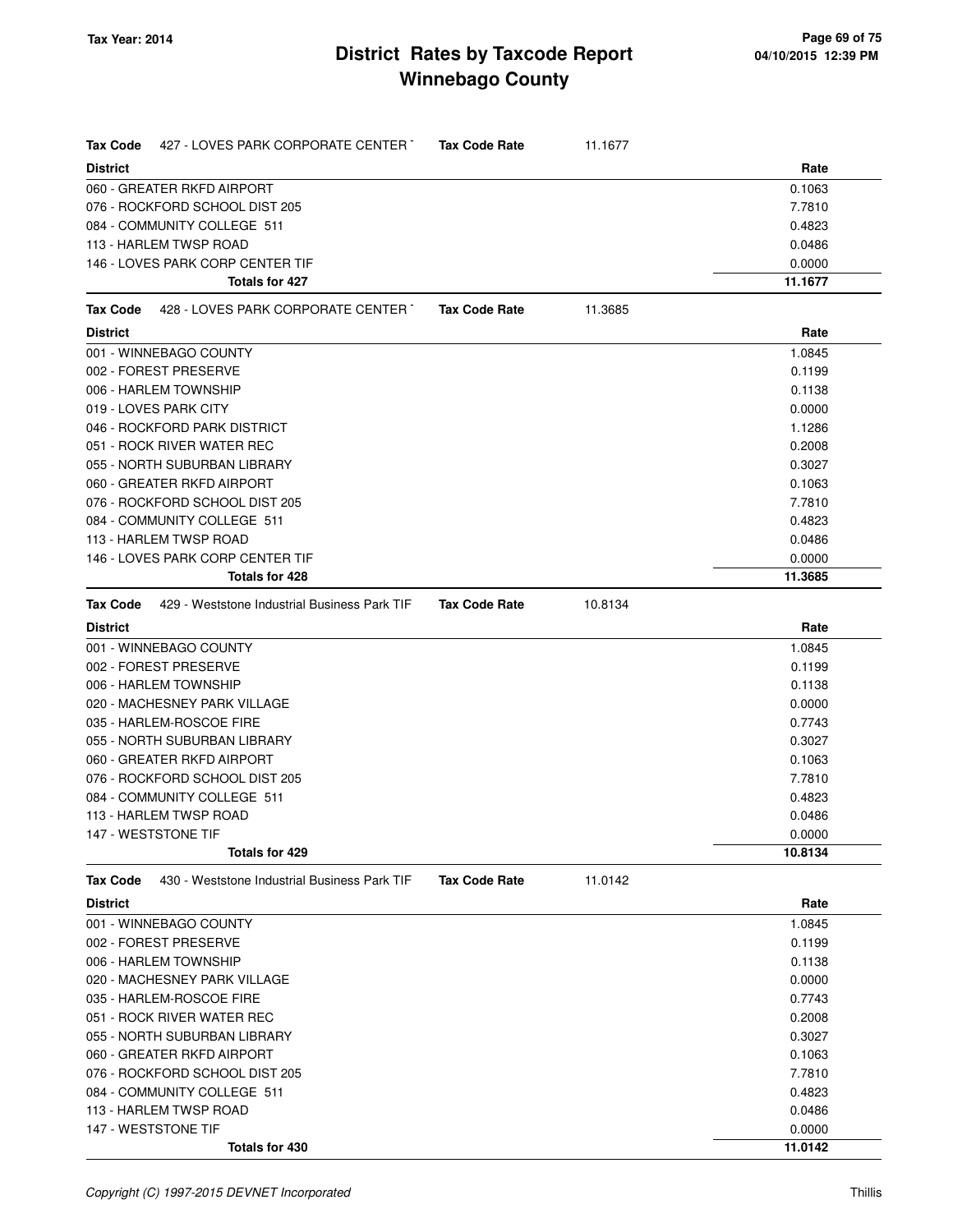| 427 - LOVES PARK CORPORATE CENTER T<br>Tax Code          | <b>Tax Code Rate</b> | 11.1677 |         |
|----------------------------------------------------------|----------------------|---------|---------|
| <b>District</b>                                          |                      |         | Rate    |
| 060 - GREATER RKFD AIRPORT                               |                      |         | 0.1063  |
| 076 - ROCKFORD SCHOOL DIST 205                           |                      |         | 7.7810  |
| 084 - COMMUNITY COLLEGE 511                              |                      |         | 0.4823  |
| 113 - HARLEM TWSP ROAD                                   |                      |         | 0.0486  |
| 146 - LOVES PARK CORP CENTER TIF                         |                      |         | 0.0000  |
| <b>Totals for 427</b>                                    |                      |         | 11.1677 |
| 428 - LOVES PARK CORPORATE CENTER T<br>Tax Code          | <b>Tax Code Rate</b> | 11.3685 |         |
| <b>District</b>                                          |                      |         | Rate    |
| 001 - WINNEBAGO COUNTY                                   |                      |         | 1.0845  |
| 002 - FOREST PRESERVE                                    |                      |         | 0.1199  |
| 006 - HARLEM TOWNSHIP                                    |                      |         | 0.1138  |
| 019 - LOVES PARK CITY                                    |                      |         | 0.0000  |
| 046 - ROCKFORD PARK DISTRICT                             |                      |         | 1.1286  |
| 051 - ROCK RIVER WATER REC                               |                      |         | 0.2008  |
| 055 - NORTH SUBURBAN LIBRARY                             |                      |         | 0.3027  |
| 060 - GREATER RKFD AIRPORT                               |                      |         | 0.1063  |
| 076 - ROCKFORD SCHOOL DIST 205                           |                      |         | 7.7810  |
| 084 - COMMUNITY COLLEGE 511                              |                      |         | 0.4823  |
| 113 - HARLEM TWSP ROAD                                   |                      |         | 0.0486  |
| 146 - LOVES PARK CORP CENTER TIF                         |                      |         | 0.0000  |
| <b>Totals for 428</b>                                    |                      |         | 11.3685 |
| 429 - Weststone Industrial Business Park TIF<br>Tax Code | <b>Tax Code Rate</b> | 10.8134 |         |
| <b>District</b>                                          |                      |         | Rate    |
| 001 - WINNEBAGO COUNTY                                   |                      |         | 1.0845  |
| 002 - FOREST PRESERVE                                    |                      |         | 0.1199  |
| 006 - HARLEM TOWNSHIP                                    |                      |         | 0.1138  |
| 020 - MACHESNEY PARK VILLAGE                             |                      |         | 0.0000  |
| 035 - HARLEM-ROSCOE FIRE                                 |                      |         | 0.7743  |
| 055 - NORTH SUBURBAN LIBRARY                             |                      |         | 0.3027  |
| 060 - GREATER RKFD AIRPORT                               |                      |         | 0.1063  |
| 076 - ROCKFORD SCHOOL DIST 205                           |                      |         | 7.7810  |
| 084 - COMMUNITY COLLEGE 511                              |                      |         | 0.4823  |
| 113 - HARLEM TWSP ROAD                                   |                      |         | 0.0486  |
| 147 - WESTSTONE TIF                                      |                      |         | 0.0000  |
| Totals for 429                                           |                      |         | 10.8134 |
| 430 - Weststone Industrial Business Park TIF<br>Tax Code | <b>Tax Code Rate</b> | 11.0142 |         |
| <b>District</b>                                          |                      |         | Rate    |
| 001 - WINNEBAGO COUNTY                                   |                      |         | 1.0845  |
| 002 - FOREST PRESERVE                                    |                      |         | 0.1199  |
| 006 - HARLEM TOWNSHIP                                    |                      |         | 0.1138  |
| 020 - MACHESNEY PARK VILLAGE                             |                      |         | 0.0000  |
| 035 - HARLEM-ROSCOE FIRE                                 |                      |         | 0.7743  |
| 051 - ROCK RIVER WATER REC                               |                      |         | 0.2008  |
| 055 - NORTH SUBURBAN LIBRARY                             |                      |         | 0.3027  |
| 060 - GREATER RKFD AIRPORT                               |                      |         | 0.1063  |
| 076 - ROCKFORD SCHOOL DIST 205                           |                      |         | 7.7810  |
| 084 - COMMUNITY COLLEGE 511                              |                      |         | 0.4823  |
| 113 - HARLEM TWSP ROAD                                   |                      |         | 0.0486  |
| 147 - WESTSTONE TIF                                      |                      |         | 0.0000  |
| Totals for 430                                           |                      |         | 11.0142 |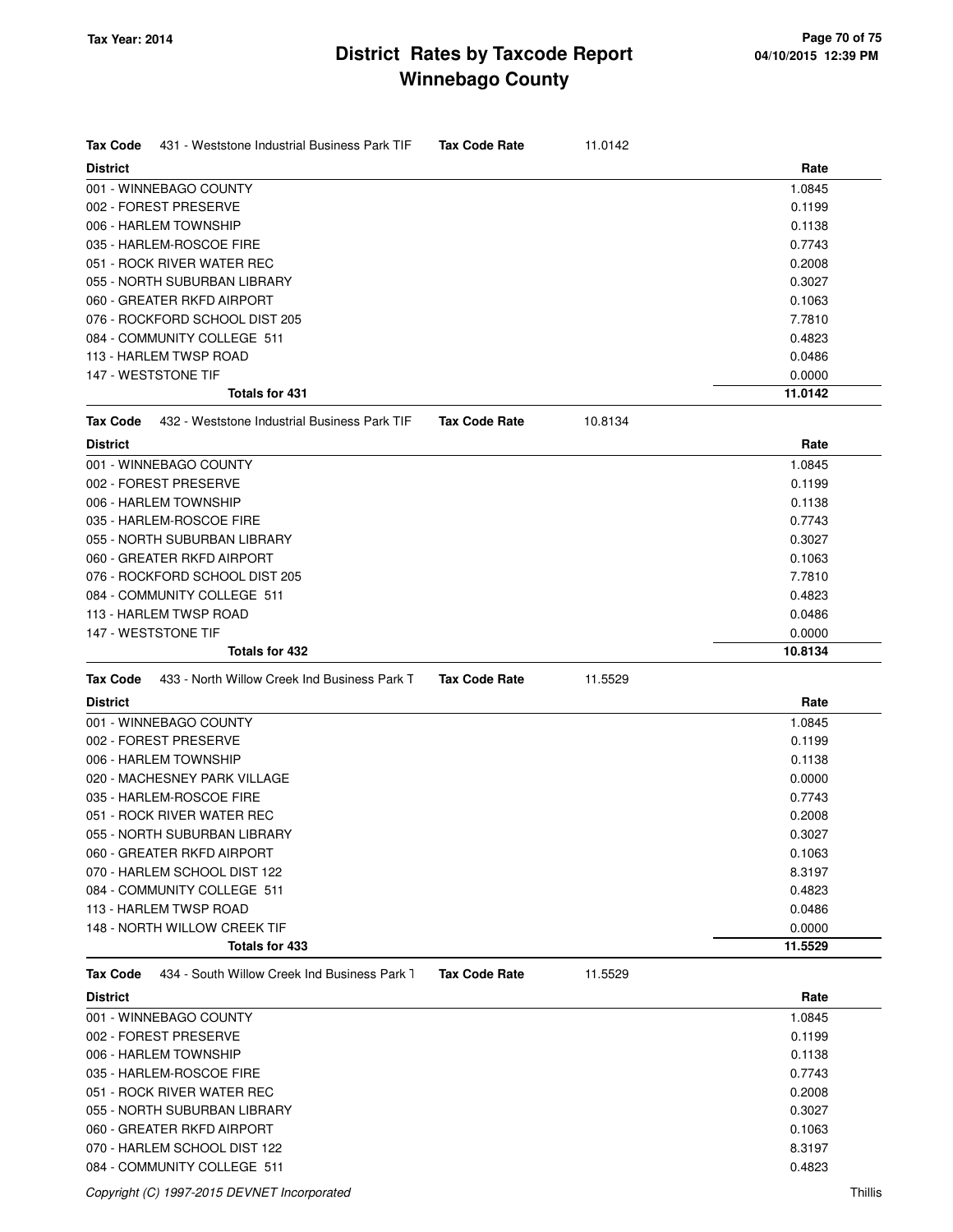| Tax Code<br>431 - Weststone Industrial Business Park TIF | <b>Tax Code Rate</b> | 11.0142 |         |
|----------------------------------------------------------|----------------------|---------|---------|
| <b>District</b>                                          |                      |         | Rate    |
| 001 - WINNEBAGO COUNTY                                   |                      |         | 1.0845  |
| 002 - FOREST PRESERVE                                    |                      |         | 0.1199  |
| 006 - HARLEM TOWNSHIP                                    |                      |         | 0.1138  |
| 035 - HARLEM-ROSCOE FIRE                                 |                      |         | 0.7743  |
| 051 - ROCK RIVER WATER REC                               |                      |         | 0.2008  |
| 055 - NORTH SUBURBAN LIBRARY                             |                      |         | 0.3027  |
| 060 - GREATER RKFD AIRPORT                               |                      |         | 0.1063  |
| 076 - ROCKFORD SCHOOL DIST 205                           |                      |         | 7.7810  |
| 084 - COMMUNITY COLLEGE 511                              |                      |         | 0.4823  |
| 113 - HARLEM TWSP ROAD                                   |                      |         | 0.0486  |
| 147 - WESTSTONE TIF                                      |                      |         | 0.0000  |
| <b>Totals for 431</b>                                    |                      |         | 11.0142 |
| 432 - Weststone Industrial Business Park TIF<br>Tax Code | <b>Tax Code Rate</b> | 10.8134 |         |
| <b>District</b>                                          |                      |         | Rate    |
| 001 - WINNEBAGO COUNTY                                   |                      |         | 1.0845  |
| 002 - FOREST PRESERVE                                    |                      |         | 0.1199  |
| 006 - HARLEM TOWNSHIP                                    |                      |         | 0.1138  |
| 035 - HARLEM-ROSCOE FIRE                                 |                      |         | 0.7743  |
| 055 - NORTH SUBURBAN LIBRARY                             |                      |         | 0.3027  |
| 060 - GREATER RKFD AIRPORT                               |                      |         | 0.1063  |
| 076 - ROCKFORD SCHOOL DIST 205                           |                      |         | 7.7810  |
| 084 - COMMUNITY COLLEGE 511                              |                      |         | 0.4823  |
| 113 - HARLEM TWSP ROAD                                   |                      |         | 0.0486  |
| 147 - WESTSTONE TIF                                      |                      |         | 0.0000  |
| <b>Totals for 432</b>                                    |                      |         | 10.8134 |
| Tax Code<br>433 - North Willow Creek Ind Business Park T | <b>Tax Code Rate</b> | 11.5529 |         |
| <b>District</b>                                          |                      |         | Rate    |
| 001 - WINNEBAGO COUNTY                                   |                      |         | 1.0845  |
| 002 - FOREST PRESERVE                                    |                      |         | 0.1199  |
| 006 - HARLEM TOWNSHIP                                    |                      |         | 0.1138  |
| 020 - MACHESNEY PARK VILLAGE                             |                      |         | 0.0000  |
| 035 - HARLEM-ROSCOE FIRE                                 |                      |         | 0.7743  |
| 051 - ROCK RIVER WATER REC                               |                      |         | 0.2008  |
| 055 - NORTH SUBURBAN LIBRARY                             |                      |         | 0.3027  |
| 060 - GREATER RKFD AIRPORT                               |                      |         | 0.1063  |
| 070 - HARLEM SCHOOL DIST 122                             |                      |         | 8.3197  |
| 084 - COMMUNITY COLLEGE 511                              |                      |         | 0.4823  |
| 113 - HARLEM TWSP ROAD                                   |                      |         | 0.0486  |
| 148 - NORTH WILLOW CREEK TIF                             |                      |         | 0.0000  |
| Totals for 433                                           |                      |         | 11.5529 |
| 434 - South Willow Creek Ind Business Park 1<br>Tax Code | <b>Tax Code Rate</b> | 11.5529 |         |
| <b>District</b>                                          |                      |         | Rate    |
| 001 - WINNEBAGO COUNTY                                   |                      |         | 1.0845  |
| 002 - FOREST PRESERVE                                    |                      |         | 0.1199  |
| 006 - HARLEM TOWNSHIP                                    |                      |         | 0.1138  |
| 035 - HARLEM-ROSCOE FIRE                                 |                      |         | 0.7743  |
| 051 - ROCK RIVER WATER REC                               |                      |         | 0.2008  |
| 055 - NORTH SUBURBAN LIBRARY                             |                      |         | 0.3027  |
| 060 - GREATER RKFD AIRPORT                               |                      |         | 0.1063  |
| 070 - HARLEM SCHOOL DIST 122                             |                      |         | 8.3197  |
| 084 - COMMUNITY COLLEGE 511                              |                      |         | 0.4823  |
|                                                          |                      |         |         |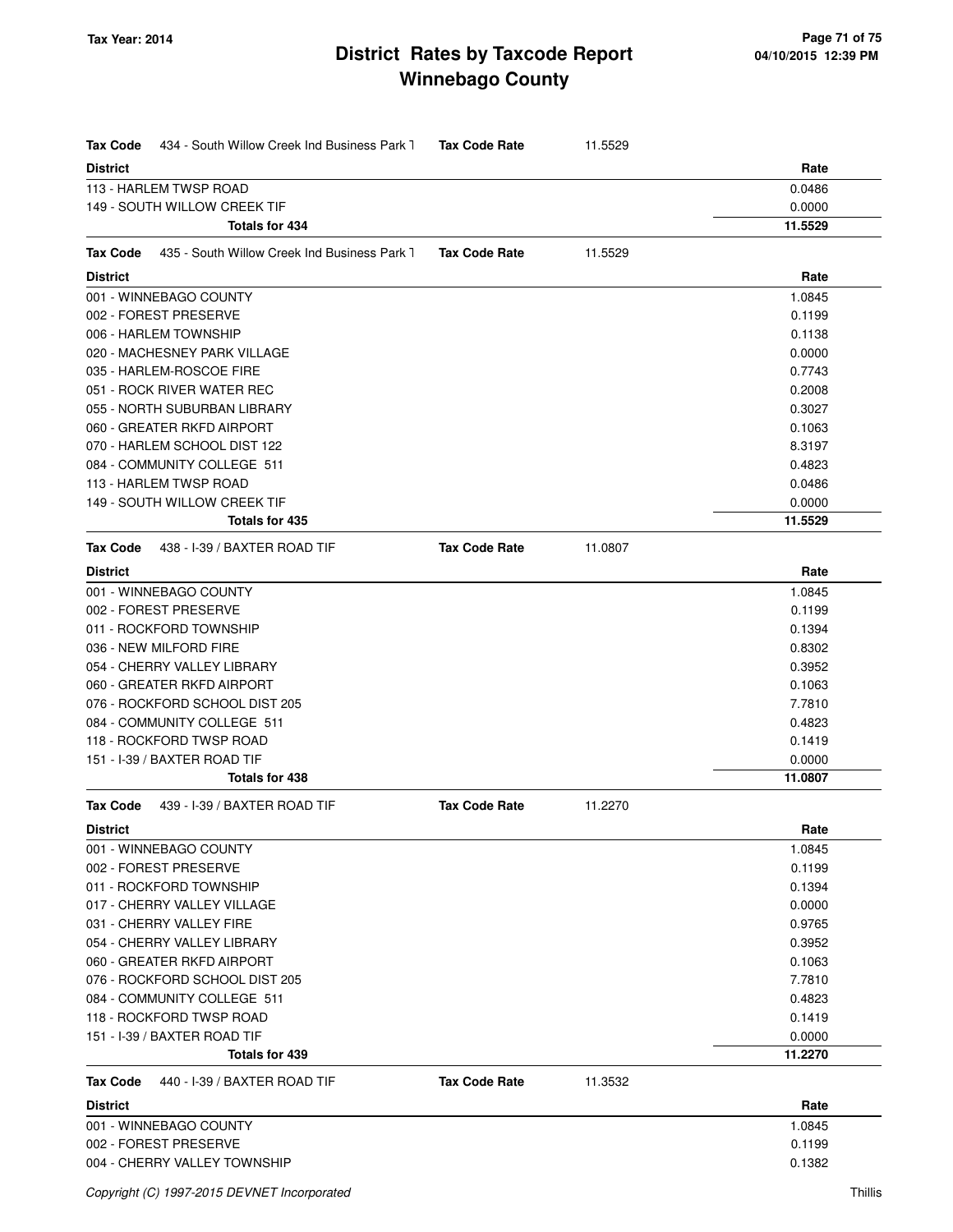| <b>District</b><br>Rate<br>113 - HARLEM TWSP ROAD<br>0.0486<br>149 - SOUTH WILLOW CREEK TIF<br>0.0000<br>Totals for 434<br>11.5529<br><b>Tax Code</b><br>435 - South Willow Creek Ind Business Park 1<br><b>Tax Code Rate</b><br>11.5529<br><b>District</b><br>Rate<br>001 - WINNEBAGO COUNTY<br>1.0845<br>002 - FOREST PRESERVE<br>0.1199<br>006 - HARLEM TOWNSHIP<br>0.1138<br>020 - MACHESNEY PARK VILLAGE<br>0.0000<br>035 - HARLEM-ROSCOE FIRE<br>0.7743<br>051 - ROCK RIVER WATER REC<br>0.2008<br>055 - NORTH SUBURBAN LIBRARY<br>0.3027<br>060 - GREATER RKFD AIRPORT<br>0.1063<br>070 - HARLEM SCHOOL DIST 122<br>8.3197<br>084 - COMMUNITY COLLEGE 511<br>0.4823<br>113 - HARLEM TWSP ROAD<br>0.0486<br>149 - SOUTH WILLOW CREEK TIF<br>0.0000<br>11.5529<br>Totals for 435<br>438 - I-39 / BAXTER ROAD TIF<br><b>Tax Code Rate</b><br>11.0807<br><b>Tax Code</b><br><b>District</b><br>Rate<br>1.0845<br>001 - WINNEBAGO COUNTY<br>002 - FOREST PRESERVE<br>0.1199<br>011 - ROCKFORD TOWNSHIP<br>0.1394<br>036 - NEW MILFORD FIRE<br>0.8302<br>054 - CHERRY VALLEY LIBRARY<br>0.3952<br>060 - GREATER RKFD AIRPORT<br>0.1063<br>076 - ROCKFORD SCHOOL DIST 205<br>7.7810<br>084 - COMMUNITY COLLEGE 511<br>0.4823<br>118 - ROCKFORD TWSP ROAD<br>0.1419<br>151 - I-39 / BAXTER ROAD TIF<br>0.0000<br>11.0807<br>Totals for 438<br><b>Tax Code Rate</b><br>439 - I-39 / BAXTER ROAD TIF<br>11.2270<br><b>Tax Code</b><br><b>District</b><br>Rate<br>001 - WINNEBAGO COUNTY<br>1.0845<br>002 - FOREST PRESERVE<br>0.1199<br>011 - ROCKFORD TOWNSHIP<br>0.1394<br>017 - CHERRY VALLEY VILLAGE<br>0.0000<br>031 - CHERRY VALLEY FIRE<br>0.9765<br>054 - CHERRY VALLEY LIBRARY<br>0.3952<br>060 - GREATER RKFD AIRPORT<br>0.1063<br>076 - ROCKFORD SCHOOL DIST 205<br>7.7810<br>084 - COMMUNITY COLLEGE 511<br>0.4823<br>118 - ROCKFORD TWSP ROAD<br>0.1419<br>151 - I-39 / BAXTER ROAD TIF<br>0.0000<br>11.2270<br>Totals for 439<br><b>Tax Code Rate</b><br><b>Tax Code</b><br>440 - I-39 / BAXTER ROAD TIF<br>11.3532<br><b>District</b><br>Rate<br>001 - WINNEBAGO COUNTY<br>1.0845<br>002 - FOREST PRESERVE<br>0.1199<br>004 - CHERRY VALLEY TOWNSHIP<br>0.1382 | <b>Tax Code</b><br>434 - South Willow Creek Ind Business Park 1 | <b>Tax Code Rate</b> | 11.5529 |  |
|----------------------------------------------------------------------------------------------------------------------------------------------------------------------------------------------------------------------------------------------------------------------------------------------------------------------------------------------------------------------------------------------------------------------------------------------------------------------------------------------------------------------------------------------------------------------------------------------------------------------------------------------------------------------------------------------------------------------------------------------------------------------------------------------------------------------------------------------------------------------------------------------------------------------------------------------------------------------------------------------------------------------------------------------------------------------------------------------------------------------------------------------------------------------------------------------------------------------------------------------------------------------------------------------------------------------------------------------------------------------------------------------------------------------------------------------------------------------------------------------------------------------------------------------------------------------------------------------------------------------------------------------------------------------------------------------------------------------------------------------------------------------------------------------------------------------------------------------------------------------------------------------------------------------------------------------------------------------------------------------------------------------------------------------------------------------------------------------------------------------------------------------------------------------------|-----------------------------------------------------------------|----------------------|---------|--|
|                                                                                                                                                                                                                                                                                                                                                                                                                                                                                                                                                                                                                                                                                                                                                                                                                                                                                                                                                                                                                                                                                                                                                                                                                                                                                                                                                                                                                                                                                                                                                                                                                                                                                                                                                                                                                                                                                                                                                                                                                                                                                                                                                                            |                                                                 |                      |         |  |
|                                                                                                                                                                                                                                                                                                                                                                                                                                                                                                                                                                                                                                                                                                                                                                                                                                                                                                                                                                                                                                                                                                                                                                                                                                                                                                                                                                                                                                                                                                                                                                                                                                                                                                                                                                                                                                                                                                                                                                                                                                                                                                                                                                            |                                                                 |                      |         |  |
|                                                                                                                                                                                                                                                                                                                                                                                                                                                                                                                                                                                                                                                                                                                                                                                                                                                                                                                                                                                                                                                                                                                                                                                                                                                                                                                                                                                                                                                                                                                                                                                                                                                                                                                                                                                                                                                                                                                                                                                                                                                                                                                                                                            |                                                                 |                      |         |  |
|                                                                                                                                                                                                                                                                                                                                                                                                                                                                                                                                                                                                                                                                                                                                                                                                                                                                                                                                                                                                                                                                                                                                                                                                                                                                                                                                                                                                                                                                                                                                                                                                                                                                                                                                                                                                                                                                                                                                                                                                                                                                                                                                                                            |                                                                 |                      |         |  |
|                                                                                                                                                                                                                                                                                                                                                                                                                                                                                                                                                                                                                                                                                                                                                                                                                                                                                                                                                                                                                                                                                                                                                                                                                                                                                                                                                                                                                                                                                                                                                                                                                                                                                                                                                                                                                                                                                                                                                                                                                                                                                                                                                                            |                                                                 |                      |         |  |
|                                                                                                                                                                                                                                                                                                                                                                                                                                                                                                                                                                                                                                                                                                                                                                                                                                                                                                                                                                                                                                                                                                                                                                                                                                                                                                                                                                                                                                                                                                                                                                                                                                                                                                                                                                                                                                                                                                                                                                                                                                                                                                                                                                            |                                                                 |                      |         |  |
|                                                                                                                                                                                                                                                                                                                                                                                                                                                                                                                                                                                                                                                                                                                                                                                                                                                                                                                                                                                                                                                                                                                                                                                                                                                                                                                                                                                                                                                                                                                                                                                                                                                                                                                                                                                                                                                                                                                                                                                                                                                                                                                                                                            |                                                                 |                      |         |  |
|                                                                                                                                                                                                                                                                                                                                                                                                                                                                                                                                                                                                                                                                                                                                                                                                                                                                                                                                                                                                                                                                                                                                                                                                                                                                                                                                                                                                                                                                                                                                                                                                                                                                                                                                                                                                                                                                                                                                                                                                                                                                                                                                                                            |                                                                 |                      |         |  |
|                                                                                                                                                                                                                                                                                                                                                                                                                                                                                                                                                                                                                                                                                                                                                                                                                                                                                                                                                                                                                                                                                                                                                                                                                                                                                                                                                                                                                                                                                                                                                                                                                                                                                                                                                                                                                                                                                                                                                                                                                                                                                                                                                                            |                                                                 |                      |         |  |
|                                                                                                                                                                                                                                                                                                                                                                                                                                                                                                                                                                                                                                                                                                                                                                                                                                                                                                                                                                                                                                                                                                                                                                                                                                                                                                                                                                                                                                                                                                                                                                                                                                                                                                                                                                                                                                                                                                                                                                                                                                                                                                                                                                            |                                                                 |                      |         |  |
|                                                                                                                                                                                                                                                                                                                                                                                                                                                                                                                                                                                                                                                                                                                                                                                                                                                                                                                                                                                                                                                                                                                                                                                                                                                                                                                                                                                                                                                                                                                                                                                                                                                                                                                                                                                                                                                                                                                                                                                                                                                                                                                                                                            |                                                                 |                      |         |  |
|                                                                                                                                                                                                                                                                                                                                                                                                                                                                                                                                                                                                                                                                                                                                                                                                                                                                                                                                                                                                                                                                                                                                                                                                                                                                                                                                                                                                                                                                                                                                                                                                                                                                                                                                                                                                                                                                                                                                                                                                                                                                                                                                                                            |                                                                 |                      |         |  |
|                                                                                                                                                                                                                                                                                                                                                                                                                                                                                                                                                                                                                                                                                                                                                                                                                                                                                                                                                                                                                                                                                                                                                                                                                                                                                                                                                                                                                                                                                                                                                                                                                                                                                                                                                                                                                                                                                                                                                                                                                                                                                                                                                                            |                                                                 |                      |         |  |
|                                                                                                                                                                                                                                                                                                                                                                                                                                                                                                                                                                                                                                                                                                                                                                                                                                                                                                                                                                                                                                                                                                                                                                                                                                                                                                                                                                                                                                                                                                                                                                                                                                                                                                                                                                                                                                                                                                                                                                                                                                                                                                                                                                            |                                                                 |                      |         |  |
|                                                                                                                                                                                                                                                                                                                                                                                                                                                                                                                                                                                                                                                                                                                                                                                                                                                                                                                                                                                                                                                                                                                                                                                                                                                                                                                                                                                                                                                                                                                                                                                                                                                                                                                                                                                                                                                                                                                                                                                                                                                                                                                                                                            |                                                                 |                      |         |  |
|                                                                                                                                                                                                                                                                                                                                                                                                                                                                                                                                                                                                                                                                                                                                                                                                                                                                                                                                                                                                                                                                                                                                                                                                                                                                                                                                                                                                                                                                                                                                                                                                                                                                                                                                                                                                                                                                                                                                                                                                                                                                                                                                                                            |                                                                 |                      |         |  |
|                                                                                                                                                                                                                                                                                                                                                                                                                                                                                                                                                                                                                                                                                                                                                                                                                                                                                                                                                                                                                                                                                                                                                                                                                                                                                                                                                                                                                                                                                                                                                                                                                                                                                                                                                                                                                                                                                                                                                                                                                                                                                                                                                                            |                                                                 |                      |         |  |
|                                                                                                                                                                                                                                                                                                                                                                                                                                                                                                                                                                                                                                                                                                                                                                                                                                                                                                                                                                                                                                                                                                                                                                                                                                                                                                                                                                                                                                                                                                                                                                                                                                                                                                                                                                                                                                                                                                                                                                                                                                                                                                                                                                            |                                                                 |                      |         |  |
|                                                                                                                                                                                                                                                                                                                                                                                                                                                                                                                                                                                                                                                                                                                                                                                                                                                                                                                                                                                                                                                                                                                                                                                                                                                                                                                                                                                                                                                                                                                                                                                                                                                                                                                                                                                                                                                                                                                                                                                                                                                                                                                                                                            |                                                                 |                      |         |  |
|                                                                                                                                                                                                                                                                                                                                                                                                                                                                                                                                                                                                                                                                                                                                                                                                                                                                                                                                                                                                                                                                                                                                                                                                                                                                                                                                                                                                                                                                                                                                                                                                                                                                                                                                                                                                                                                                                                                                                                                                                                                                                                                                                                            |                                                                 |                      |         |  |
|                                                                                                                                                                                                                                                                                                                                                                                                                                                                                                                                                                                                                                                                                                                                                                                                                                                                                                                                                                                                                                                                                                                                                                                                                                                                                                                                                                                                                                                                                                                                                                                                                                                                                                                                                                                                                                                                                                                                                                                                                                                                                                                                                                            |                                                                 |                      |         |  |
|                                                                                                                                                                                                                                                                                                                                                                                                                                                                                                                                                                                                                                                                                                                                                                                                                                                                                                                                                                                                                                                                                                                                                                                                                                                                                                                                                                                                                                                                                                                                                                                                                                                                                                                                                                                                                                                                                                                                                                                                                                                                                                                                                                            |                                                                 |                      |         |  |
|                                                                                                                                                                                                                                                                                                                                                                                                                                                                                                                                                                                                                                                                                                                                                                                                                                                                                                                                                                                                                                                                                                                                                                                                                                                                                                                                                                                                                                                                                                                                                                                                                                                                                                                                                                                                                                                                                                                                                                                                                                                                                                                                                                            |                                                                 |                      |         |  |
|                                                                                                                                                                                                                                                                                                                                                                                                                                                                                                                                                                                                                                                                                                                                                                                                                                                                                                                                                                                                                                                                                                                                                                                                                                                                                                                                                                                                                                                                                                                                                                                                                                                                                                                                                                                                                                                                                                                                                                                                                                                                                                                                                                            |                                                                 |                      |         |  |
|                                                                                                                                                                                                                                                                                                                                                                                                                                                                                                                                                                                                                                                                                                                                                                                                                                                                                                                                                                                                                                                                                                                                                                                                                                                                                                                                                                                                                                                                                                                                                                                                                                                                                                                                                                                                                                                                                                                                                                                                                                                                                                                                                                            |                                                                 |                      |         |  |
|                                                                                                                                                                                                                                                                                                                                                                                                                                                                                                                                                                                                                                                                                                                                                                                                                                                                                                                                                                                                                                                                                                                                                                                                                                                                                                                                                                                                                                                                                                                                                                                                                                                                                                                                                                                                                                                                                                                                                                                                                                                                                                                                                                            |                                                                 |                      |         |  |
|                                                                                                                                                                                                                                                                                                                                                                                                                                                                                                                                                                                                                                                                                                                                                                                                                                                                                                                                                                                                                                                                                                                                                                                                                                                                                                                                                                                                                                                                                                                                                                                                                                                                                                                                                                                                                                                                                                                                                                                                                                                                                                                                                                            |                                                                 |                      |         |  |
|                                                                                                                                                                                                                                                                                                                                                                                                                                                                                                                                                                                                                                                                                                                                                                                                                                                                                                                                                                                                                                                                                                                                                                                                                                                                                                                                                                                                                                                                                                                                                                                                                                                                                                                                                                                                                                                                                                                                                                                                                                                                                                                                                                            |                                                                 |                      |         |  |
|                                                                                                                                                                                                                                                                                                                                                                                                                                                                                                                                                                                                                                                                                                                                                                                                                                                                                                                                                                                                                                                                                                                                                                                                                                                                                                                                                                                                                                                                                                                                                                                                                                                                                                                                                                                                                                                                                                                                                                                                                                                                                                                                                                            |                                                                 |                      |         |  |
|                                                                                                                                                                                                                                                                                                                                                                                                                                                                                                                                                                                                                                                                                                                                                                                                                                                                                                                                                                                                                                                                                                                                                                                                                                                                                                                                                                                                                                                                                                                                                                                                                                                                                                                                                                                                                                                                                                                                                                                                                                                                                                                                                                            |                                                                 |                      |         |  |
|                                                                                                                                                                                                                                                                                                                                                                                                                                                                                                                                                                                                                                                                                                                                                                                                                                                                                                                                                                                                                                                                                                                                                                                                                                                                                                                                                                                                                                                                                                                                                                                                                                                                                                                                                                                                                                                                                                                                                                                                                                                                                                                                                                            |                                                                 |                      |         |  |
|                                                                                                                                                                                                                                                                                                                                                                                                                                                                                                                                                                                                                                                                                                                                                                                                                                                                                                                                                                                                                                                                                                                                                                                                                                                                                                                                                                                                                                                                                                                                                                                                                                                                                                                                                                                                                                                                                                                                                                                                                                                                                                                                                                            |                                                                 |                      |         |  |
|                                                                                                                                                                                                                                                                                                                                                                                                                                                                                                                                                                                                                                                                                                                                                                                                                                                                                                                                                                                                                                                                                                                                                                                                                                                                                                                                                                                                                                                                                                                                                                                                                                                                                                                                                                                                                                                                                                                                                                                                                                                                                                                                                                            |                                                                 |                      |         |  |
|                                                                                                                                                                                                                                                                                                                                                                                                                                                                                                                                                                                                                                                                                                                                                                                                                                                                                                                                                                                                                                                                                                                                                                                                                                                                                                                                                                                                                                                                                                                                                                                                                                                                                                                                                                                                                                                                                                                                                                                                                                                                                                                                                                            |                                                                 |                      |         |  |
|                                                                                                                                                                                                                                                                                                                                                                                                                                                                                                                                                                                                                                                                                                                                                                                                                                                                                                                                                                                                                                                                                                                                                                                                                                                                                                                                                                                                                                                                                                                                                                                                                                                                                                                                                                                                                                                                                                                                                                                                                                                                                                                                                                            |                                                                 |                      |         |  |
|                                                                                                                                                                                                                                                                                                                                                                                                                                                                                                                                                                                                                                                                                                                                                                                                                                                                                                                                                                                                                                                                                                                                                                                                                                                                                                                                                                                                                                                                                                                                                                                                                                                                                                                                                                                                                                                                                                                                                                                                                                                                                                                                                                            |                                                                 |                      |         |  |
|                                                                                                                                                                                                                                                                                                                                                                                                                                                                                                                                                                                                                                                                                                                                                                                                                                                                                                                                                                                                                                                                                                                                                                                                                                                                                                                                                                                                                                                                                                                                                                                                                                                                                                                                                                                                                                                                                                                                                                                                                                                                                                                                                                            |                                                                 |                      |         |  |
|                                                                                                                                                                                                                                                                                                                                                                                                                                                                                                                                                                                                                                                                                                                                                                                                                                                                                                                                                                                                                                                                                                                                                                                                                                                                                                                                                                                                                                                                                                                                                                                                                                                                                                                                                                                                                                                                                                                                                                                                                                                                                                                                                                            |                                                                 |                      |         |  |
|                                                                                                                                                                                                                                                                                                                                                                                                                                                                                                                                                                                                                                                                                                                                                                                                                                                                                                                                                                                                                                                                                                                                                                                                                                                                                                                                                                                                                                                                                                                                                                                                                                                                                                                                                                                                                                                                                                                                                                                                                                                                                                                                                                            |                                                                 |                      |         |  |
|                                                                                                                                                                                                                                                                                                                                                                                                                                                                                                                                                                                                                                                                                                                                                                                                                                                                                                                                                                                                                                                                                                                                                                                                                                                                                                                                                                                                                                                                                                                                                                                                                                                                                                                                                                                                                                                                                                                                                                                                                                                                                                                                                                            |                                                                 |                      |         |  |
|                                                                                                                                                                                                                                                                                                                                                                                                                                                                                                                                                                                                                                                                                                                                                                                                                                                                                                                                                                                                                                                                                                                                                                                                                                                                                                                                                                                                                                                                                                                                                                                                                                                                                                                                                                                                                                                                                                                                                                                                                                                                                                                                                                            |                                                                 |                      |         |  |
|                                                                                                                                                                                                                                                                                                                                                                                                                                                                                                                                                                                                                                                                                                                                                                                                                                                                                                                                                                                                                                                                                                                                                                                                                                                                                                                                                                                                                                                                                                                                                                                                                                                                                                                                                                                                                                                                                                                                                                                                                                                                                                                                                                            |                                                                 |                      |         |  |
|                                                                                                                                                                                                                                                                                                                                                                                                                                                                                                                                                                                                                                                                                                                                                                                                                                                                                                                                                                                                                                                                                                                                                                                                                                                                                                                                                                                                                                                                                                                                                                                                                                                                                                                                                                                                                                                                                                                                                                                                                                                                                                                                                                            |                                                                 |                      |         |  |
|                                                                                                                                                                                                                                                                                                                                                                                                                                                                                                                                                                                                                                                                                                                                                                                                                                                                                                                                                                                                                                                                                                                                                                                                                                                                                                                                                                                                                                                                                                                                                                                                                                                                                                                                                                                                                                                                                                                                                                                                                                                                                                                                                                            |                                                                 |                      |         |  |
|                                                                                                                                                                                                                                                                                                                                                                                                                                                                                                                                                                                                                                                                                                                                                                                                                                                                                                                                                                                                                                                                                                                                                                                                                                                                                                                                                                                                                                                                                                                                                                                                                                                                                                                                                                                                                                                                                                                                                                                                                                                                                                                                                                            |                                                                 |                      |         |  |
|                                                                                                                                                                                                                                                                                                                                                                                                                                                                                                                                                                                                                                                                                                                                                                                                                                                                                                                                                                                                                                                                                                                                                                                                                                                                                                                                                                                                                                                                                                                                                                                                                                                                                                                                                                                                                                                                                                                                                                                                                                                                                                                                                                            |                                                                 |                      |         |  |
|                                                                                                                                                                                                                                                                                                                                                                                                                                                                                                                                                                                                                                                                                                                                                                                                                                                                                                                                                                                                                                                                                                                                                                                                                                                                                                                                                                                                                                                                                                                                                                                                                                                                                                                                                                                                                                                                                                                                                                                                                                                                                                                                                                            |                                                                 |                      |         |  |
|                                                                                                                                                                                                                                                                                                                                                                                                                                                                                                                                                                                                                                                                                                                                                                                                                                                                                                                                                                                                                                                                                                                                                                                                                                                                                                                                                                                                                                                                                                                                                                                                                                                                                                                                                                                                                                                                                                                                                                                                                                                                                                                                                                            |                                                                 |                      |         |  |
|                                                                                                                                                                                                                                                                                                                                                                                                                                                                                                                                                                                                                                                                                                                                                                                                                                                                                                                                                                                                                                                                                                                                                                                                                                                                                                                                                                                                                                                                                                                                                                                                                                                                                                                                                                                                                                                                                                                                                                                                                                                                                                                                                                            |                                                                 |                      |         |  |
|                                                                                                                                                                                                                                                                                                                                                                                                                                                                                                                                                                                                                                                                                                                                                                                                                                                                                                                                                                                                                                                                                                                                                                                                                                                                                                                                                                                                                                                                                                                                                                                                                                                                                                                                                                                                                                                                                                                                                                                                                                                                                                                                                                            |                                                                 |                      |         |  |
|                                                                                                                                                                                                                                                                                                                                                                                                                                                                                                                                                                                                                                                                                                                                                                                                                                                                                                                                                                                                                                                                                                                                                                                                                                                                                                                                                                                                                                                                                                                                                                                                                                                                                                                                                                                                                                                                                                                                                                                                                                                                                                                                                                            |                                                                 |                      |         |  |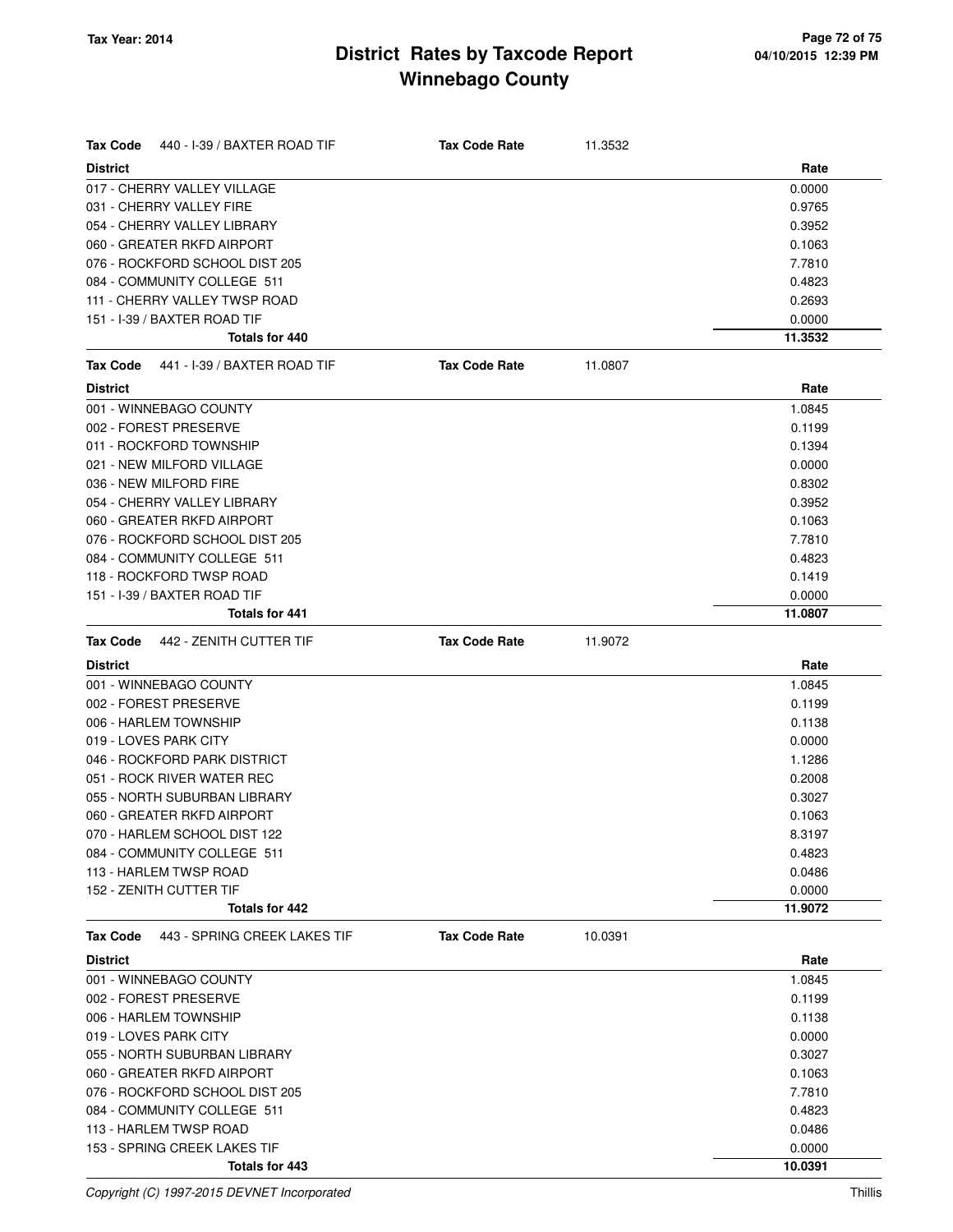| <b>Tax Code</b><br>440 - I-39 / BAXTER ROAD TIF | <b>Tax Code Rate</b> | 11.3532 |         |
|-------------------------------------------------|----------------------|---------|---------|
| <b>District</b>                                 |                      |         | Rate    |
| 017 - CHERRY VALLEY VILLAGE                     |                      |         | 0.0000  |
| 031 - CHERRY VALLEY FIRE                        |                      |         | 0.9765  |
| 054 - CHERRY VALLEY LIBRARY                     |                      |         | 0.3952  |
| 060 - GREATER RKFD AIRPORT                      |                      |         | 0.1063  |
| 076 - ROCKFORD SCHOOL DIST 205                  |                      |         | 7.7810  |
| 084 - COMMUNITY COLLEGE 511                     |                      |         | 0.4823  |
| 111 - CHERRY VALLEY TWSP ROAD                   |                      |         | 0.2693  |
| 151 - I-39 / BAXTER ROAD TIF                    |                      |         | 0.0000  |
| Totals for 440                                  |                      |         | 11.3532 |
| 441 - I-39 / BAXTER ROAD TIF<br><b>Tax Code</b> | <b>Tax Code Rate</b> | 11.0807 |         |
| <b>District</b>                                 |                      |         | Rate    |
| 001 - WINNEBAGO COUNTY                          |                      |         | 1.0845  |
| 002 - FOREST PRESERVE                           |                      |         | 0.1199  |
| 011 - ROCKFORD TOWNSHIP                         |                      |         | 0.1394  |
| 021 - NEW MILFORD VILLAGE                       |                      |         | 0.0000  |
| 036 - NEW MILFORD FIRE                          |                      |         | 0.8302  |
| 054 - CHERRY VALLEY LIBRARY                     |                      |         | 0.3952  |
| 060 - GREATER RKFD AIRPORT                      |                      |         | 0.1063  |
| 076 - ROCKFORD SCHOOL DIST 205                  |                      |         | 7.7810  |
| 084 - COMMUNITY COLLEGE 511                     |                      |         | 0.4823  |
| 118 - ROCKFORD TWSP ROAD                        |                      |         | 0.1419  |
| 151 - I-39 / BAXTER ROAD TIF                    |                      |         | 0.0000  |
| Totals for 441                                  |                      |         | 11.0807 |
| 442 - ZENITH CUTTER TIF<br><b>Tax Code</b>      | <b>Tax Code Rate</b> | 11.9072 |         |
| <b>District</b>                                 |                      |         | Rate    |
|                                                 |                      |         |         |
| 001 - WINNEBAGO COUNTY                          |                      |         | 1.0845  |
| 002 - FOREST PRESERVE                           |                      |         | 0.1199  |
| 006 - HARLEM TOWNSHIP                           |                      |         | 0.1138  |
| 019 - LOVES PARK CITY                           |                      |         | 0.0000  |
| 046 - ROCKFORD PARK DISTRICT                    |                      |         | 1.1286  |
| 051 - ROCK RIVER WATER REC                      |                      |         | 0.2008  |
| 055 - NORTH SUBURBAN LIBRARY                    |                      |         | 0.3027  |
| 060 - GREATER RKFD AIRPORT                      |                      |         | 0.1063  |
| 070 - HARLEM SCHOOL DIST 122                    |                      |         | 8.3197  |
| 084 - COMMUNITY COLLEGE 511                     |                      |         | 0.4823  |
| 113 - HARLEM TWSP ROAD                          |                      |         | 0.0486  |
| 152 - ZENITH CUTTER TIF                         |                      |         | 0.0000  |
| <b>Totals for 442</b>                           |                      |         | 11.9072 |
| 443 - SPRING CREEK LAKES TIF<br><b>Tax Code</b> | <b>Tax Code Rate</b> | 10.0391 |         |
| <b>District</b>                                 |                      |         | Rate    |
| 001 - WINNEBAGO COUNTY                          |                      |         | 1.0845  |
| 002 - FOREST PRESERVE                           |                      |         | 0.1199  |
| 006 - HARLEM TOWNSHIP                           |                      |         | 0.1138  |
| 019 - LOVES PARK CITY                           |                      |         | 0.0000  |
| 055 - NORTH SUBURBAN LIBRARY                    |                      |         | 0.3027  |
| 060 - GREATER RKFD AIRPORT                      |                      |         | 0.1063  |
| 076 - ROCKFORD SCHOOL DIST 205                  |                      |         | 7.7810  |
| 084 - COMMUNITY COLLEGE 511                     |                      |         | 0.4823  |
| 113 - HARLEM TWSP ROAD                          |                      |         | 0.0486  |
| 153 - SPRING CREEK LAKES TIF                    |                      |         | 0.0000  |

Copyright (C) 1997-2015 DEVNET Incorporated Thillis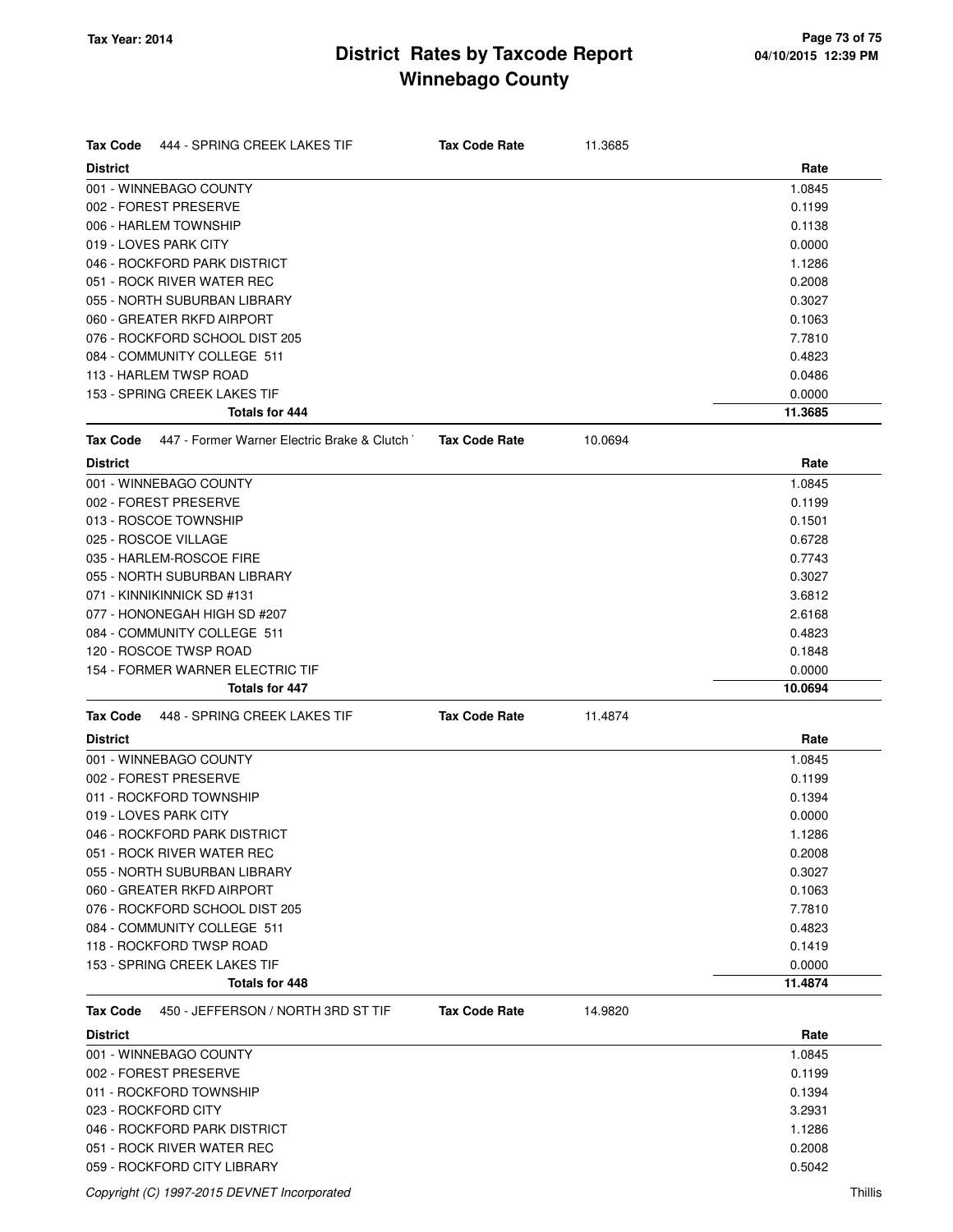## **District Rates by Taxcode Report Winnebago County**

| <b>Tax Code</b><br>444 - SPRING CREEK LAKES TIF                | <b>Tax Code Rate</b> | 11.3685 |         |
|----------------------------------------------------------------|----------------------|---------|---------|
| <b>District</b>                                                |                      |         | Rate    |
| 001 - WINNEBAGO COUNTY                                         |                      |         | 1.0845  |
| 002 - FOREST PRESERVE                                          |                      |         | 0.1199  |
| 006 - HARLEM TOWNSHIP                                          |                      |         | 0.1138  |
| 019 - LOVES PARK CITY                                          |                      |         | 0.0000  |
| 046 - ROCKFORD PARK DISTRICT                                   |                      |         | 1.1286  |
| 051 - ROCK RIVER WATER REC                                     |                      |         | 0.2008  |
| 055 - NORTH SUBURBAN LIBRARY                                   |                      |         | 0.3027  |
| 060 - GREATER RKFD AIRPORT                                     |                      |         | 0.1063  |
| 076 - ROCKFORD SCHOOL DIST 205                                 |                      |         | 7.7810  |
| 084 - COMMUNITY COLLEGE 511                                    |                      |         | 0.4823  |
| 113 - HARLEM TWSP ROAD                                         |                      |         | 0.0486  |
| 153 - SPRING CREEK LAKES TIF                                   |                      |         | 0.0000  |
| Totals for 444                                                 |                      |         | 11.3685 |
| 447 - Former Warner Electric Brake & Clutch<br><b>Tax Code</b> | <b>Tax Code Rate</b> | 10.0694 |         |
| <b>District</b>                                                |                      |         | Rate    |
| 001 - WINNEBAGO COUNTY                                         |                      |         | 1.0845  |
| 002 - FOREST PRESERVE                                          |                      |         | 0.1199  |
| 013 - ROSCOE TOWNSHIP                                          |                      |         | 0.1501  |
| 025 - ROSCOE VILLAGE                                           |                      |         | 0.6728  |
| 035 - HARLEM-ROSCOE FIRE                                       |                      |         | 0.7743  |
| 055 - NORTH SUBURBAN LIBRARY                                   |                      |         | 0.3027  |
| 071 - KINNIKINNICK SD #131                                     |                      |         | 3.6812  |
| 077 - HONONEGAH HIGH SD #207                                   |                      |         | 2.6168  |
| 084 - COMMUNITY COLLEGE 511                                    |                      |         | 0.4823  |
| 120 - ROSCOE TWSP ROAD                                         |                      |         | 0.1848  |
| 154 - FORMER WARNER ELECTRIC TIF                               |                      |         | 0.0000  |
| <b>Totals for 447</b>                                          |                      |         | 10.0694 |
| 448 - SPRING CREEK LAKES TIF<br><b>Tax Code</b>                | <b>Tax Code Rate</b> | 11.4874 |         |
| <b>District</b>                                                |                      |         | Rate    |
| 001 - WINNEBAGO COUNTY                                         |                      |         | 1.0845  |
| 002 - FOREST PRESERVE                                          |                      |         | 0.1199  |
| 011 - ROCKFORD TOWNSHIP                                        |                      |         | 0.1394  |
| 019 - LOVES PARK CITY                                          |                      |         | 0.0000  |
| 046 - ROCKFORD PARK DISTRICT                                   |                      |         | 1.1286  |
| 051 - ROCK RIVER WATER REC                                     |                      |         | 0.2008  |
| 055 - NORTH SUBURBAN LIBRARY                                   |                      |         | 0.3027  |
| 060 - GREATER RKFD AIRPORT                                     |                      |         | 0.1063  |
| 076 - ROCKFORD SCHOOL DIST 205                                 |                      |         | 7.7810  |
| 084 - COMMUNITY COLLEGE 511                                    |                      |         | 0.4823  |
| 118 - ROCKFORD TWSP ROAD                                       |                      |         | 0.1419  |
| 153 - SPRING CREEK LAKES TIF                                   |                      |         | 0.0000  |
| <b>Totals for 448</b>                                          |                      |         | 11.4874 |
| 450 - JEFFERSON / NORTH 3RD ST TIF<br><b>Tax Code</b>          | <b>Tax Code Rate</b> | 14.9820 |         |
| <b>District</b>                                                |                      |         | Rate    |
| 001 - WINNEBAGO COUNTY                                         |                      |         | 1.0845  |
| 002 - FOREST PRESERVE                                          |                      |         | 0.1199  |
| 011 - ROCKFORD TOWNSHIP                                        |                      |         | 0.1394  |
| 023 - ROCKFORD CITY                                            |                      |         | 3.2931  |
| 046 - ROCKFORD PARK DISTRICT                                   |                      |         | 1.1286  |
| 051 - ROCK RIVER WATER REC                                     |                      |         | 0.2008  |
| 059 - ROCKFORD CITY LIBRARY                                    |                      |         | 0.5042  |
|                                                                |                      |         |         |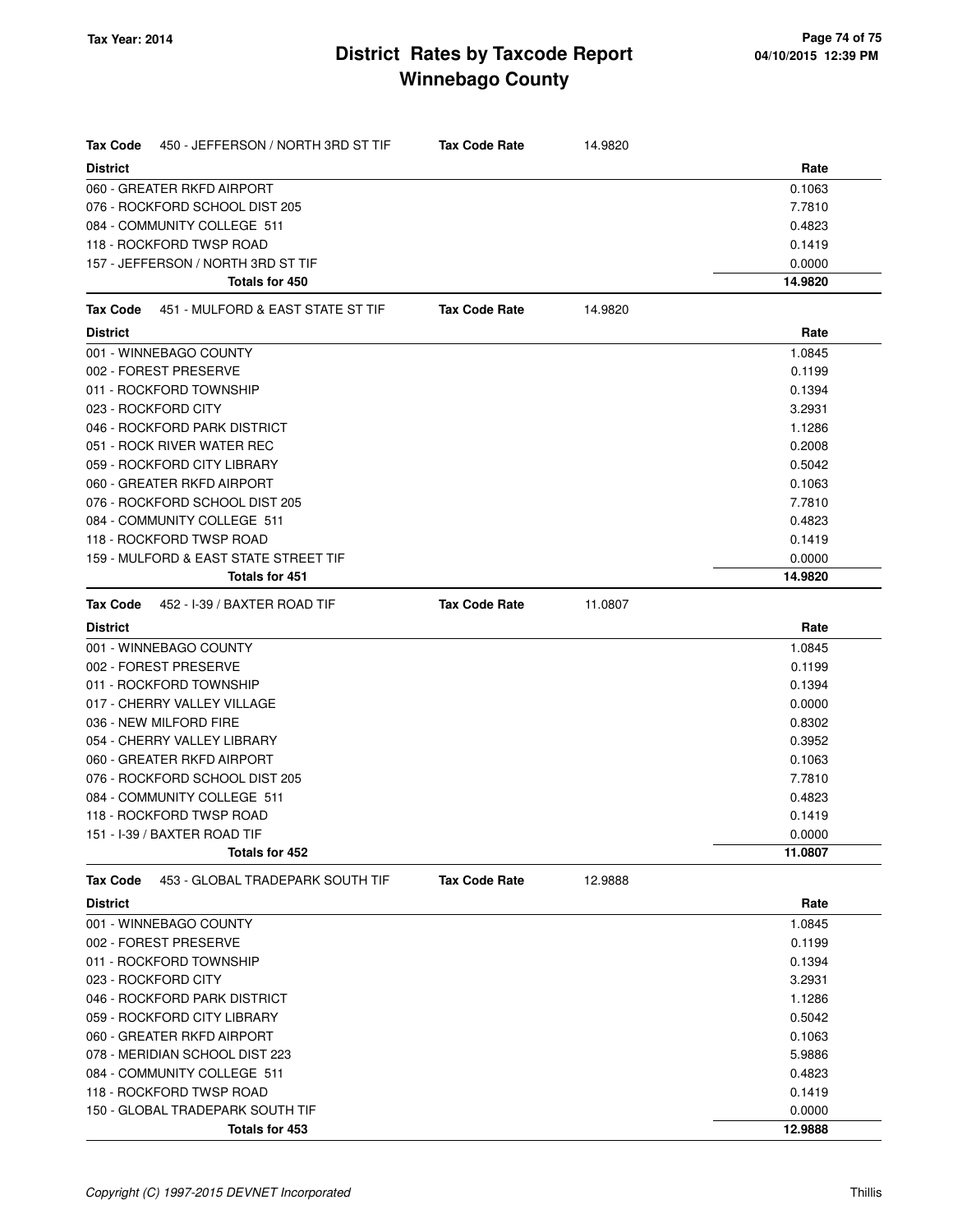## **District Rates by Taxcode Report Winnebago County**

| <b>Tax Code</b> | 450 - JEFFERSON / NORTH 3RD ST TIF    | <b>Tax Code Rate</b> | 14.9820 |         |
|-----------------|---------------------------------------|----------------------|---------|---------|
| <b>District</b> |                                       |                      |         | Rate    |
|                 | 060 - GREATER RKFD AIRPORT            |                      |         | 0.1063  |
|                 | 076 - ROCKFORD SCHOOL DIST 205        |                      |         | 7.7810  |
|                 | 084 - COMMUNITY COLLEGE 511           |                      |         | 0.4823  |
|                 | 118 - ROCKFORD TWSP ROAD              |                      |         | 0.1419  |
|                 | 157 - JEFFERSON / NORTH 3RD ST TIF    |                      |         | 0.0000  |
|                 | Totals for 450                        |                      |         | 14.9820 |
| <b>Tax Code</b> | 451 - MULFORD & EAST STATE ST TIF     | <b>Tax Code Rate</b> | 14.9820 |         |
| <b>District</b> |                                       |                      |         | Rate    |
|                 | 001 - WINNEBAGO COUNTY                |                      |         | 1.0845  |
|                 | 002 - FOREST PRESERVE                 |                      |         | 0.1199  |
|                 | 011 - ROCKFORD TOWNSHIP               |                      |         | 0.1394  |
|                 | 023 - ROCKFORD CITY                   |                      |         | 3.2931  |
|                 | 046 - ROCKFORD PARK DISTRICT          |                      |         | 1.1286  |
|                 | 051 - ROCK RIVER WATER REC            |                      |         | 0.2008  |
|                 | 059 - ROCKFORD CITY LIBRARY           |                      |         | 0.5042  |
|                 | 060 - GREATER RKFD AIRPORT            |                      |         | 0.1063  |
|                 | 076 - ROCKFORD SCHOOL DIST 205        |                      |         | 7.7810  |
|                 | 084 - COMMUNITY COLLEGE 511           |                      |         | 0.4823  |
|                 | 118 - ROCKFORD TWSP ROAD              |                      |         | 0.1419  |
|                 | 159 - MULFORD & EAST STATE STREET TIF |                      |         | 0.0000  |
|                 | <b>Totals for 451</b>                 |                      |         | 14.9820 |
| Tax Code        | 452 - I-39 / BAXTER ROAD TIF          | <b>Tax Code Rate</b> | 11.0807 |         |
| <b>District</b> |                                       |                      |         | Rate    |
|                 | 001 - WINNEBAGO COUNTY                |                      |         | 1.0845  |
|                 | 002 - FOREST PRESERVE                 |                      |         | 0.1199  |
|                 | 011 - ROCKFORD TOWNSHIP               |                      |         | 0.1394  |
|                 | 017 - CHERRY VALLEY VILLAGE           |                      |         | 0.0000  |
|                 | 036 - NEW MILFORD FIRE                |                      |         | 0.8302  |
|                 | 054 - CHERRY VALLEY LIBRARY           |                      |         | 0.3952  |
|                 | 060 - GREATER RKFD AIRPORT            |                      |         | 0.1063  |
|                 | 076 - ROCKFORD SCHOOL DIST 205        |                      |         | 7.7810  |
|                 | 084 - COMMUNITY COLLEGE 511           |                      |         | 0.4823  |
|                 | 118 - ROCKFORD TWSP ROAD              |                      |         | 0.1419  |
|                 | 151 - I-39 / BAXTER ROAD TIF          |                      |         | 0.0000  |
|                 | Totals for 452                        |                      |         | 11.0807 |
| <b>Tax Code</b> | 453 - GLOBAL TRADEPARK SOUTH TIF      | <b>Tax Code Rate</b> | 12.9888 |         |
| <b>District</b> |                                       |                      |         | Rate    |
|                 | 001 - WINNEBAGO COUNTY                |                      |         | 1.0845  |
|                 | 002 - FOREST PRESERVE                 |                      |         | 0.1199  |
|                 | 011 - ROCKFORD TOWNSHIP               |                      |         | 0.1394  |
|                 | 023 - ROCKFORD CITY                   |                      |         | 3.2931  |
|                 | 046 - ROCKFORD PARK DISTRICT          |                      |         | 1.1286  |
|                 | 059 - ROCKFORD CITY LIBRARY           |                      |         | 0.5042  |
|                 | 060 - GREATER RKFD AIRPORT            |                      |         | 0.1063  |
|                 | 078 - MERIDIAN SCHOOL DIST 223        |                      |         | 5.9886  |
|                 | 084 - COMMUNITY COLLEGE 511           |                      |         | 0.4823  |
|                 | 118 - ROCKFORD TWSP ROAD              |                      |         | 0.1419  |
|                 | 150 - GLOBAL TRADEPARK SOUTH TIF      |                      |         | 0.0000  |
|                 | Totals for 453                        |                      |         | 12.9888 |